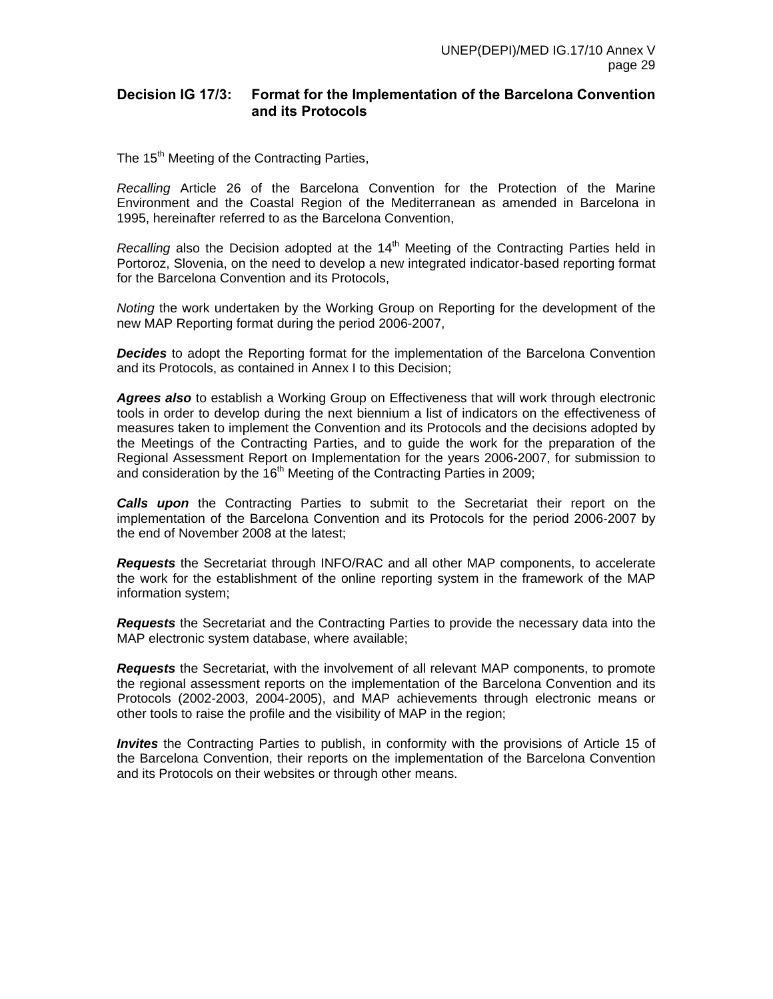# **Decision IG 17/3: Format for the Implementation of the Barcelona Convention and its Protocols**

The 15<sup>th</sup> Meeting of the Contracting Parties,

*Recalling* Article 26 of the Barcelona Convention for the Protection of the Marine Environment and the Coastal Region of the Mediterranean as amended in Barcelona in 1995, hereinafter referred to as the Barcelona Convention,

*Recalling* also the Decision adopted at the 14<sup>th</sup> Meeting of the Contracting Parties held in Portoroz, Slovenia, on the need to develop a new integrated indicator-based reporting format for the Barcelona Convention and its Protocols,

*Noting* the work undertaken by the Working Group on Reporting for the development of the new MAP Reporting format during the period 2006-2007,

*Decides* to adopt the Reporting format for the implementation of the Barcelona Convention and its Protocols, as contained in Annex I to this Decision;

*Agrees also* to establish a Working Group on Effectiveness that will work through electronic tools in order to develop during the next biennium a list of indicators on the effectiveness of measures taken to implement the Convention and its Protocols and the decisions adopted by the Meetings of the Contracting Parties, and to guide the work for the preparation of the Regional Assessment Report on Implementation for the years 2006-2007, for submission to and consideration by the  $16<sup>th</sup>$  Meeting of the Contracting Parties in 2009;

*Calls upon* the Contracting Parties to submit to the Secretariat their report on the implementation of the Barcelona Convention and its Protocols for the period 2006-2007 by the end of November 2008 at the latest;

*Requests* the Secretariat through INFO/RAC and all other MAP components, to accelerate the work for the establishment of the online reporting system in the framework of the MAP information system;

*Requests* the Secretariat and the Contracting Parties to provide the necessary data into the MAP electronic system database, where available;

*Requests* the Secretariat, with the involvement of all relevant MAP components, to promote the regional assessment reports on the implementation of the Barcelona Convention and its Protocols (2002-2003, 2004-2005), and MAP achievements through electronic means or other tools to raise the profile and the visibility of MAP in the region;

*Invites* the Contracting Parties to publish, in conformity with the provisions of Article 15 of the Barcelona Convention, their reports on the implementation of the Barcelona Convention and its Protocols on their websites or through other means.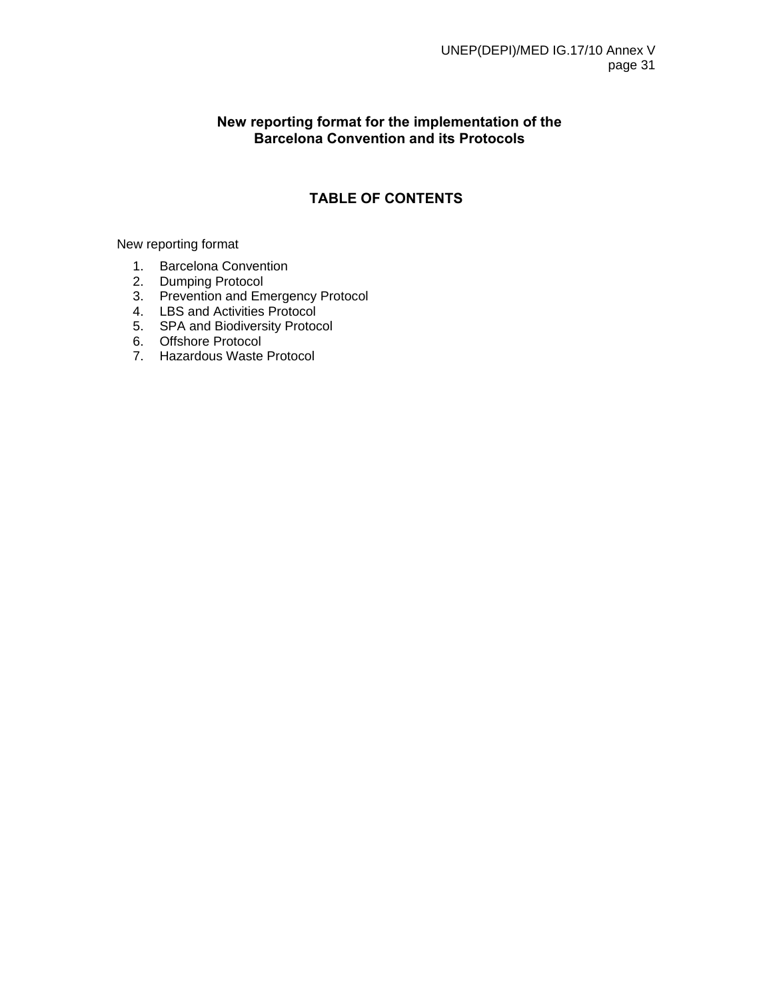# **New reporting format for the implementation of the Barcelona Convention and its Protocols**

# **TABLE OF CONTENTS**

New reporting format

- 1. Barcelona Convention
- 2. Dumping Protocol
- 3. Prevention and Emergency Protocol
- 4. LBS and Activities Protocol
- 5. SPA and Biodiversity Protocol
- 6. Offshore Protocol
- 7. Hazardous Waste Protocol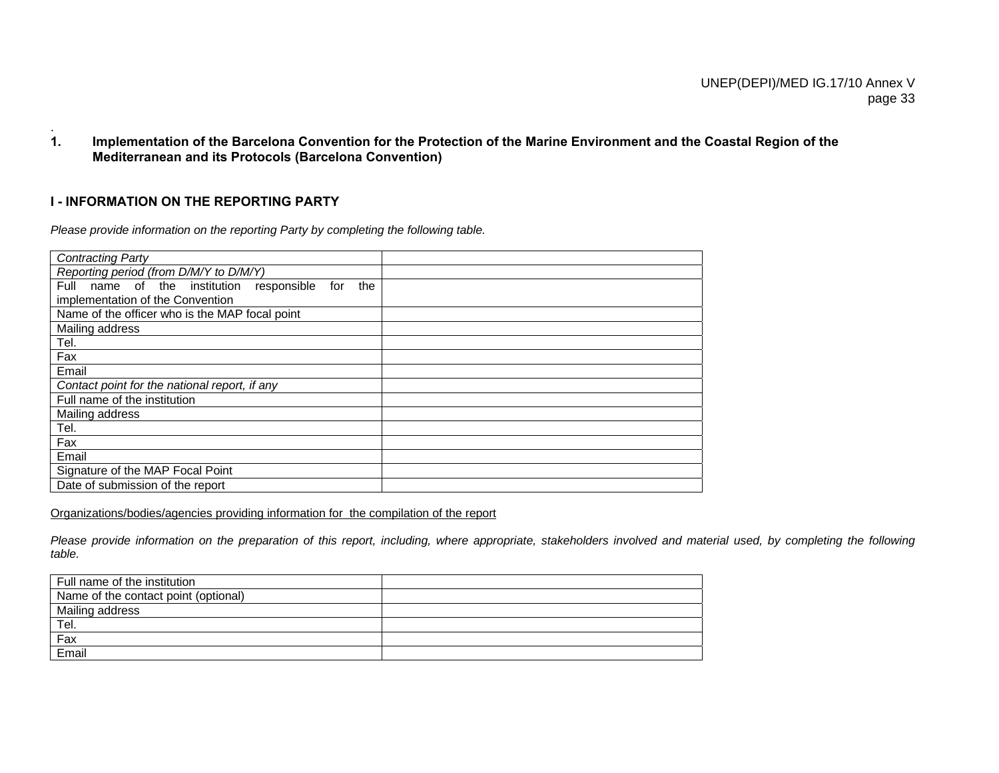**1. Implementation of the Barcelona Convention for the Protection of the Marine Environment and the Coastal Region of the Mediterranean and its Protocols (Barcelona Convention)** 

## **I - INFORMATION ON THE REPORTING PARTY**

.

*Please provide information on the reporting Party by completing the following table.* 

| <b>Contracting Party</b>                                     |  |
|--------------------------------------------------------------|--|
| Reporting period (from D/M/Y to D/M/Y)                       |  |
| Full<br>name of the institution<br>responsible<br>the<br>for |  |
| implementation of the Convention                             |  |
| Name of the officer who is the MAP focal point               |  |
| Mailing address                                              |  |
| Tel.                                                         |  |
| Fax                                                          |  |
| Email                                                        |  |
| Contact point for the national report, if any                |  |
| Full name of the institution                                 |  |
| Mailing address                                              |  |
| Tel.                                                         |  |
| Fax                                                          |  |
| Email                                                        |  |
| Signature of the MAP Focal Point                             |  |
| Date of submission of the report                             |  |

Organizations/bodies/agencies providing information for the compilation of the report

Please provide information on the preparation of this report, including, where appropriate, stakeholders involved and material used, by completing the following *table.* 

| Full name of the institution         |  |
|--------------------------------------|--|
| Name of the contact point (optional) |  |
| Mailing address                      |  |
| Tel.                                 |  |
| Fax                                  |  |
| Email                                |  |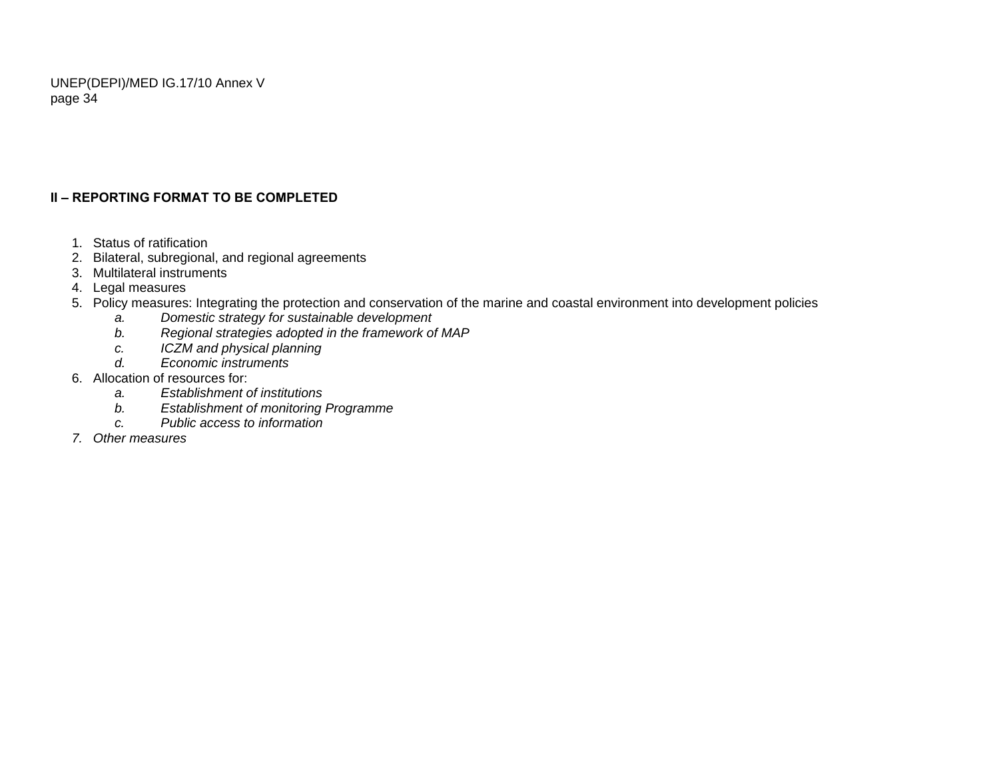# **II – REPORTING FORMAT TO BE COMPLETED**

- 1. Status of ratification
- 2. Bilateral, subregional, and regional agreements
- 3. Multilateral instruments
- 4. Legal measures
- 5. Policy measures: Integrating the protection and conservation of the marine and coastal environment into development policies
	- *a. Domestic strategy for sustainable development*
	- *b. Regional strategies adopted in the framework of MAP*
	- *c. ICZM and physical planning*
	- *d. Economic instruments*
- 6. Allocation of resources for:
	- *a. Establishment of institutions*
	- *b. Establishment of monitoring Programme*
	- *c. Public access to information*
- *7. Other measures*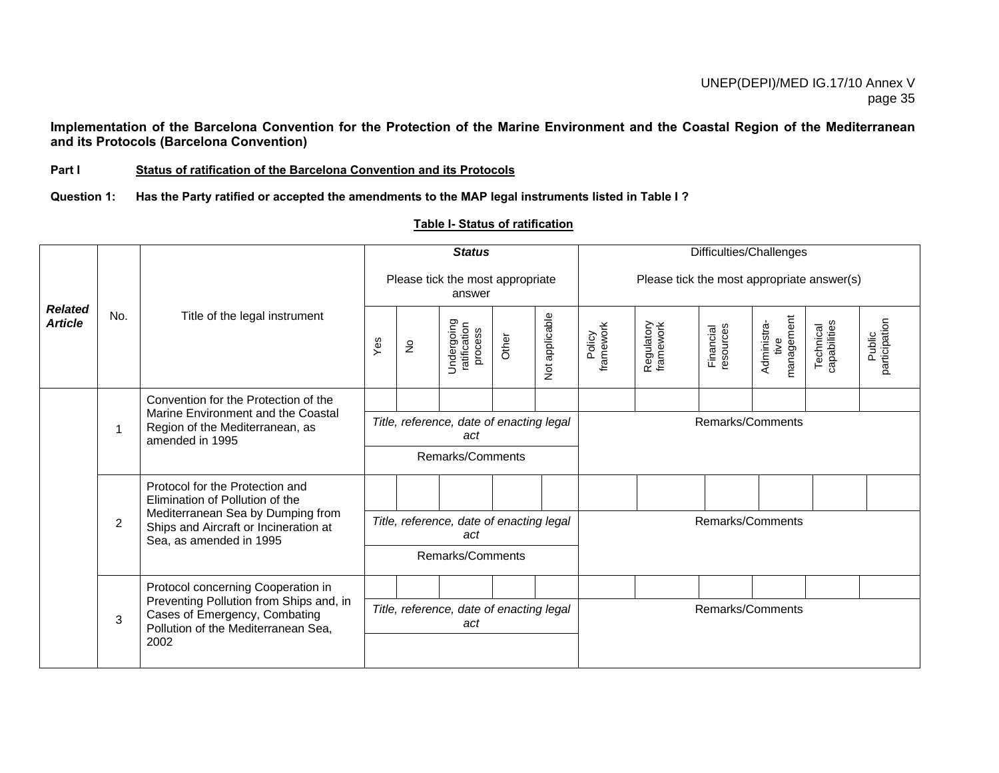**Implementation of the Barcelona Convention for the Protection of the Marine Environment and the Coastal Region of the Mediterranean and its Protocols (Barcelona Convention)** 

#### **Part I Status of ratification of the Barcelona Convention and its Protocols**

**Question 1: Has the Party ratified or accepted the amendments to the MAP legal instruments listed in Table I ?**

|                                  |                |                                                                                                                                                                             |     |             | <b>Status</b>                                   |       |                | Difficulties/Challenges                    |                         |                        |                                   |                           |                         |  |
|----------------------------------|----------------|-----------------------------------------------------------------------------------------------------------------------------------------------------------------------------|-----|-------------|-------------------------------------------------|-------|----------------|--------------------------------------------|-------------------------|------------------------|-----------------------------------|---------------------------|-------------------------|--|
|                                  |                |                                                                                                                                                                             |     |             | Please tick the most appropriate<br>answer      |       |                | Please tick the most appropriate answer(s) |                         |                        |                                   |                           |                         |  |
| <b>Related</b><br><b>Article</b> | No.            | Title of the legal instrument                                                                                                                                               | Yes | $\tilde{z}$ | Undergoing<br>ratification<br>process           | Other | Not applicable | Policy<br>framework                        | Regulatory<br>framework | Financial<br>resources | management<br>Administra-<br>tive | Technical<br>capabilities | Public<br>participation |  |
|                                  |                | Convention for the Protection of the                                                                                                                                        |     |             |                                                 |       |                |                                            |                         |                        |                                   |                           |                         |  |
|                                  | 1              | Marine Environment and the Coastal<br>Region of the Mediterranean, as<br>amended in 1995                                                                                    |     |             | Title, reference, date of enacting legal<br>act |       |                |                                            |                         | Remarks/Comments       |                                   |                           |                         |  |
|                                  |                |                                                                                                                                                                             |     |             | Remarks/Comments                                |       |                |                                            |                         |                        |                                   |                           |                         |  |
|                                  |                | Protocol for the Protection and<br>Elimination of Pollution of the<br>Mediterranean Sea by Dumping from<br>Ships and Aircraft or Incineration at<br>Sea, as amended in 1995 |     |             |                                                 |       |                |                                            |                         |                        |                                   |                           |                         |  |
|                                  | $\overline{c}$ |                                                                                                                                                                             |     |             | Title, reference, date of enacting legal<br>act |       |                | Remarks/Comments                           |                         |                        |                                   |                           |                         |  |
|                                  |                |                                                                                                                                                                             |     |             | Remarks/Comments                                |       |                |                                            |                         |                        |                                   |                           |                         |  |
|                                  |                | Protocol concerning Cooperation in                                                                                                                                          |     |             |                                                 |       |                |                                            |                         |                        |                                   |                           |                         |  |
|                                  | 3              | Preventing Pollution from Ships and, in<br>Cases of Emergency, Combating<br>Pollution of the Mediterranean Sea,<br>2002                                                     |     |             | Title, reference, date of enacting legal<br>act |       |                |                                            |                         | Remarks/Comments       |                                   |                           |                         |  |
|                                  |                |                                                                                                                                                                             |     |             |                                                 |       |                |                                            |                         |                        |                                   |                           |                         |  |

## **Table I- Status of ratification**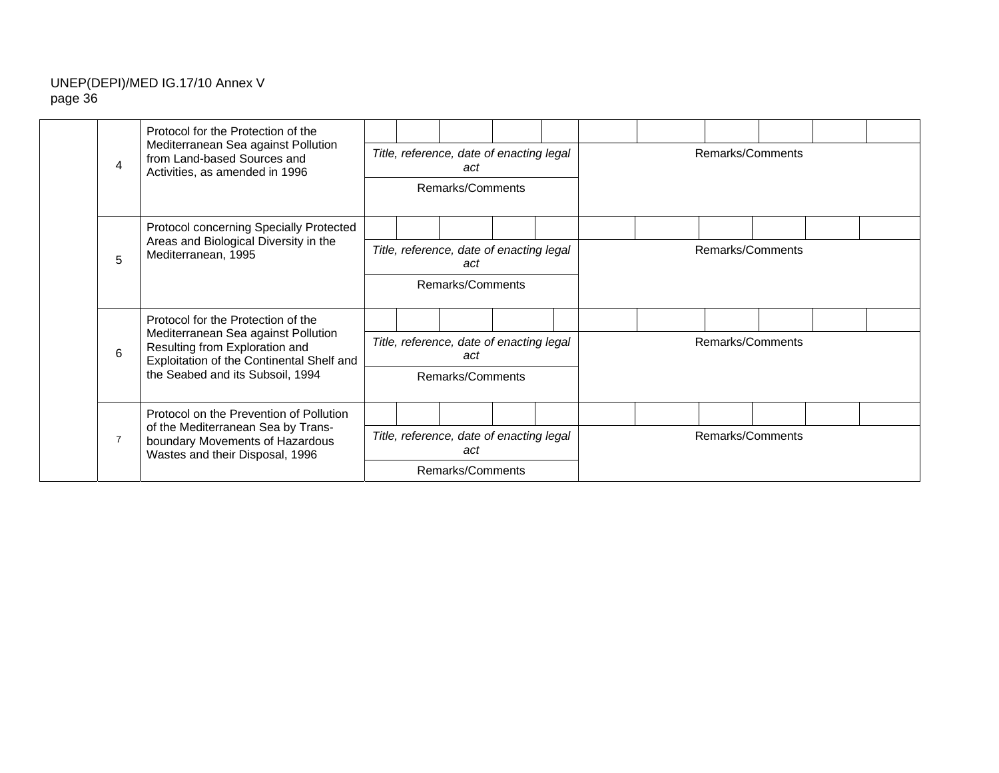|                | Protocol for the Protection of the                                                                                 |                                                 |                                                                     |                                                 |  |  |  |                  |                  |  |  |  |  |
|----------------|--------------------------------------------------------------------------------------------------------------------|-------------------------------------------------|---------------------------------------------------------------------|-------------------------------------------------|--|--|--|------------------|------------------|--|--|--|--|
| $\overline{4}$ | Mediterranean Sea against Pollution<br>from Land-based Sources and<br>Activities, as amended in 1996               |                                                 |                                                                     | Title, reference, date of enacting legal<br>act |  |  |  |                  | Remarks/Comments |  |  |  |  |
|                |                                                                                                                    |                                                 |                                                                     | Remarks/Comments                                |  |  |  |                  |                  |  |  |  |  |
|                | Protocol concerning Specially Protected                                                                            |                                                 |                                                                     |                                                 |  |  |  |                  |                  |  |  |  |  |
| 5              | Areas and Biological Diversity in the<br>Mediterranean, 1995                                                       |                                                 | Title, reference, date of enacting legal<br>act<br>Remarks/Comments |                                                 |  |  |  | Remarks/Comments |                  |  |  |  |  |
|                |                                                                                                                    |                                                 |                                                                     |                                                 |  |  |  |                  |                  |  |  |  |  |
|                | Protocol for the Protection of the                                                                                 |                                                 |                                                                     |                                                 |  |  |  |                  |                  |  |  |  |  |
| 6              | Mediterranean Sea against Pollution<br>Resulting from Exploration and<br>Exploitation of the Continental Shelf and |                                                 |                                                                     | Title, reference, date of enacting legal<br>act |  |  |  |                  | Remarks/Comments |  |  |  |  |
|                | the Seabed and its Subsoil, 1994                                                                                   |                                                 |                                                                     | Remarks/Comments                                |  |  |  |                  |                  |  |  |  |  |
|                | Protocol on the Prevention of Pollution                                                                            |                                                 |                                                                     |                                                 |  |  |  |                  |                  |  |  |  |  |
| $\overline{7}$ | of the Mediterranean Sea by Trans-<br>boundary Movements of Hazardous<br>Wastes and their Disposal, 1996           | Title, reference, date of enacting legal<br>act |                                                                     |                                                 |  |  |  |                  | Remarks/Comments |  |  |  |  |
|                |                                                                                                                    |                                                 | Remarks/Comments                                                    |                                                 |  |  |  |                  |                  |  |  |  |  |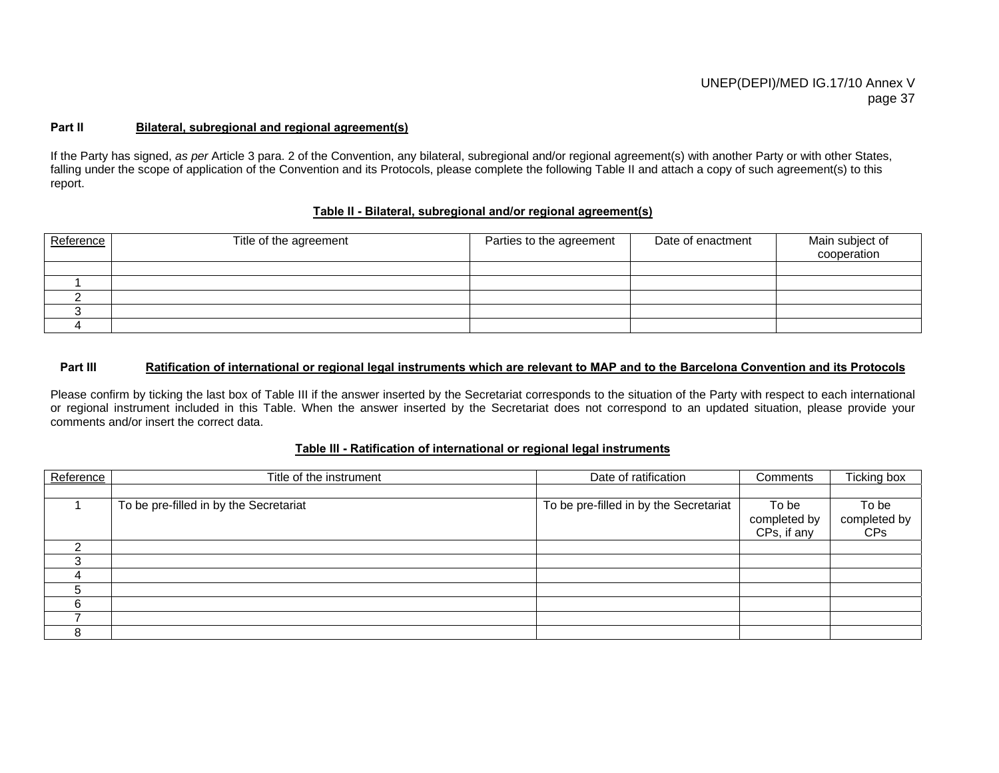#### **Part IIBilateral, subregional and regional agreement(s)**

If the Party has signed, *as per* Article 3 para. 2 of the Convention, any bilateral, subregional and/or regional agreement(s) with another Party or with other States, falling under the scope of application of the Convention and its Protocols, please complete the following Table II and attach a copy of such agreement(s) to this report.

#### **Table II - Bilateral, subregional and/or regional agreement(s)**

| Reference | Title of the agreement | Parties to the agreement | Date of enactment | Main subject of<br>cooperation |
|-----------|------------------------|--------------------------|-------------------|--------------------------------|
|           |                        |                          |                   |                                |
|           |                        |                          |                   |                                |
|           |                        |                          |                   |                                |
|           |                        |                          |                   |                                |
|           |                        |                          |                   |                                |

#### **Part III Ratification of international or regional legal instruments which are relevant to MAP and to the Barcelona Convention and its Protocols**

Please confirm by ticking the last box of Table III if the answer inserted by the Secretariat corresponds to the situation of the Party with respect to each international or regional instrument included in this Table. When the answer inserted by the Secretariat does not correspond to an updated situation, please provide your comments and/or insert the correct data.

#### **Table III - Ratification of international or regional legal instruments**

| Reference | Title of the instrument                | Date of ratification                   | Comments                             | Ticking box                         |
|-----------|----------------------------------------|----------------------------------------|--------------------------------------|-------------------------------------|
|           |                                        |                                        |                                      |                                     |
|           | To be pre-filled in by the Secretariat | To be pre-filled in by the Secretariat | To be<br>completed by<br>CPs, if any | To be<br>completed by<br><b>CPs</b> |
| ⌒         |                                        |                                        |                                      |                                     |
|           |                                        |                                        |                                      |                                     |
|           |                                        |                                        |                                      |                                     |
| .5        |                                        |                                        |                                      |                                     |
| 6         |                                        |                                        |                                      |                                     |
|           |                                        |                                        |                                      |                                     |
| 8         |                                        |                                        |                                      |                                     |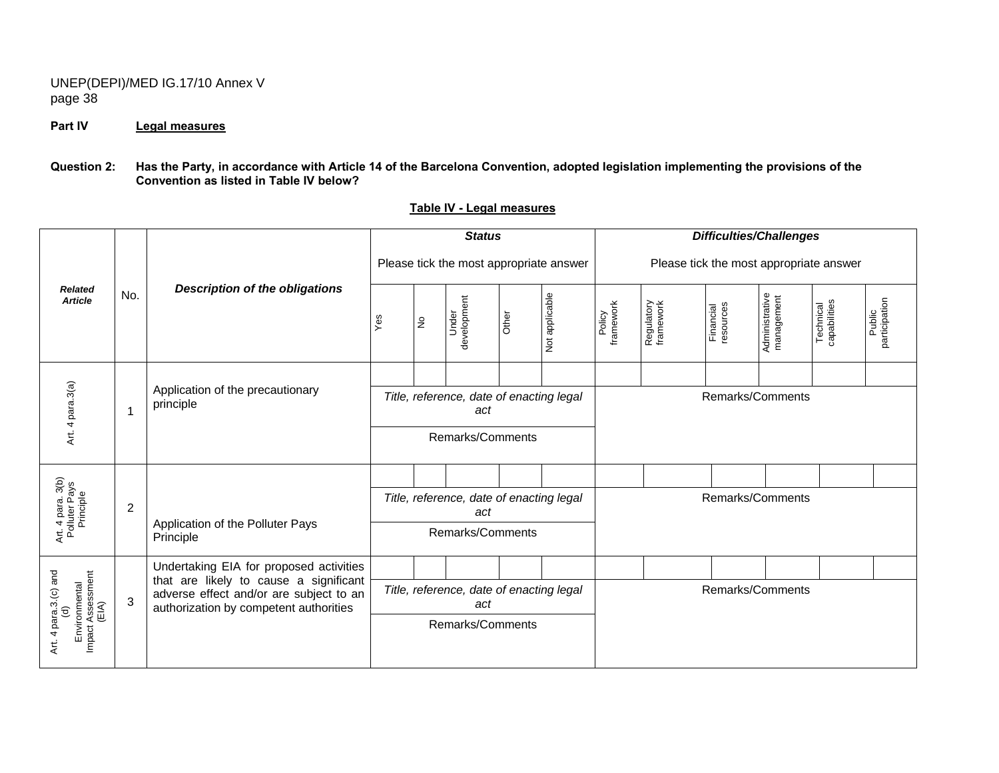## **Part IV Legal measures**

#### **Question 2: Has the Party, in accordance with Article 14 of the Barcelona Convention, adopted legislation implementing the provisions of the Convention as listed in Table IV below?**

|                                                                             |     |                                                                                                                                                                        |     |               | <b>Status</b>                                                       |       |                | <b>Difficulties/Challenges</b>          |                         |                        |                              |                           |                         |  |
|-----------------------------------------------------------------------------|-----|------------------------------------------------------------------------------------------------------------------------------------------------------------------------|-----|---------------|---------------------------------------------------------------------|-------|----------------|-----------------------------------------|-------------------------|------------------------|------------------------------|---------------------------|-------------------------|--|
|                                                                             |     |                                                                                                                                                                        |     |               | Please tick the most appropriate answer                             |       |                | Please tick the most appropriate answer |                         |                        |                              |                           |                         |  |
| <b>Related</b><br><b>Article</b>                                            | No. | <b>Description of the obligations</b>                                                                                                                                  | Yes | $\frac{1}{2}$ | development<br>Under                                                | Other | Not applicable | framework<br>Policy                     | Regulatory<br>framework | Financial<br>resources | Administrative<br>management | Technical<br>capabilities | participation<br>Public |  |
| Art. 4 para.3(a)                                                            |     | Application of the precautionary<br>principle                                                                                                                          |     |               | Title, reference, date of enacting legal<br>act<br>Remarks/Comments |       |                |                                         |                         |                        | Remarks/Comments             |                           |                         |  |
| Art. 4 para. 3(b)<br>Polluter Pays<br>Principle                             | 2   | Application of the Polluter Pays<br>Principle                                                                                                                          |     |               | Title, reference, date of enacting legal<br>act<br>Remarks/Comments |       |                |                                         |                         |                        | Remarks/Comments             |                           |                         |  |
| Art. 4 para.3.(c) and<br>(d)<br>Environmental<br>Impact Assessment<br>(EIA) | 3   | Undertaking EIA for proposed activities<br>that are likely to cause a significant<br>adverse effect and/or are subject to an<br>authorization by competent authorities |     |               | Title, reference, date of enacting legal<br>act<br>Remarks/Comments |       |                |                                         |                         |                        | Remarks/Comments             |                           |                         |  |

## **Table IV - Legal measures**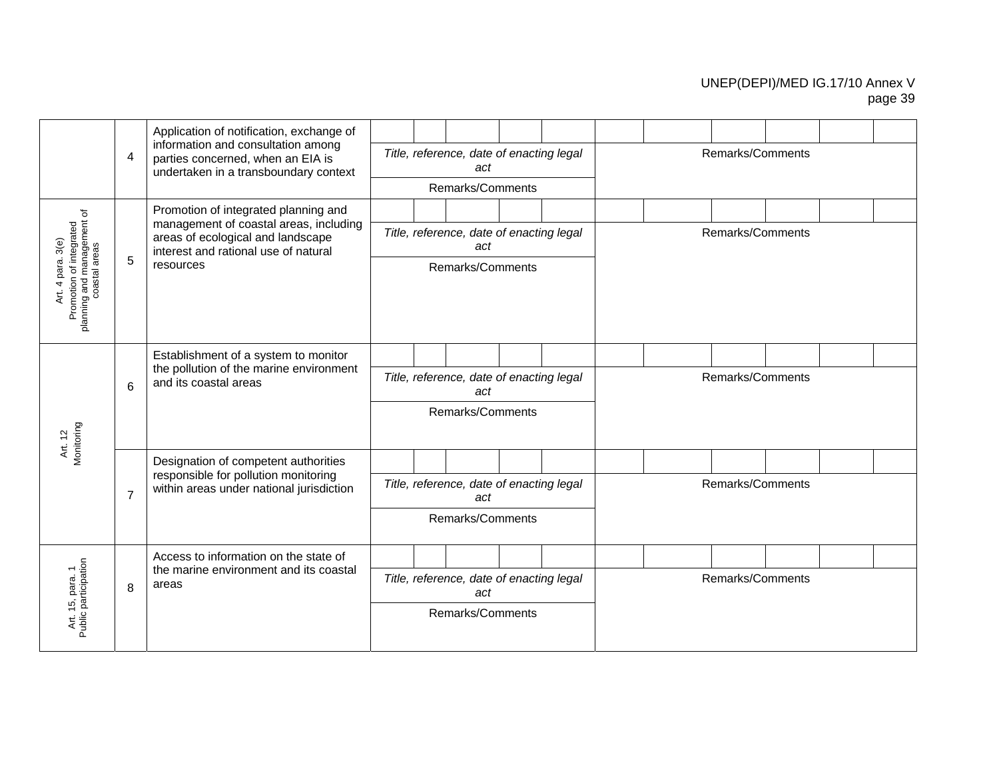|                                                                                              |                | Application of notification, exchange of<br>information and consultation among                                      |                                                                     |  | Title, reference, date of enacting legal        |  |  |  |  | Remarks/Comments |  |  |
|----------------------------------------------------------------------------------------------|----------------|---------------------------------------------------------------------------------------------------------------------|---------------------------------------------------------------------|--|-------------------------------------------------|--|--|--|--|------------------|--|--|
|                                                                                              | 4              | parties concerned, when an EIA is<br>undertaken in a transboundary context                                          |                                                                     |  | act                                             |  |  |  |  |                  |  |  |
|                                                                                              |                |                                                                                                                     |                                                                     |  | Remarks/Comments                                |  |  |  |  |                  |  |  |
|                                                                                              |                | Promotion of integrated planning and                                                                                |                                                                     |  |                                                 |  |  |  |  |                  |  |  |
| 3(e)                                                                                         |                | management of coastal areas, including<br>areas of ecological and landscape<br>interest and rational use of natural |                                                                     |  | Title, reference, date of enacting legal<br>act |  |  |  |  | Remarks/Comments |  |  |
| Promotion of integrated<br>planning and management of<br>coastal areas<br>para.<br>4<br>Αrt. | 5              | resources                                                                                                           |                                                                     |  | Remarks/Comments                                |  |  |  |  |                  |  |  |
|                                                                                              |                | Establishment of a system to monitor                                                                                |                                                                     |  |                                                 |  |  |  |  |                  |  |  |
|                                                                                              | 6              | the pollution of the marine environment<br>and its coastal areas                                                    |                                                                     |  | Title, reference, date of enacting legal<br>act |  |  |  |  | Remarks/Comments |  |  |
| Monitoring<br>Art. 12                                                                        |                |                                                                                                                     |                                                                     |  | Remarks/Comments                                |  |  |  |  |                  |  |  |
|                                                                                              |                | Designation of competent authorities                                                                                |                                                                     |  |                                                 |  |  |  |  |                  |  |  |
|                                                                                              | $\overline{7}$ | responsible for pollution monitoring<br>within areas under national jurisdiction                                    |                                                                     |  | Title, reference, date of enacting legal<br>act |  |  |  |  | Remarks/Comments |  |  |
|                                                                                              |                |                                                                                                                     |                                                                     |  | Remarks/Comments                                |  |  |  |  |                  |  |  |
|                                                                                              |                | Access to information on the state of                                                                               |                                                                     |  |                                                 |  |  |  |  |                  |  |  |
|                                                                                              | 8              | the marine environment and its coastal<br>areas                                                                     | Remarks/Comments<br>Title, reference, date of enacting legal<br>act |  |                                                 |  |  |  |  |                  |  |  |
| Art. 15, para. 1<br>Public participation                                                     |                |                                                                                                                     |                                                                     |  | Remarks/Comments                                |  |  |  |  |                  |  |  |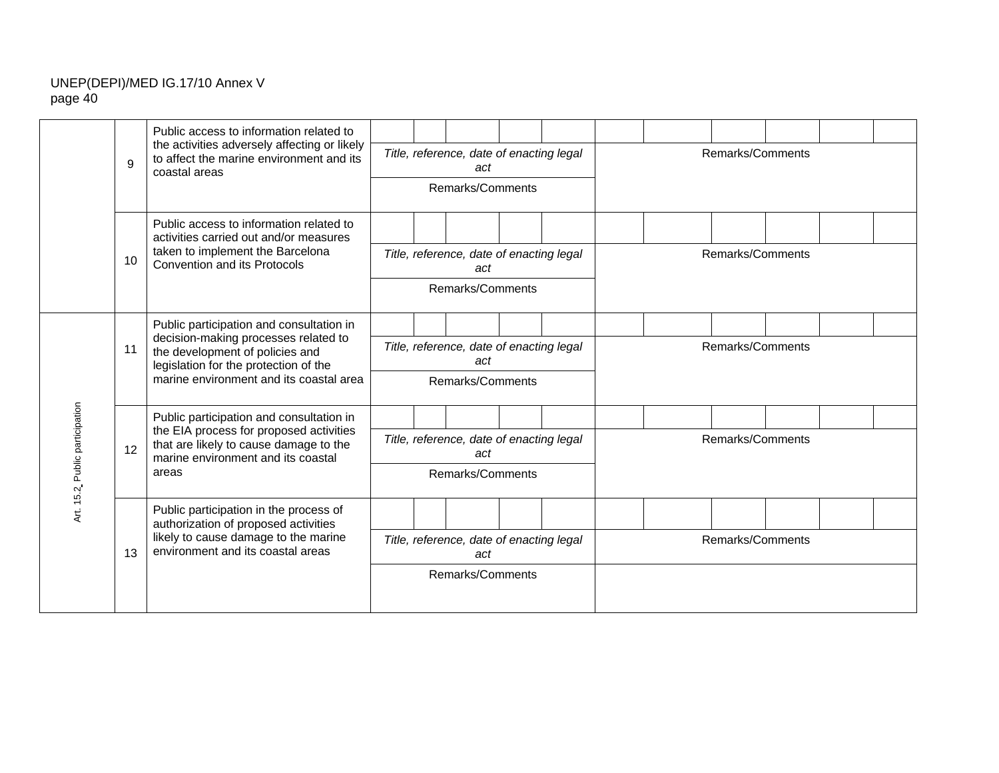|                      |    | Public access to information related to<br>the activities adversely affecting or likely                                 |  |                                                 |  |  |                  |  |
|----------------------|----|-------------------------------------------------------------------------------------------------------------------------|--|-------------------------------------------------|--|--|------------------|--|
|                      | 9  | to affect the marine environment and its<br>coastal areas                                                               |  | Title, reference, date of enacting legal<br>act |  |  | Remarks/Comments |  |
|                      |    |                                                                                                                         |  | Remarks/Comments                                |  |  |                  |  |
|                      |    | Public access to information related to<br>activities carried out and/or measures                                       |  |                                                 |  |  |                  |  |
|                      | 10 | taken to implement the Barcelona<br><b>Convention and its Protocols</b>                                                 |  | Title, reference, date of enacting legal<br>act |  |  | Remarks/Comments |  |
|                      |    |                                                                                                                         |  | Remarks/Comments                                |  |  |                  |  |
|                      |    | Public participation and consultation in                                                                                |  |                                                 |  |  |                  |  |
|                      | 11 | decision-making processes related to<br>the development of policies and<br>legislation for the protection of the        |  | Title, reference, date of enacting legal<br>act |  |  | Remarks/Comments |  |
|                      |    | marine environment and its coastal area                                                                                 |  | Remarks/Comments                                |  |  |                  |  |
|                      |    | Public participation and consultation in                                                                                |  |                                                 |  |  |                  |  |
| Public participation | 12 | the EIA process for proposed activities<br>that are likely to cause damage to the<br>marine environment and its coastal |  | Title, reference, date of enacting legal<br>act |  |  | Remarks/Comments |  |
|                      |    | areas                                                                                                                   |  | Remarks/Comments                                |  |  |                  |  |
| Art. 15.2            |    | Public participation in the process of<br>authorization of proposed activities                                          |  |                                                 |  |  |                  |  |
|                      | 13 | likely to cause damage to the marine<br>environment and its coastal areas                                               |  | Title, reference, date of enacting legal<br>act |  |  | Remarks/Comments |  |
|                      |    |                                                                                                                         |  | Remarks/Comments                                |  |  |                  |  |
|                      |    |                                                                                                                         |  |                                                 |  |  |                  |  |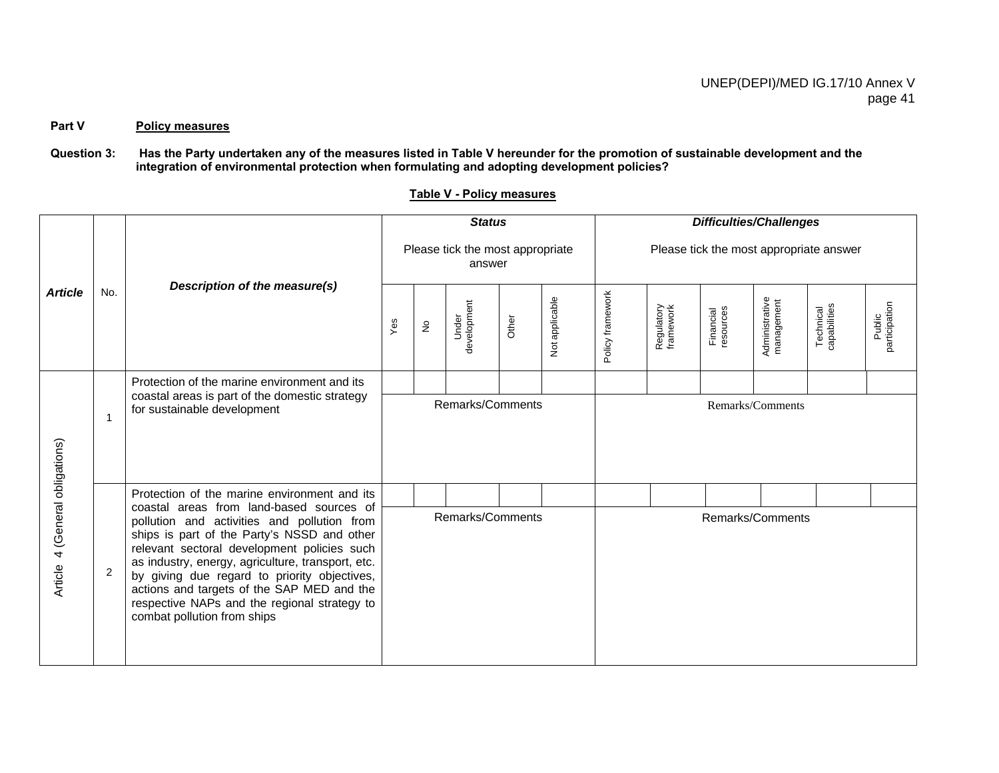## Part V Policy measures

## **Question 3: Has the Party undertaken any of the measures listed in Table V hereunder for the promotion of sustainable development and the integration of environmental protection when formulating and adopting development policies?**

|                                    |     |                                                                                                                                                                                                                                                                                                                                                                             |     |                            | <b>Status</b>                              |       |                |                                         |                         | <b>Difficulties/Challenges</b> |                              |                           |                         |  |
|------------------------------------|-----|-----------------------------------------------------------------------------------------------------------------------------------------------------------------------------------------------------------------------------------------------------------------------------------------------------------------------------------------------------------------------------|-----|----------------------------|--------------------------------------------|-------|----------------|-----------------------------------------|-------------------------|--------------------------------|------------------------------|---------------------------|-------------------------|--|
|                                    |     |                                                                                                                                                                                                                                                                                                                                                                             |     |                            | Please tick the most appropriate<br>answer |       |                | Please tick the most appropriate answer |                         |                                |                              |                           |                         |  |
| <b>Article</b>                     | No. | Description of the measure(s)                                                                                                                                                                                                                                                                                                                                               | Yes | $\stackrel{\circ}{\simeq}$ | development<br>Under                       | Other | Not applicable | Policy framework                        | Regulatory<br>framework | Financial<br>resources         | Administrative<br>management | Technical<br>capabilities | Public<br>participation |  |
|                                    |     | Protection of the marine environment and its                                                                                                                                                                                                                                                                                                                                |     |                            |                                            |       |                |                                         |                         |                                |                              |                           |                         |  |
|                                    | 1   | coastal areas is part of the domestic strategy<br>for sustainable development                                                                                                                                                                                                                                                                                               |     |                            | Remarks/Comments                           |       |                |                                         |                         |                                | Remarks/Comments             |                           |                         |  |
|                                    |     | Protection of the marine environment and its<br>coastal areas from land-based sources of                                                                                                                                                                                                                                                                                    |     |                            |                                            |       |                |                                         |                         |                                |                              |                           |                         |  |
| 4 (General obligations)<br>Article | 2   | pollution and activities and pollution from<br>ships is part of the Party's NSSD and other<br>relevant sectoral development policies such<br>as industry, energy, agriculture, transport, etc.<br>by giving due regard to priority objectives,<br>actions and targets of the SAP MED and the<br>respective NAPs and the regional strategy to<br>combat pollution from ships |     |                            | Remarks/Comments                           |       |                |                                         |                         | Remarks/Comments               |                              |                           |                         |  |

# **Table V - Policy measures**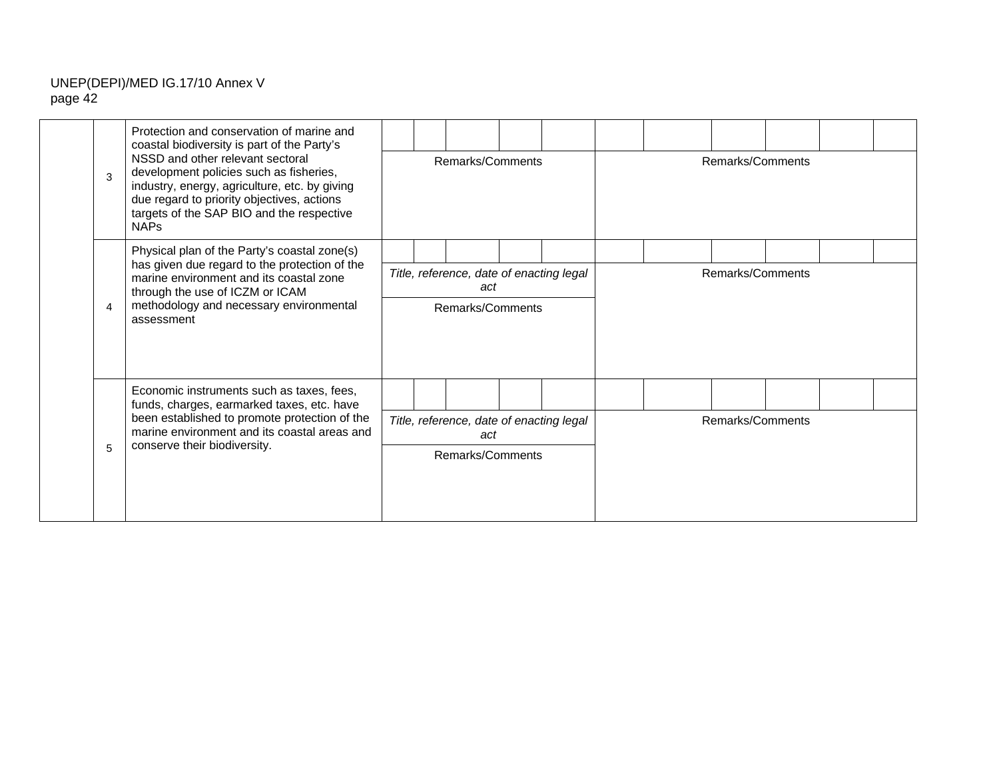| 3 | Protection and conservation of marine and<br>coastal biodiversity is part of the Party's<br>NSSD and other relevant sectoral<br>development policies such as fisheries,<br>industry, energy, agriculture, etc. by giving<br>due regard to priority objectives, actions<br>targets of the SAP BIO and the respective<br><b>NAPs</b> | Remarks/Comments |  |                                                                     |  |  |  | Remarks/Comments |  |  |
|---|------------------------------------------------------------------------------------------------------------------------------------------------------------------------------------------------------------------------------------------------------------------------------------------------------------------------------------|------------------|--|---------------------------------------------------------------------|--|--|--|------------------|--|--|
| 4 | Physical plan of the Party's coastal zone(s)<br>has given due regard to the protection of the<br>marine environment and its coastal zone<br>through the use of ICZM or ICAM<br>methodology and necessary environmental<br>assessment                                                                                               |                  |  | Title, reference, date of enacting legal<br>act<br>Remarks/Comments |  |  |  | Remarks/Comments |  |  |
| 5 | Economic instruments such as taxes, fees,<br>funds, charges, earmarked taxes, etc. have<br>been established to promote protection of the<br>marine environment and its coastal areas and<br>conserve their biodiversity.                                                                                                           |                  |  | Title, reference, date of enacting legal<br>act<br>Remarks/Comments |  |  |  | Remarks/Comments |  |  |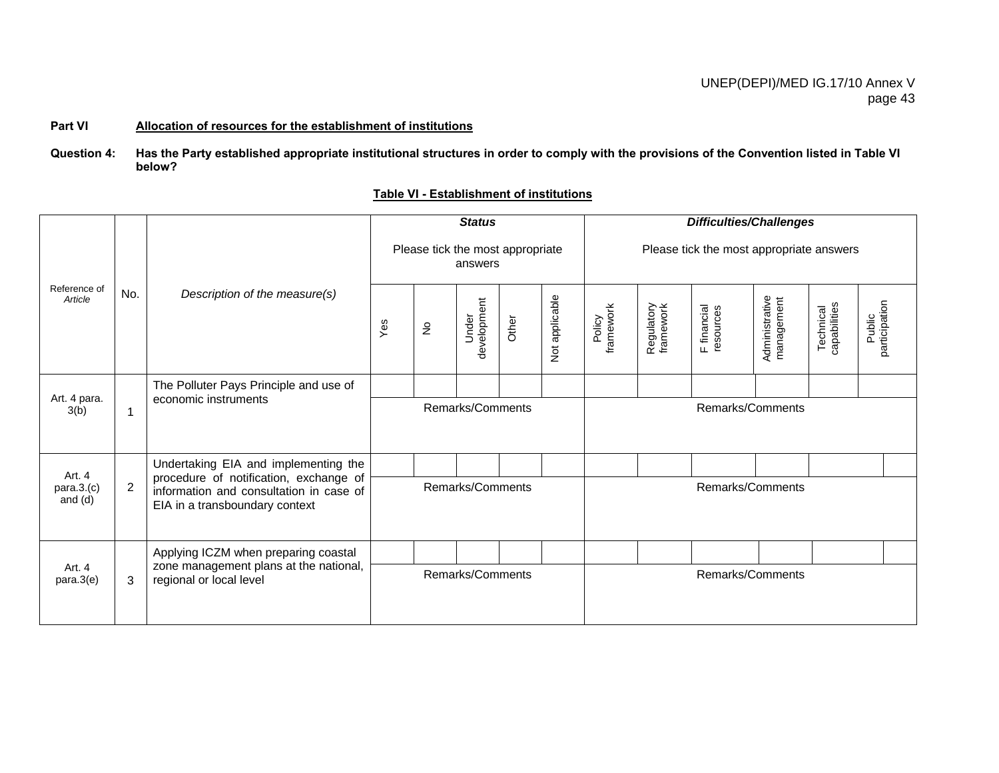#### **Part VI Allocation of resources for the establishment of institutions**

#### **Question 4: Has the Party established appropriate institutional structures in order to comply with the provisions of the Convention listed in Table VI below?**

|                                   |                |                                                                                                                     |                                      |                            | <b>Status</b>        |                                  |                |                                          |                         | <b>Difficulties/Challenges</b> |                              |                           |                         |  |
|-----------------------------------|----------------|---------------------------------------------------------------------------------------------------------------------|--------------------------------------|----------------------------|----------------------|----------------------------------|----------------|------------------------------------------|-------------------------|--------------------------------|------------------------------|---------------------------|-------------------------|--|
|                                   |                |                                                                                                                     |                                      |                            | answers              | Please tick the most appropriate |                | Please tick the most appropriate answers |                         |                                |                              |                           |                         |  |
| Reference of<br>Article           | No.            | Description of the measure(s)                                                                                       | $Y$ es                               | $\stackrel{\circ}{\simeq}$ | development<br>Under | Other                            | Not applicable | Policy<br>framework                      | Regulatory<br>framework | F financial<br>resources       | Administrative<br>management | Technical<br>capabilities | participation<br>Public |  |
|                                   |                | The Polluter Pays Principle and use of                                                                              |                                      |                            |                      |                                  |                |                                          |                         |                                |                              |                           |                         |  |
| Art. 4 para.<br>3(b)              | $\mathbf{1}$   | economic instruments                                                                                                | Remarks/Comments<br>Remarks/Comments |                            |                      |                                  |                |                                          |                         |                                |                              |                           |                         |  |
|                                   |                | Undertaking EIA and implementing the                                                                                |                                      |                            |                      |                                  |                |                                          |                         |                                |                              |                           |                         |  |
| Art. 4<br>para.3.(c)<br>and $(d)$ | $\overline{2}$ | procedure of notification, exchange of<br>information and consultation in case of<br>EIA in a transboundary context |                                      |                            | Remarks/Comments     |                                  |                |                                          |                         | Remarks/Comments               |                              |                           |                         |  |
|                                   |                | Applying ICZM when preparing coastal                                                                                |                                      |                            |                      |                                  |                |                                          |                         |                                |                              |                           |                         |  |
| Art. 4<br>para.3(e)               | 3              | zone management plans at the national,<br>regional or local level                                                   | Remarks/Comments<br>Remarks/Comments |                            |                      |                                  |                |                                          |                         |                                |                              |                           |                         |  |

#### **Table VI - Establishment of institutions**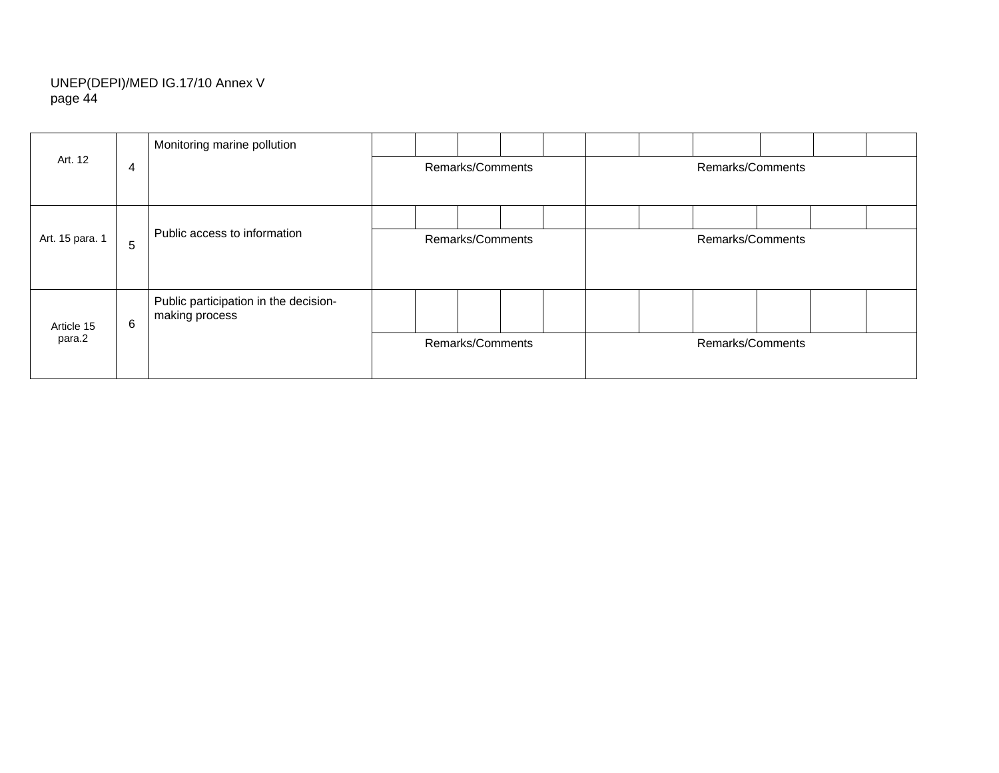| Art. 12         | Monitoring marine pollution |                                                         |                  |                  |  |  |  |                  |  |  |  |
|-----------------|-----------------------------|---------------------------------------------------------|------------------|------------------|--|--|--|------------------|--|--|--|
|                 | 4                           |                                                         |                  | Remarks/Comments |  |  |  | Remarks/Comments |  |  |  |
|                 |                             |                                                         |                  |                  |  |  |  |                  |  |  |  |
|                 |                             |                                                         |                  |                  |  |  |  |                  |  |  |  |
| Art. 15 para. 1 | 5                           | Public access to information                            | Remarks/Comments |                  |  |  |  | Remarks/Comments |  |  |  |
| Article 15      | 6                           | Public participation in the decision-<br>making process |                  |                  |  |  |  |                  |  |  |  |
| para.2          |                             |                                                         |                  | Remarks/Comments |  |  |  | Remarks/Comments |  |  |  |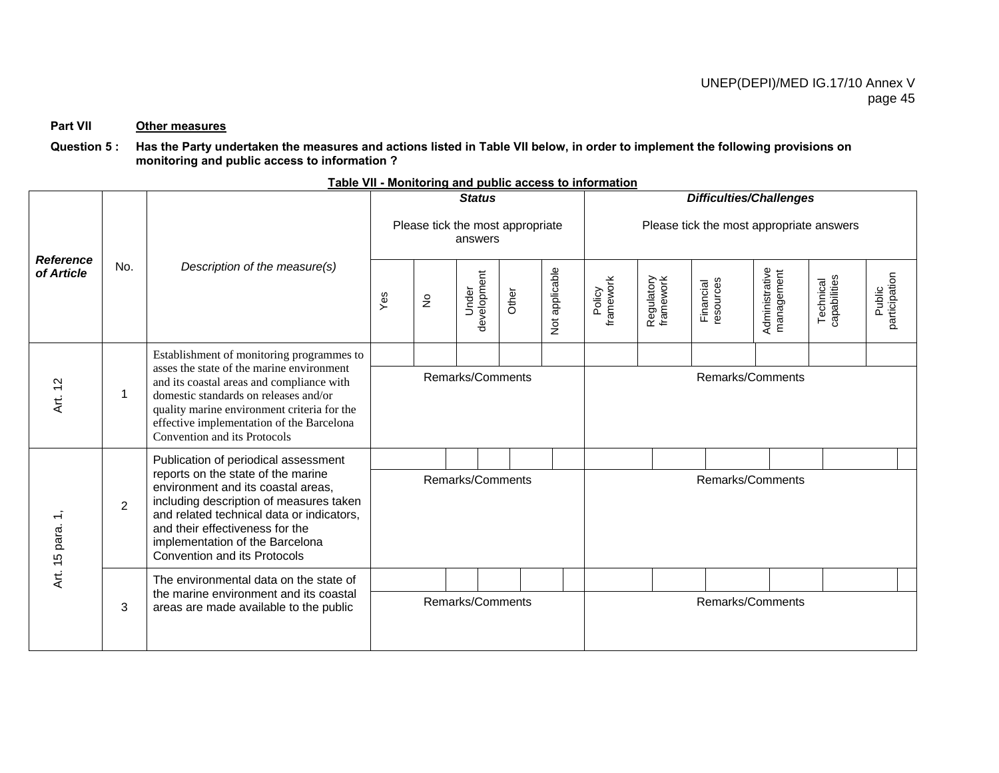#### **Part VII Other measures**

#### **Question 5 : Has the Party undertaken the measures and actions listed in Table VII below, in order to implement the following provisions on monitoring and public access to information ?**

|                                |                |                                                                                                                                                                                                                                                                        |     |                                  | <b>Status</b>        |       |                | <b>Table VII - MONICOLING and public access to information</b> |                         | <b>Difficulties/Challenges</b> |                              |                           |                         |
|--------------------------------|----------------|------------------------------------------------------------------------------------------------------------------------------------------------------------------------------------------------------------------------------------------------------------------------|-----|----------------------------------|----------------------|-------|----------------|----------------------------------------------------------------|-------------------------|--------------------------------|------------------------------|---------------------------|-------------------------|
|                                |                |                                                                                                                                                                                                                                                                        |     | Please tick the most appropriate | answers              |       |                | Please tick the most appropriate answers                       |                         |                                |                              |                           |                         |
| <b>Reference</b><br>of Article | No.            | Description of the measure(s)                                                                                                                                                                                                                                          | Yes | $\frac{\circ}{2}$                | development<br>Under | Other | Not applicable | framework<br>Policy                                            | Regulatory<br>framework | resources<br>Financial         | Administrative<br>management | Technical<br>capabilities | participation<br>Public |
|                                |                | Establishment of monitoring programmes to                                                                                                                                                                                                                              |     |                                  |                      |       |                |                                                                |                         |                                |                              |                           |                         |
| $\tilde{c}$<br>ξi              | 1              | asses the state of the marine environment<br>and its coastal areas and compliance with<br>domestic standards on releases and/or<br>quality marine environment criteria for the<br>effective implementation of the Barcelona<br>Convention and its Protocols            |     |                                  | Remarks/Comments     |       |                |                                                                |                         | Remarks/Comments               |                              |                           |                         |
|                                |                | Publication of periodical assessment                                                                                                                                                                                                                                   |     |                                  |                      |       |                |                                                                |                         |                                |                              |                           |                         |
| Art. 15 para.                  | $\overline{2}$ | reports on the state of the marine<br>environment and its coastal areas,<br>including description of measures taken<br>and related technical data or indicators,<br>and their effectiveness for the<br>implementation of the Barcelona<br>Convention and its Protocols |     |                                  | Remarks/Comments     |       |                |                                                                |                         | Remarks/Comments               |                              |                           |                         |
|                                |                | The environmental data on the state of                                                                                                                                                                                                                                 |     |                                  |                      |       |                |                                                                |                         |                                |                              |                           |                         |
|                                | 3              | the marine environment and its coastal<br>areas are made available to the public                                                                                                                                                                                       |     |                                  | Remarks/Comments     |       |                |                                                                |                         | Remarks/Comments               |                              |                           |                         |

## **Table VII - Monitoring and public access to information**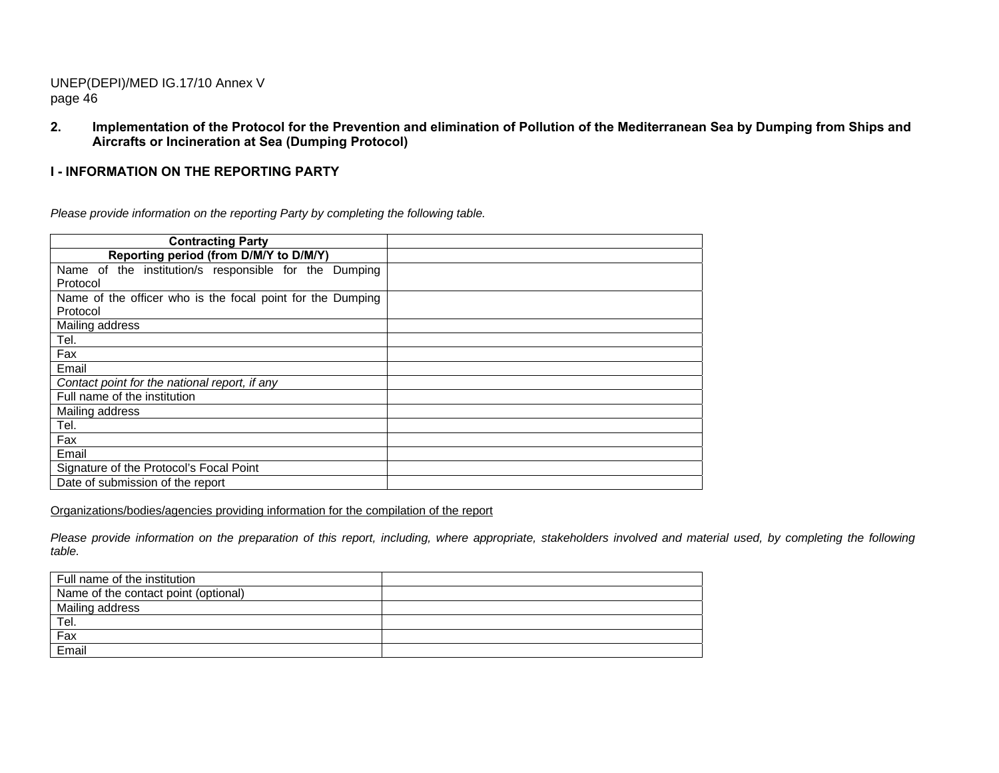**2. Implementation of the Protocol for the Prevention and elimination of Pollution of the Mediterranean Sea by Dumping from Ships and Aircrafts or Incineration at Sea (Dumping Protocol)** 

## **I - INFORMATION ON THE REPORTING PARTY**

*Please provide information on the reporting Party by completing the following table.* 

| <b>Contracting Party</b>                                   |  |
|------------------------------------------------------------|--|
| Reporting period (from D/M/Y to D/M/Y)                     |  |
| Name of the institution/s responsible for the Dumping      |  |
| Protocol                                                   |  |
| Name of the officer who is the focal point for the Dumping |  |
| Protocol                                                   |  |
| Mailing address                                            |  |
| Tel.                                                       |  |
| Fax                                                        |  |
| Email                                                      |  |
| Contact point for the national report, if any              |  |
| Full name of the institution                               |  |
| Mailing address                                            |  |
| Tel.                                                       |  |
| Fax                                                        |  |
| Email                                                      |  |
| Signature of the Protocol's Focal Point                    |  |
| Date of submission of the report                           |  |

Organizations/bodies/agencies providing information for the compilation of the report

Please provide information on the preparation of this report, including, where appropriate, stakeholders involved and material used, by completing the following *table.* 

| Full name of the institution         |  |
|--------------------------------------|--|
| Name of the contact point (optional) |  |
| Mailing address                      |  |
| Tel.                                 |  |
| Fax                                  |  |
| Email                                |  |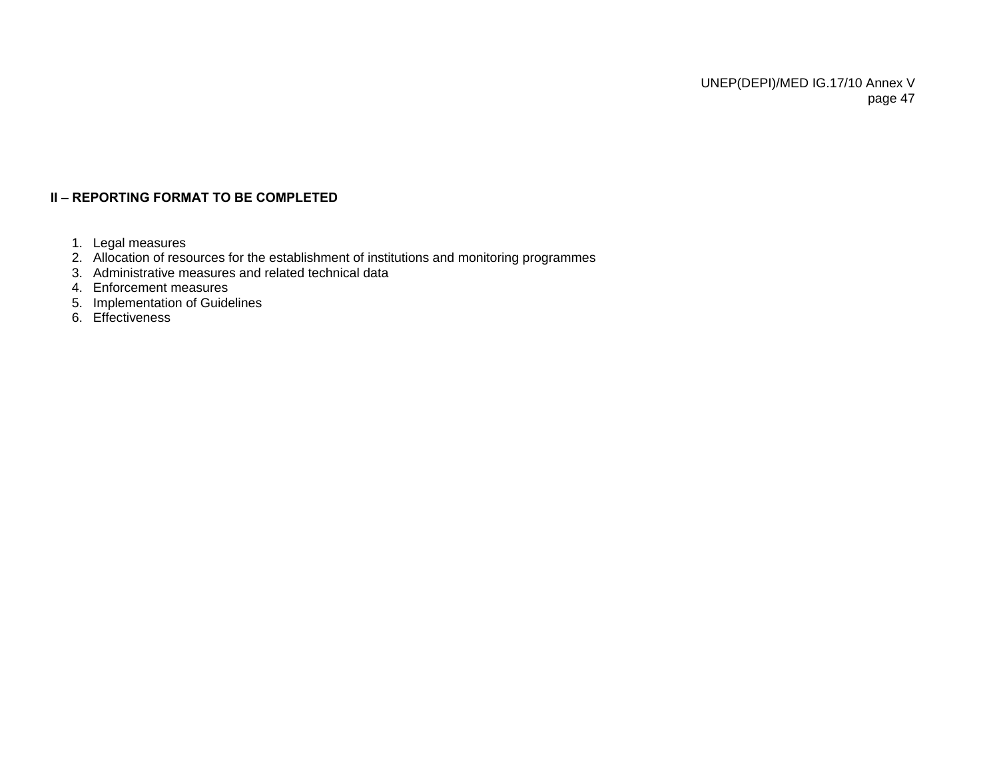# **II – REPORTING FORMAT TO BE COMPLETED**

- 1. Legal measures
- 2. Allocation of resources for the establishment of institutions and monitoring programmes
- 3. Administrative measures and related technical data
- 4. Enforcement measures
- 5. Implementation of Guidelines
- 6. Effectiveness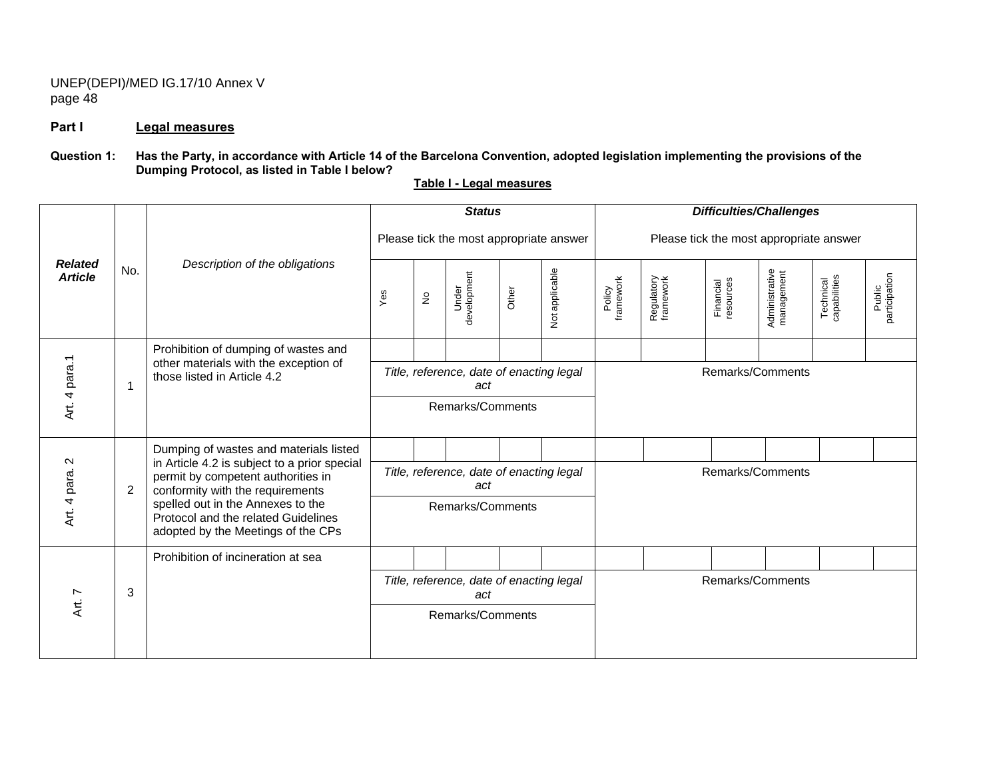#### **Part I Legal measures**

## **Question 1: Has the Party, in accordance with Article 14 of the Barcelona Convention, adopted legislation implementing the provisions of the Dumping Protocol, as listed in Table I below?**

*Difficulties/Challenges Status* Please tick the most appropriate answer Please tick the most appropriate answer *Related Article* No. *Description of the obligations*  Administrative<br>management Not applicable Under<br>development Administrative Not applicable management Public<br>participation participation development Technical<br>capabilities Policy<br>framework framework Regulatory<br>framework Regulatory framework Financial<br>resources capabilities resources Technical Financial Other Yes No Prohibition of dumping of wastes and<br>
other materials with the exception of<br>  $\frac{1}{\frac{1}{\frac{1}{\sqrt{1}}}}$ <br>
Title, reference, date of enacting legal<br>
Remarks/Comments<br>
Remarks/Comments<br>
Remarks/Comments *Title, reference, date of enacting legal act* Pumping of wastes and materials listed<br>
in Article 4.2 is subject to a prior special<br>
permit by competent authorities in<br>
2<br>
2<br>
2<br>
Permit by competent authorities in<br>
Spelled out in the Annexes to the<br>
Protocol and the rel *Title, reference, date of enacting legal*  Remarks/Comments *act* Remarks/Comments adopted by the Meetings of the CPs Prohibition of incineration at sea *Title, reference, date of enacting legal*  Remarks/Comments  $\begin{array}{c|c}\n\pi & 3 \\
\hline\n\end{array}$ *act* Remarks/Comments

**Table I - Legal measures**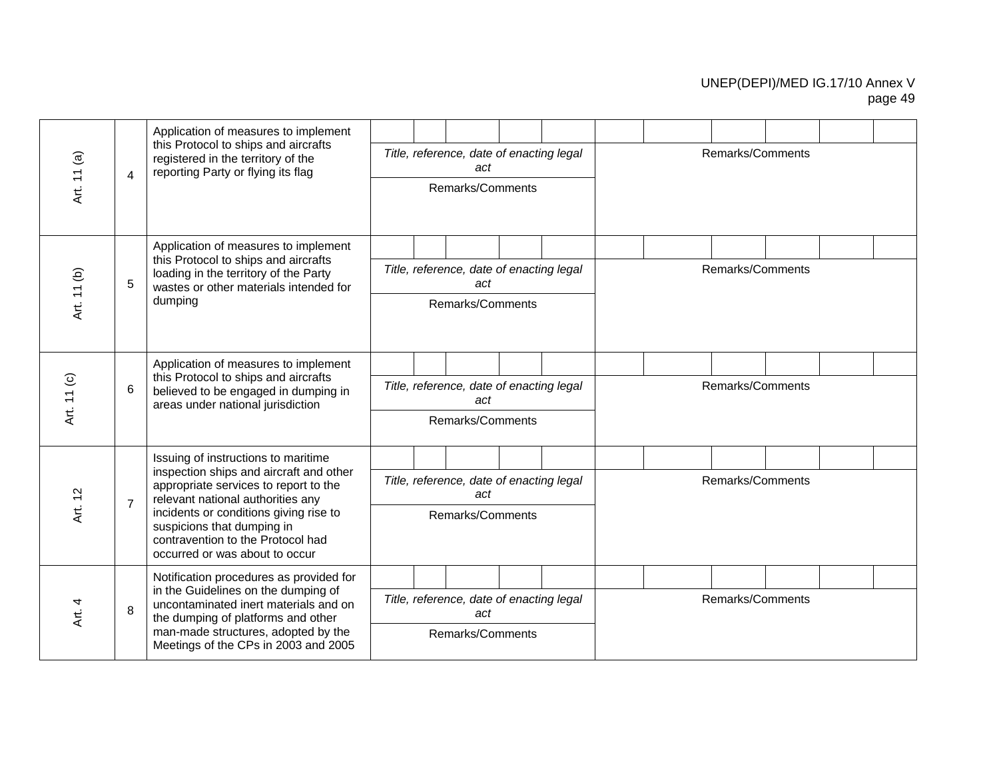| Art. 11 (a) | $\overline{4}$ | Application of measures to implement<br>this Protocol to ships and aircrafts<br>registered in the territory of the<br>reporting Party or flying its flag                                                                                                                                                    |  | Title, reference, date of enacting legal<br>act<br>Remarks/Comments |  |  | Remarks/Comments |  |  |
|-------------|----------------|-------------------------------------------------------------------------------------------------------------------------------------------------------------------------------------------------------------------------------------------------------------------------------------------------------------|--|---------------------------------------------------------------------|--|--|------------------|--|--|
| Art. 11 (b) | 5              | Application of measures to implement<br>this Protocol to ships and aircrafts<br>loading in the territory of the Party<br>wastes or other materials intended for<br>dumping                                                                                                                                  |  | Title, reference, date of enacting legal<br>act<br>Remarks/Comments |  |  | Remarks/Comments |  |  |
| Art. 11 (c) | 6              | Application of measures to implement<br>this Protocol to ships and aircrafts<br>believed to be engaged in dumping in<br>areas under national jurisdiction                                                                                                                                                   |  | Title, reference, date of enacting legal<br>act<br>Remarks/Comments |  |  | Remarks/Comments |  |  |
| Art. 12     | $\overline{7}$ | Issuing of instructions to maritime<br>inspection ships and aircraft and other<br>appropriate services to report to the<br>relevant national authorities any<br>incidents or conditions giving rise to<br>suspicions that dumping in<br>contravention to the Protocol had<br>occurred or was about to occur |  | Title, reference, date of enacting legal<br>act<br>Remarks/Comments |  |  | Remarks/Comments |  |  |
| Art. 4      | 8              | Notification procedures as provided for<br>in the Guidelines on the dumping of<br>uncontaminated inert materials and on<br>the dumping of platforms and other<br>man-made structures, adopted by the<br>Meetings of the CPs in 2003 and 2005                                                                |  | Title, reference, date of enacting legal<br>act<br>Remarks/Comments |  |  | Remarks/Comments |  |  |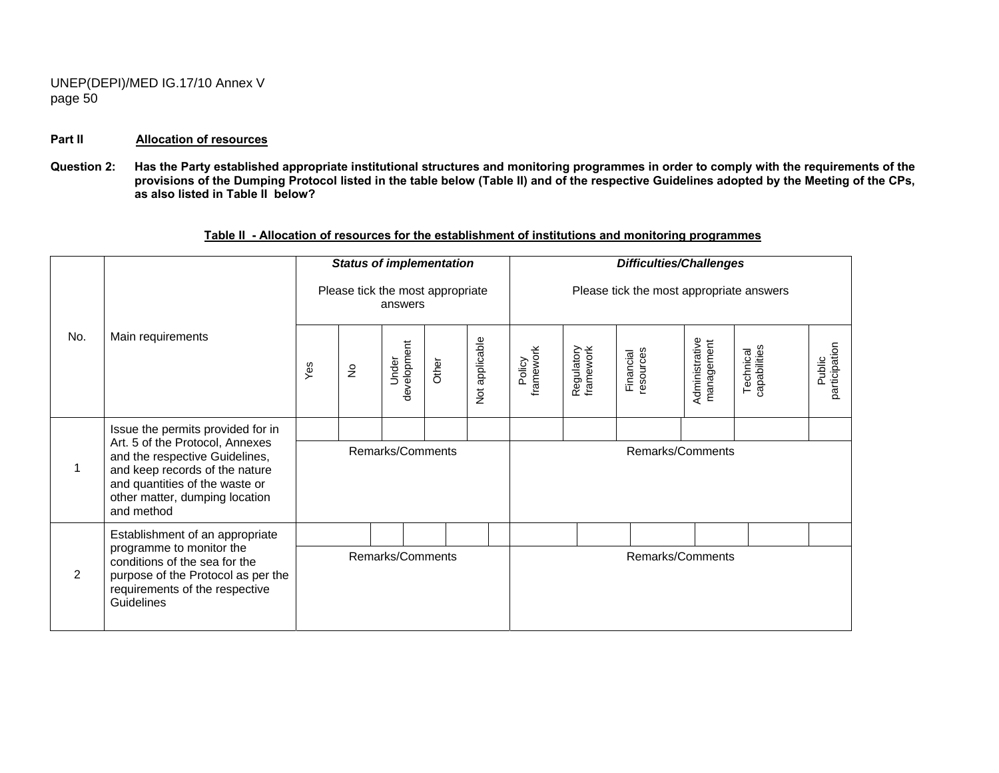#### **Part II Allocation of resources**

Question 2: Has the Party established appropriate institutional structures and monitoring programmes in order to comply with the requirements of the **provisions of the Dumping Protocol listed in the table below (Table II) and of the respective Guidelines adopted by the Meeting of the CPs, as also listed in Table II below?** 

|     |                                                                                                                                                                                       |     |               | <b>Status of implementation</b>             |       |                | <b>Difficulties/Challenges</b> |                         |                                          |                              |                           |                         |  |
|-----|---------------------------------------------------------------------------------------------------------------------------------------------------------------------------------------|-----|---------------|---------------------------------------------|-------|----------------|--------------------------------|-------------------------|------------------------------------------|------------------------------|---------------------------|-------------------------|--|
|     |                                                                                                                                                                                       |     |               | Please tick the most appropriate<br>answers |       |                |                                |                         | Please tick the most appropriate answers |                              |                           |                         |  |
| No. | Main requirements                                                                                                                                                                     | Yes | $\frac{1}{2}$ | development<br>Under                        | Other | Not applicable | framework<br>Policy            | Regulatory<br>framework | resources<br>Financial                   | Administrative<br>management | Technical<br>capabilities | participation<br>Public |  |
|     | Issue the permits provided for in                                                                                                                                                     |     |               |                                             |       |                |                                |                         |                                          |                              |                           |                         |  |
| 1   | Art. 5 of the Protocol, Annexes<br>and the respective Guidelines,<br>and keep records of the nature<br>and quantities of the waste or<br>other matter, dumping location<br>and method |     |               | Remarks/Comments                            |       |                |                                |                         | Remarks/Comments                         |                              |                           |                         |  |
|     | Establishment of an appropriate                                                                                                                                                       |     |               |                                             |       |                |                                |                         |                                          |                              |                           |                         |  |
| 2   | programme to monitor the<br>conditions of the sea for the<br>purpose of the Protocol as per the<br>requirements of the respective<br>Guidelines                                       |     |               | Remarks/Comments                            |       |                |                                |                         | Remarks/Comments                         |                              |                           |                         |  |

## **Table II - Allocation of resources for the establishment of institutions and monitoring programmes**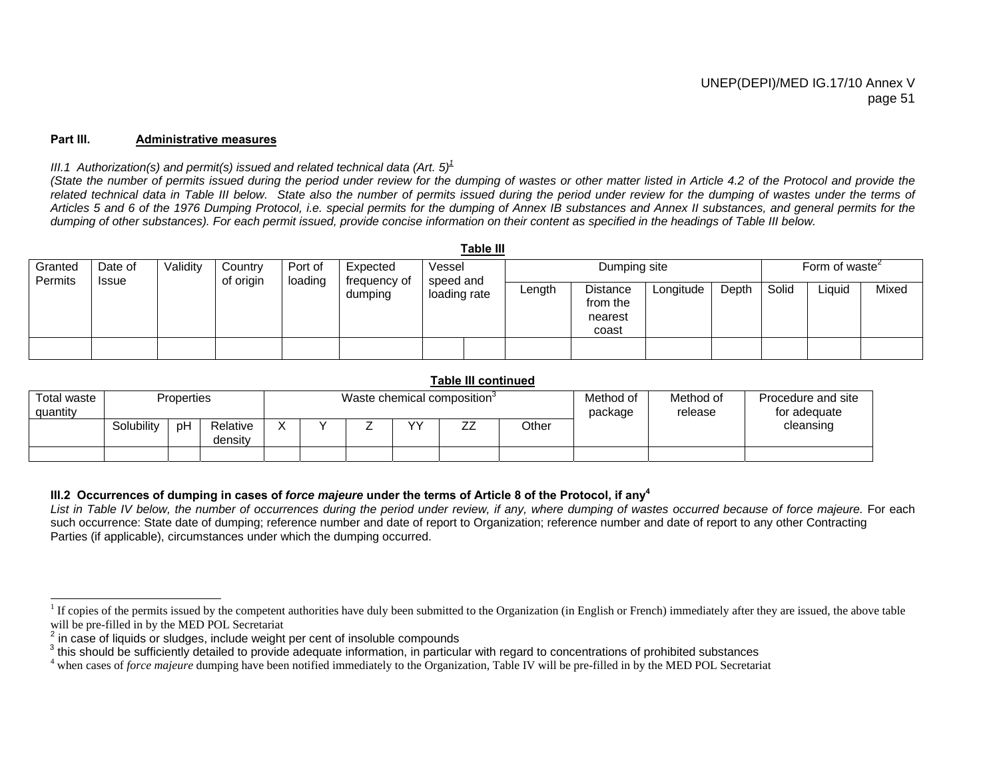#### **Part III. Administrative measures**

#### *III.1* Authorization(s) and permit(s) issued and related technical data (Art.  $5^{\frac{1}{2}}$

*(State the number of permits issued during the period under review for the dumping of wastes or other matter listed in Article 4.2 of the Protocol and provide the* related technical data in Table III below. State also the number of permits issued during the period under review for the dumping of wastes under the terms of *Articles 5 and 6 of the 1976 Dumping Protocol, i.e. special permits for the dumping of Annex IB substances and Annex II substances, and general permits for the dumping of other substances). For each permit issued, provide concise information on their content as specified in the headings of Table III below.* 

**Table III** 

|                    |                  |          |                      |                    |                          |                     | rapie III |        |                                                 |                                         |       |       |        |       |
|--------------------|------------------|----------|----------------------|--------------------|--------------------------|---------------------|-----------|--------|-------------------------------------------------|-----------------------------------------|-------|-------|--------|-------|
| Granted<br>Permits | Date of<br>Issue | Validity | Country<br>of origin | Port of<br>loading | Expected<br>frequency of | Vessel<br>speed and |           |        |                                                 | Form of waste <sup><math>2</math></sup> |       |       |        |       |
|                    |                  |          |                      |                    | dumping                  | loading rate        |           | Length | <b>Distance</b><br>from the<br>nearest<br>coast | Longitude                               | Depth | Solid | Liquid | Mixed |
|                    |                  |          |                      |                    |                          |                     |           |        |                                                 |                                         |       |       |        |       |

#### **Table III continued**

| Total waste<br>quantity | <b>Properties</b> |    |                     | Waste chemical composition <sup>3</sup> |  |  |                        |                               |       | Method of<br>package | Method of<br>release | Procedure and site<br>for adequate |
|-------------------------|-------------------|----|---------------------|-----------------------------------------|--|--|------------------------|-------------------------------|-------|----------------------|----------------------|------------------------------------|
|                         | Solubility        | pΗ | Relative<br>density | $\checkmark$<br>Λ                       |  |  | $\mathsf{v}\mathsf{v}$ | $\overline{\phantom{a}}$<br>ے | Other |                      |                      | cleansing                          |
|                         |                   |    |                     |                                         |  |  |                        |                               |       |                      |                      |                                    |

#### **III.2 Occurrences of dumping in cases of** *force majeure* **under the terms of Article 8 of the Protocol, if any<sup>4</sup>**

List in Table IV below, the number of occurrences during the period under review, if any, where dumping of wastes occurred because of force majeure. For each such occurrence: State date of dumping; reference number and date of report to Organization; reference number and date of report to any other Contracting Parties (if applicable), circumstances under which the dumping occurred.

<sup>&</sup>lt;sup>1</sup> If copies of the permits issued by the competent authorities have duly been submitted to the Organization (in English or French) immediately after they are issued, the above table will be pre-filled in by the MED POL S

 $\frac{2}{3}$  in case of liquids or sludges, include weight per cent of insoluble compounds<br> $\frac{2}{3}$  this should be sufficiently detailed to provide adequate information, in particular with regard to concentrations of prohib

<sup>4</sup> when cases of *force majeure* dumping have been notified immediately to the Organization, Table IV will be pre-filled in by the MED POL Secretariat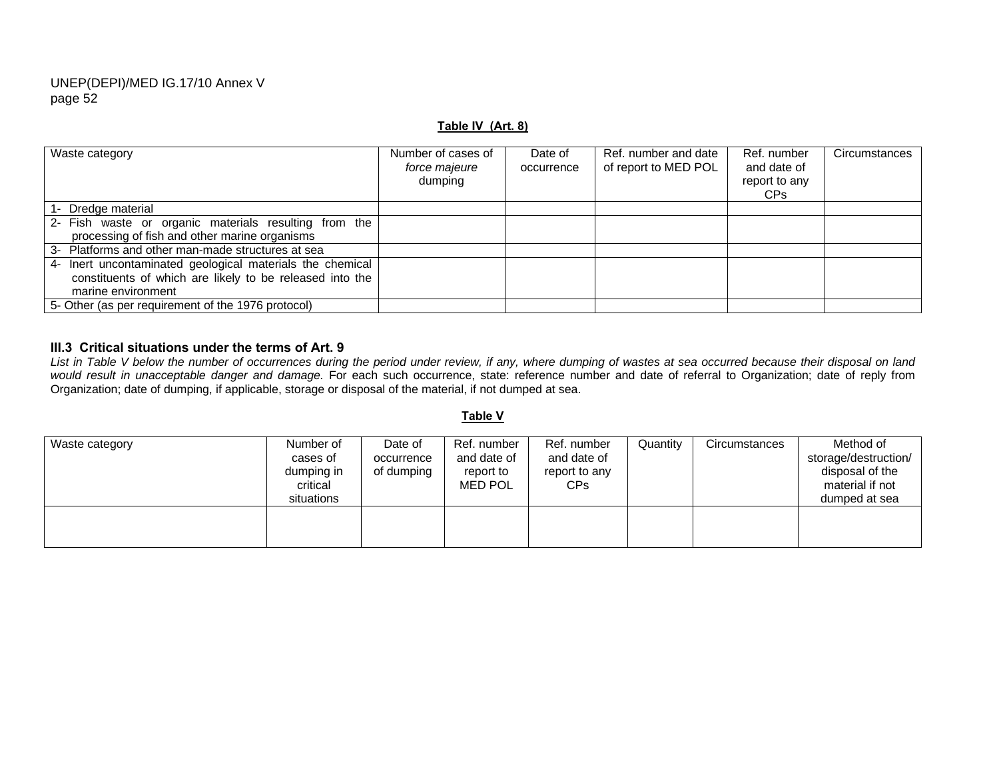#### **Table IV (Art. 8)**

| Waste category                                            | Number of cases of<br>force majeure<br>dumping | Date of<br>occurrence | Ref. number and date<br>of report to MED POL | Ref. number<br>and date of<br>report to any<br>CP <sub>s</sub> | Circumstances |
|-----------------------------------------------------------|------------------------------------------------|-----------------------|----------------------------------------------|----------------------------------------------------------------|---------------|
| 1- Dredge material                                        |                                                |                       |                                              |                                                                |               |
| 2- Fish waste or organic materials resulting from the     |                                                |                       |                                              |                                                                |               |
| processing of fish and other marine organisms             |                                                |                       |                                              |                                                                |               |
| 3- Platforms and other man-made structures at sea         |                                                |                       |                                              |                                                                |               |
| 4- Inert uncontaminated geological materials the chemical |                                                |                       |                                              |                                                                |               |
| constituents of which are likely to be released into the  |                                                |                       |                                              |                                                                |               |
| marine environment                                        |                                                |                       |                                              |                                                                |               |
| 5- Other (as per requirement of the 1976 protocol)        |                                                |                       |                                              |                                                                |               |

#### **III.3 Critical situations under the terms of Art. 9**

*List in Table V below the number of occurrences during the period under review, if any, where dumping of wastes at sea occurred because their disposal on land*  would result in unacceptable danger and damage. For each such occurrence, state: reference number and date of referral to Organization; date of reply from Organization; date of dumping, if applicable, storage or disposal of the material, if not dumped at sea.

#### **Table V**

| Waste category | Number of<br>cases of<br>dumping in<br>critical<br>situations | Date of<br>occurrence<br>of dumping | Ref. number<br>and date of<br>report to<br><b>MED POL</b> | Ref. number<br>and date of<br>report to any<br>CPs. | Quantity | Circumstances | Method of<br>storage/destruction/<br>disposal of the<br>material if not<br>dumped at sea |
|----------------|---------------------------------------------------------------|-------------------------------------|-----------------------------------------------------------|-----------------------------------------------------|----------|---------------|------------------------------------------------------------------------------------------|
|                |                                                               |                                     |                                                           |                                                     |          |               |                                                                                          |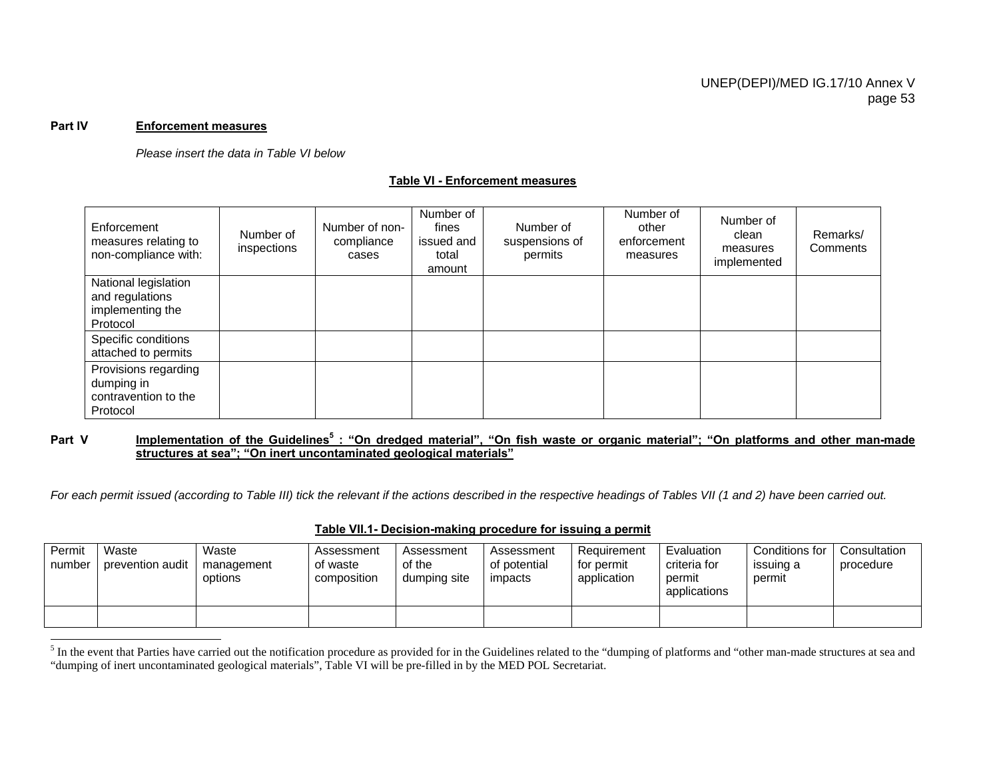#### **Part IV Enforcement measures**

*Please insert the data in Table VI below*

#### **Table VI - Enforcement measures**

| Enforcement<br>measures relating to<br>non-compliance with:             | Number of<br>inspections | Number of non-<br>compliance<br>cases | Number of<br>fines<br>issued and<br>total<br>amount | Number of<br>suspensions of<br>permits | Number of<br>other<br>enforcement<br>measures | Number of<br>clean<br>measures<br>implemented | Remarks/<br>Comments |
|-------------------------------------------------------------------------|--------------------------|---------------------------------------|-----------------------------------------------------|----------------------------------------|-----------------------------------------------|-----------------------------------------------|----------------------|
| National legislation<br>and regulations<br>implementing the<br>Protocol |                          |                                       |                                                     |                                        |                                               |                                               |                      |
| Specific conditions<br>attached to permits                              |                          |                                       |                                                     |                                        |                                               |                                               |                      |
| Provisions regarding<br>dumping in<br>contravention to the<br>Protocol  |                          |                                       |                                                     |                                        |                                               |                                               |                      |

#### Part V **Implementation of the Guidelines**<sup>5</sup> : "On dredged material", "On fish waste or organic material"; "On platforms and other man-made **structures at sea"; "On inert uncontaminated geological materials"**

*For each permit issued (according to Table III) tick the relevant if the actions described in the respective headings of Tables VII (1 and 2) have been carried out.* 

## **Table VII.1- Decision-making procedure for issuing a permit**

| Permit<br>number | Waste<br>prevention audit | Waste<br>management<br>options | Assessment<br>of waste<br>composition | Assessment<br>of the<br>dumping site | Assessment<br>of potential<br>impacts | Requirement<br>for permit<br>application | Evaluation<br>criteria for<br>permit<br>applications | Conditions for<br>issuing a<br>permit | Consultation<br>procedure |
|------------------|---------------------------|--------------------------------|---------------------------------------|--------------------------------------|---------------------------------------|------------------------------------------|------------------------------------------------------|---------------------------------------|---------------------------|
|                  |                           |                                |                                       |                                      |                                       |                                          |                                                      |                                       |                           |

<sup>&</sup>lt;sup>5</sup> In the event that Parties have carried out the notification procedure as provided for in the Guidelines related to the "dumping of platforms and "other man-made structures at sea and "dumping of inert uncontaminated geological materials", Table VI will be pre-filled in by the MED POL Secretariat.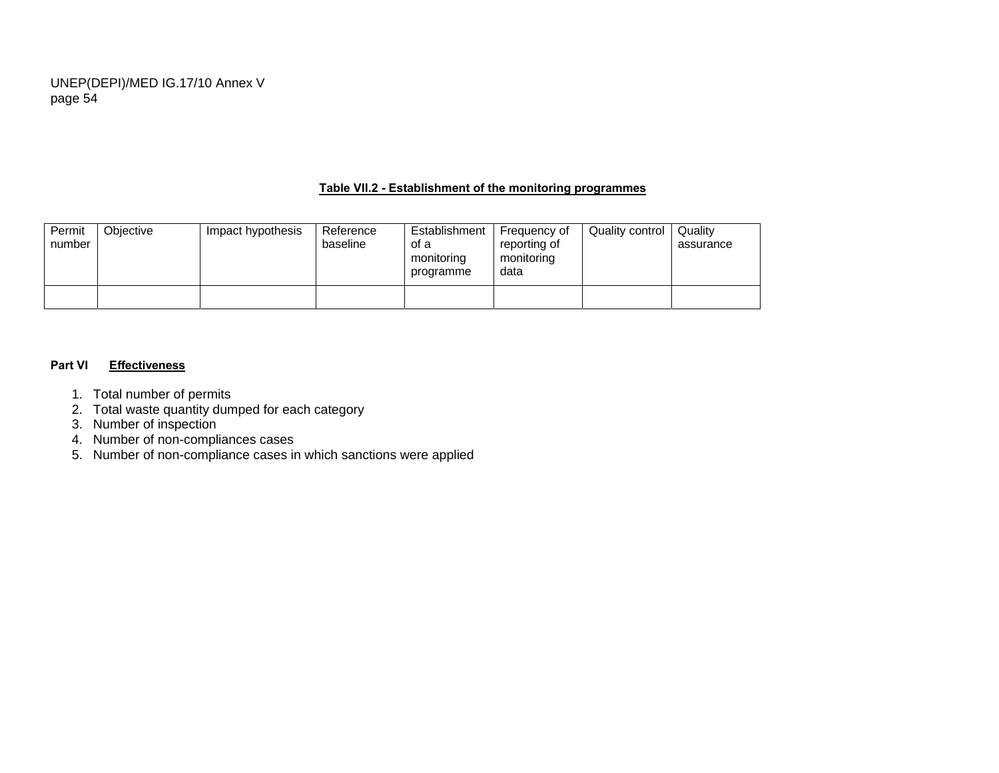## **Table VII.2 - Establishment of the monitoring programmes**

| Permit<br>number | Objective | Impact hypothesis | Reference<br>baseline | Establishment<br>of a<br>monitoring<br>programme | Frequency of<br>reporting of<br>monitoring<br>data | Quality control | Quality<br>assurance |
|------------------|-----------|-------------------|-----------------------|--------------------------------------------------|----------------------------------------------------|-----------------|----------------------|
|                  |           |                   |                       |                                                  |                                                    |                 |                      |

#### **Part VI Effectiveness**

- 1. Total number of permits
- 2. Total waste quantity dumped for each category
- 3. Number of inspection
- 4. Number of non-compliances cases
- 5. Number of non-compliance cases in which sanctions were applied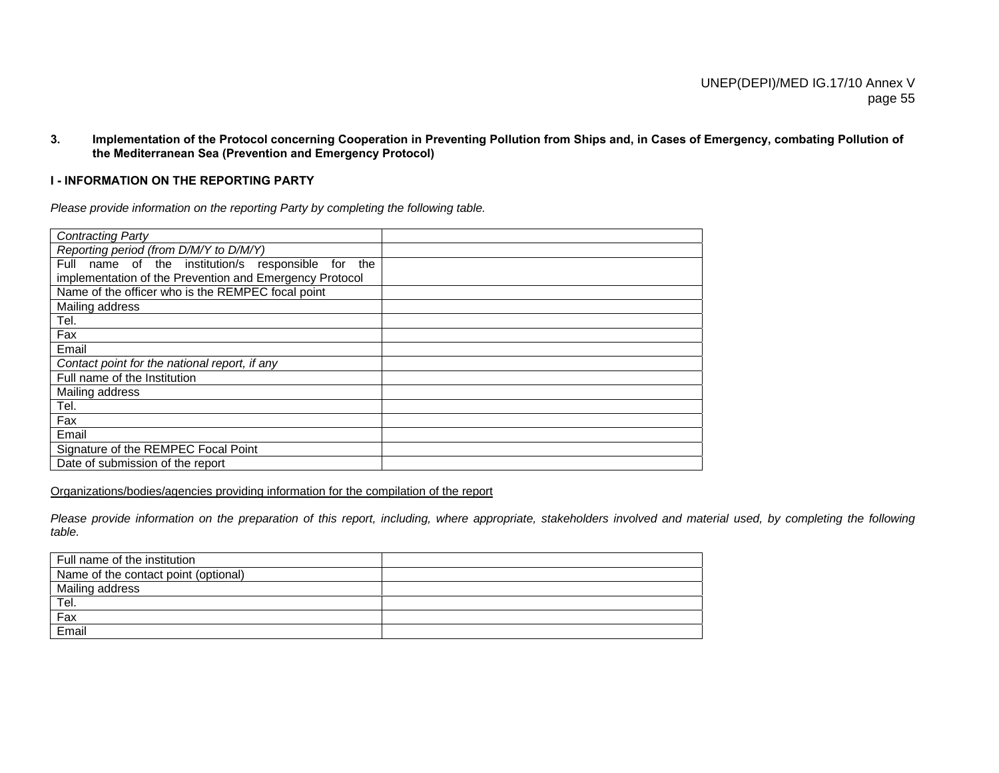**3. Implementation of the Protocol concerning Cooperation in Preventing Pollution from Ships and, in Cases of Emergency, combating Pollution of the Mediterranean Sea (Prevention and Emergency Protocol)** 

## **I - INFORMATION ON THE REPORTING PARTY**

*Please provide information on the reporting Party by completing the following table.* 

| <b>Contracting Party</b>                                 |  |
|----------------------------------------------------------|--|
| Reporting period (from D/M/Y to D/M/Y)                   |  |
| name of the institution/s responsible for<br>Full<br>the |  |
| implementation of the Prevention and Emergency Protocol  |  |
| Name of the officer who is the REMPEC focal point        |  |
| Mailing address                                          |  |
| Tel.                                                     |  |
| Fax                                                      |  |
| Email                                                    |  |
| Contact point for the national report, if any            |  |
| Full name of the Institution                             |  |
| Mailing address                                          |  |
| Tel.                                                     |  |
| Fax                                                      |  |
| Email                                                    |  |
| Signature of the REMPEC Focal Point                      |  |
| Date of submission of the report                         |  |

Organizations/bodies/agencies providing information for the compilation of the report

*Please provide information on the preparation of this report, including, where appropriate, stakeholders involved and material used, by completing the following table.* 

| Full name of the institution         |  |
|--------------------------------------|--|
| Name of the contact point (optional) |  |
| Mailing address                      |  |
|                                      |  |
| Tel.<br>Fax                          |  |
| Email                                |  |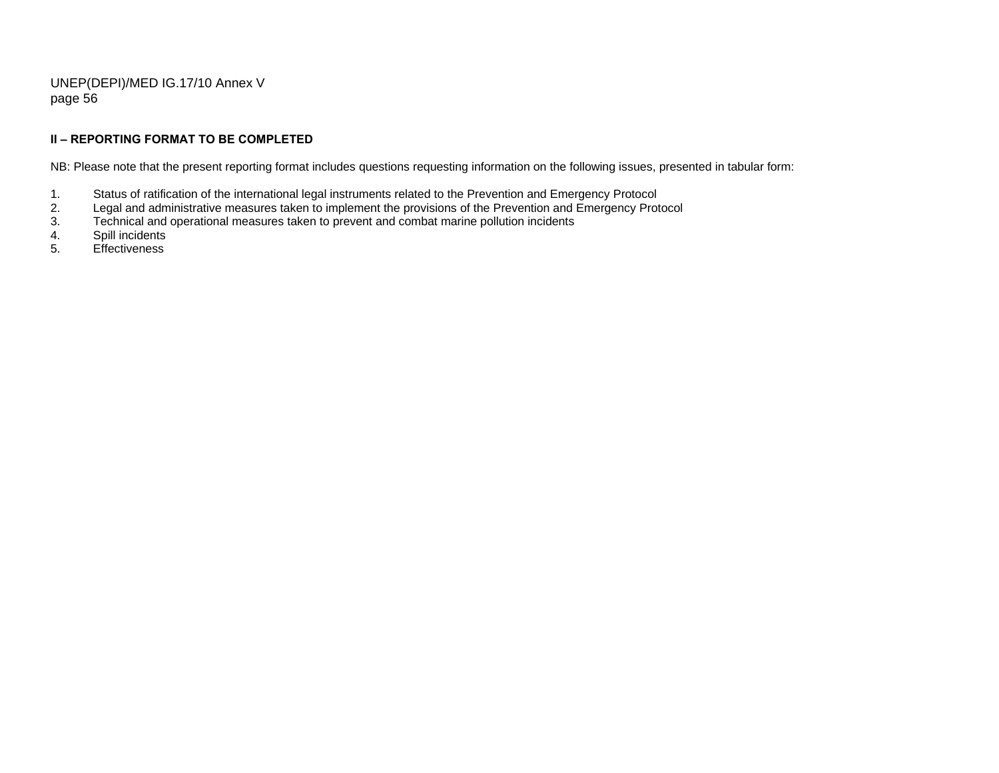## **II – REPORTING FORMAT TO BE COMPLETED**

NB: Please note that the present reporting format includes questions requesting information on the following issues, presented in tabular form:

- 1. Status of ratification of the international legal instruments related to the Prevention and Emergency Protocol
- 2. Legal and administrative measures taken to implement the provisions of the Prevention and Emergency Protocol<br>3. Technical and operational measures taken to prevent and combat marine pollution incidents
- 3. Technical and operational measures taken to prevent and combat marine pollution incidents<br>4. Spill incidents
- Spill incidents
- 5. Effectiveness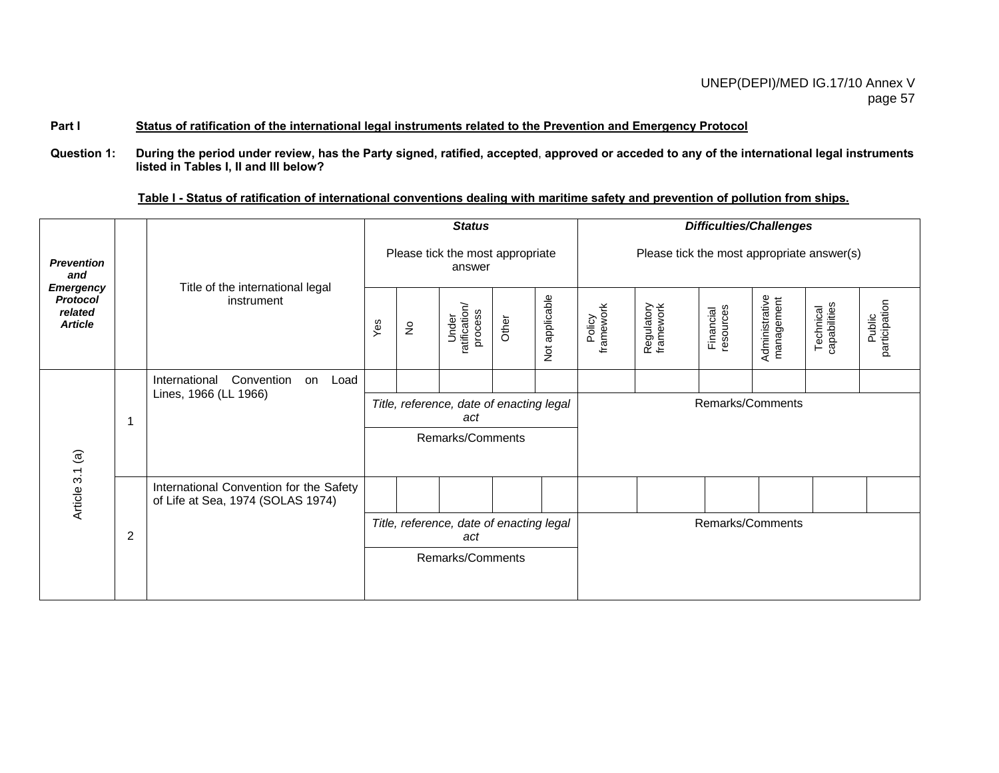## Part I Status of ratification of the international legal instruments related to the Prevention and Emergency Protocol

**Question 1: During the period under review, has the Party signed, ratified, accepted**, **approved or acceded to any of the international legal instruments listed in Tables I, II and III below?** 

|  |  |  |  |  | Table I - Status of ratification of international conventions dealing with maritime safety and prevention of pollution from ships. |  |
|--|--|--|--|--|------------------------------------------------------------------------------------------------------------------------------------|--|
|  |  |  |  |  |                                                                                                                                    |  |

|                                                                  |   |                                                                              |                  |                            | <b>Status</b>                                   |       |                             | <b>Difficulties/Challenges</b>             |                         |                        |                              |                           |                         |  |
|------------------------------------------------------------------|---|------------------------------------------------------------------------------|------------------|----------------------------|-------------------------------------------------|-------|-----------------------------|--------------------------------------------|-------------------------|------------------------|------------------------------|---------------------------|-------------------------|--|
| <b>Prevention</b><br>and                                         |   | Title of the international legal                                             |                  |                            | Please tick the most appropriate<br>answer      |       |                             | Please tick the most appropriate answer(s) |                         |                        |                              |                           |                         |  |
| <b>Emergency</b><br><b>Protocol</b><br>related<br><b>Article</b> |   | instrument                                                                   | Yes              | $\stackrel{\mathtt{o}}{z}$ | Under<br>ratification/<br>process               | Other | applicable<br>$\frac{5}{2}$ | Policy<br>framework                        | Regulatory<br>framework | resources<br>Financial | Administrative<br>management | Technical<br>capabilities | Public<br>participation |  |
|                                                                  |   | Convention<br>International<br>Load<br>on                                    |                  |                            |                                                 |       |                             |                                            |                         |                        |                              |                           |                         |  |
| $\widehat{\mathfrak{G}}$                                         |   | Lines, 1966 (LL 1966)                                                        |                  |                            | Title, reference, date of enacting legal<br>act |       |                             |                                            |                         |                        | Remarks/Comments             |                           |                         |  |
|                                                                  |   |                                                                              |                  |                            | Remarks/Comments                                |       |                             |                                            |                         |                        |                              |                           |                         |  |
| Article 3.1                                                      |   | International Convention for the Safety<br>of Life at Sea, 1974 (SOLAS 1974) |                  |                            |                                                 |       |                             |                                            |                         |                        |                              |                           |                         |  |
|                                                                  | 2 |                                                                              |                  |                            | Title, reference, date of enacting legal<br>act |       |                             | Remarks/Comments                           |                         |                        |                              |                           |                         |  |
|                                                                  |   |                                                                              | Remarks/Comments |                            |                                                 |       |                             |                                            |                         |                        |                              |                           |                         |  |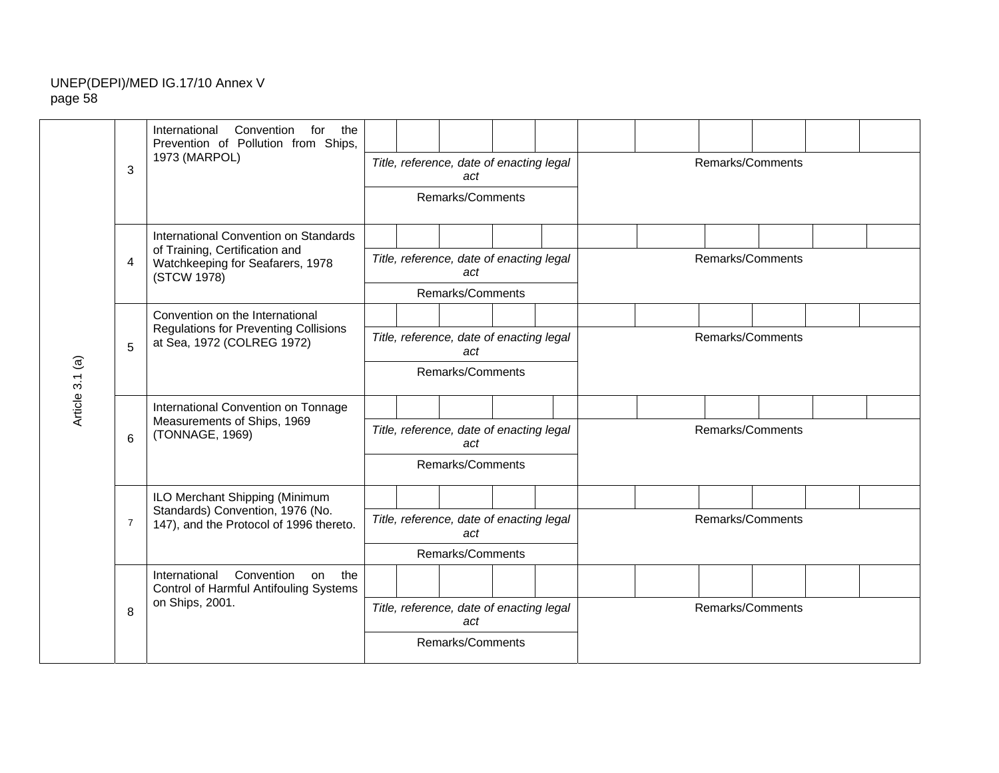|                 |                | International<br>Convention<br>for<br>the<br>Prevention of Pollution from Ships,                              |                  |                                                 |                                                 |  |  |                  |                  |                  |  |  |  |
|-----------------|----------------|---------------------------------------------------------------------------------------------------------------|------------------|-------------------------------------------------|-------------------------------------------------|--|--|------------------|------------------|------------------|--|--|--|
|                 | 3              | 1973 (MARPOL)                                                                                                 |                  |                                                 | Title, reference, date of enacting legal<br>act |  |  | Remarks/Comments |                  |                  |  |  |  |
|                 |                |                                                                                                               |                  |                                                 | Remarks/Comments                                |  |  |                  |                  |                  |  |  |  |
|                 |                | International Convention on Standards<br>of Training, Certification and                                       |                  |                                                 |                                                 |  |  |                  |                  |                  |  |  |  |
|                 | $\overline{4}$ | Watchkeeping for Seafarers, 1978<br>(STCW 1978)                                                               |                  | Title, reference, date of enacting legal<br>act |                                                 |  |  |                  | Remarks/Comments |                  |  |  |  |
|                 |                |                                                                                                               |                  |                                                 | Remarks/Comments                                |  |  |                  |                  |                  |  |  |  |
|                 |                | Convention on the International<br><b>Regulations for Preventing Collisions</b><br>at Sea, 1972 (COLREG 1972) |                  |                                                 |                                                 |  |  |                  |                  |                  |  |  |  |
|                 | 5              |                                                                                                               |                  |                                                 | Title, reference, date of enacting legal<br>act |  |  | Remarks/Comments |                  |                  |  |  |  |
| Article 3.1 (a) |                |                                                                                                               |                  |                                                 | Remarks/Comments                                |  |  |                  |                  |                  |  |  |  |
|                 |                | International Convention on Tonnage                                                                           |                  |                                                 |                                                 |  |  |                  |                  |                  |  |  |  |
|                 | 6              | Measurements of Ships, 1969<br>(TONNAGE, 1969)                                                                |                  |                                                 | Title, reference, date of enacting legal<br>act |  |  |                  |                  | Remarks/Comments |  |  |  |
|                 |                |                                                                                                               |                  |                                                 | Remarks/Comments                                |  |  |                  |                  |                  |  |  |  |
|                 |                | ILO Merchant Shipping (Minimum                                                                                |                  |                                                 |                                                 |  |  |                  |                  |                  |  |  |  |
|                 | $\overline{7}$ | Standards) Convention, 1976 (No.<br>147), and the Protocol of 1996 thereto.                                   |                  |                                                 | Title, reference, date of enacting legal<br>act |  |  | Remarks/Comments |                  |                  |  |  |  |
|                 |                |                                                                                                               |                  |                                                 | Remarks/Comments                                |  |  |                  |                  |                  |  |  |  |
|                 |                | Convention<br>International<br>the<br>on<br>Control of Harmful Antifouling Systems                            |                  |                                                 |                                                 |  |  |                  |                  |                  |  |  |  |
|                 | 8              | on Ships, 2001.                                                                                               |                  |                                                 | Title, reference, date of enacting legal<br>act |  |  | Remarks/Comments |                  |                  |  |  |  |
|                 |                |                                                                                                               | Remarks/Comments |                                                 |                                                 |  |  |                  |                  |                  |  |  |  |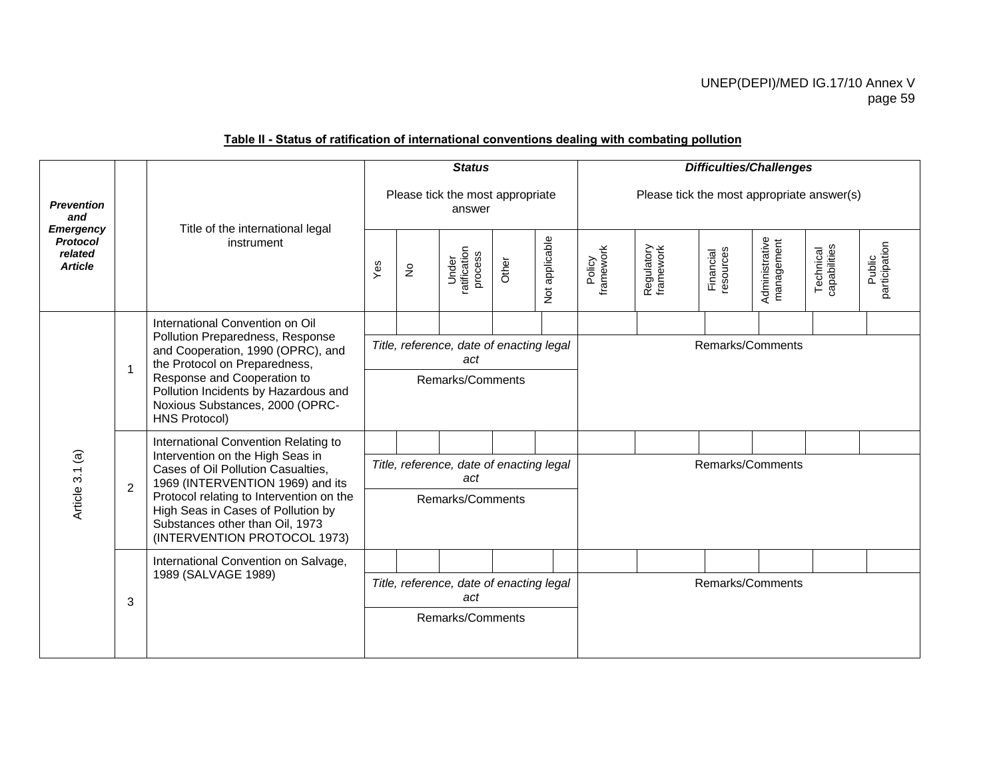| Please tick the most appropriate answer(s)                                           |  |  |  |  |  |
|--------------------------------------------------------------------------------------|--|--|--|--|--|
| Administrative<br>management<br>participation<br>Technical<br>capabilities<br>Public |  |  |  |  |  |
|                                                                                      |  |  |  |  |  |
| Remarks/Comments                                                                     |  |  |  |  |  |
|                                                                                      |  |  |  |  |  |
|                                                                                      |  |  |  |  |  |
| Remarks/Comments                                                                     |  |  |  |  |  |
|                                                                                      |  |  |  |  |  |
|                                                                                      |  |  |  |  |  |
| Remarks/Comments                                                                     |  |  |  |  |  |
|                                                                                      |  |  |  |  |  |
|                                                                                      |  |  |  |  |  |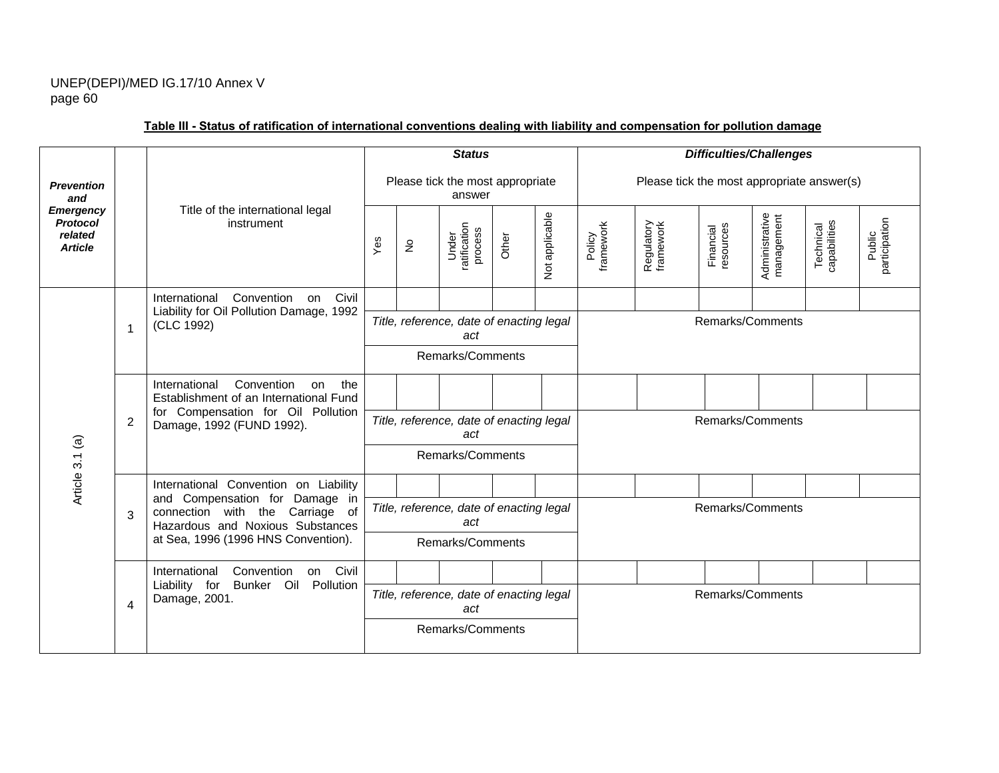|                                                                  |    |                                                                                     |     |                            | <b>Status</b>                                   |       |                | <b>Difficulties/Challenges</b>             |                         |                        |                              |                           |                         |
|------------------------------------------------------------------|----|-------------------------------------------------------------------------------------|-----|----------------------------|-------------------------------------------------|-------|----------------|--------------------------------------------|-------------------------|------------------------|------------------------------|---------------------------|-------------------------|
| <b>Prevention</b><br>and                                         |    |                                                                                     |     |                            | Please tick the most appropriate<br>answer      |       |                | Please tick the most appropriate answer(s) |                         |                        |                              |                           |                         |
| <b>Emergency</b><br><b>Protocol</b><br>related<br><b>Article</b> |    | Title of the international legal<br>instrument                                      | Yes | $\stackrel{\circ}{\simeq}$ | ratification<br>process<br>Under                | Other | Not applicable | Policy<br>framework                        | Regulatory<br>framework | Financial<br>resources | Administrative<br>management | capabilities<br>Technical | participation<br>Public |
|                                                                  |    | Convention<br>Civil<br>International<br>on                                          |     |                            |                                                 |       |                |                                            |                         |                        |                              |                           |                         |
|                                                                  | -1 | Liability for Oil Pollution Damage, 1992<br>(CLC 1992)                              |     |                            | Title, reference, date of enacting legal<br>act |       |                |                                            |                         | Remarks/Comments       |                              |                           |                         |
|                                                                  |    |                                                                                     |     |                            | Remarks/Comments                                |       |                |                                            |                         |                        |                              |                           |                         |
|                                                                  |    | Convention<br>International<br>the<br>on<br>Establishment of an International Fund  |     |                            |                                                 |       |                |                                            |                         |                        |                              |                           |                         |
|                                                                  | 2  | for Compensation for Oil Pollution<br>Damage, 1992 (FUND 1992).                     |     |                            | Title, reference, date of enacting legal<br>act |       |                |                                            |                         | Remarks/Comments       |                              |                           |                         |
| Article 3.1 (a)                                                  |    |                                                                                     |     |                            | Remarks/Comments                                |       |                |                                            |                         |                        |                              |                           |                         |
|                                                                  |    | International Convention on Liability<br>and Compensation for Damage in             |     |                            |                                                 |       |                |                                            |                         |                        |                              |                           |                         |
|                                                                  | 3  | connection with the Carriage of<br>Hazardous and Noxious Substances                 |     |                            | Title, reference, date of enacting legal<br>act |       |                | Remarks/Comments                           |                         |                        |                              |                           |                         |
|                                                                  |    | at Sea, 1996 (1996 HNS Convention).                                                 |     |                            | Remarks/Comments                                |       |                |                                            |                         |                        |                              |                           |                         |
|                                                                  |    | Civil<br>International<br>Convention<br>on<br>Liability for<br>Bunker Oil Pollution |     |                            |                                                 |       |                |                                            |                         |                        |                              |                           |                         |
|                                                                  | 4  | Damage, 2001.                                                                       |     |                            | Title, reference, date of enacting legal<br>act |       |                |                                            |                         | Remarks/Comments       |                              |                           |                         |
|                                                                  |    |                                                                                     |     |                            | Remarks/Comments                                |       |                |                                            |                         |                        |                              |                           |                         |

# **Table III - Status of ratification of international conventions dealing with liability and compensation for pollution damage**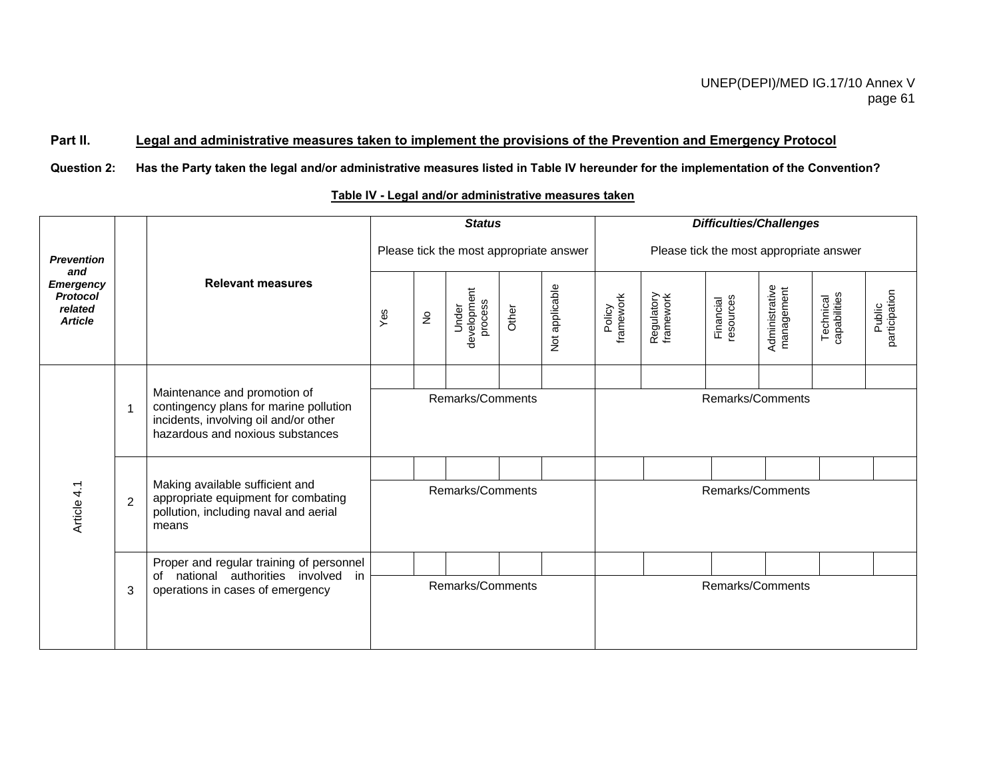# **Part II. Legal and administrative measures taken to implement the provisions of the Prevention and Emergency Protocol**

**Question 2: Has the Party taken the legal and/or administrative measures listed in Table IV hereunder for the implementation of the Convention?** 

# **Table IV - Legal and/or administrative measures taken**

|                                                                  |                |                                                                                                                                                     |                  |                            | <b>Status</b>                           |       |                | <b>Difficulties/Challenges</b>          |                         |                        |                              |                           |                         |
|------------------------------------------------------------------|----------------|-----------------------------------------------------------------------------------------------------------------------------------------------------|------------------|----------------------------|-----------------------------------------|-------|----------------|-----------------------------------------|-------------------------|------------------------|------------------------------|---------------------------|-------------------------|
| <b>Prevention</b><br>and                                         |                |                                                                                                                                                     |                  |                            | Please tick the most appropriate answer |       |                | Please tick the most appropriate answer |                         |                        |                              |                           |                         |
| <b>Emergency</b><br><b>Protocol</b><br>related<br><b>Article</b> |                | <b>Relevant measures</b>                                                                                                                            | Yes              | $\stackrel{\mathtt{o}}{z}$ | development<br>process<br>Under         | Other | Not applicable | framework<br>Policy                     | Regulatory<br>framework | resources<br>Financial | Administrative<br>management | Technical<br>capabilities | participation<br>Public |
|                                                                  |                |                                                                                                                                                     |                  |                            |                                         |       |                |                                         |                         |                        |                              |                           |                         |
|                                                                  | $\overline{1}$ | Maintenance and promotion of<br>contingency plans for marine pollution<br>incidents, involving oil and/or other<br>hazardous and noxious substances |                  |                            | Remarks/Comments                        |       |                | Remarks/Comments                        |                         |                        |                              |                           |                         |
|                                                                  |                | Making available sufficient and<br>appropriate equipment for combating<br>pollution, including naval and aerial<br>means                            |                  |                            |                                         |       |                |                                         |                         |                        |                              |                           |                         |
| Article 4.1                                                      | 2              |                                                                                                                                                     |                  |                            | Remarks/Comments                        |       |                | Remarks/Comments                        |                         |                        |                              |                           |                         |
|                                                                  |                | Proper and regular training of personnel                                                                                                            |                  |                            |                                         |       |                |                                         |                         |                        |                              |                           |                         |
|                                                                  | 3              | of national authorities involved<br>in<br>operations in cases of emergency                                                                          | Remarks/Comments |                            |                                         |       |                | Remarks/Comments                        |                         |                        |                              |                           |                         |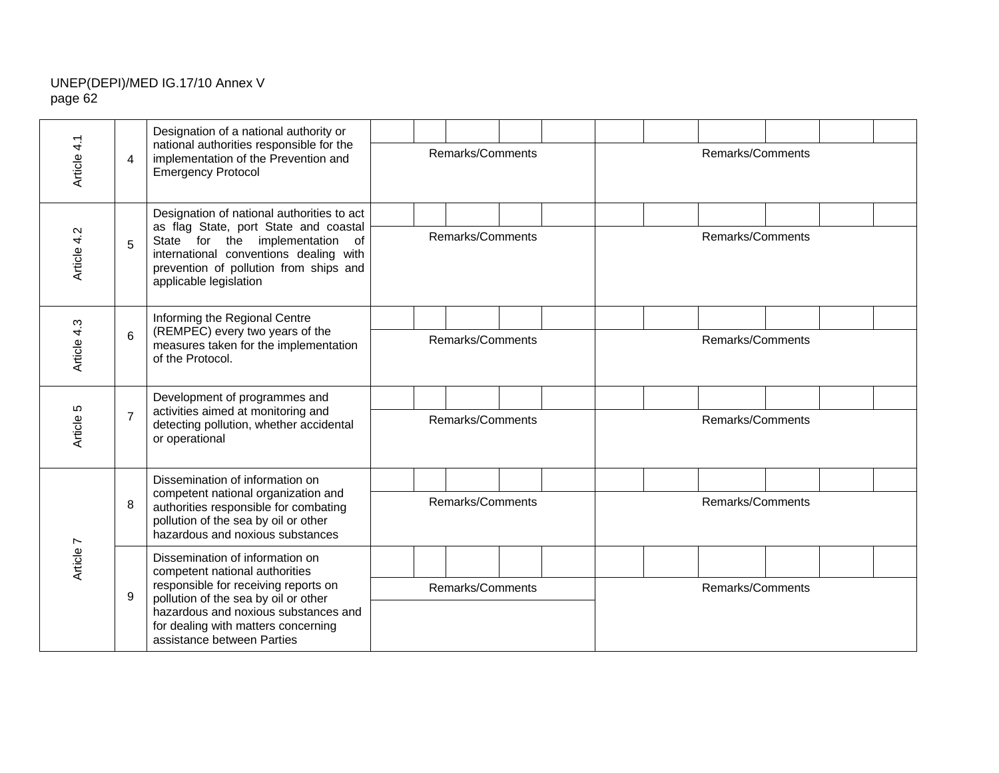|             |                                                                                                           | Designation of a national authority or<br>national authorities responsible for the                                                            |  |                  |                  |  |  |                  |                  |                  |  |  |  |
|-------------|-----------------------------------------------------------------------------------------------------------|-----------------------------------------------------------------------------------------------------------------------------------------------|--|------------------|------------------|--|--|------------------|------------------|------------------|--|--|--|
| Article 4.1 | $\overline{4}$                                                                                            | implementation of the Prevention and<br><b>Emergency Protocol</b>                                                                             |  | Remarks/Comments |                  |  |  | Remarks/Comments |                  |                  |  |  |  |
|             |                                                                                                           | Designation of national authorities to act<br>as flag State, port State and coastal                                                           |  |                  |                  |  |  |                  |                  |                  |  |  |  |
| Article 4.2 | 5                                                                                                         | State for the implementation of<br>international conventions dealing with<br>prevention of pollution from ships and<br>applicable legislation |  |                  | Remarks/Comments |  |  | Remarks/Comments |                  |                  |  |  |  |
|             | Informing the Regional Centre<br>(REMPEC) every two years of the                                          |                                                                                                                                               |  |                  |                  |  |  |                  |                  |                  |  |  |  |
| Article 4.3 | 6                                                                                                         | measures taken for the implementation<br>of the Protocol.                                                                                     |  | Remarks/Comments |                  |  |  |                  |                  | Remarks/Comments |  |  |  |
|             |                                                                                                           | Development of programmes and<br>activities aimed at monitoring and                                                                           |  |                  |                  |  |  |                  |                  |                  |  |  |  |
| Article 5   | $\overline{7}$                                                                                            | detecting pollution, whether accidental<br>or operational                                                                                     |  | Remarks/Comments |                  |  |  |                  | Remarks/Comments |                  |  |  |  |
|             |                                                                                                           | Dissemination of information on<br>competent national organization and                                                                        |  |                  |                  |  |  |                  |                  |                  |  |  |  |
|             | 8                                                                                                         | authorities responsible for combating<br>pollution of the sea by oil or other<br>hazardous and noxious substances                             |  |                  | Remarks/Comments |  |  |                  |                  | Remarks/Comments |  |  |  |
| Article 7   |                                                                                                           | Dissemination of information on<br>competent national authorities                                                                             |  |                  |                  |  |  |                  |                  |                  |  |  |  |
|             | 9                                                                                                         | responsible for receiving reports on<br>pollution of the sea by oil or other                                                                  |  |                  | Remarks/Comments |  |  | Remarks/Comments |                  |                  |  |  |  |
|             | hazardous and noxious substances and<br>for dealing with matters concerning<br>assistance between Parties |                                                                                                                                               |  |                  |                  |  |  |                  |                  |                  |  |  |  |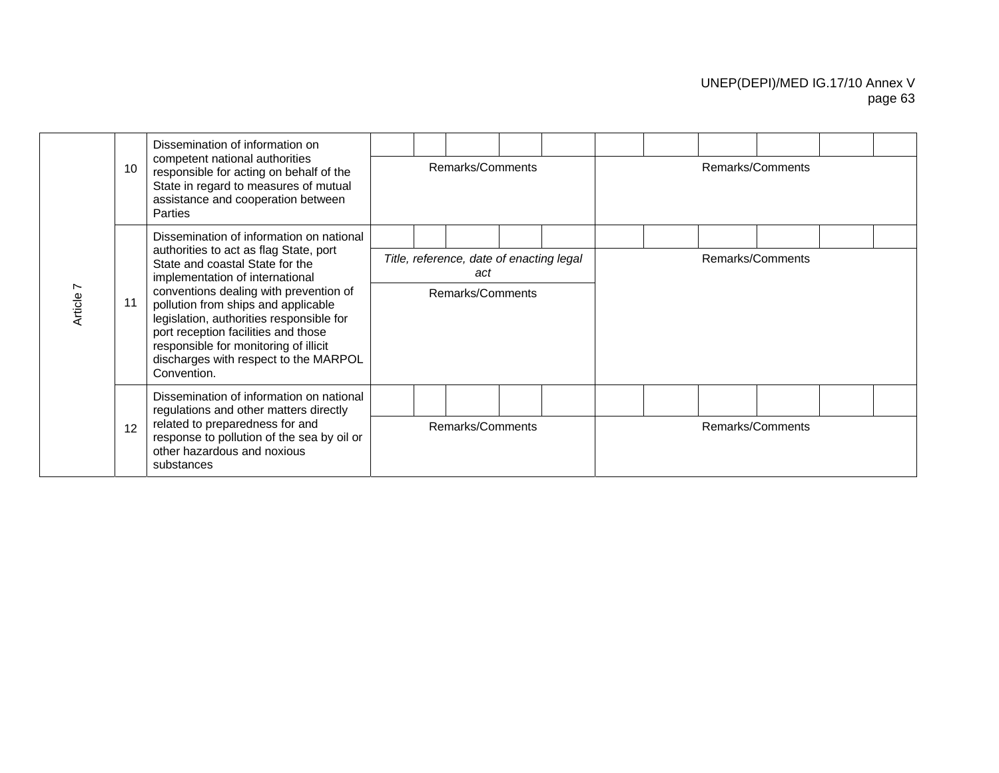|           |                 | Dissemination of information on<br>competent national authorities                                                                                                                                                                                                                                                                                                                                                             |  |                  |                                                 |  |  |                  |                  |  |  |  |  |  |
|-----------|-----------------|-------------------------------------------------------------------------------------------------------------------------------------------------------------------------------------------------------------------------------------------------------------------------------------------------------------------------------------------------------------------------------------------------------------------------------|--|------------------|-------------------------------------------------|--|--|------------------|------------------|--|--|--|--|--|
|           | 10 <sup>1</sup> | responsible for acting on behalf of the<br>State in regard to measures of mutual<br>assistance and cooperation between<br><b>Parties</b>                                                                                                                                                                                                                                                                                      |  |                  | Remarks/Comments                                |  |  | Remarks/Comments |                  |  |  |  |  |  |
|           |                 | Dissemination of information on national<br>authorities to act as flag State, port<br>State and coastal State for the<br>implementation of international<br>conventions dealing with prevention of<br>pollution from ships and applicable<br>legislation, authorities responsible for<br>port reception facilities and those<br>responsible for monitoring of illicit<br>discharges with respect to the MARPOL<br>Convention. |  |                  |                                                 |  |  |                  |                  |  |  |  |  |  |
| Article 7 |                 |                                                                                                                                                                                                                                                                                                                                                                                                                               |  |                  | Title, reference, date of enacting legal<br>act |  |  |                  | Remarks/Comments |  |  |  |  |  |
|           |                 |                                                                                                                                                                                                                                                                                                                                                                                                                               |  |                  | Remarks/Comments                                |  |  |                  |                  |  |  |  |  |  |
|           |                 | Dissemination of information on national<br>regulations and other matters directly                                                                                                                                                                                                                                                                                                                                            |  |                  |                                                 |  |  |                  |                  |  |  |  |  |  |
|           | 12              | related to preparedness for and<br>response to pollution of the sea by oil or<br>other hazardous and noxious<br>substances                                                                                                                                                                                                                                                                                                    |  | Remarks/Comments |                                                 |  |  |                  | Remarks/Comments |  |  |  |  |  |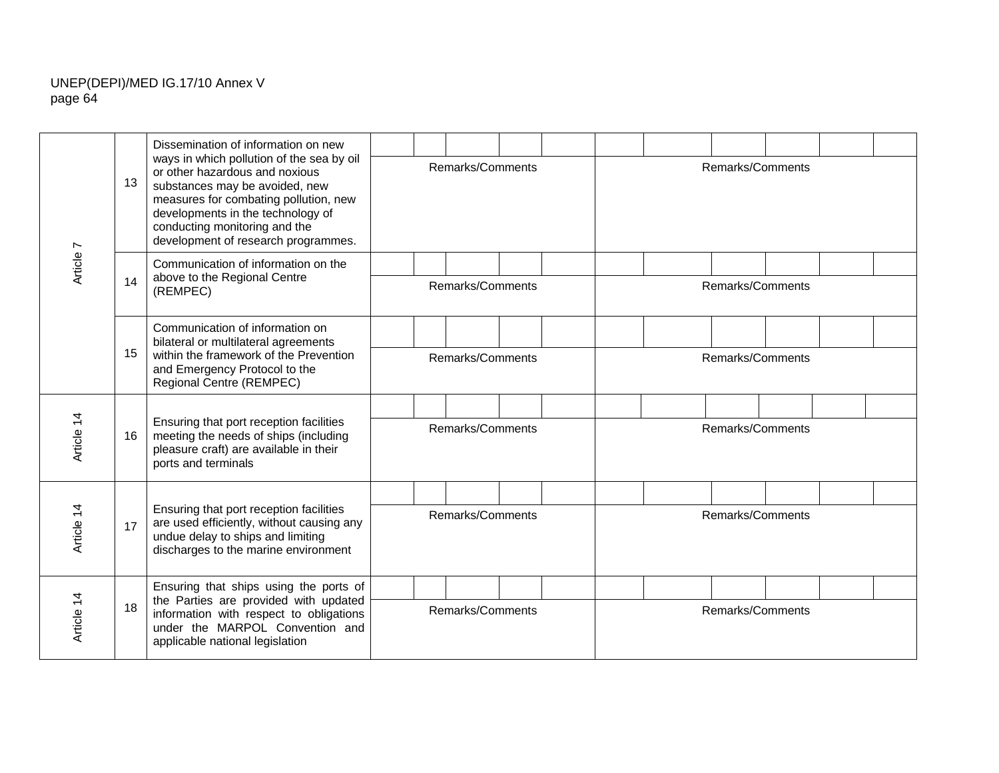| Article 7  |    | Dissemination of information on new                                                                                                                                                                                                                                 |                  |                  |  |  |                  |                  |                  |  |  |  |  |  |
|------------|----|---------------------------------------------------------------------------------------------------------------------------------------------------------------------------------------------------------------------------------------------------------------------|------------------|------------------|--|--|------------------|------------------|------------------|--|--|--|--|--|
|            | 13 | ways in which pollution of the sea by oil<br>or other hazardous and noxious<br>substances may be avoided, new<br>measures for combating pollution, new<br>developments in the technology of<br>conducting monitoring and the<br>development of research programmes. |                  | Remarks/Comments |  |  |                  |                  | Remarks/Comments |  |  |  |  |  |
|            | 14 | Communication of information on the<br>above to the Regional Centre<br>(REMPEC)                                                                                                                                                                                     |                  |                  |  |  |                  |                  |                  |  |  |  |  |  |
|            |    |                                                                                                                                                                                                                                                                     | Remarks/Comments |                  |  |  |                  | Remarks/Comments |                  |  |  |  |  |  |
|            | 15 | Communication of information on<br>bilateral or multilateral agreements<br>within the framework of the Prevention<br>and Emergency Protocol to the<br>Regional Centre (REMPEC)                                                                                      |                  |                  |  |  |                  |                  |                  |  |  |  |  |  |
|            |    |                                                                                                                                                                                                                                                                     | Remarks/Comments |                  |  |  | Remarks/Comments |                  |                  |  |  |  |  |  |
| Article 14 | 16 | Ensuring that port reception facilities<br>meeting the needs of ships (including<br>pleasure craft) are available in their<br>ports and terminals                                                                                                                   |                  |                  |  |  |                  |                  |                  |  |  |  |  |  |
|            |    |                                                                                                                                                                                                                                                                     | Remarks/Comments |                  |  |  | Remarks/Comments |                  |                  |  |  |  |  |  |
| Article 14 | 17 | Ensuring that port reception facilities<br>are used efficiently, without causing any<br>undue delay to ships and limiting<br>discharges to the marine environment                                                                                                   |                  |                  |  |  |                  |                  |                  |  |  |  |  |  |
|            |    |                                                                                                                                                                                                                                                                     | Remarks/Comments |                  |  |  | Remarks/Comments |                  |                  |  |  |  |  |  |
| Article 14 | 18 | Ensuring that ships using the ports of<br>the Parties are provided with updated<br>information with respect to obligations<br>under the MARPOL Convention and<br>applicable national legislation                                                                    |                  |                  |  |  |                  |                  |                  |  |  |  |  |  |
|            |    |                                                                                                                                                                                                                                                                     | Remarks/Comments |                  |  |  |                  | Remarks/Comments |                  |  |  |  |  |  |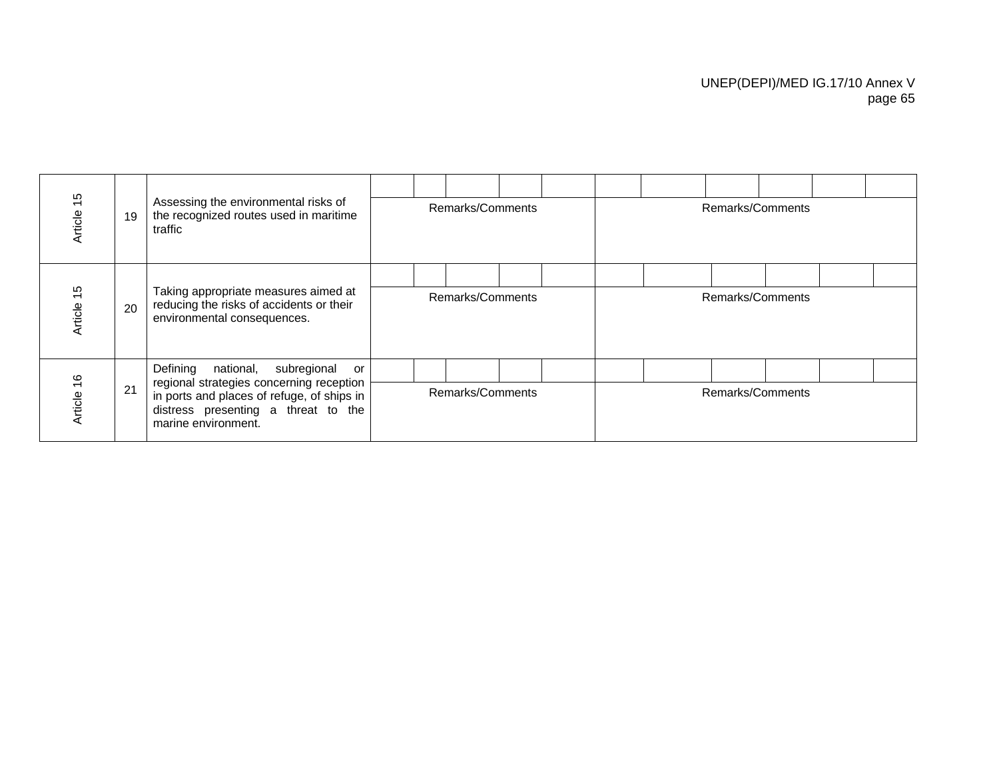|                          |    | Assessing the environmental risks of<br>the recognized routes used in maritime<br>traffic                                                            |                  |  |                  |  |  |                  |  |  |                  |  |  |
|--------------------------|----|------------------------------------------------------------------------------------------------------------------------------------------------------|------------------|--|------------------|--|--|------------------|--|--|------------------|--|--|
| $\frac{5}{2}$<br>Article | 19 |                                                                                                                                                      |                  |  | Remarks/Comments |  |  | Remarks/Comments |  |  |                  |  |  |
|                          |    |                                                                                                                                                      |                  |  |                  |  |  |                  |  |  |                  |  |  |
| $\frac{5}{3}$<br>Article | 20 | Taking appropriate measures aimed at<br>reducing the risks of accidents or their<br>environmental consequences.                                      | Remarks/Comments |  |                  |  |  | Remarks/Comments |  |  |                  |  |  |
|                          |    | Defining<br>national, subregional<br>or                                                                                                              |                  |  |                  |  |  |                  |  |  |                  |  |  |
| $\frac{6}{5}$<br>Article | 21 | regional strategies concerning reception<br>in ports and places of refuge, of ships in<br>distress presenting a threat to the<br>marine environment. | Remarks/Comments |  |                  |  |  |                  |  |  | Remarks/Comments |  |  |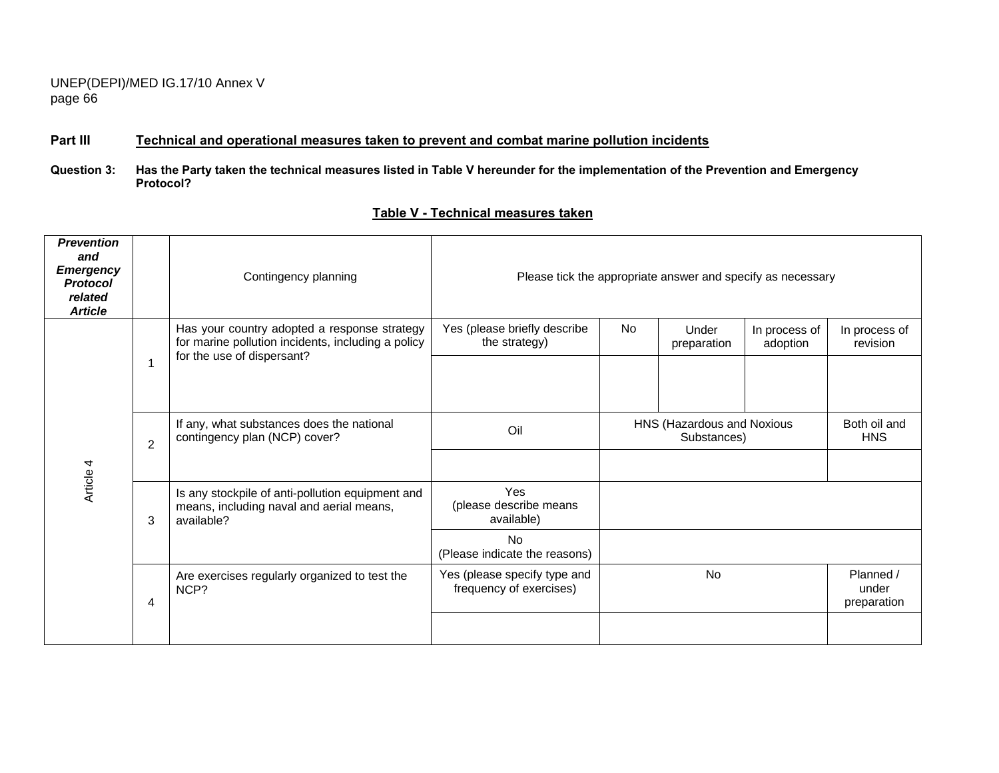## **Part III Technical and operational measures taken to prevent and combat marine pollution incidents**

**Question 3: Has the Party taken the technical measures listed in Table V hereunder for the implementation of the Prevention and Emergency Protocol?** 

### **Table V - Technical measures taken**

| <b>Prevention</b><br>and<br><b>Emergency</b><br><b>Protocol</b><br>related<br><b>Article</b> |                | Contingency planning                                                                                                             |                                                         |           | Please tick the appropriate answer and specify as necessary |                            |                                   |
|----------------------------------------------------------------------------------------------|----------------|----------------------------------------------------------------------------------------------------------------------------------|---------------------------------------------------------|-----------|-------------------------------------------------------------|----------------------------|-----------------------------------|
|                                                                                              |                | Has your country adopted a response strategy<br>for marine pollution incidents, including a policy<br>for the use of dispersant? | Yes (please briefly describe<br>the strategy)           | <b>No</b> | Under<br>preparation                                        | In process of<br>adoption  | In process of<br>revision         |
|                                                                                              | $\overline{2}$ | If any, what substances does the national<br>contingency plan (NCP) cover?                                                       | Oil                                                     |           | HNS (Hazardous and Noxious<br>Substances)                   | Both oil and<br><b>HNS</b> |                                   |
| Article 4                                                                                    | 3              | Is any stockpile of anti-pollution equipment and<br>means, including naval and aerial means,<br>available?                       | Yes<br>(please describe means<br>available)             |           |                                                             |                            |                                   |
|                                                                                              |                |                                                                                                                                  | <b>No</b><br>(Please indicate the reasons)              |           |                                                             |                            |                                   |
|                                                                                              | 4              | Are exercises regularly organized to test the<br>NCP?                                                                            | Yes (please specify type and<br>frequency of exercises) |           | <b>No</b>                                                   |                            | Planned /<br>under<br>preparation |
|                                                                                              |                |                                                                                                                                  |                                                         |           |                                                             |                            |                                   |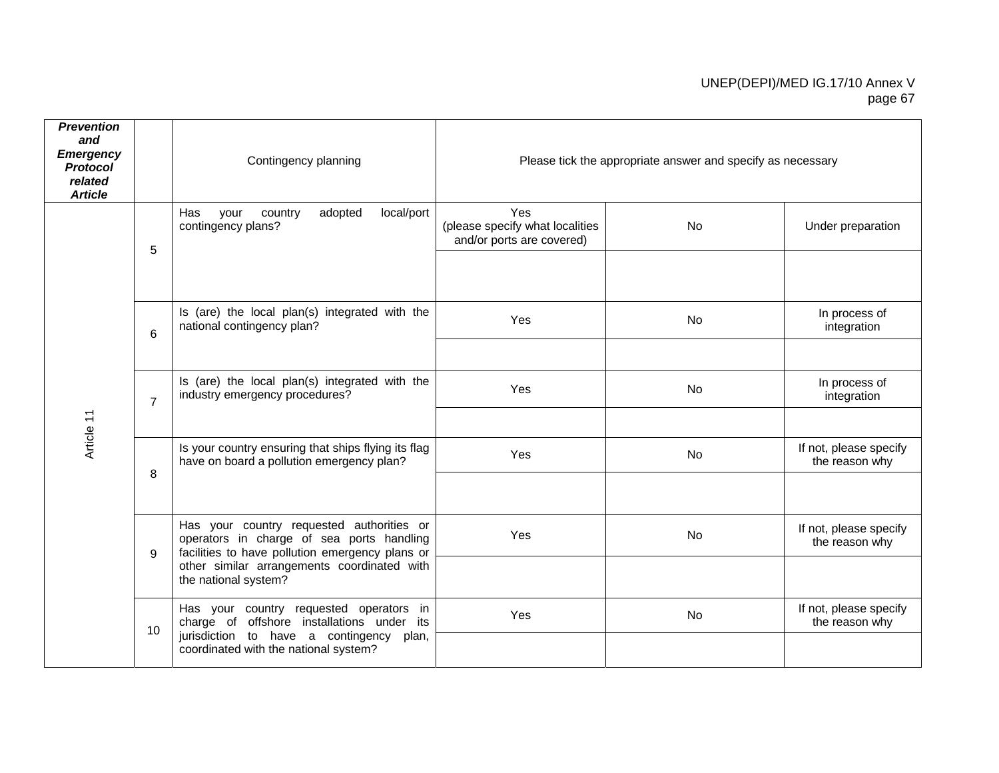| <b>Prevention</b><br>and<br><b>Emergency</b><br><b>Protocol</b><br>related<br><b>Article</b> |                 | Contingency planning                                                                                                                      |                                                                     | Please tick the appropriate answer and specify as necessary |                                          |
|----------------------------------------------------------------------------------------------|-----------------|-------------------------------------------------------------------------------------------------------------------------------------------|---------------------------------------------------------------------|-------------------------------------------------------------|------------------------------------------|
|                                                                                              | 5               | Has<br>adopted<br>local/port<br>your<br>country<br>contingency plans?                                                                     | Yes<br>(please specify what localities<br>and/or ports are covered) | No                                                          | Under preparation                        |
|                                                                                              |                 |                                                                                                                                           |                                                                     |                                                             |                                          |
|                                                                                              | $6\phantom{1}6$ | Is (are) the local plan(s) integrated with the<br>national contingency plan?                                                              | Yes                                                                 | <b>No</b>                                                   | In process of<br>integration             |
|                                                                                              |                 |                                                                                                                                           |                                                                     |                                                             |                                          |
|                                                                                              | $\overline{7}$  | Is (are) the local plan(s) integrated with the<br>industry emergency procedures?                                                          | Yes                                                                 | No                                                          | In process of<br>integration             |
| Article 11                                                                                   |                 |                                                                                                                                           |                                                                     |                                                             |                                          |
|                                                                                              | 8               | Is your country ensuring that ships flying its flag<br>have on board a pollution emergency plan?                                          | Yes                                                                 | No                                                          | If not, please specify<br>the reason why |
|                                                                                              |                 |                                                                                                                                           |                                                                     |                                                             |                                          |
|                                                                                              | 9               | Has your country requested authorities or<br>operators in charge of sea ports handling<br>facilities to have pollution emergency plans or | Yes                                                                 | <b>No</b>                                                   | If not, please specify<br>the reason why |
|                                                                                              |                 | other similar arrangements coordinated with<br>the national system?                                                                       |                                                                     |                                                             |                                          |
|                                                                                              | 10              | Has your country requested operators in<br>charge of offshore installations under its<br>jurisdiction to have a contingency plan,         | Yes                                                                 | No                                                          | If not, please specify<br>the reason why |
|                                                                                              |                 | coordinated with the national system?                                                                                                     |                                                                     |                                                             |                                          |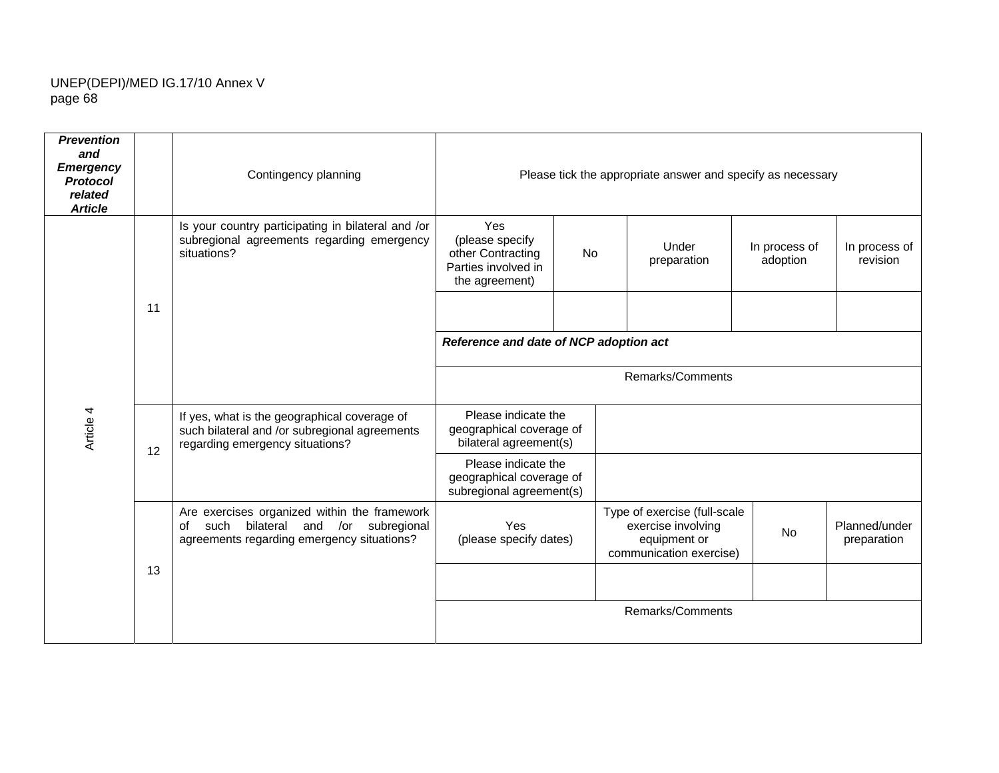| <b>Prevention</b><br>and<br><b>Emergency</b><br><b>Protocol</b><br>related<br><b>Article</b> |    | Contingency planning                                                                                                                      |                                                                                      |                                        | Please tick the appropriate answer and specify as necessary                                   |                           |                              |  |  |  |  |
|----------------------------------------------------------------------------------------------|----|-------------------------------------------------------------------------------------------------------------------------------------------|--------------------------------------------------------------------------------------|----------------------------------------|-----------------------------------------------------------------------------------------------|---------------------------|------------------------------|--|--|--|--|
|                                                                                              |    | Is your country participating in bilateral and /or<br>subregional agreements regarding emergency<br>situations?                           | Yes<br>(please specify<br>other Contracting<br>Parties involved in<br>the agreement) | No                                     | Under<br>preparation                                                                          | In process of<br>adoption | In process of<br>revision    |  |  |  |  |
|                                                                                              | 11 |                                                                                                                                           |                                                                                      |                                        |                                                                                               |                           |                              |  |  |  |  |
|                                                                                              |    |                                                                                                                                           |                                                                                      | Reference and date of NCP adoption act |                                                                                               |                           |                              |  |  |  |  |
|                                                                                              |    |                                                                                                                                           |                                                                                      |                                        | Remarks/Comments                                                                              |                           |                              |  |  |  |  |
| Article 4                                                                                    | 12 | If yes, what is the geographical coverage of<br>such bilateral and /or subregional agreements<br>regarding emergency situations?          | Please indicate the<br>geographical coverage of<br>bilateral agreement(s)            |                                        |                                                                                               |                           |                              |  |  |  |  |
|                                                                                              |    |                                                                                                                                           | Please indicate the<br>geographical coverage of<br>subregional agreement(s)          |                                        |                                                                                               |                           |                              |  |  |  |  |
|                                                                                              |    | Are exercises organized within the framework<br>bilateral and /or subregional<br>of<br>such<br>agreements regarding emergency situations? | Yes<br>(please specify dates)                                                        |                                        | Type of exercise (full-scale<br>exercise involving<br>equipment or<br>communication exercise) | No                        | Planned/under<br>preparation |  |  |  |  |
|                                                                                              | 13 |                                                                                                                                           |                                                                                      |                                        |                                                                                               |                           |                              |  |  |  |  |
|                                                                                              |    |                                                                                                                                           |                                                                                      |                                        | Remarks/Comments                                                                              |                           |                              |  |  |  |  |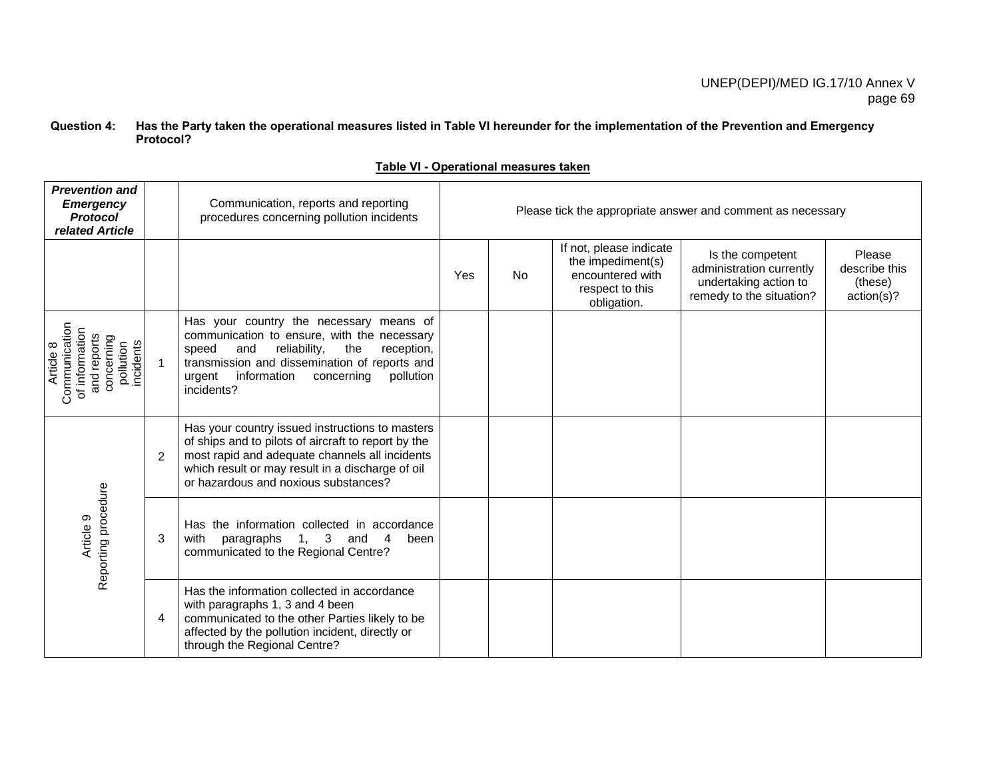#### **Question 4: Has the Party taken the operational measures listed in Table VI hereunder for the implementation of the Prevention and Emergency Protocol?**

|--|

| <b>Prevention and</b><br><b>Emergency</b><br><b>Protocol</b><br>related Article                        |                | Communication, reports and reporting<br>procedures concerning pollution incidents                                                                                                                                                                        | Please tick the appropriate answer and comment as necessary |           |                                                                                                    |                                                                                                   |                                                  |  |  |  |  |  |  |
|--------------------------------------------------------------------------------------------------------|----------------|----------------------------------------------------------------------------------------------------------------------------------------------------------------------------------------------------------------------------------------------------------|-------------------------------------------------------------|-----------|----------------------------------------------------------------------------------------------------|---------------------------------------------------------------------------------------------------|--------------------------------------------------|--|--|--|--|--|--|
|                                                                                                        |                |                                                                                                                                                                                                                                                          | Yes                                                         | <b>No</b> | If not, please indicate<br>the impediment(s)<br>encountered with<br>respect to this<br>obligation. | Is the competent<br>administration currently<br>undertaking action to<br>remedy to the situation? | Please<br>describe this<br>(these)<br>action(s)? |  |  |  |  |  |  |
| Communication<br>of information<br>and reports<br>concerning<br>pollution<br>incidents<br>∞<br>Article | 1              | Has your country the necessary means of<br>communication to ensure, with the necessary<br>speed<br>and<br>reliability,<br>the<br>reception,<br>transmission and dissemination of reports and<br>urgent information concerning<br>pollution<br>incidents? |                                                             |           |                                                                                                    |                                                                                                   |                                                  |  |  |  |  |  |  |
|                                                                                                        | $\overline{2}$ | Has your country issued instructions to masters<br>of ships and to pilots of aircraft to report by the<br>most rapid and adequate channels all incidents<br>which result or may result in a discharge of oil<br>or hazardous and noxious substances?     |                                                             |           |                                                                                                    |                                                                                                   |                                                  |  |  |  |  |  |  |
| Reporting procedure<br>Article 9                                                                       | 3              | Has the information collected in accordance<br>$1, 3$ and<br>with<br>paragraphs<br>4<br>been<br>communicated to the Regional Centre?                                                                                                                     |                                                             |           |                                                                                                    |                                                                                                   |                                                  |  |  |  |  |  |  |
|                                                                                                        | 4              | Has the information collected in accordance<br>with paragraphs 1, 3 and 4 been<br>communicated to the other Parties likely to be<br>affected by the pollution incident, directly or<br>through the Regional Centre?                                      |                                                             |           |                                                                                                    |                                                                                                   |                                                  |  |  |  |  |  |  |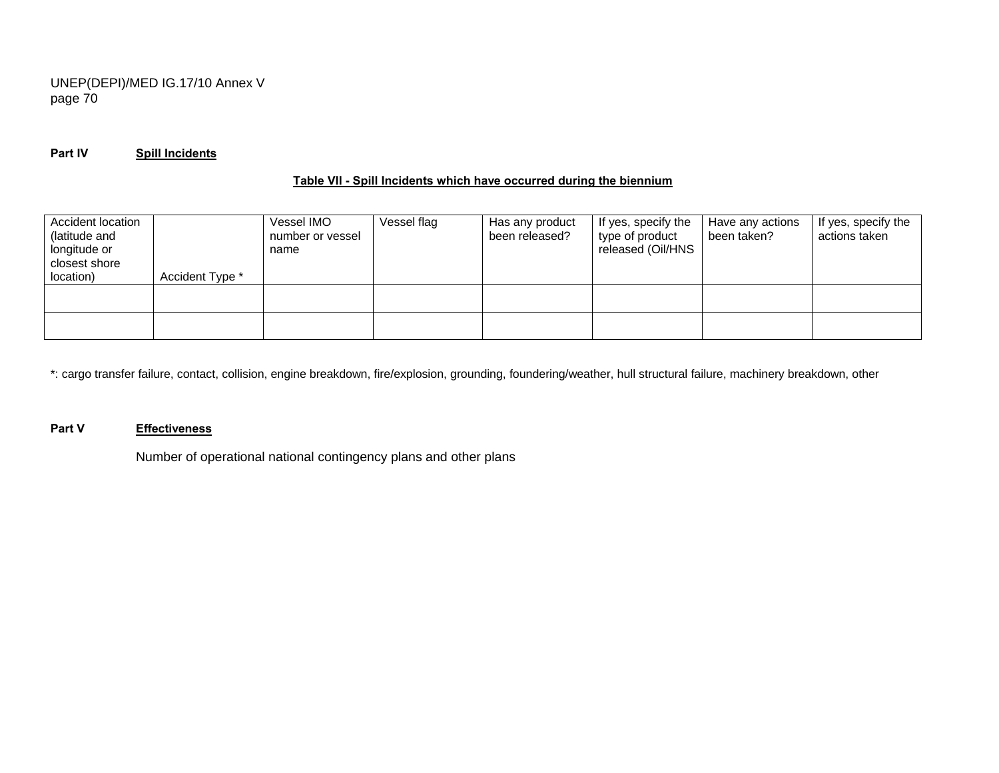## **Part IV Spill Incidents**

### **Table VII - Spill Incidents which have occurred during the biennium**

| Accident location |                 | Vessel IMO       | Vessel flag | Has any product | If yes, specify the | Have any actions | If yes, specify the |
|-------------------|-----------------|------------------|-------------|-----------------|---------------------|------------------|---------------------|
| (latitude and     |                 | number or vessel |             | been released?  | type of product     | been taken?      | actions taken       |
| longitude or      |                 | name             |             |                 | released (Oil/HNS   |                  |                     |
| closest shore     |                 |                  |             |                 |                     |                  |                     |
| location)         | Accident Type * |                  |             |                 |                     |                  |                     |
|                   |                 |                  |             |                 |                     |                  |                     |
|                   |                 |                  |             |                 |                     |                  |                     |
|                   |                 |                  |             |                 |                     |                  |                     |
|                   |                 |                  |             |                 |                     |                  |                     |

\*: cargo transfer failure, contact, collision, engine breakdown, fire/explosion, grounding, foundering/weather, hull structural failure, machinery breakdown, other

#### **Part V Effectiveness**

Number of operational national contingency plans and other plans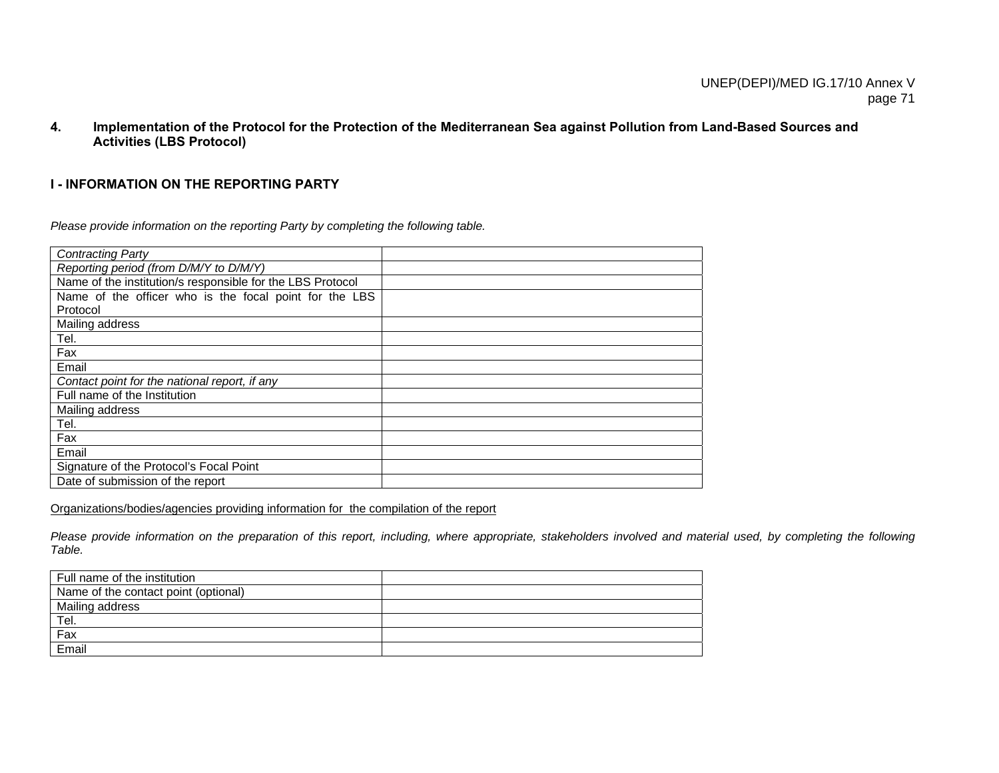**4. Implementation of the Protocol for the Protection of the Mediterranean Sea against Pollution from Land-Based Sources and Activities (LBS Protocol)** 

### **I - INFORMATION ON THE REPORTING PARTY**

*Please provide information on the reporting Party by completing the following table.* 

| <b>Contracting Party</b>                                   |  |
|------------------------------------------------------------|--|
| Reporting period (from D/M/Y to D/M/Y)                     |  |
| Name of the institution/s responsible for the LBS Protocol |  |
| Name of the officer who is the focal point for the LBS     |  |
| Protocol                                                   |  |
| Mailing address                                            |  |
| Tel.                                                       |  |
| Fax                                                        |  |
| Email                                                      |  |
| Contact point for the national report, if any              |  |
| Full name of the Institution                               |  |
| Mailing address                                            |  |
| Tel.                                                       |  |
| Fax                                                        |  |
| Email                                                      |  |
| Signature of the Protocol's Focal Point                    |  |
| Date of submission of the report                           |  |

Organizations/bodies/agencies providing information for the compilation of the report

Please provide information on the preparation of this report, including, where appropriate, stakeholders involved and material used, by completing the following *Table.* 

| Full name of the institution         |  |
|--------------------------------------|--|
| Name of the contact point (optional) |  |
| Mailing address                      |  |
| Tel.                                 |  |
| Fax                                  |  |
| Email                                |  |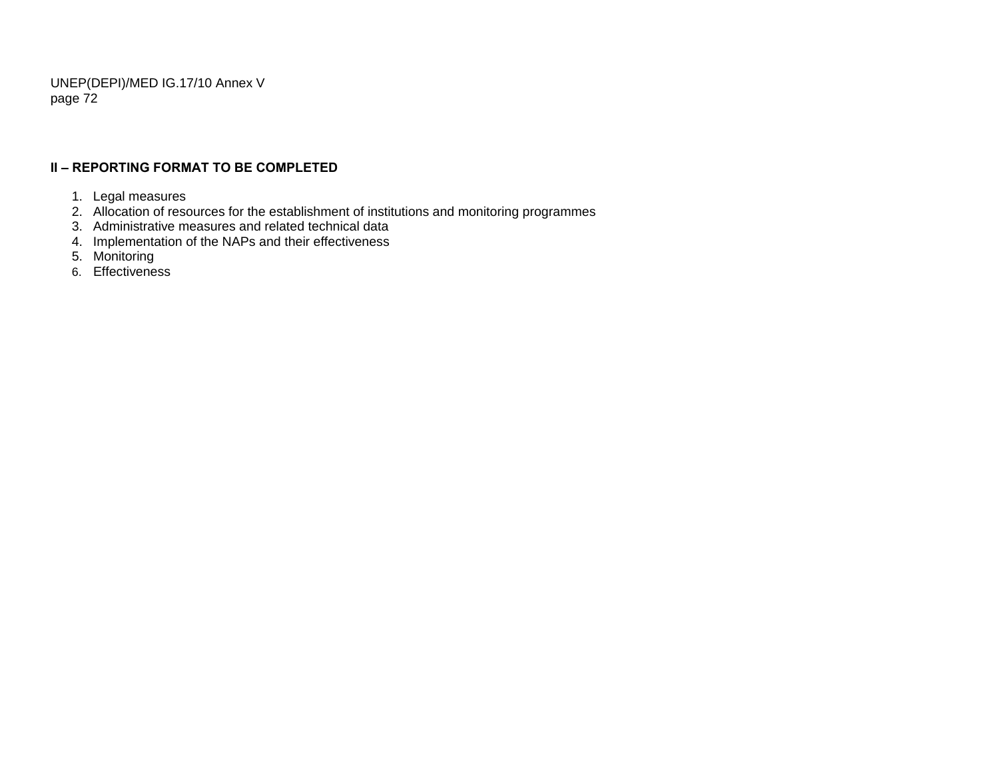## **II – REPORTING FORMAT TO BE COMPLETED**

- 1. Legal measures
- 2. Allocation of resources for the establishment of institutions and monitoring programmes
- 3. Administrative measures and related technical data
- 4. Implementation of the NAPs and their effectiveness
- 5. Monitoring
- 6. Effectiveness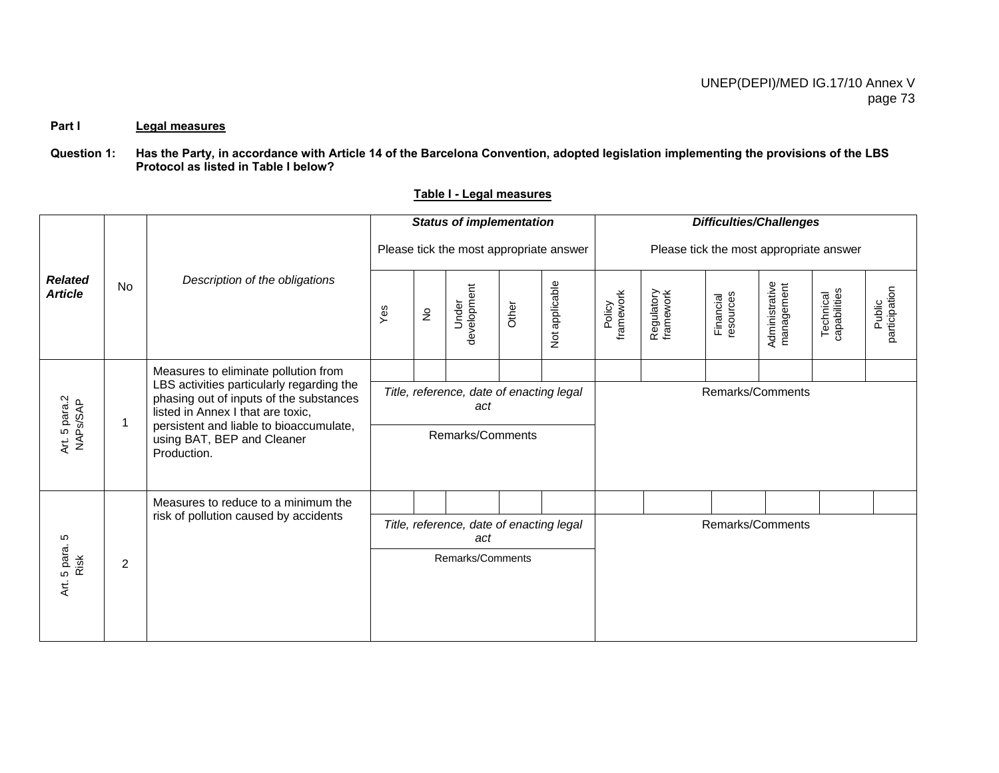#### Part I Legal measures

### **Question 1: Has the Party, in accordance with Article 14 of the Barcelona Convention, adopted legislation implementing the provisions of the LBS Protocol as listed in Table I below?**

|                                  |                |                                                                                                                                                                      |     |                            | <b>Status of implementation</b>                 |       |                | <b>Difficulties/Challenges</b>          |                         |                        |                              |                           |                         |  |
|----------------------------------|----------------|----------------------------------------------------------------------------------------------------------------------------------------------------------------------|-----|----------------------------|-------------------------------------------------|-------|----------------|-----------------------------------------|-------------------------|------------------------|------------------------------|---------------------------|-------------------------|--|
|                                  |                | Description of the obligations                                                                                                                                       |     |                            | Please tick the most appropriate answer         |       |                | Please tick the most appropriate answer |                         |                        |                              |                           |                         |  |
| <b>Related</b><br><b>Article</b> | No             |                                                                                                                                                                      | Yes | $\frac{\circ}{\mathsf{Z}}$ | development<br>Under                            | Other | Not applicable | framework<br>Policy                     | Regulatory<br>framework | Financial<br>resources | Administrative<br>management | Technical<br>capabilities | Public<br>participation |  |
|                                  |                | Measures to eliminate pollution from                                                                                                                                 |     |                            |                                                 |       |                |                                         |                         |                        |                              |                           |                         |  |
| Art. 5 para.2<br>NAPs/SAP        | $\mathbf 1$    | LBS activities particularly regarding the<br>phasing out of inputs of the substances<br>listed in Annex I that are toxic,<br>persistent and liable to bioaccumulate, |     |                            | Title, reference, date of enacting legal<br>act |       |                | Remarks/Comments                        |                         |                        |                              |                           |                         |  |
|                                  |                | using BAT, BEP and Cleaner<br>Production.                                                                                                                            |     |                            | Remarks/Comments                                |       |                |                                         |                         |                        |                              |                           |                         |  |
|                                  |                | Measures to reduce to a minimum the                                                                                                                                  |     |                            |                                                 |       |                |                                         |                         |                        |                              |                           |                         |  |
|                                  |                | risk of pollution caused by accidents                                                                                                                                |     |                            | Title, reference, date of enacting legal<br>act |       |                |                                         |                         |                        | Remarks/Comments             |                           |                         |  |
| Art. 5 para. 5<br>Risk           | $\overline{2}$ |                                                                                                                                                                      |     |                            | Remarks/Comments                                |       |                |                                         |                         |                        |                              |                           |                         |  |

## **Table I - Legal measures**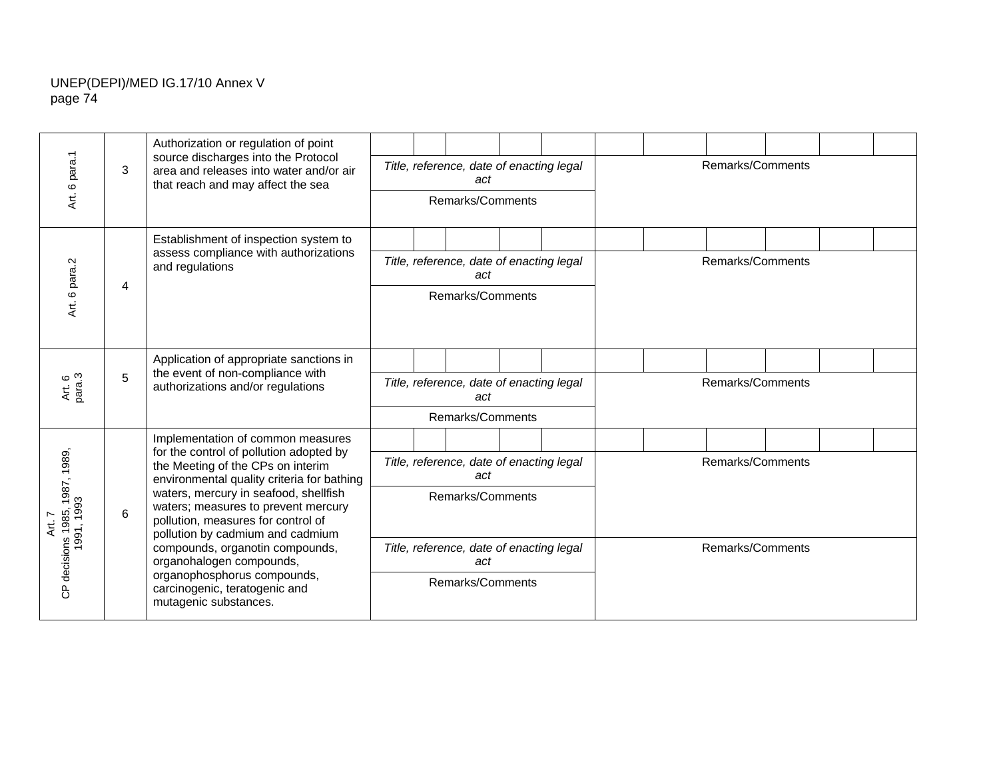|                                                            |   | Authorization or regulation of point<br>source discharges into the Protocol                                                                                                                                           |                                                 |                                                 |                                                 |  |  |                  |  |                  |  |  |  |
|------------------------------------------------------------|---|-----------------------------------------------------------------------------------------------------------------------------------------------------------------------------------------------------------------------|-------------------------------------------------|-------------------------------------------------|-------------------------------------------------|--|--|------------------|--|------------------|--|--|--|
| para.1                                                     | 3 | area and releases into water and/or air<br>that reach and may affect the sea                                                                                                                                          |                                                 |                                                 | Title, reference, date of enacting legal<br>act |  |  | Remarks/Comments |  |                  |  |  |  |
| Art. 6                                                     |   |                                                                                                                                                                                                                       | Remarks/Comments                                |                                                 |                                                 |  |  |                  |  |                  |  |  |  |
|                                                            |   | Establishment of inspection system to<br>assess compliance with authorizations                                                                                                                                        |                                                 |                                                 |                                                 |  |  |                  |  |                  |  |  |  |
| Ņ                                                          |   | and regulations                                                                                                                                                                                                       |                                                 |                                                 | Title, reference, date of enacting legal<br>act |  |  | Remarks/Comments |  |                  |  |  |  |
| Art. 6 para                                                | 4 |                                                                                                                                                                                                                       | Remarks/Comments                                |                                                 |                                                 |  |  |                  |  |                  |  |  |  |
|                                                            |   | Application of appropriate sanctions in<br>the event of non-compliance with                                                                                                                                           |                                                 |                                                 |                                                 |  |  |                  |  |                  |  |  |  |
| 5<br>Art. 6<br>para.3<br>authorizations and/or regulations |   |                                                                                                                                                                                                                       |                                                 | Title, reference, date of enacting legal<br>act |                                                 |  |  |                  |  | Remarks/Comments |  |  |  |
|                                                            |   |                                                                                                                                                                                                                       | Remarks/Comments                                |                                                 |                                                 |  |  |                  |  |                  |  |  |  |
|                                                            |   | Implementation of common measures<br>for the control of pollution adopted by                                                                                                                                          |                                                 |                                                 |                                                 |  |  |                  |  |                  |  |  |  |
|                                                            |   | the Meeting of the CPs on interim<br>environmental quality criteria for bathing                                                                                                                                       | Title, reference, date of enacting legal<br>act |                                                 |                                                 |  |  |                  |  | Remarks/Comments |  |  |  |
| nns 1985, 1987, 1989,<br>1991, 1993                        | 6 | waters, mercury in seafood, shellfish<br>waters; measures to prevent mercury<br>pollution, measures for control of<br>pollution by cadmium and cadmium<br>compounds, organotin compounds,<br>organohalogen compounds, |                                                 |                                                 | Remarks/Comments                                |  |  |                  |  |                  |  |  |  |
|                                                            |   |                                                                                                                                                                                                                       |                                                 |                                                 | Title, reference, date of enacting legal<br>act |  |  |                  |  | Remarks/Comments |  |  |  |
| CP decisions                                               |   | organophosphorus compounds,<br>carcinogenic, teratogenic and<br>mutagenic substances.                                                                                                                                 |                                                 |                                                 | Remarks/Comments                                |  |  |                  |  |                  |  |  |  |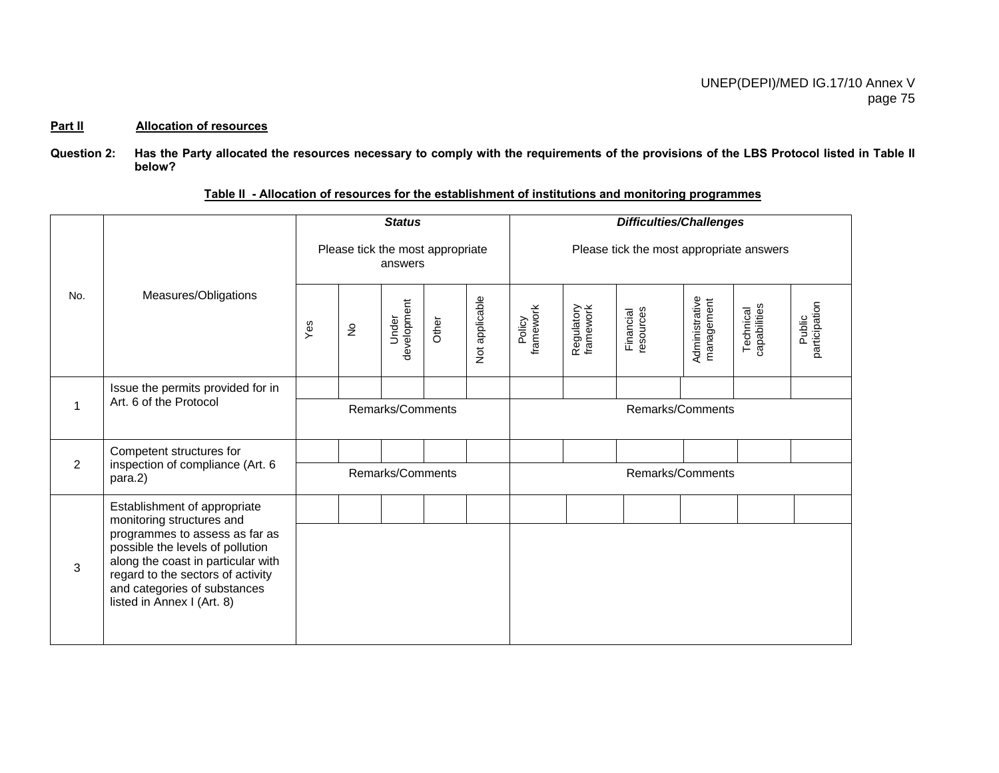#### **Part II Allocation of resources**

**Question 2: Has the Party allocated the resources necessary to comply with the requirements of the provisions of the LBS Protocol listed in Table II below?** 

|     |                                                                                                                                                                                                             |     |                                  | <b>Status</b>        |       |                | <b>Difficulties/Challenges</b>           |                         |                        |                              |                           |                         |  |
|-----|-------------------------------------------------------------------------------------------------------------------------------------------------------------------------------------------------------------|-----|----------------------------------|----------------------|-------|----------------|------------------------------------------|-------------------------|------------------------|------------------------------|---------------------------|-------------------------|--|
|     |                                                                                                                                                                                                             |     | Please tick the most appropriate | answers              |       |                | Please tick the most appropriate answers |                         |                        |                              |                           |                         |  |
| No. | Measures/Obligations                                                                                                                                                                                        | Yes | $\stackrel{\mathtt{o}}{z}$       | development<br>Under | Other | Not applicable | framework<br>Policy                      | Regulatory<br>framework | resources<br>Financial | Administrative<br>management | Technical<br>capabilities | participation<br>Public |  |
|     | Issue the permits provided for in                                                                                                                                                                           |     |                                  |                      |       |                |                                          |                         |                        |                              |                           |                         |  |
| 1   | Art. 6 of the Protocol                                                                                                                                                                                      |     |                                  | Remarks/Comments     |       |                | Remarks/Comments                         |                         |                        |                              |                           |                         |  |
|     | Competent structures for                                                                                                                                                                                    |     |                                  |                      |       |                |                                          |                         |                        |                              |                           |                         |  |
| 2   | inspection of compliance (Art. 6<br>para.2)                                                                                                                                                                 |     |                                  | Remarks/Comments     |       |                | Remarks/Comments                         |                         |                        |                              |                           |                         |  |
|     | Establishment of appropriate<br>monitoring structures and                                                                                                                                                   |     |                                  |                      |       |                |                                          |                         |                        |                              |                           |                         |  |
| 3   | programmes to assess as far as<br>possible the levels of pollution<br>along the coast in particular with<br>regard to the sectors of activity<br>and categories of substances<br>listed in Annex I (Art. 8) |     |                                  |                      |       |                |                                          |                         |                        |                              |                           |                         |  |

**Table II - Allocation of resources for the establishment of institutions and monitoring programmes**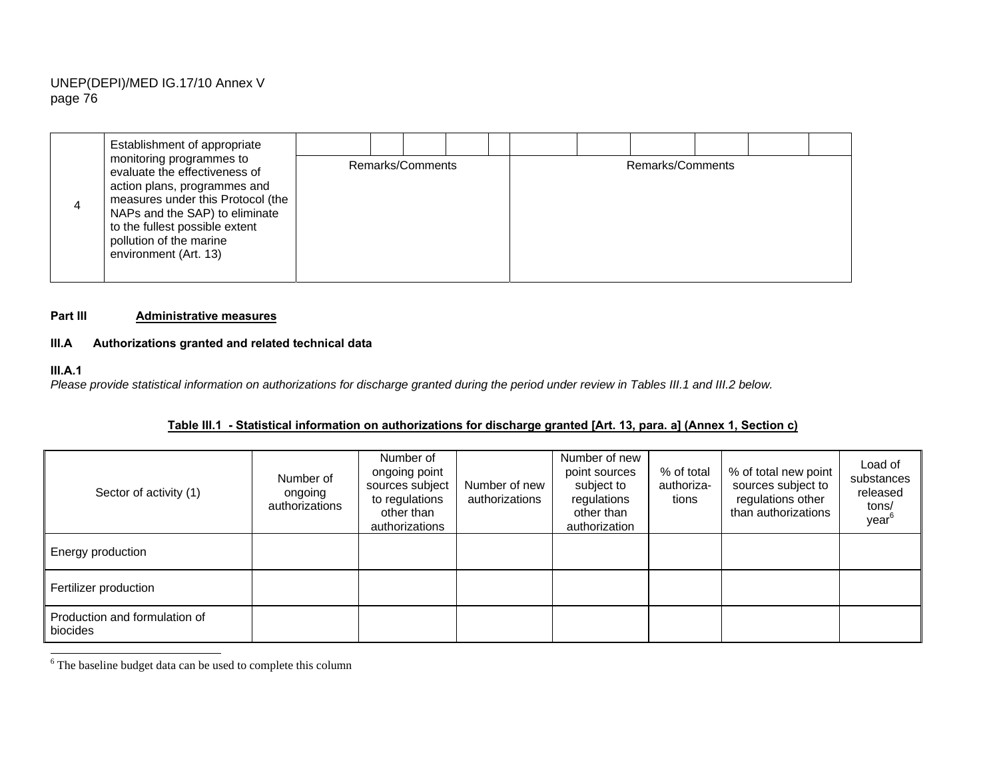| Establishment of appropriate                                                                                                                                                                                                                           |  |                  |  |  |                  |  |  |
|--------------------------------------------------------------------------------------------------------------------------------------------------------------------------------------------------------------------------------------------------------|--|------------------|--|--|------------------|--|--|
| monitoring programmes to<br>evaluate the effectiveness of<br>action plans, programmes and<br>measures under this Protocol (the<br>NAPs and the SAP) to eliminate<br>to the fullest possible extent<br>pollution of the marine<br>environment (Art. 13) |  | Remarks/Comments |  |  | Remarks/Comments |  |  |

#### **Part III Administrative measures**

## **III.A Authorizations granted and related technical data**

#### **III.A.1**

*Please provide statistical information on authorizations for discharge granted during the period under review in Tables III.1 and III.2 below.* 

| Sector of activity (1)                    | Number of<br>ongoing<br>authorizations | Number of<br>ongoing point<br>Number of new<br>sources subject<br>to regulations<br>other than<br>authorizations |  | Number of new<br>point sources<br>subject to<br>regulations<br>other than<br>authorization | % of total<br>authoriza-<br>tions | % of total new point<br>sources subject to<br>regulations other<br>than authorizations | Load of<br>substances<br>released<br>tons/<br>year <sup>6</sup> |
|-------------------------------------------|----------------------------------------|------------------------------------------------------------------------------------------------------------------|--|--------------------------------------------------------------------------------------------|-----------------------------------|----------------------------------------------------------------------------------------|-----------------------------------------------------------------|
| Energy production                         |                                        |                                                                                                                  |  |                                                                                            |                                   |                                                                                        |                                                                 |
| Fertilizer production                     |                                        |                                                                                                                  |  |                                                                                            |                                   |                                                                                        |                                                                 |
| Production and formulation of<br>biocides |                                        |                                                                                                                  |  |                                                                                            |                                   |                                                                                        |                                                                 |

6 The baseline budget data can be used to complete this column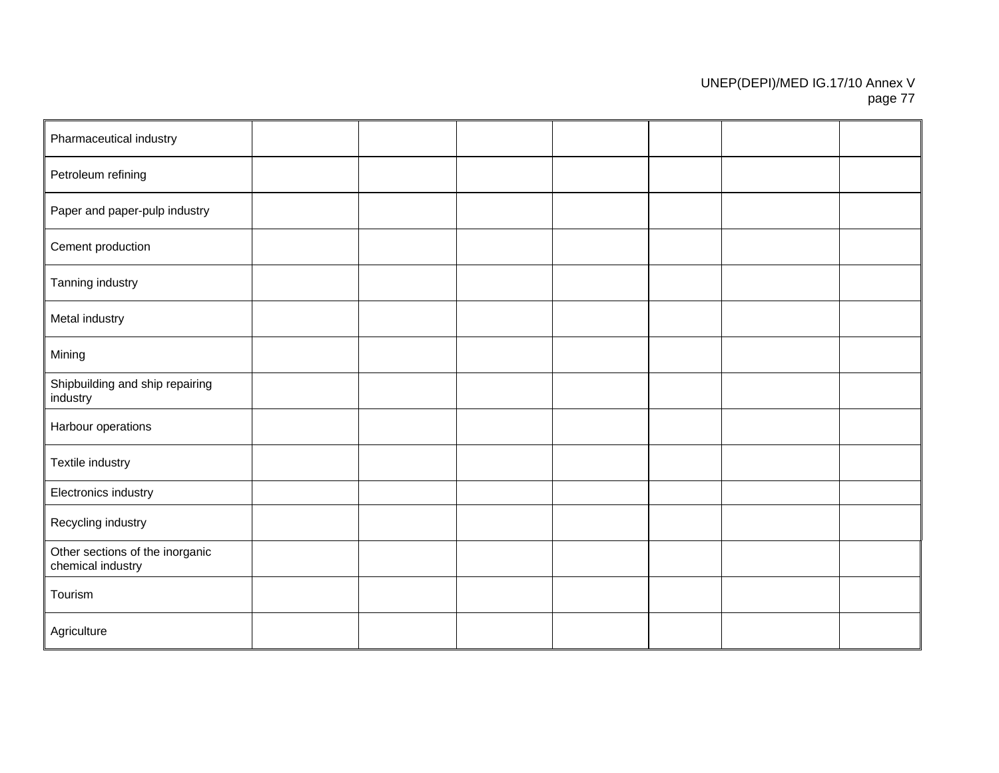| Pharmaceutical industry                              |  |  |  |  |
|------------------------------------------------------|--|--|--|--|
| Petroleum refining                                   |  |  |  |  |
| Paper and paper-pulp industry                        |  |  |  |  |
| Cement production                                    |  |  |  |  |
| Tanning industry                                     |  |  |  |  |
| Metal industry                                       |  |  |  |  |
| Mining                                               |  |  |  |  |
| Shipbuilding and ship repairing<br>industry          |  |  |  |  |
| Harbour operations                                   |  |  |  |  |
| Textile industry                                     |  |  |  |  |
| Electronics industry                                 |  |  |  |  |
| Recycling industry                                   |  |  |  |  |
| Other sections of the inorganic<br>chemical industry |  |  |  |  |
| Tourism                                              |  |  |  |  |
| Agriculture                                          |  |  |  |  |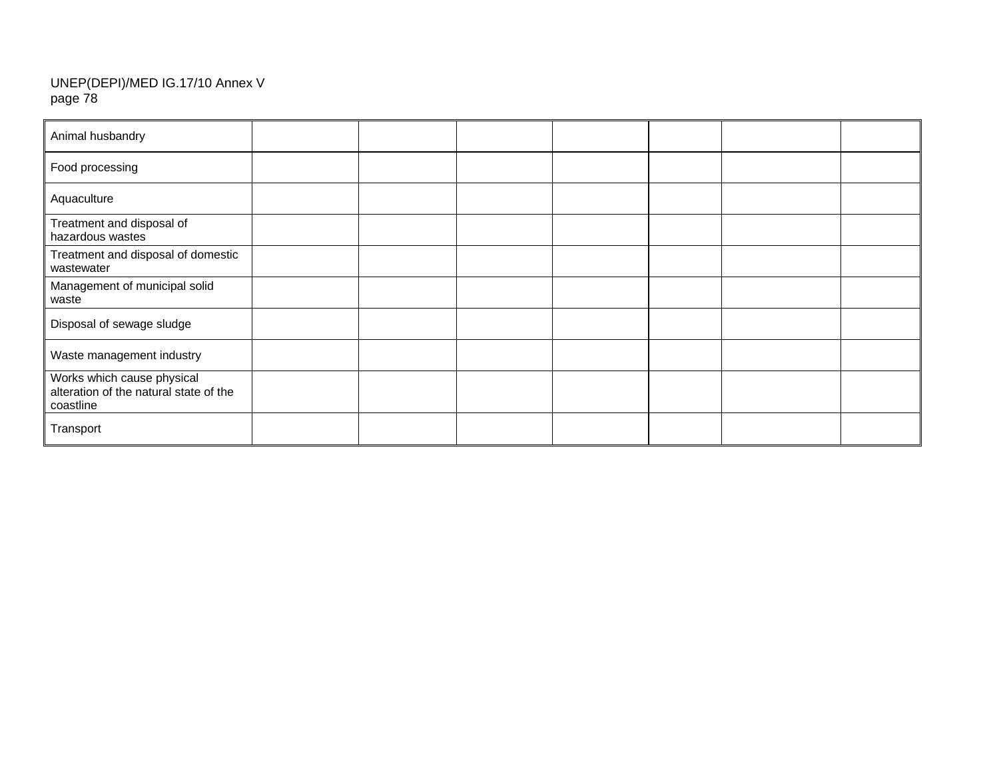| Animal husbandry                                                                  |  |  |  |  |
|-----------------------------------------------------------------------------------|--|--|--|--|
| Food processing                                                                   |  |  |  |  |
| Aquaculture                                                                       |  |  |  |  |
| Treatment and disposal of<br>hazardous wastes                                     |  |  |  |  |
| Treatment and disposal of domestic<br>wastewater                                  |  |  |  |  |
| Management of municipal solid<br>waste                                            |  |  |  |  |
| Disposal of sewage sludge                                                         |  |  |  |  |
| Waste management industry                                                         |  |  |  |  |
| Works which cause physical<br>alteration of the natural state of the<br>coastline |  |  |  |  |
| Transport                                                                         |  |  |  |  |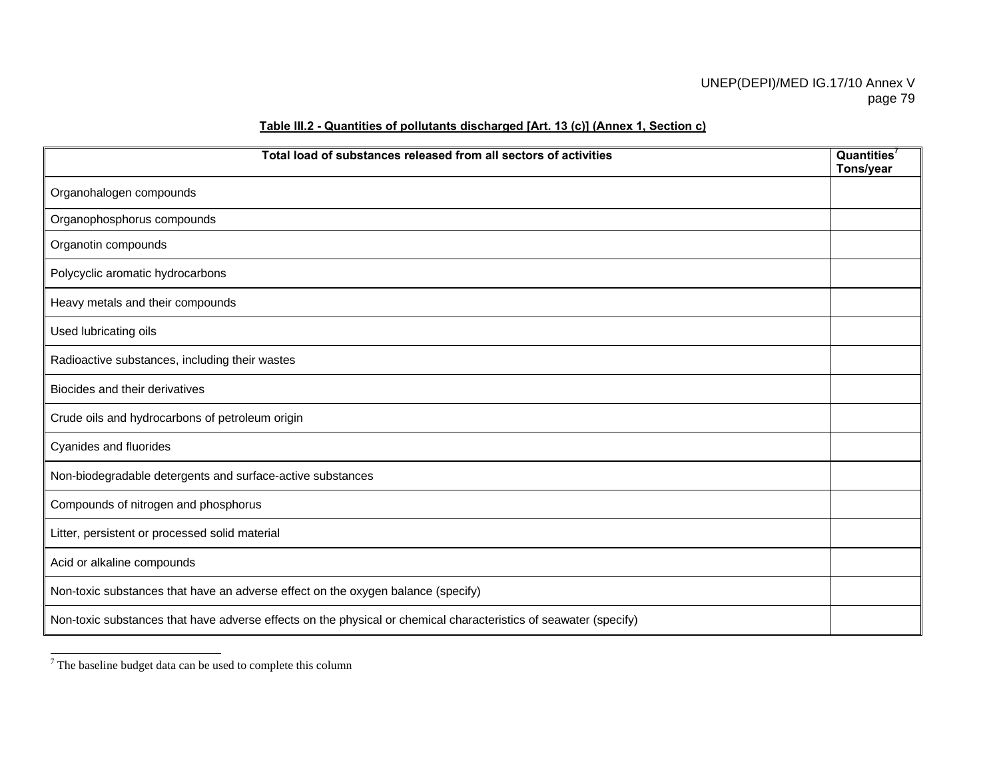| Total load of substances released from all sectors of activities                                                 | Quantities <sup>7</sup><br>Tons/year |
|------------------------------------------------------------------------------------------------------------------|--------------------------------------|
| Organohalogen compounds                                                                                          |                                      |
| Organophosphorus compounds                                                                                       |                                      |
| Organotin compounds                                                                                              |                                      |
| Polycyclic aromatic hydrocarbons                                                                                 |                                      |
| Heavy metals and their compounds                                                                                 |                                      |
| Used lubricating oils                                                                                            |                                      |
| Radioactive substances, including their wastes                                                                   |                                      |
| Biocides and their derivatives                                                                                   |                                      |
| Crude oils and hydrocarbons of petroleum origin                                                                  |                                      |
| Cyanides and fluorides                                                                                           |                                      |
| Non-biodegradable detergents and surface-active substances                                                       |                                      |
| Compounds of nitrogen and phosphorus                                                                             |                                      |
| Litter, persistent or processed solid material                                                                   |                                      |
| Acid or alkaline compounds                                                                                       |                                      |
| Non-toxic substances that have an adverse effect on the oxygen balance (specify)                                 |                                      |
| Non-toxic substances that have adverse effects on the physical or chemical characteristics of seawater (specify) |                                      |

## **Table III.2 - Quantities of pollutants discharged [Art. 13 (c)] (Annex 1, Section c)**

 $^7$  The baseline budget data can be used to complete this column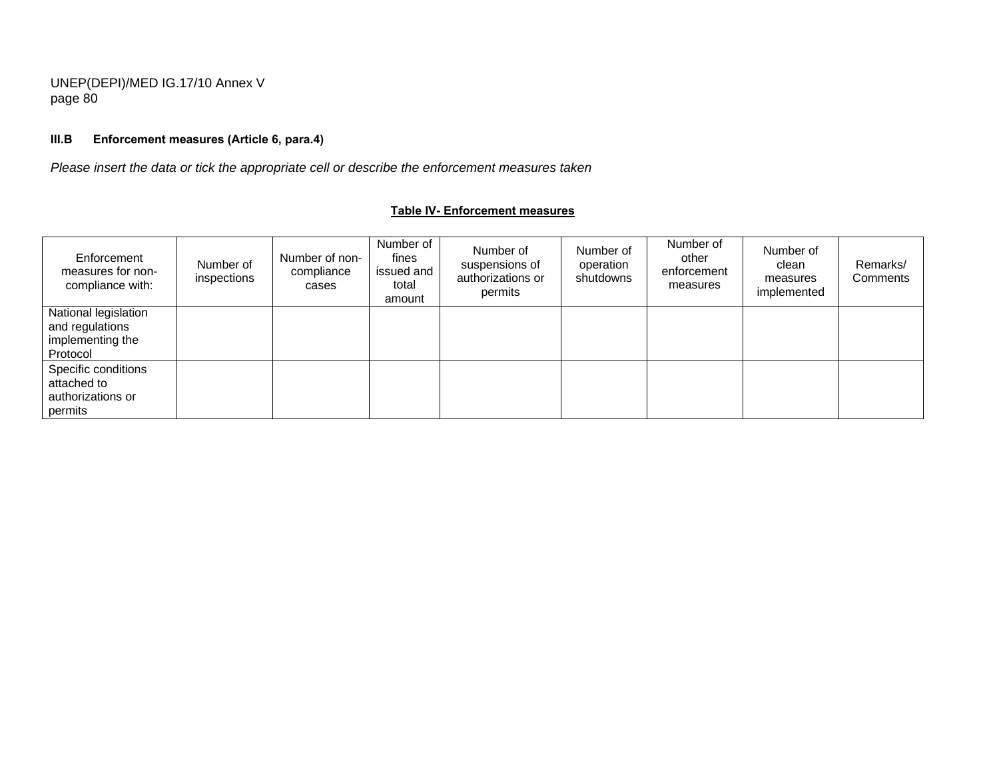## **III.B Enforcement measures (Article 6, para.4)**

*Please insert the data or tick the appropriate cell or describe the enforcement measures taken* 

#### **Table IV- Enforcement measures**

| Enforcement<br>measures for non-<br>compliance with:                    | Number of<br>inspections | Number of non-<br>compliance<br>cases | Number of<br>fines<br>issued and<br>total<br>amount | Number of<br>suspensions of<br>authorizations or<br>permits | Number of<br>operation<br>shutdowns | Number of<br>other<br>enforcement<br>measures | Number of<br>clean<br>measures<br>implemented | Remarks/<br>Comments |
|-------------------------------------------------------------------------|--------------------------|---------------------------------------|-----------------------------------------------------|-------------------------------------------------------------|-------------------------------------|-----------------------------------------------|-----------------------------------------------|----------------------|
| National legislation<br>and regulations<br>implementing the<br>Protocol |                          |                                       |                                                     |                                                             |                                     |                                               |                                               |                      |
| Specific conditions<br>attached to<br>authorizations or<br>permits      |                          |                                       |                                                     |                                                             |                                     |                                               |                                               |                      |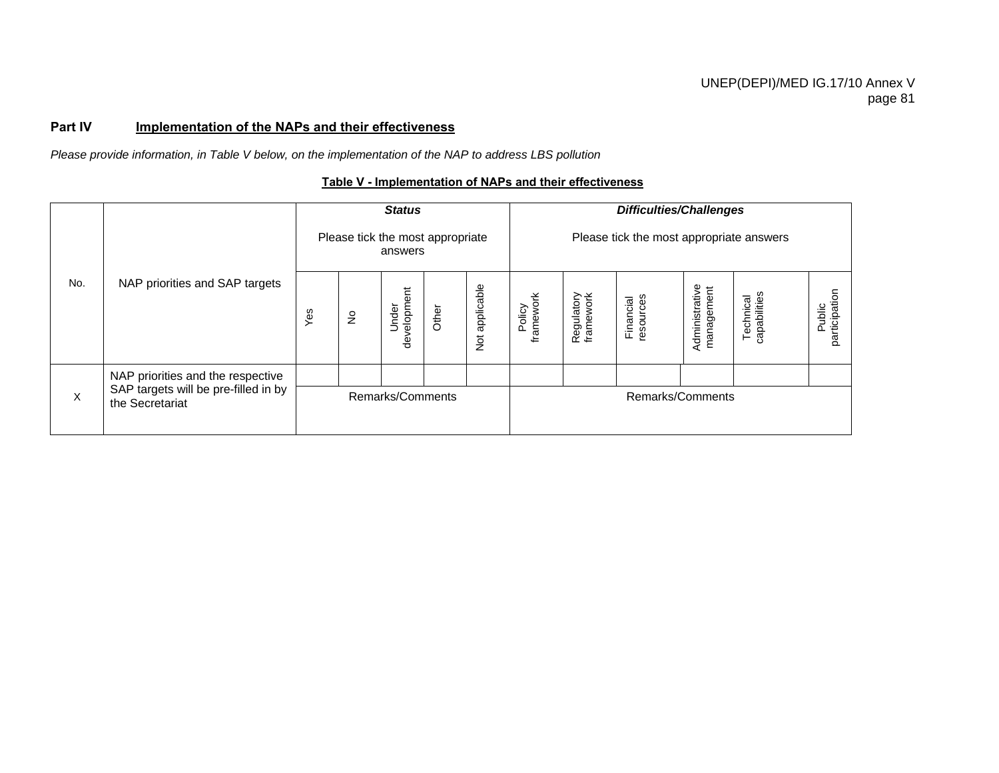## Part IV **Implementation of the NAPs and their effectiveness**

*Please provide information, in Table V below, on the implementation of the NAP to address LBS pollution* 

## **Table V - Implementation of NAPs and their effectiveness**

|     |                                                         |     |               | <b>Status</b>                               |       |                | <b>Difficulties/Challenges</b>           |                         |                        |                              |                           |                         |  |
|-----|---------------------------------------------------------|-----|---------------|---------------------------------------------|-------|----------------|------------------------------------------|-------------------------|------------------------|------------------------------|---------------------------|-------------------------|--|
|     |                                                         |     |               | Please tick the most appropriate<br>answers |       |                | Please tick the most appropriate answers |                         |                        |                              |                           |                         |  |
| No. | NAP priorities and SAP targets                          | Yes | $\frac{1}{2}$ | velopment<br>Under<br>$\ddot{\mathbf{e}}$   | Other | Not applicable | Policy<br>framework                      | Regulatory<br>framework | resources<br>Financial | Administrative<br>management | capabilities<br>Technical | participation<br>Public |  |
|     | NAP priorities and the respective                       |     |               |                                             |       |                |                                          |                         |                        |                              |                           |                         |  |
| X   | SAP targets will be pre-filled in by<br>the Secretariat |     |               | Remarks/Comments                            |       |                | Remarks/Comments                         |                         |                        |                              |                           |                         |  |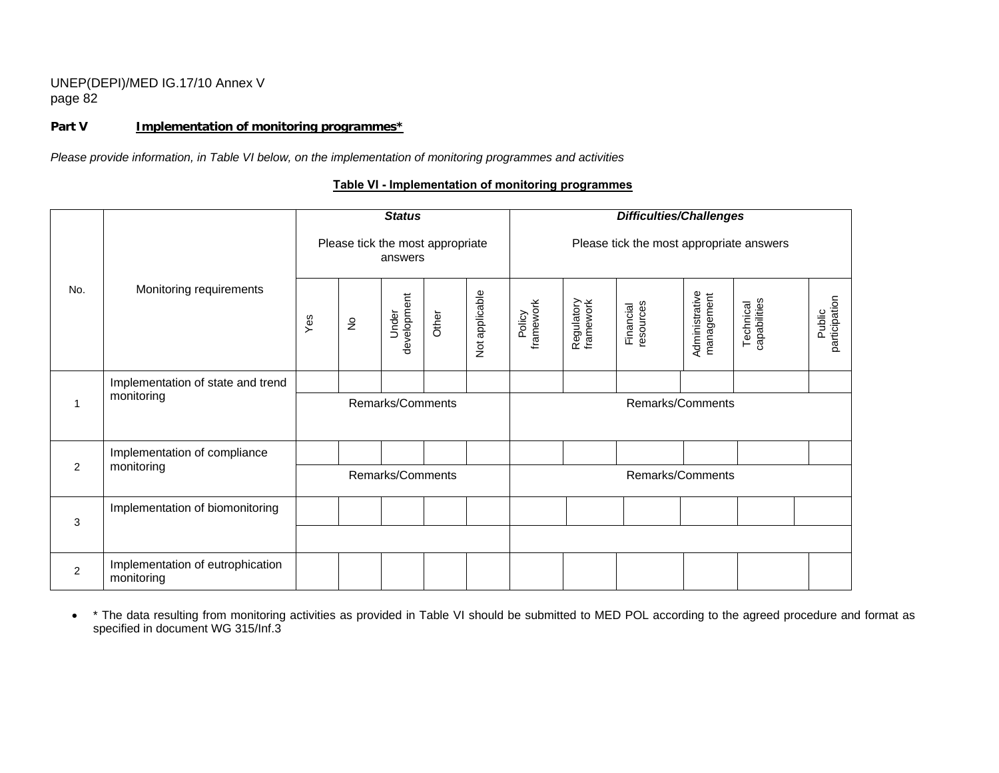### Part V **Implementation of monitoring programmes**<sup>\*</sup>

*Please provide information, in Table VI below, on the implementation of monitoring programmes and activities* 

## **Table VI - Implementation of monitoring programmes**

|                |                                                |     |               | <b>Status</b>                               |       |                | <b>Difficulties/Challenges</b>           |                         |                        |                              |                           |                         |  |  |
|----------------|------------------------------------------------|-----|---------------|---------------------------------------------|-------|----------------|------------------------------------------|-------------------------|------------------------|------------------------------|---------------------------|-------------------------|--|--|
|                |                                                |     |               | Please tick the most appropriate<br>answers |       |                | Please tick the most appropriate answers |                         |                        |                              |                           |                         |  |  |
| No.            | Monitoring requirements                        | Yes | $\frac{1}{2}$ | development<br>Under                        | Other | Not applicable | Policy<br>framework                      | Regulatory<br>framework | resources<br>Financial | Administrative<br>management | Technical<br>capabilities | participation<br>Public |  |  |
|                | Implementation of state and trend              |     |               |                                             |       |                |                                          |                         |                        |                              |                           |                         |  |  |
| $\mathbf 1$    | monitoring                                     |     |               | Remarks/Comments                            |       |                |                                          |                         | Remarks/Comments       |                              |                           |                         |  |  |
|                | Implementation of compliance                   |     |               |                                             |       |                |                                          |                         |                        |                              |                           |                         |  |  |
| 2              | monitoring                                     |     |               | Remarks/Comments                            |       |                |                                          |                         | Remarks/Comments       |                              |                           |                         |  |  |
|                | Implementation of biomonitoring                |     |               |                                             |       |                |                                          |                         |                        |                              |                           |                         |  |  |
| 3              |                                                |     |               |                                             |       |                |                                          |                         |                        |                              |                           |                         |  |  |
| $\overline{2}$ | Implementation of eutrophication<br>monitoring |     |               |                                             |       |                |                                          |                         |                        |                              |                           |                         |  |  |

• \* The data resulting from monitoring activities as provided in Table VI should be submitted to MED POL according to the agreed procedure and format as specified in document WG 315/Inf.3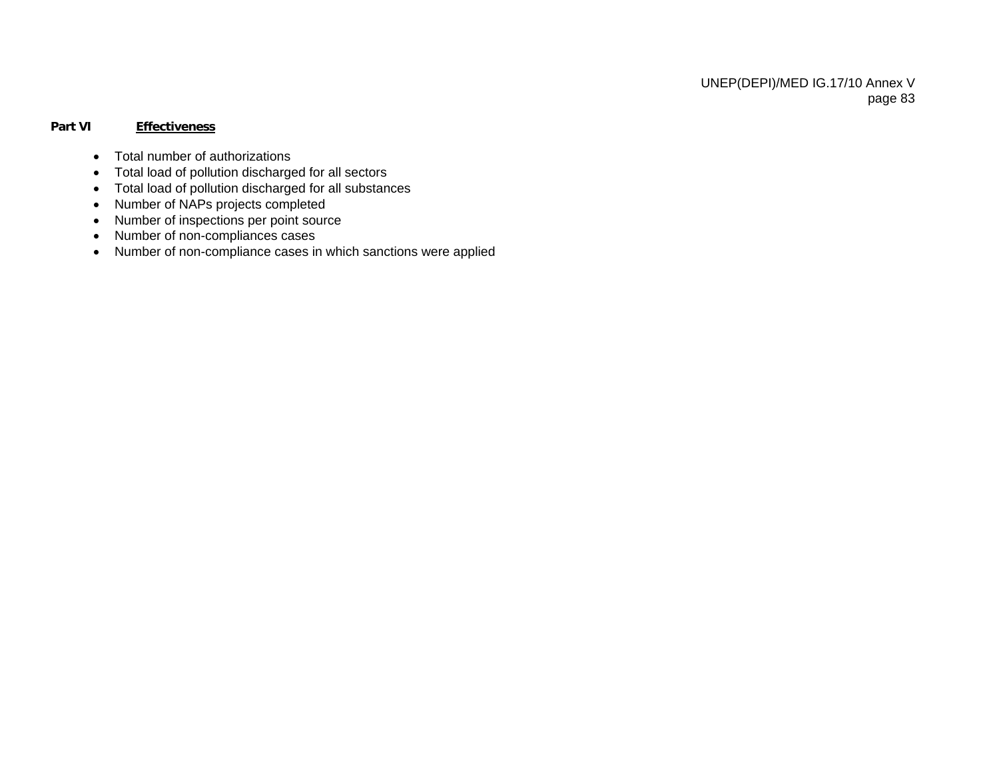### **Part VI Effectiveness**

- Total number of authorizations
- Total load of pollution discharged for all sectors
- Total load of pollution discharged for all substances
- Number of NAPs projects completed
- Number of inspections per point source
- Number of non-compliances cases
- Number of non-compliance cases in which sanctions were applied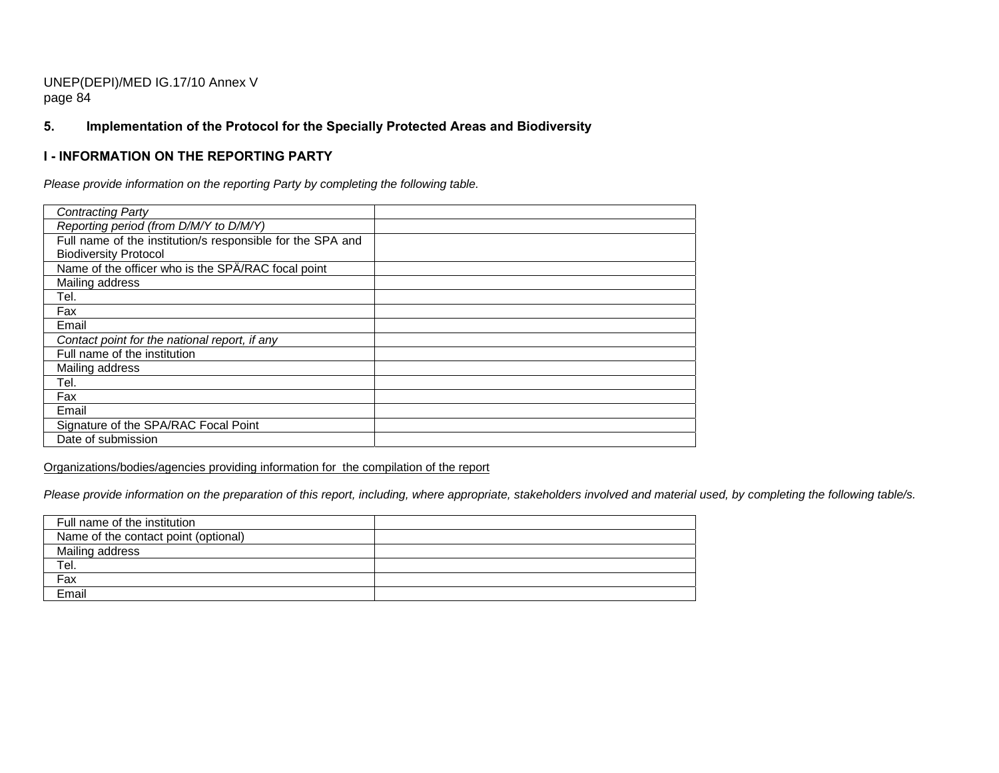## **5. Implementation of the Protocol for the Specially Protected Areas and Biodiversity**

## **I - INFORMATION ON THE REPORTING PARTY**

*Please provide information on the reporting Party by completing the following table.* 

| <b>Contracting Party</b>                                   |  |
|------------------------------------------------------------|--|
| Reporting period (from D/M/Y to D/M/Y)                     |  |
| Full name of the institution/s responsible for the SPA and |  |
| <b>Biodiversity Protocol</b>                               |  |
| Name of the officer who is the SPA/RAC focal point         |  |
| Mailing address                                            |  |
| Tel.                                                       |  |
| Fax                                                        |  |
| Email                                                      |  |
| Contact point for the national report, if any              |  |
| Full name of the institution                               |  |
| Mailing address                                            |  |
| Tel.                                                       |  |
| Fax                                                        |  |
| Email                                                      |  |
| Signature of the SPA/RAC Focal Point                       |  |
| Date of submission                                         |  |

Organizations/bodies/agencies providing information for the compilation of the report

*Please provide information on the preparation of this report, including, where appropriate, stakeholders involved and material used, by completing the following table/s.* 

| Full name of the institution         |  |
|--------------------------------------|--|
| Name of the contact point (optional) |  |
| Mailing address                      |  |
| Tel.                                 |  |
| Fax                                  |  |
| Email                                |  |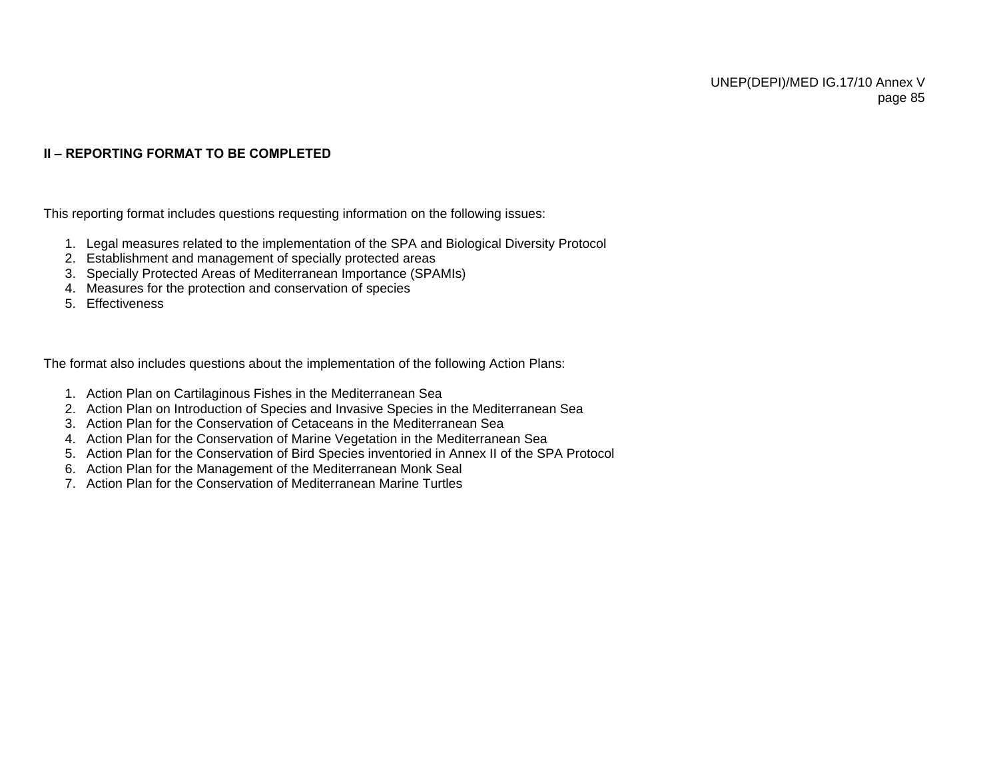## **II – REPORTING FORMAT TO BE COMPLETED**

This reporting format includes questions requesting information on the following issues:

- 1. Legal measures related to the implementation of the SPA and Biological Diversity Protocol
- 2. Establishment and management of specially protected areas
- 3. Specially Protected Areas of Mediterranean Importance (SPAMIs)
- 4. Measures for the protection and conservation of species
- 5. Effectiveness

The format also includes questions about the implementation of the following Action Plans:

- 1. Action Plan on Cartilaginous Fishes in the Mediterranean Sea
- 2. Action Plan on Introduction of Species and Invasive Species in the Mediterranean Sea
- 3. Action Plan for the Conservation of Cetaceans in the Mediterranean Sea
- 4. Action Plan for the Conservation of Marine Vegetation in the Mediterranean Sea
- 5. Action Plan for the Conservation of Bird Species inventoried in Annex II of the SPA Protocol
- 6. Action Plan for the Management of the Mediterranean Monk Seal
- 7. Action Plan for the Conservation of Mediterranean Marine Turtles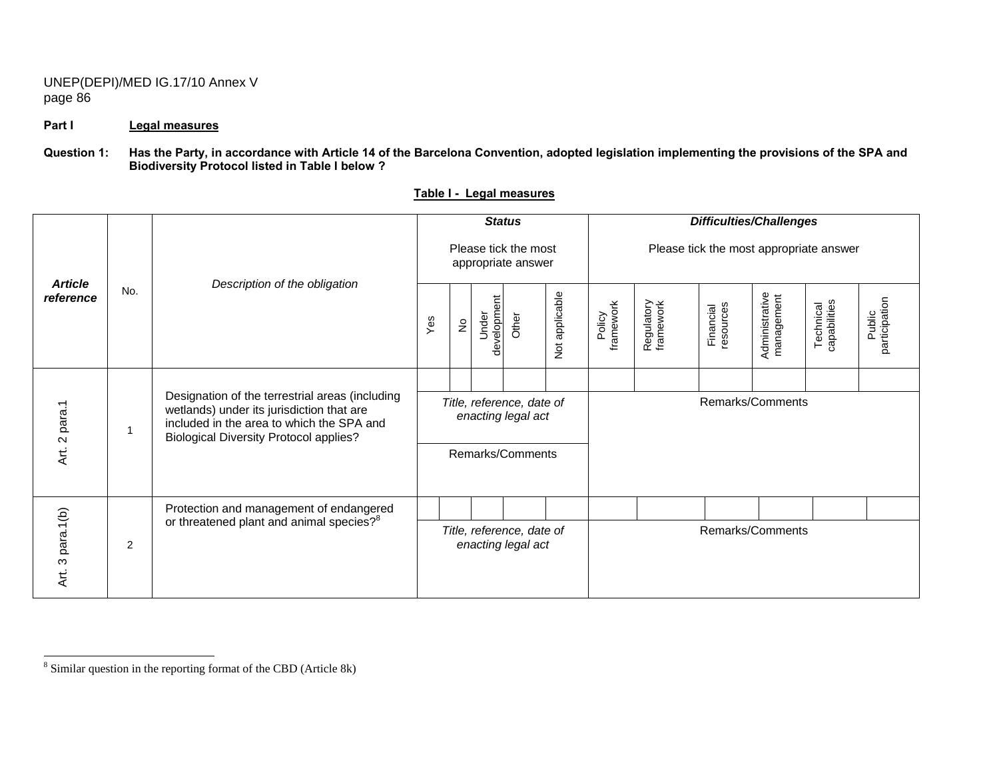### Part I Legal measures

#### **Question 1: Has the Party, in accordance with Article 14 of the Barcelona Convention, adopted legislation implementing the provisions of the SPA and Biodiversity Protocol listed in Table I below ?**

|                             |     |                                                                                                                                                                                            |                                            | <b>Status</b>                                   |                      |       |                |                                         | <b>Difficulties/Challenges</b> |                        |                              |                           |                         |
|-----------------------------|-----|--------------------------------------------------------------------------------------------------------------------------------------------------------------------------------------------|--------------------------------------------|-------------------------------------------------|----------------------|-------|----------------|-----------------------------------------|--------------------------------|------------------------|------------------------------|---------------------------|-------------------------|
| <b>Article</b><br>reference |     | Description of the obligation                                                                                                                                                              | Please tick the most<br>appropriate answer |                                                 |                      |       |                | Please tick the most appropriate answer |                                |                        |                              |                           |                         |
|                             | No. |                                                                                                                                                                                            | Yes                                        | $\stackrel{\mathtt{o}}{\mathsf{z}}$             | development<br>Under | Other | Not applicable | framework<br>Policy                     | Regulatory<br>framework        | resources<br>Financial | Administrative<br>management | Technical<br>capabilities | Public<br>participation |
|                             |     |                                                                                                                                                                                            |                                            |                                                 |                      |       |                |                                         |                                |                        |                              |                           |                         |
| Art. 2 para.1               | 1   | Designation of the terrestrial areas (including<br>wetlands) under its jurisdiction that are<br>included in the area to which the SPA and<br><b>Biological Diversity Protocol applies?</b> |                                            | Title, reference, date of<br>enacting legal act |                      |       |                |                                         | Remarks/Comments               |                        |                              |                           |                         |
|                             |     |                                                                                                                                                                                            | Remarks/Comments                           |                                                 |                      |       |                |                                         |                                |                        |                              |                           |                         |
|                             |     | Protection and management of endangered                                                                                                                                                    |                                            |                                                 |                      |       |                |                                         |                                |                        |                              |                           |                         |
| 3 para.1(b)<br>Αrt.         | 2   | or threatened plant and animal species? <sup>8</sup>                                                                                                                                       |                                            | Title, reference, date of<br>enacting legal act |                      |       |                | Remarks/Comments                        |                                |                        |                              |                           |                         |

#### **Table I - Legal measures**

<sup>8</sup> Similar question in the reporting format of the CBD (Article 8k)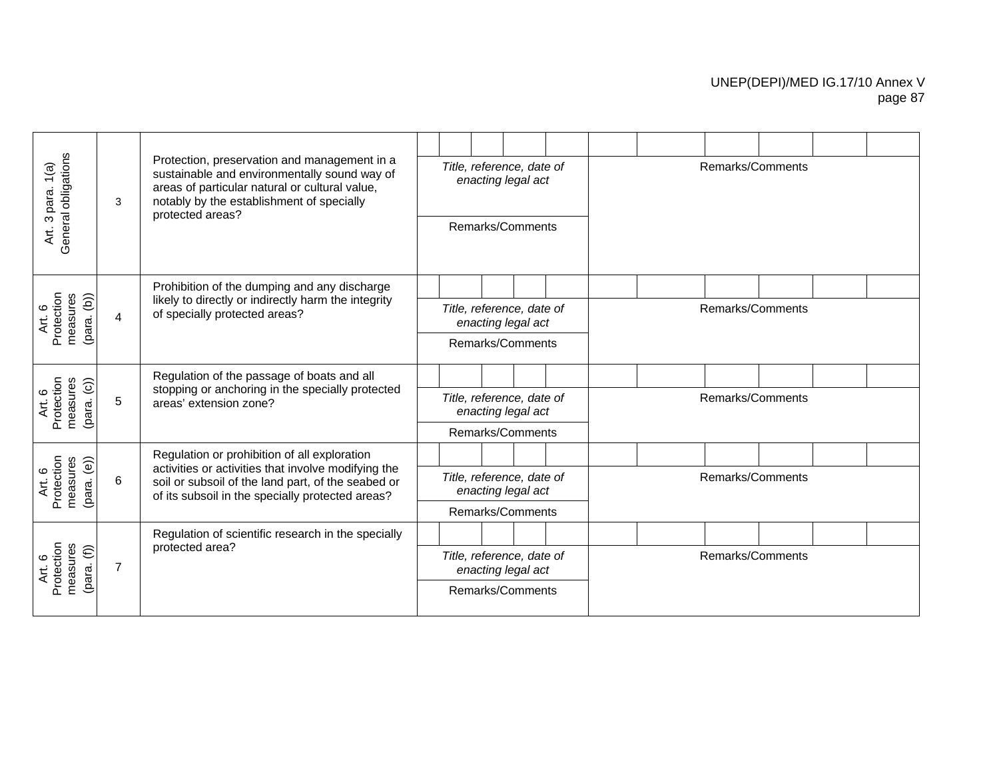| General obligations<br>Art. 3 para. 1(a)                  | 3              | Protection, preservation and management in a<br>sustainable and environmentally sound way of<br>areas of particular natural or cultural value,<br>notably by the establishment of specially<br>protected areas? |  | Title, reference, date of<br>enacting legal act<br>Remarks/Comments |  | Remarks/Comments |  |  |
|-----------------------------------------------------------|----------------|-----------------------------------------------------------------------------------------------------------------------------------------------------------------------------------------------------------------|--|---------------------------------------------------------------------|--|------------------|--|--|
|                                                           |                |                                                                                                                                                                                                                 |  |                                                                     |  |                  |  |  |
|                                                           |                | Prohibition of the dumping and any discharge                                                                                                                                                                    |  |                                                                     |  |                  |  |  |
| measures<br>$(\text{para. } (b))$<br>Protection<br>Art. 6 | 4              | likely to directly or indirectly harm the integrity<br>of specially protected areas?                                                                                                                            |  | Title, reference, date of<br>enacting legal act                     |  | Remarks/Comments |  |  |
|                                                           |                |                                                                                                                                                                                                                 |  | Remarks/Comments                                                    |  |                  |  |  |
|                                                           |                | Regulation of the passage of boats and all                                                                                                                                                                      |  |                                                                     |  |                  |  |  |
| measures<br>Protection<br>(para. (c))<br>Art. 6           | 5              | stopping or anchoring in the specially protected<br>areas' extension zone?                                                                                                                                      |  | Title, reference, date of<br>enacting legal act                     |  | Remarks/Comments |  |  |
|                                                           |                |                                                                                                                                                                                                                 |  | Remarks/Comments                                                    |  |                  |  |  |
|                                                           |                | Regulation or prohibition of all exploration                                                                                                                                                                    |  |                                                                     |  |                  |  |  |
| measures<br>Protection<br>(para. (e))<br>Art. 6           | 6              | activities or activities that involve modifying the<br>soil or subsoil of the land part, of the seabed or<br>of its subsoil in the specially protected areas?                                                   |  | Title, reference, date of<br>enacting legal act                     |  | Remarks/Comments |  |  |
|                                                           |                |                                                                                                                                                                                                                 |  | Remarks/Comments                                                    |  |                  |  |  |
|                                                           |                | Regulation of scientific research in the specially                                                                                                                                                              |  |                                                                     |  |                  |  |  |
| measures<br>Protection<br>(para. (f))<br>Art. 6           | $\overline{7}$ | protected area?                                                                                                                                                                                                 |  | Title, reference, date of<br>enacting legal act                     |  | Remarks/Comments |  |  |
|                                                           |                |                                                                                                                                                                                                                 |  | Remarks/Comments                                                    |  |                  |  |  |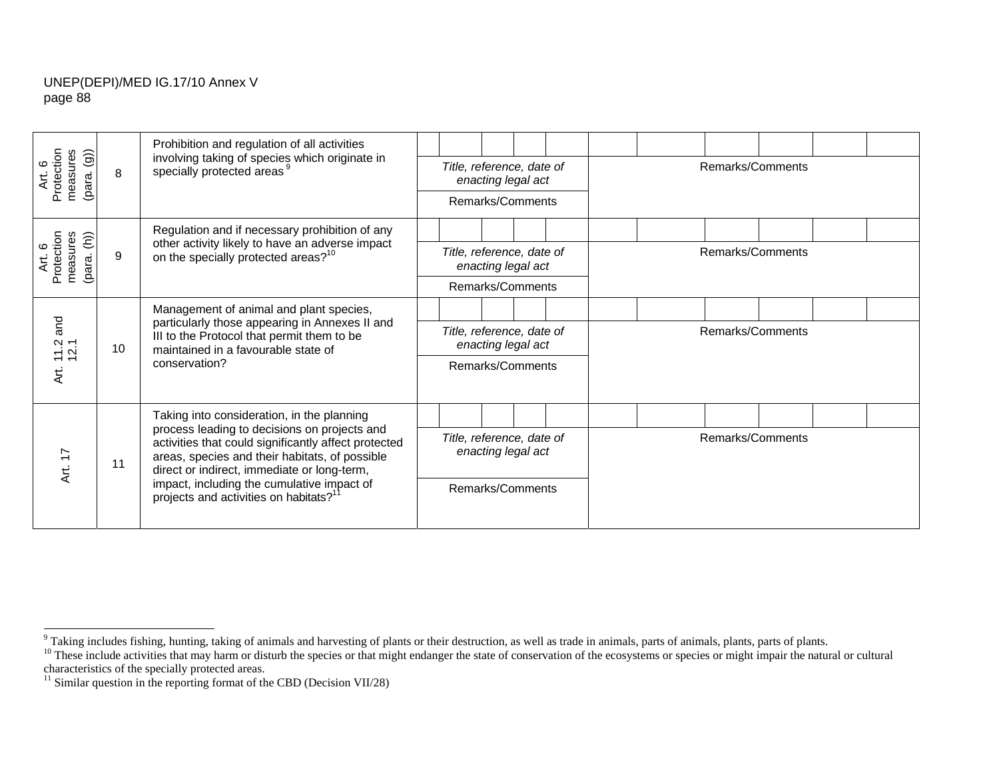| $\widehat{\mathsf{(g)}}$                                     |                                                                                                                                     | Prohibition and regulation of all activities                                                                                                                                                          |                           |                    |  |                  |                  |  |
|--------------------------------------------------------------|-------------------------------------------------------------------------------------------------------------------------------------|-------------------------------------------------------------------------------------------------------------------------------------------------------------------------------------------------------|---------------------------|--------------------|--|------------------|------------------|--|
| Protection<br>measures<br>Art. 6<br>(para.                   | 8                                                                                                                                   | involving taking of species which originate in<br>specially protected areas <sup>9</sup>                                                                                                              | Title, reference, date of | enacting legal act |  |                  | Remarks/Comments |  |
|                                                              |                                                                                                                                     |                                                                                                                                                                                                       |                           | Remarks/Comments   |  |                  |                  |  |
|                                                              |                                                                                                                                     | Regulation and if necessary prohibition of any                                                                                                                                                        |                           |                    |  |                  |                  |  |
| $(\text{para.}(\mathsf{h}))$<br>Protection<br>measures<br>ζť | 9                                                                                                                                   | other activity likely to have an adverse impact<br>on the specially protected areas? <sup>10</sup>                                                                                                    | Title, reference, date of | enacting legal act |  |                  | Remarks/Comments |  |
|                                                              |                                                                                                                                     |                                                                                                                                                                                                       |                           | Remarks/Comments   |  |                  |                  |  |
|                                                              |                                                                                                                                     | Management of animal and plant species,                                                                                                                                                               |                           |                    |  |                  |                  |  |
| and<br>$12.7$<br>$12.7$<br>10                                | particularly those appearing in Annexes II and<br>III to the Protocol that permit them to be<br>maintained in a favourable state of | Title, reference, date of                                                                                                                                                                             | enacting legal act        |                    |  | Remarks/Comments |                  |  |
| Αrt.                                                         |                                                                                                                                     | conservation?                                                                                                                                                                                         |                           | Remarks/Comments   |  |                  |                  |  |
|                                                              |                                                                                                                                     | Taking into consideration, in the planning                                                                                                                                                            |                           |                    |  |                  |                  |  |
| Art. 17<br>11                                                |                                                                                                                                     | process leading to decisions on projects and<br>activities that could significantly affect protected<br>areas, species and their habitats, of possible<br>direct or indirect, immediate or long-term, | Title, reference, date of | enacting legal act |  |                  | Remarks/Comments |  |
|                                                              |                                                                                                                                     | impact, including the cumulative impact of<br>projects and activities on habitats? <sup>11</sup>                                                                                                      |                           | Remarks/Comments   |  |                  |                  |  |

 $9$  Taking includes fishing, hunting, taking of animals and harvesting of plants or their destruction, as well as trade in animals, parts of animals, plants, parts of plants.

 $10$  These include activities that may harm or disturb the species or that might endanger the state of conservation of the ecosystems or species or might impair the natural or cultural characteristics of the specially protected areas.

 $11$  Similar question in the reporting format of the CBD (Decision VII/28)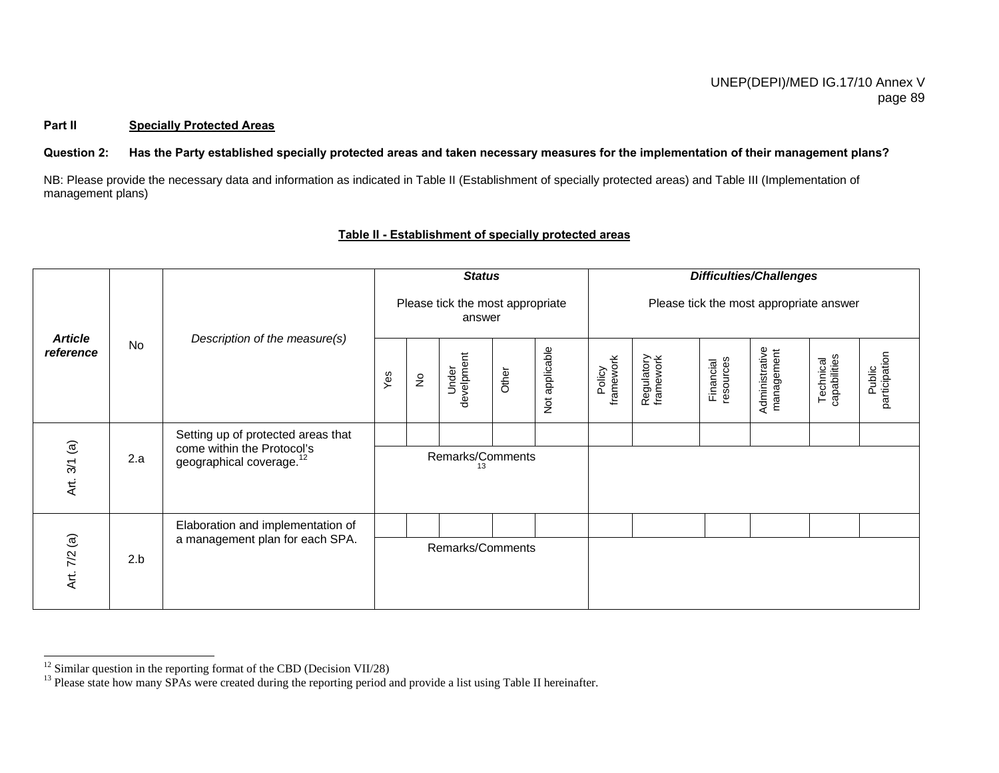#### **Part II Specially Protected Areas**

#### **Question 2: Has the Party established specially protected areas and taken necessary measures for the implementation of their management plans?**

NB: Please provide the necessary data and information as indicated in Table II (Establishment of specially protected areas) and Table III (Implementation of management plans)

#### *Difficulties/Challenges Status*  Please tick the most appropriate Please tick the most appropriate answer answer *reference* No *Description of the measure(s) Article* Administrative<br>management Not applicable Not applicable Administrative management Public<br>participation Under<br>develpment participation develpment Technical<br>capabilities capabilities Policy<br>framework framework Regulatory<br>framework Regulatory framework Financial<br>resources resources Technical Financial **Other** Yes No  $\frac{\overline{6}}{\overline{6}}$  2.a setting up of protected areas that come within the Protocol's geographical coverage.<sup>12</sup> Remarks/Comments 13 Elaboration and implementation of  $4r$ <br> $4r$ <br> $4r$ <br> $2.b$ <br>2.b a management plan for each SPA. Remarks/Comments

## **Table II - Establishment of specially protected areas**

 $12$  Similar question in the reporting format of the CBD (Decision VII/28)

<sup>&</sup>lt;sup>13</sup> Please state how many SPAs were created during the reporting period and provide a list using Table II hereinafter.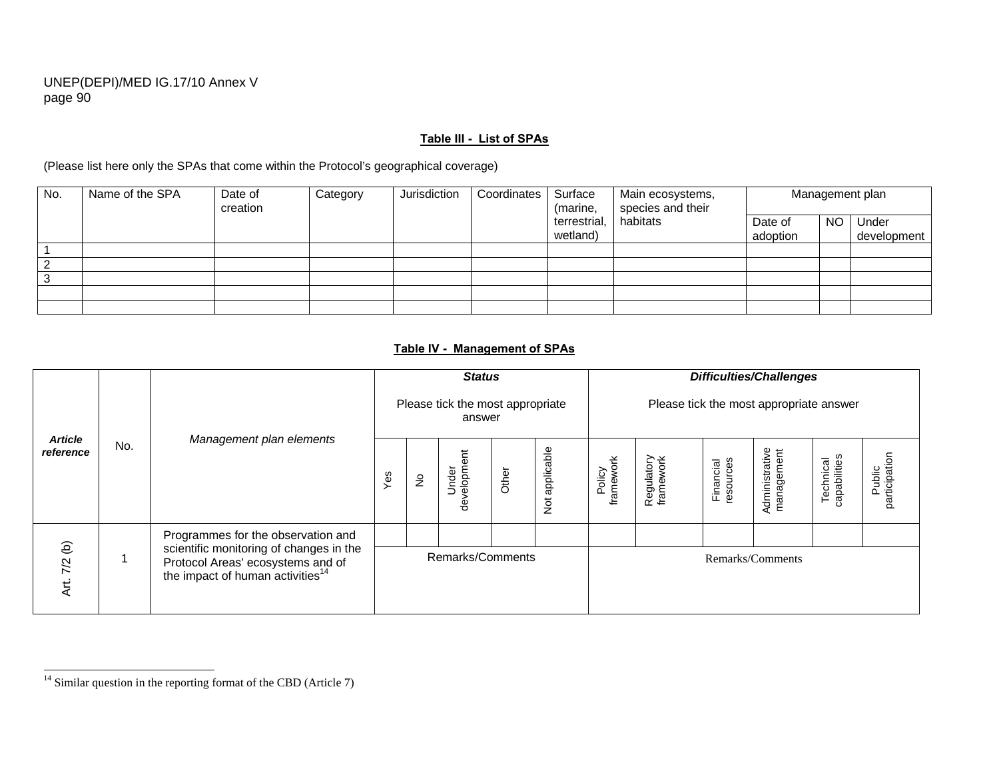#### **Table III - List of SPAs**

(Please list here only the SPAs that come within the Protocol's geographical coverage)

| No. | Name of the SPA | Date of<br>creation | Category | Jurisdiction | Coordinates | Surface<br>(marine,      | Main ecosystems,<br>species and their |                     |           | Management plan      |
|-----|-----------------|---------------------|----------|--------------|-------------|--------------------------|---------------------------------------|---------------------|-----------|----------------------|
|     |                 |                     |          |              |             | terrestrial,<br>wetland) | habitats                              | Date of<br>adoption | <b>NO</b> | Under<br>development |
|     |                 |                     |          |              |             |                          |                                       |                     |           |                      |
|     |                 |                     |          |              |             |                          |                                       |                     |           |                      |
|     |                 |                     |          |              |             |                          |                                       |                     |           |                      |
|     |                 |                     |          |              |             |                          |                                       |                     |           |                      |
|     |                 |                     |          |              |             |                          |                                       |                     |           |                      |

## **Table IV - Management of SPAs**

|                             |     |                                                                                                                                                                    |                  |               | <b>Status</b>                              |       |                               |                     |                         |                        | <b>Difficulties/Challenges</b>          |                           |                         |
|-----------------------------|-----|--------------------------------------------------------------------------------------------------------------------------------------------------------------------|------------------|---------------|--------------------------------------------|-------|-------------------------------|---------------------|-------------------------|------------------------|-----------------------------------------|---------------------------|-------------------------|
|                             |     |                                                                                                                                                                    |                  |               | Please tick the most appropriate<br>answer |       |                               |                     |                         |                        | Please tick the most appropriate answer |                           |                         |
| <b>Article</b><br>reference | No. | Management plan elements                                                                                                                                           | Yes              | $\frac{1}{2}$ | velopment<br>Under<br>မြ                   | Other | applicable<br>$\breve{\rm Z}$ | Policy<br>framework | Regulatory<br>framework | resources<br>Financial | Administrative<br>management            | capabilities<br>Technical | participation<br>Public |
| $\Theta$<br>7/2<br>Art.     |     | Programmes for the observation and<br>scientific monitoring of changes in the<br>Protocol Areas' ecosystems and of<br>the impact of human activities <sup>14</sup> | Remarks/Comments |               |                                            |       |                               |                     |                         |                        | Remarks/Comments                        |                           |                         |

 $\frac{14}{14}$  Similar question in the reporting format of the CBD (Article 7)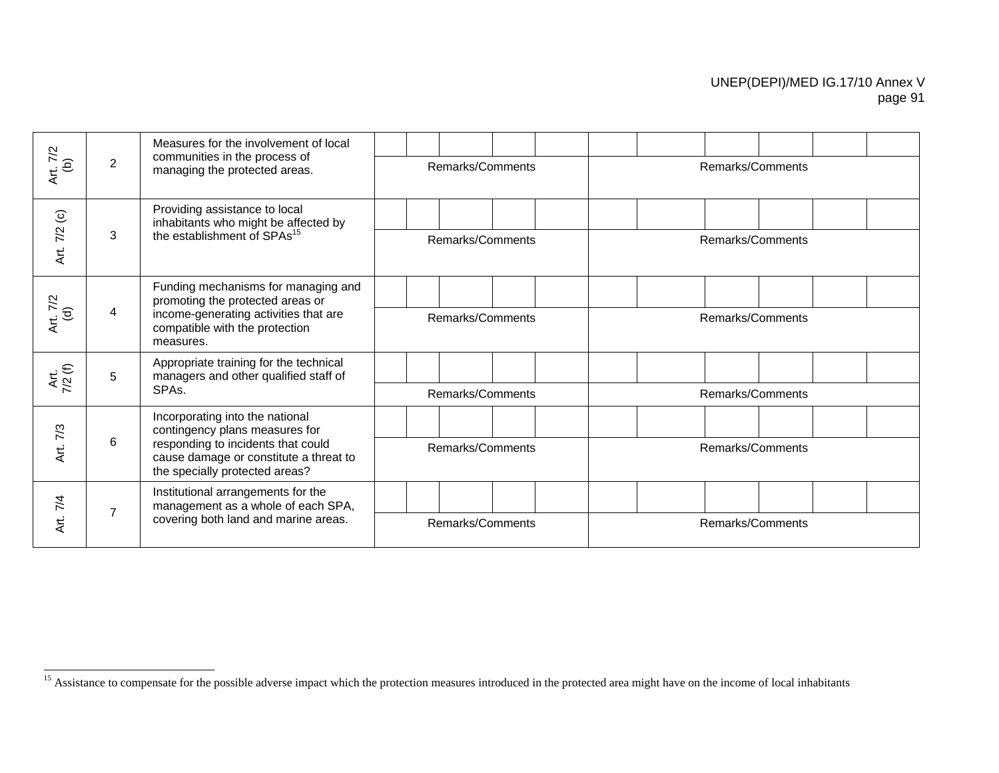|                          |                | Measures for the involvement of local                                                                          |                  |  |  |                  |  |  |
|--------------------------|----------------|----------------------------------------------------------------------------------------------------------------|------------------|--|--|------------------|--|--|
| Art. 7/2<br>(b)          | $\overline{2}$ | communities in the process of<br>managing the protected areas.                                                 | Remarks/Comments |  |  | Remarks/Comments |  |  |
|                          |                | Providing assistance to local<br>inhabitants who might be affected by                                          |                  |  |  |                  |  |  |
| Art. 7/2 (c)             | 3              | the establishment of SPAs <sup>15</sup>                                                                        | Remarks/Comments |  |  | Remarks/Comments |  |  |
| 7/2                      |                | Funding mechanisms for managing and<br>promoting the protected areas or                                        |                  |  |  |                  |  |  |
| $\widehat{\sigma}$<br>ξi | 4              | income-generating activities that are<br>compatible with the protection<br>measures.                           | Remarks/Comments |  |  | Remarks/Comments |  |  |
| Art.<br>7/2 (f)          | 5              | Appropriate training for the technical<br>managers and other qualified staff of                                |                  |  |  |                  |  |  |
|                          |                | SPA <sub>s</sub> .                                                                                             | Remarks/Comments |  |  | Remarks/Comments |  |  |
| 7/3                      |                | Incorporating into the national<br>contingency plans measures for                                              |                  |  |  |                  |  |  |
| Аґ.                      | 6              | responding to incidents that could<br>cause damage or constitute a threat to<br>the specially protected areas? | Remarks/Comments |  |  | Remarks/Comments |  |  |
| 7/4                      |                | Institutional arrangements for the<br>management as a whole of each SPA,                                       |                  |  |  |                  |  |  |
| ξi                       | $\overline{7}$ | covering both land and marine areas.                                                                           | Remarks/Comments |  |  | Remarks/Comments |  |  |

<sup>&</sup>lt;sup>15</sup> Assistance to compensate for the possible adverse impact which the protection measures introduced in the protected area might have on the income of local inhabitants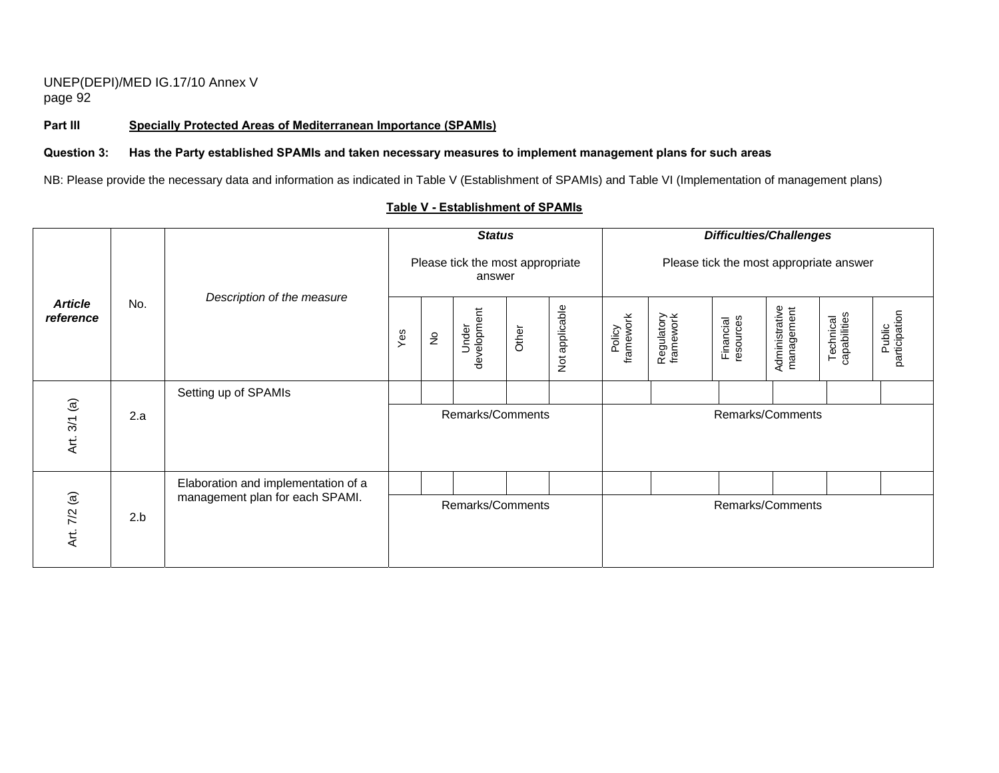Part III Specially Protected Areas of Mediterranean Importance (SPAMIs)

#### **Question 3: Has the Party established SPAMIs and taken necessary measures to implement management plans for such areas**

NB: Please provide the necessary data and information as indicated in Table V (Establishment of SPAMIs) and Table VI (Implementation of management plans)

|                             |     |                                     |     |               | <b>Status</b>                              |       |                             |                     |                         | <b>Difficulties/Challenges</b>          |                              |                           |                         |
|-----------------------------|-----|-------------------------------------|-----|---------------|--------------------------------------------|-------|-----------------------------|---------------------|-------------------------|-----------------------------------------|------------------------------|---------------------------|-------------------------|
|                             |     |                                     |     |               | Please tick the most appropriate<br>answer |       |                             |                     |                         | Please tick the most appropriate answer |                              |                           |                         |
| <b>Article</b><br>reference | No. | Description of the measure          | Yes | $\frac{1}{2}$ | development<br>Under                       | Other | applicable<br>$\breve{\Xi}$ | framework<br>Policy | Regulatory<br>framework | Financial<br>resources                  | Administrative<br>management | Technical<br>capabilities | participation<br>Public |
|                             |     | Setting up of SPAMIs                |     |               |                                            |       |                             |                     |                         |                                         |                              |                           |                         |
| $3/1$ (a)<br>Art.           | 2.a |                                     |     |               | Remarks/Comments                           |       |                             |                     |                         | Remarks/Comments                        |                              |                           |                         |
|                             |     | Elaboration and implementation of a |     |               |                                            |       |                             |                     |                         |                                         |                              |                           |                         |
| Art. 7/2 (a)                | 2.b | management plan for each SPAMI.     |     |               | Remarks/Comments                           |       |                             |                     |                         | Remarks/Comments                        |                              |                           |                         |

### **Table V - Establishment of SPAMIs**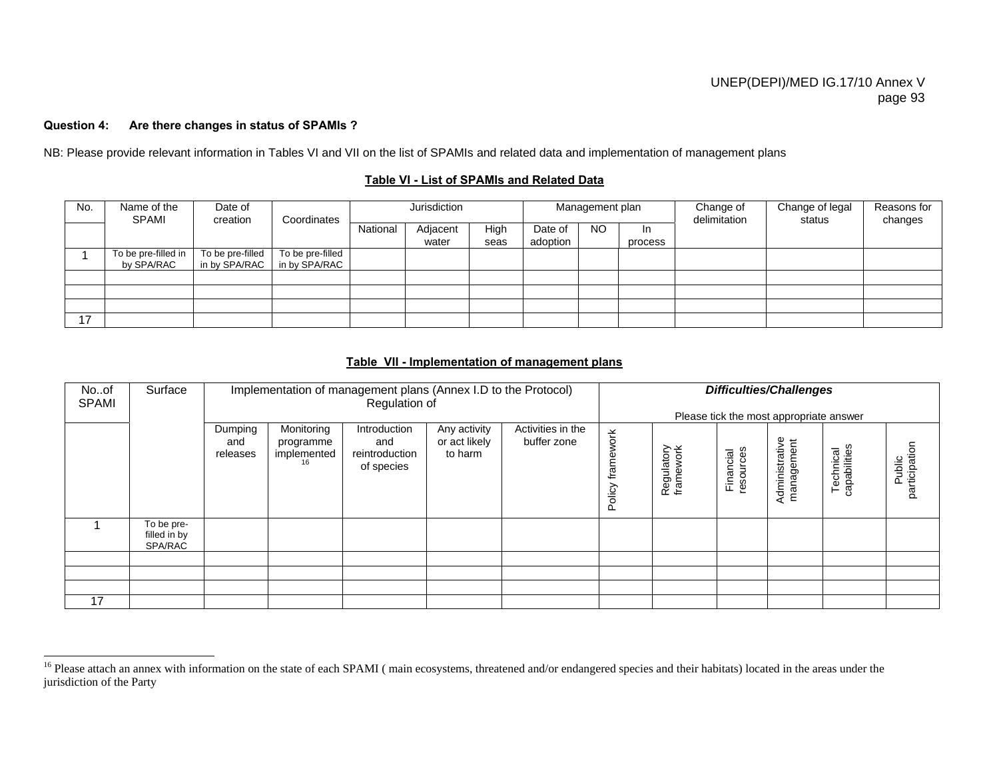## **Question 4: Are there changes in status of SPAMIs ?**

NB: Please provide relevant information in Tables VI and VII on the list of SPAMIs and related data and implementation of management plans

#### **Table VI - List of SPAMIs and Related Data**

| No. | Name of the<br><b>SPAMI</b>       | Date of<br>creation               | Coordinates                       | Jurisdiction |                   |              |                     | Management plan |                | Change of<br>delimitation | Change of legal<br>status | Reasons for<br>changes |
|-----|-----------------------------------|-----------------------------------|-----------------------------------|--------------|-------------------|--------------|---------------------|-----------------|----------------|---------------------------|---------------------------|------------------------|
|     |                                   |                                   |                                   | National     | Adjacent<br>water | High<br>seas | Date of<br>adoption | N <sub>O</sub>  | In.<br>process |                           |                           |                        |
|     | To be pre-filled in<br>by SPA/RAC | To be pre-filled<br>in by SPA/RAC | To be pre-filled<br>in by SPA/RAC |              |                   |              |                     |                 |                |                           |                           |                        |
|     |                                   |                                   |                                   |              |                   |              |                     |                 |                |                           |                           |                        |
|     |                                   |                                   |                                   |              |                   |              |                     |                 |                |                           |                           |                        |
|     |                                   |                                   |                                   |              |                   |              |                     |                 |                |                           |                           |                        |
| 17  |                                   |                                   |                                   |              |                   |              |                     |                 |                |                           |                           |                        |

#### **Table VII - Implementation of management plans**

| Noof<br><b>SPAMI</b> | Surface                               |                            |                                        | Implementation of management plans (Annex I.D to the Protocol)<br>Regulation of |                                          |                                  |                      |                         |                       | <b>Difficulties/Challenges</b>          |                           |                         |
|----------------------|---------------------------------------|----------------------------|----------------------------------------|---------------------------------------------------------------------------------|------------------------------------------|----------------------------------|----------------------|-------------------------|-----------------------|-----------------------------------------|---------------------------|-------------------------|
|                      |                                       |                            |                                        |                                                                                 |                                          |                                  |                      |                         |                       | Please tick the most appropriate answer |                           |                         |
|                      |                                       | Dumping<br>and<br>releases | Monitoring<br>programme<br>implemented | Introduction<br>and<br>reintroduction<br>of species                             | Any activity<br>or act likely<br>to harm | Activities in the<br>buffer zone | work<br>Σã<br>Policy | Regulatory<br>framework | sagnosa.<br>Financial | Administrative<br>management            | Technical<br>capabilities | Public<br>participation |
|                      | To be pre-<br>filled in by<br>SPA/RAC |                            |                                        |                                                                                 |                                          |                                  |                      |                         |                       |                                         |                           |                         |
|                      |                                       |                            |                                        |                                                                                 |                                          |                                  |                      |                         |                       |                                         |                           |                         |
|                      |                                       |                            |                                        |                                                                                 |                                          |                                  |                      |                         |                       |                                         |                           |                         |
|                      |                                       |                            |                                        |                                                                                 |                                          |                                  |                      |                         |                       |                                         |                           |                         |
| 17                   |                                       |                            |                                        |                                                                                 |                                          |                                  |                      |                         |                       |                                         |                           |                         |

<sup>&</sup>lt;sup>16</sup> Please attach an annex with information on the state of each SPAMI (main ecosystems, threatened and/or endangered species and their habitats) located in the areas under the jurisdiction of the Party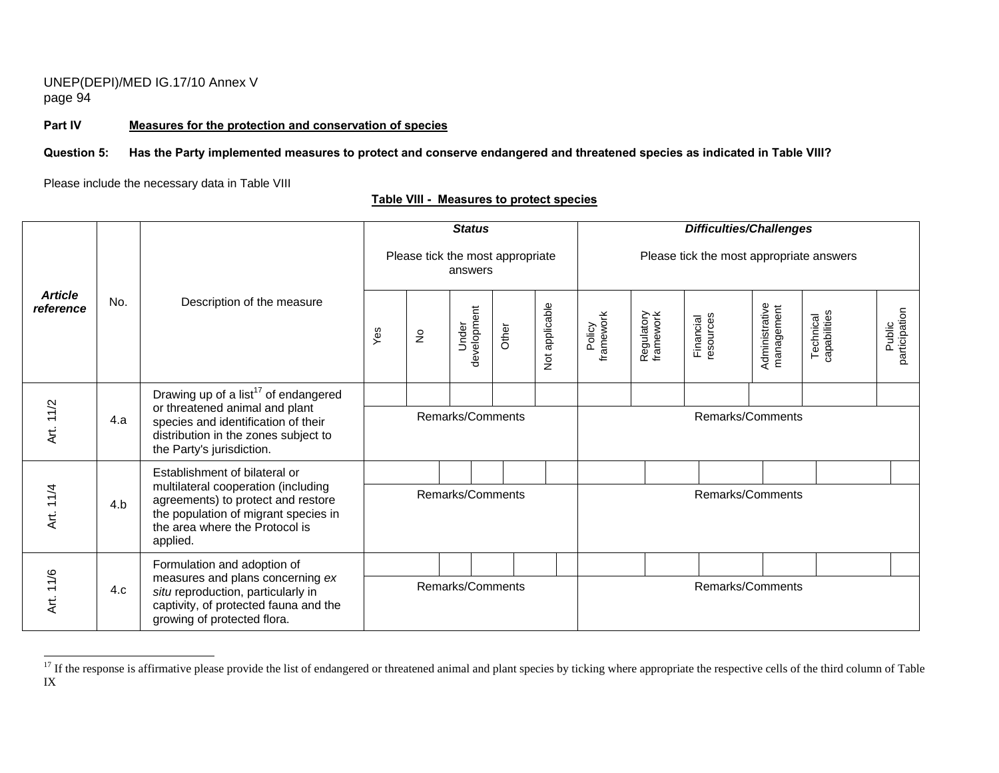**Part IV Measures for the protection and conservation of species**

### **Question 5: Has the Party implemented measures to protect and conserve endangered and threatened species as indicated in Table VIII?**

Please include the necessary data in Table VIII

|                             |                                                  |                                                                                                                                                                 |     |                            | <b>Status</b>                               |       |                |                     |                         | <b>Difficulties/Challenges</b>           |                              |                           |                         |
|-----------------------------|--------------------------------------------------|-----------------------------------------------------------------------------------------------------------------------------------------------------------------|-----|----------------------------|---------------------------------------------|-------|----------------|---------------------|-------------------------|------------------------------------------|------------------------------|---------------------------|-------------------------|
|                             |                                                  |                                                                                                                                                                 |     |                            | Please tick the most appropriate<br>answers |       |                |                     |                         | Please tick the most appropriate answers |                              |                           |                         |
| <b>Article</b><br>reference | No.                                              | Description of the measure                                                                                                                                      | Yes | $\stackrel{\circ}{\simeq}$ | development<br>Under                        | Other | Not applicable | framework<br>Policy | Regulatory<br>framework | resources<br>Financial                   | Administrative<br>management | Technical<br>capabilities | participation<br>Public |
|                             | Drawing up of a list <sup>17</sup> of endangered |                                                                                                                                                                 |     |                            |                                             |       |                |                     |                         |                                          |                              |                           |                         |
| Art. 11/2                   | 4.a                                              | or threatened animal and plant<br>species and identification of their<br>distribution in the zones subject to<br>the Party's jurisdiction.                      |     |                            | Remarks/Comments                            |       |                |                     |                         | Remarks/Comments                         |                              |                           |                         |
|                             |                                                  | Establishment of bilateral or                                                                                                                                   |     |                            |                                             |       |                |                     |                         |                                          |                              |                           |                         |
| Art. 11/4                   | 4.b                                              | multilateral cooperation (including<br>agreements) to protect and restore<br>the population of migrant species in<br>the area where the Protocol is<br>applied. |     |                            | Remarks/Comments                            |       |                |                     |                         | Remarks/Comments                         |                              |                           |                         |
|                             |                                                  | Formulation and adoption of                                                                                                                                     |     |                            |                                             |       |                |                     |                         |                                          |                              |                           |                         |
| Art. 11/6                   | 4.c                                              | measures and plans concerning ex<br>situ reproduction, particularly in<br>captivity, of protected fauna and the<br>growing of protected flora.                  |     |                            | Remarks/Comments                            |       |                |                     |                         | Remarks/Comments                         |                              |                           |                         |

## **Table VIII - Measures to protect species**

<sup>&</sup>lt;sup>17</sup> If the response is affirmative please provide the list of endangered or threatened animal and plant species by ticking where appropriate the respective cells of the third column of Table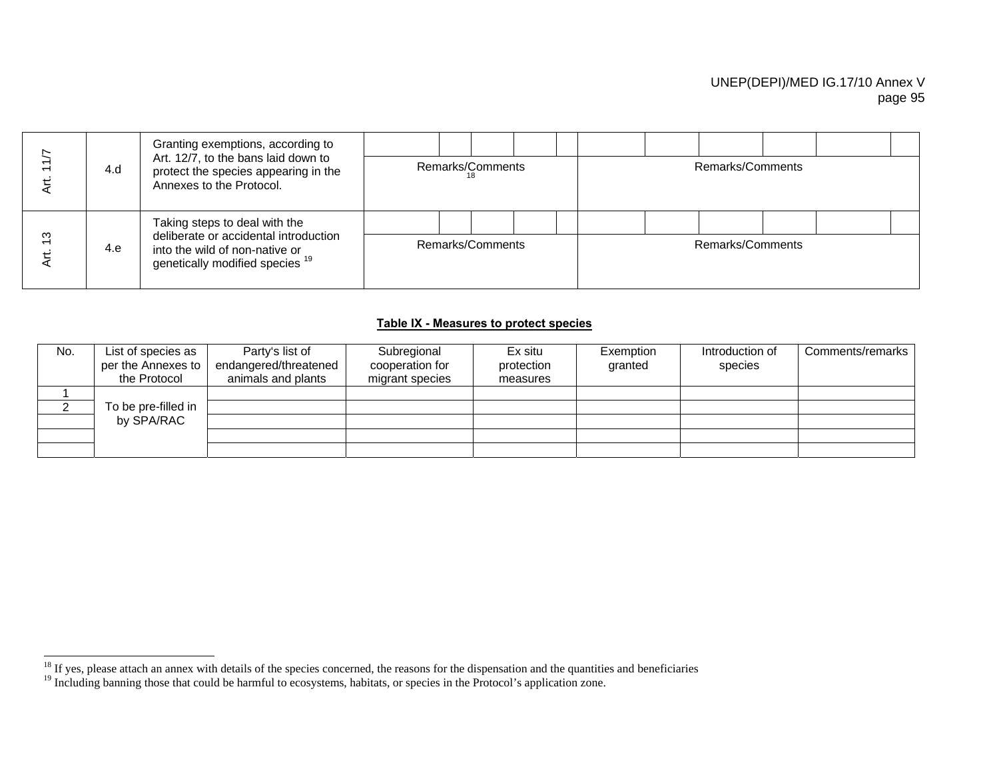|   | 4.d | Granting exemptions, according to<br>Art. 12/7, to the bans laid down to<br>protect the species appearing in the<br>Annexes to the Protocol.           | 18 | Remarks/Comments |  |  | Remarks/Comments |  |  |
|---|-----|--------------------------------------------------------------------------------------------------------------------------------------------------------|----|------------------|--|--|------------------|--|--|
| ო | 4.e | Taking steps to deal with the<br>deliberate or accidental introduction<br>into the wild of non-native or<br>genetically modified species <sup>19</sup> |    | Remarks/Comments |  |  | Remarks/Comments |  |  |

## **Table IX - Measures to protect species**

| No. | List of species as<br>per the Annexes to<br>the Protocol | Party's list of<br>endangered/threatened<br>animals and plants | Subregional<br>cooperation for<br>migrant species | Ex situ<br>protection<br>measures | Exemption<br>granted | Introduction of<br>species | Comments/remarks |
|-----|----------------------------------------------------------|----------------------------------------------------------------|---------------------------------------------------|-----------------------------------|----------------------|----------------------------|------------------|
|     |                                                          |                                                                |                                                   |                                   |                      |                            |                  |
|     | To be pre-filled in                                      |                                                                |                                                   |                                   |                      |                            |                  |
|     | by SPA/RAC                                               |                                                                |                                                   |                                   |                      |                            |                  |
|     |                                                          |                                                                |                                                   |                                   |                      |                            |                  |
|     |                                                          |                                                                |                                                   |                                   |                      |                            |                  |

<sup>&</sup>lt;sup>18</sup> If yes, please attach an annex with details of the species concerned, the reasons for the dispensation and the quantities and beneficiaries

<sup>&</sup>lt;sup>19</sup> Including banning those that could be harmful to ecosystems, habitats, or species in the Protocol's application zone.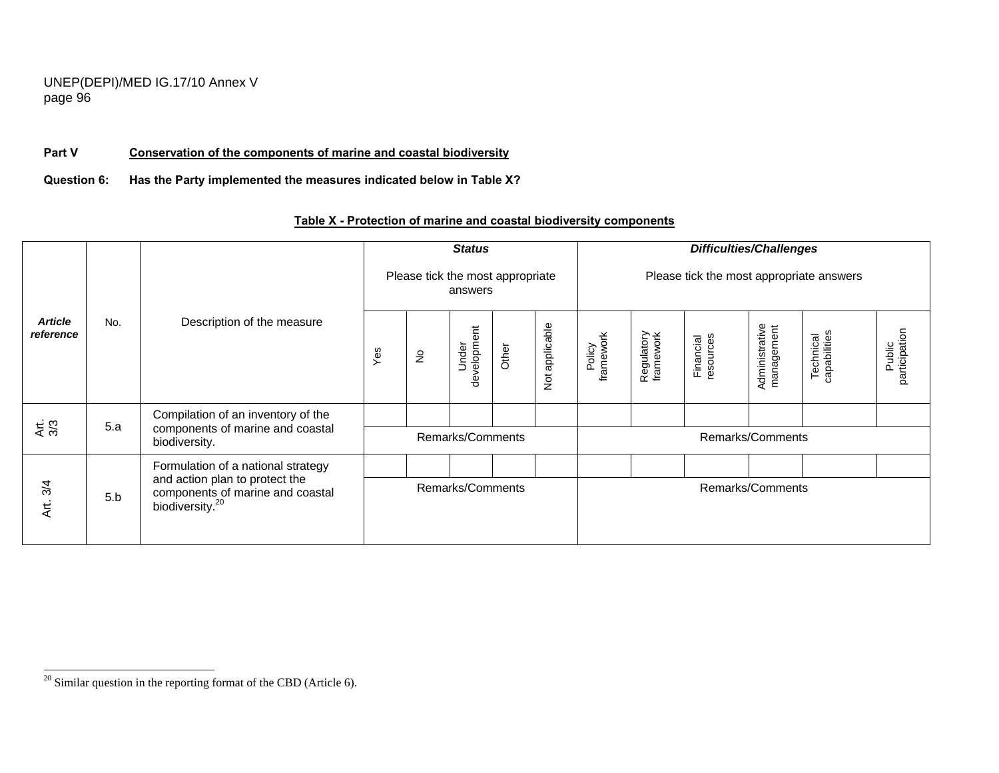## **Part V Conservation of the components of marine and coastal biodiversity**

**Question 6: Has the Party implemented the measures indicated below in Table X?** 

|                             |     |                                                                                                   |     |                                  | <b>Status</b>        |       |                             |                     |                         | <b>Difficulties/Challenges</b>           |                              |                           |                         |
|-----------------------------|-----|---------------------------------------------------------------------------------------------------|-----|----------------------------------|----------------------|-------|-----------------------------|---------------------|-------------------------|------------------------------------------|------------------------------|---------------------------|-------------------------|
|                             |     |                                                                                                   |     | Please tick the most appropriate | answers              |       |                             |                     |                         | Please tick the most appropriate answers |                              |                           |                         |
| <b>Article</b><br>reference | No. | Description of the measure                                                                        | Yes | $\epsilon$                       | development<br>Under | Other | applicable<br>$\frac{5}{2}$ | framework<br>Policy | Regulatory<br>framework | Financial<br>resources                   | Administrative<br>management | Technical<br>capabilities | Public<br>participation |
|                             | 5.a | Compilation of an inventory of the                                                                |     |                                  |                      |       |                             |                     |                         |                                          |                              |                           |                         |
| Art.<br>3/3                 |     | components of marine and coastal<br>biodiversity.                                                 |     |                                  | Remarks/Comments     |       |                             |                     |                         |                                          | Remarks/Comments             |                           |                         |
|                             |     | Formulation of a national strategy                                                                |     |                                  |                      |       |                             |                     |                         |                                          |                              |                           |                         |
| Art. 3/4                    | 5.b | and action plan to protect the<br>components of marine and coastal<br>biodiversity. <sup>20</sup> |     |                                  | Remarks/Comments     |       |                             |                     |                         |                                          | Remarks/Comments             |                           |                         |

# **Table X - Protection of marine and coastal biodiversity components**

 $\frac{20}{20}$  Similar question in the reporting format of the CBD (Article 6).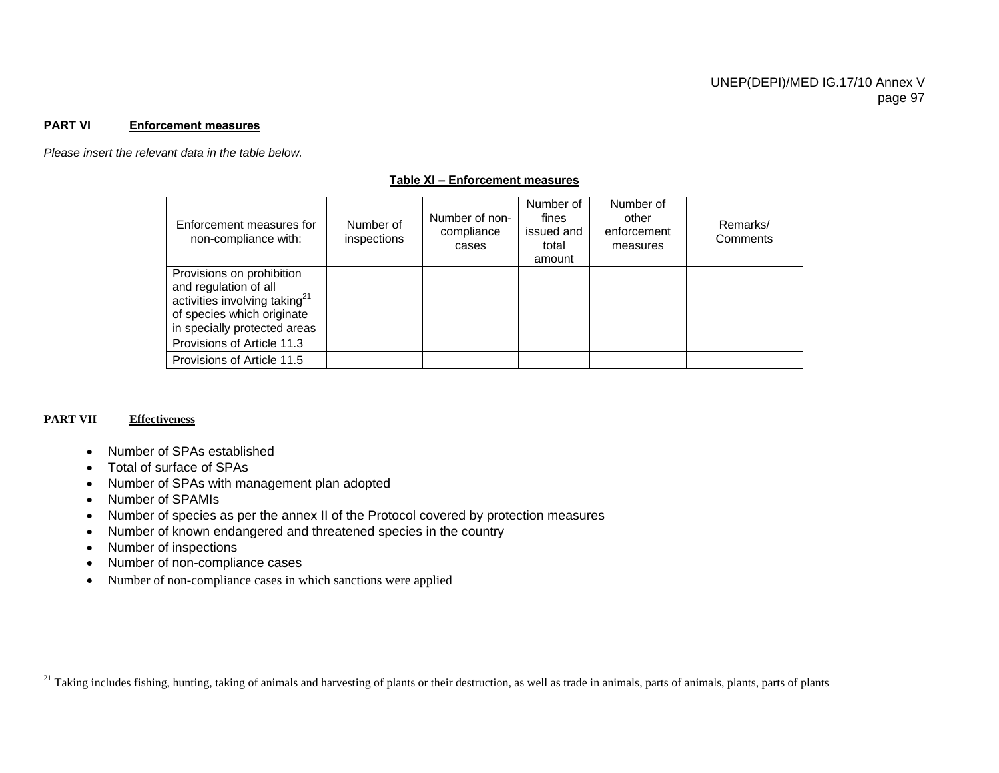#### **PART VI Enforcement measures**

*Please insert the relevant data in the table below.* 

#### **Table XI – Enforcement measures**

| Enforcement measures for<br>non-compliance with:                                                                                                              | Number of<br>inspections | Number of non-<br>compliance<br>cases | Number of<br>fines<br>issued and<br>total<br>amount | Number of<br>other<br>enforcement<br>measures | Remarks/<br>Comments |
|---------------------------------------------------------------------------------------------------------------------------------------------------------------|--------------------------|---------------------------------------|-----------------------------------------------------|-----------------------------------------------|----------------------|
| Provisions on prohibition<br>and regulation of all<br>activities involving taking <sup>21</sup><br>of species which originate<br>in specially protected areas |                          |                                       |                                                     |                                               |                      |
| Provisions of Article 11.3                                                                                                                                    |                          |                                       |                                                     |                                               |                      |
| Provisions of Article 11.5                                                                                                                                    |                          |                                       |                                                     |                                               |                      |

#### **PART VII Effectiveness**

- Number of SPAs established
- Total of surface of SPAs
- Number of SPAs with management plan adopted
- Number of SPAMIs
- Number of species as per the annex II of the Protocol covered by protection measures
- Number of known endangered and threatened species in the country
- Number of inspections
- Number of non-compliance cases
- Number of non-compliance cases in which sanctions were applied

<sup>&</sup>lt;sup>21</sup> Taking includes fishing, hunting, taking of animals and harvesting of plants or their destruction, as well as trade in animals, parts of animals, plants, parts of plants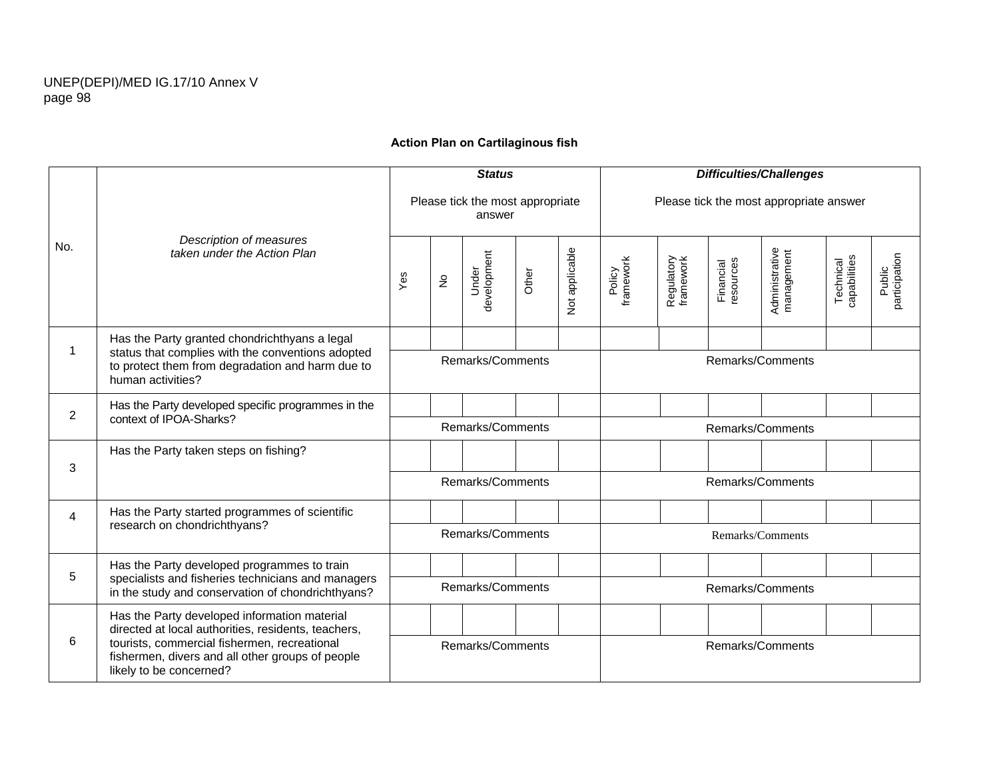## **Action Plan on Cartilaginous fish**

|                |                                                                                                                                                                                                                                    |                  |                            | <b>Status</b>                              |       |                | <b>Difficulties/Challenges</b> |                                         |                        |                              |                           |                         |  |
|----------------|------------------------------------------------------------------------------------------------------------------------------------------------------------------------------------------------------------------------------------|------------------|----------------------------|--------------------------------------------|-------|----------------|--------------------------------|-----------------------------------------|------------------------|------------------------------|---------------------------|-------------------------|--|
| No.            | Description of measures<br>taken under the Action Plan                                                                                                                                                                             |                  |                            | Please tick the most appropriate<br>answer |       |                |                                | Please tick the most appropriate answer |                        |                              |                           |                         |  |
|                |                                                                                                                                                                                                                                    | Yes              | $\stackrel{\mathtt{o}}{z}$ | development<br>Under                       | Other | Not applicable | Policy<br>framework            | Regulatory<br>framework                 | Financial<br>resources | Administrative<br>management | capabilities<br>Technical | Public<br>participation |  |
| 1              | Has the Party granted chondrichthyans a legal                                                                                                                                                                                      |                  |                            |                                            |       |                |                                |                                         |                        |                              |                           |                         |  |
|                | status that complies with the conventions adopted<br>to protect them from degradation and harm due to<br>human activities?                                                                                                         |                  |                            | Remarks/Comments                           |       |                | Remarks/Comments               |                                         |                        |                              |                           |                         |  |
| $\overline{2}$ | Has the Party developed specific programmes in the<br>context of IPOA-Sharks?                                                                                                                                                      |                  |                            |                                            |       |                |                                |                                         |                        |                              |                           |                         |  |
|                |                                                                                                                                                                                                                                    |                  |                            | Remarks/Comments                           |       |                | Remarks/Comments               |                                         |                        |                              |                           |                         |  |
|                | Has the Party taken steps on fishing?                                                                                                                                                                                              |                  |                            |                                            |       |                |                                |                                         |                        |                              |                           |                         |  |
| 3              |                                                                                                                                                                                                                                    |                  |                            | Remarks/Comments                           |       |                | Remarks/Comments               |                                         |                        |                              |                           |                         |  |
| 4              | Has the Party started programmes of scientific                                                                                                                                                                                     |                  |                            |                                            |       |                |                                |                                         |                        |                              |                           |                         |  |
|                | research on chondrichthyans?                                                                                                                                                                                                       | Remarks/Comments |                            |                                            |       |                | Remarks/Comments               |                                         |                        |                              |                           |                         |  |
| 5              | Has the Party developed programmes to train                                                                                                                                                                                        |                  |                            |                                            |       |                |                                |                                         |                        |                              |                           |                         |  |
|                | specialists and fisheries technicians and managers<br>in the study and conservation of chondrichthyans?                                                                                                                            |                  | Remarks/Comments           |                                            |       |                |                                | Remarks/Comments                        |                        |                              |                           |                         |  |
|                | Has the Party developed information material<br>directed at local authorities, residents, teachers,<br>tourists, commercial fishermen, recreational<br>fishermen, divers and all other groups of people<br>likely to be concerned? |                  |                            |                                            |       |                |                                |                                         |                        |                              |                           |                         |  |
| 6              |                                                                                                                                                                                                                                    | Remarks/Comments |                            |                                            |       |                | Remarks/Comments               |                                         |                        |                              |                           |                         |  |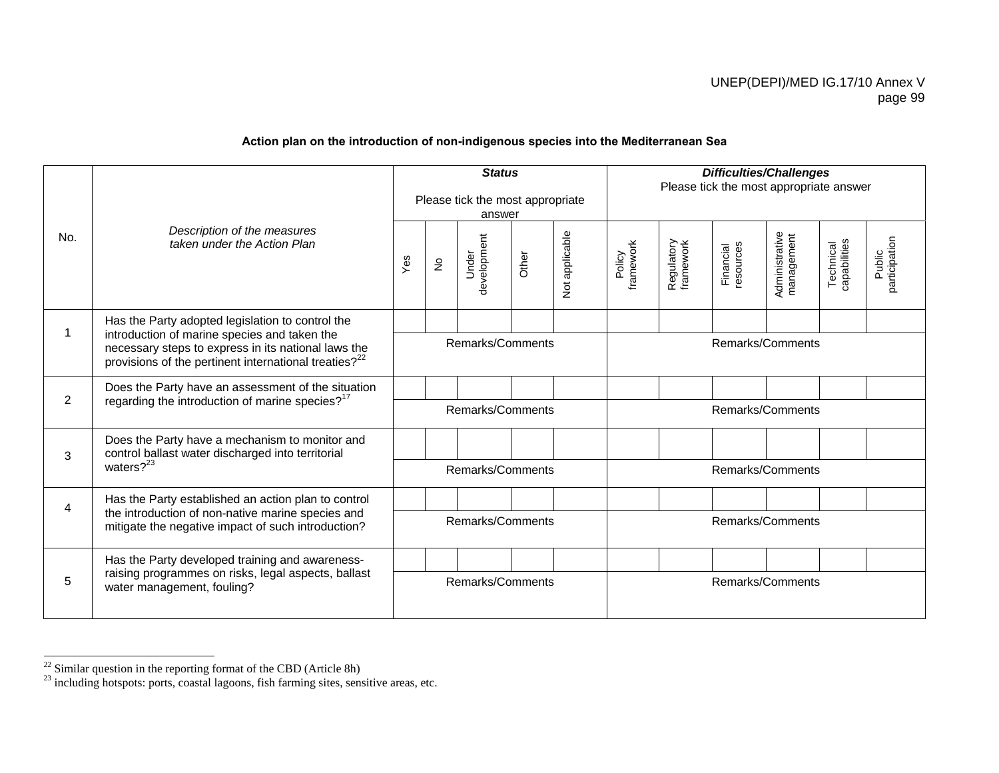## **Action plan on the introduction of non-indigenous species into the Mediterranean Sea**

| No. | Description of the measures<br>taken under the Action Plan                                                                                                                                                                   | <b>Status</b><br>Please tick the most appropriate<br>answer |                            |                      |       |                | <b>Difficulties/Challenges</b><br>Please tick the most appropriate answer |                         |                        |                              |                           |                         |  |
|-----|------------------------------------------------------------------------------------------------------------------------------------------------------------------------------------------------------------------------------|-------------------------------------------------------------|----------------------------|----------------------|-------|----------------|---------------------------------------------------------------------------|-------------------------|------------------------|------------------------------|---------------------------|-------------------------|--|
|     |                                                                                                                                                                                                                              | Yes                                                         | $\stackrel{\circ}{\simeq}$ | development<br>Under | Other | Not applicable | Policy<br>framework                                                       | Regulatory<br>framework | Financial<br>resources | Administrative<br>management | Technical<br>capabilities | participation<br>Public |  |
|     | Has the Party adopted legislation to control the<br>introduction of marine species and taken the<br>necessary steps to express in its national laws the<br>provisions of the pertinent international treaties? <sup>22</sup> |                                                             |                            |                      |       |                |                                                                           |                         |                        |                              |                           |                         |  |
|     |                                                                                                                                                                                                                              |                                                             |                            | Remarks/Comments     |       |                | Remarks/Comments                                                          |                         |                        |                              |                           |                         |  |
|     | Does the Party have an assessment of the situation<br>regarding the introduction of marine species? <sup>17</sup>                                                                                                            |                                                             |                            |                      |       |                |                                                                           |                         |                        |                              |                           |                         |  |
| 2   |                                                                                                                                                                                                                              | Remarks/Comments                                            |                            |                      |       |                | Remarks/Comments                                                          |                         |                        |                              |                           |                         |  |
| 3   | Does the Party have a mechanism to monitor and<br>control ballast water discharged into territorial<br>waters $?^{23}$                                                                                                       |                                                             |                            |                      |       |                |                                                                           |                         |                        |                              |                           |                         |  |
|     |                                                                                                                                                                                                                              | Remarks/Comments                                            |                            |                      |       |                | Remarks/Comments                                                          |                         |                        |                              |                           |                         |  |
| 4   | Has the Party established an action plan to control                                                                                                                                                                          |                                                             |                            |                      |       |                |                                                                           |                         |                        |                              |                           |                         |  |
|     | the introduction of non-native marine species and<br>mitigate the negative impact of such introduction?                                                                                                                      | Remarks/Comments                                            |                            |                      |       |                | Remarks/Comments                                                          |                         |                        |                              |                           |                         |  |
| 5   | Has the Party developed training and awareness-<br>raising programmes on risks, legal aspects, ballast<br>water management, fouling?                                                                                         |                                                             |                            |                      |       |                |                                                                           |                         |                        |                              |                           |                         |  |
|     |                                                                                                                                                                                                                              | Remarks/Comments                                            |                            |                      |       |                | Remarks/Comments                                                          |                         |                        |                              |                           |                         |  |

 $22$  Similar question in the reporting format of the CBD (Article 8h)

 $2<sup>23</sup>$  including hotspots: ports, coastal lagoons, fish farming sites, sensitive areas, etc.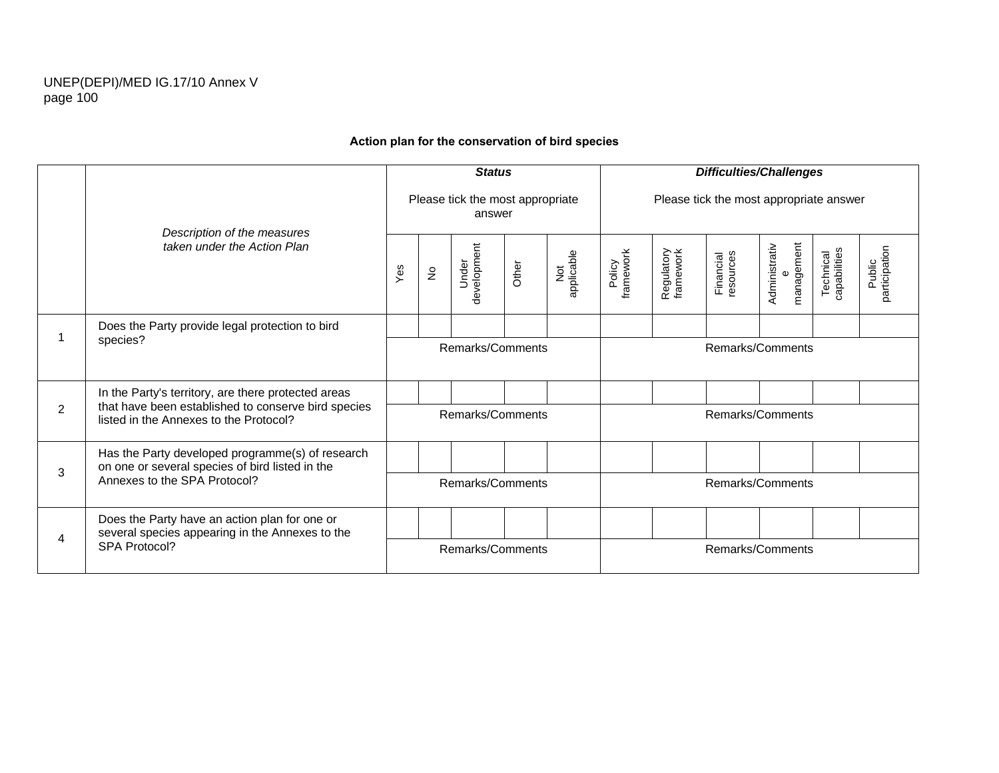## **Action plan for the conservation of bird species**

|   |                                                                                                                                                      | <b>Status</b>    |               |                                            |       |                   | <b>Difficulties/Challenges</b>          |                         |                        |                                  |                           |                         |  |
|---|------------------------------------------------------------------------------------------------------------------------------------------------------|------------------|---------------|--------------------------------------------|-------|-------------------|-----------------------------------------|-------------------------|------------------------|----------------------------------|---------------------------|-------------------------|--|
|   | Description of the measures<br>taken under the Action Plan                                                                                           |                  |               | Please tick the most appropriate<br>answer |       |                   | Please tick the most appropriate answer |                         |                        |                                  |                           |                         |  |
|   |                                                                                                                                                      | Yes              | $\frac{1}{2}$ | development<br>Under                       | Other | Not<br>applicable | Policy<br>framework                     | Regulatory<br>framework | resources<br>Financial | management<br>Administrativ<br>Ф | Technical<br>capabilities | Public<br>participation |  |
|   | Does the Party provide legal protection to bird<br>species?                                                                                          |                  |               |                                            |       |                   |                                         |                         |                        |                                  |                           |                         |  |
|   |                                                                                                                                                      |                  |               | Remarks/Comments                           |       |                   | Remarks/Comments                        |                         |                        |                                  |                           |                         |  |
| 2 | In the Party's territory, are there protected areas<br>that have been established to conserve bird species<br>listed in the Annexes to the Protocol? |                  |               |                                            |       |                   |                                         |                         |                        |                                  |                           |                         |  |
|   |                                                                                                                                                      | Remarks/Comments |               |                                            |       |                   | Remarks/Comments                        |                         |                        |                                  |                           |                         |  |
|   | Has the Party developed programme(s) of research<br>on one or several species of bird listed in the<br>Annexes to the SPA Protocol?                  |                  |               |                                            |       |                   |                                         |                         |                        |                                  |                           |                         |  |
| 3 |                                                                                                                                                      | Remarks/Comments |               |                                            |       |                   | Remarks/Comments                        |                         |                        |                                  |                           |                         |  |
| 4 | Does the Party have an action plan for one or<br>several species appearing in the Annexes to the<br>SPA Protocol?                                    |                  |               |                                            |       |                   |                                         |                         |                        |                                  |                           |                         |  |
|   |                                                                                                                                                      | Remarks/Comments |               |                                            |       |                   | Remarks/Comments                        |                         |                        |                                  |                           |                         |  |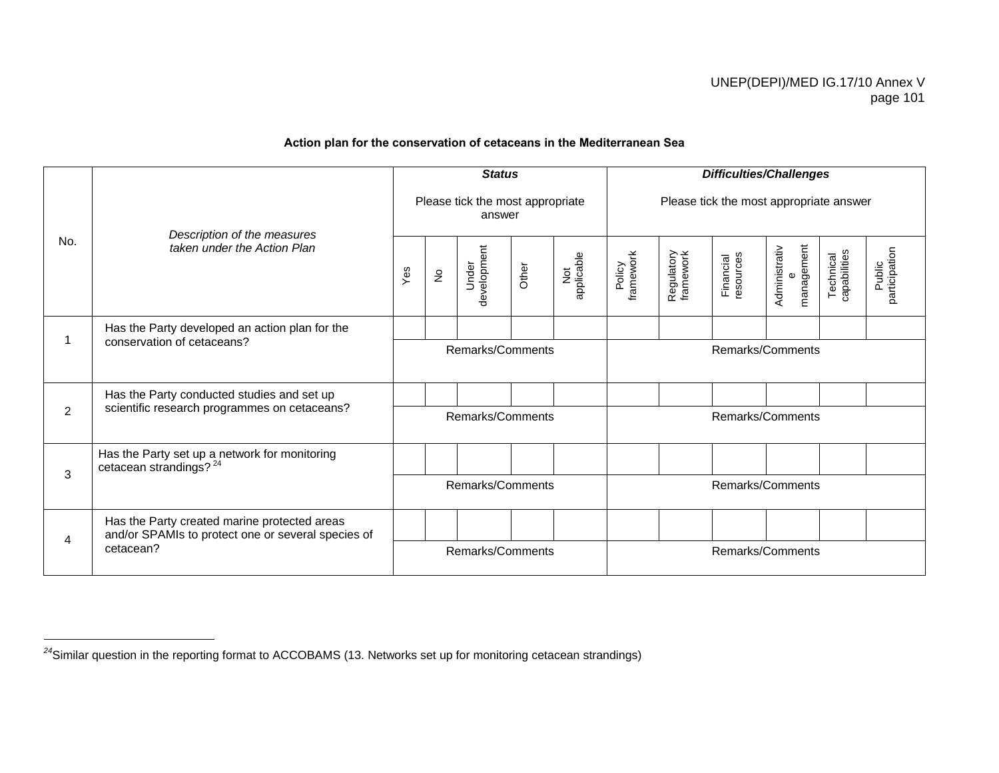# **Action plan for the conservation of cetaceans in the Mediterranean Sea**

|     |                                                                                                    |                  |               | <b>Status</b>                              |       |                   |                     |                         |                        | <b>Difficulties/Challenges</b>          |                           |                         |  |
|-----|----------------------------------------------------------------------------------------------------|------------------|---------------|--------------------------------------------|-------|-------------------|---------------------|-------------------------|------------------------|-----------------------------------------|---------------------------|-------------------------|--|
|     | Description of the measures                                                                        |                  |               | Please tick the most appropriate<br>answer |       |                   |                     |                         |                        | Please tick the most appropriate answer |                           |                         |  |
| No. | taken under the Action Plan                                                                        | Yes              | $\frac{1}{2}$ | development<br>Under                       | Other | Not<br>applicable | Policy<br>framework | Regulatory<br>framework | Financial<br>resources | e<br>management<br>Administrativ        | Technical<br>capabilities | participation<br>Public |  |
|     | Has the Party developed an action plan for the                                                     |                  |               |                                            |       |                   |                     |                         |                        |                                         |                           |                         |  |
|     | conservation of cetaceans?                                                                         | Remarks/Comments |               |                                            |       |                   |                     |                         |                        | Remarks/Comments                        |                           |                         |  |
|     | Has the Party conducted studies and set up                                                         |                  |               |                                            |       |                   |                     |                         |                        |                                         |                           |                         |  |
| 2   | scientific research programmes on cetaceans?                                                       |                  |               | Remarks/Comments                           |       |                   | Remarks/Comments    |                         |                        |                                         |                           |                         |  |
|     | Has the Party set up a network for monitoring<br>cetacean strandings? $^{24}$                      |                  |               |                                            |       |                   |                     |                         |                        |                                         |                           |                         |  |
| 3   |                                                                                                    |                  |               | Remarks/Comments                           |       |                   | Remarks/Comments    |                         |                        |                                         |                           |                         |  |
|     | Has the Party created marine protected areas<br>and/or SPAMIs to protect one or several species of |                  |               |                                            |       |                   |                     |                         |                        |                                         |                           |                         |  |
| 4   | cetacean?                                                                                          | Remarks/Comments |               |                                            |       |                   | Remarks/Comments    |                         |                        |                                         |                           |                         |  |

*<sup>24</sup>*Similar question in the reporting format to ACCOBAMS (13. Networks set up for monitoring cetacean strandings)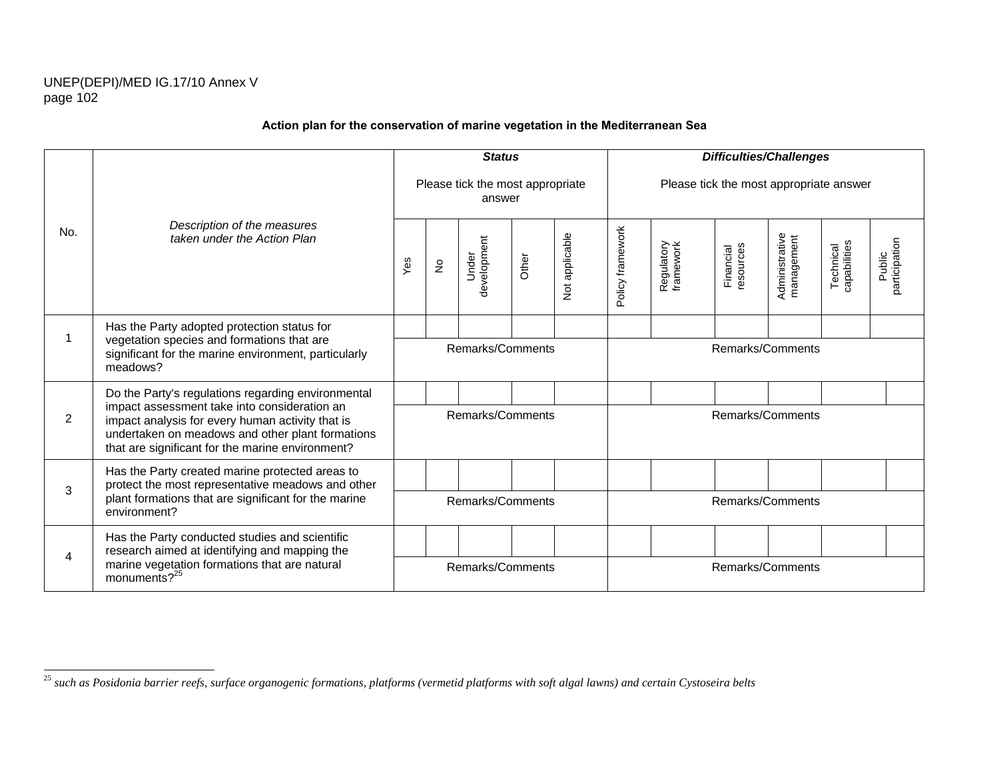$\overline{\phantom{0}}$ 

|     |                                                                                                                                                                                                          |                  |                            | <b>Status</b>                              |       |                |                  |                                         |                        | <b>Difficulties/Challenges</b> |                           |                         |  |
|-----|----------------------------------------------------------------------------------------------------------------------------------------------------------------------------------------------------------|------------------|----------------------------|--------------------------------------------|-------|----------------|------------------|-----------------------------------------|------------------------|--------------------------------|---------------------------|-------------------------|--|
|     |                                                                                                                                                                                                          |                  |                            | Please tick the most appropriate<br>answer |       |                |                  | Please tick the most appropriate answer |                        |                                |                           |                         |  |
| No. | Description of the measures<br>taken under the Action Plan                                                                                                                                               | Yes              | $\stackrel{\mathtt{o}}{z}$ | development<br>Under                       | Other | Not applicable | Policy framework | Regulatory<br>framework                 | resources<br>Financial | Administrative<br>management   | Technical<br>capabilities | participation<br>Public |  |
|     | Has the Party adopted protection status for                                                                                                                                                              |                  |                            |                                            |       |                |                  |                                         |                        |                                |                           |                         |  |
|     | vegetation species and formations that are<br>significant for the marine environment, particularly<br>meadows?                                                                                           |                  |                            | Remarks/Comments                           |       |                |                  |                                         |                        | Remarks/Comments               |                           |                         |  |
|     | Do the Party's regulations regarding environmental                                                                                                                                                       |                  |                            |                                            |       |                |                  |                                         |                        |                                |                           |                         |  |
| 2   | impact assessment take into consideration an<br>impact analysis for every human activity that is<br>undertaken on meadows and other plant formations<br>that are significant for the marine environment? |                  |                            | Remarks/Comments                           |       |                |                  |                                         |                        | Remarks/Comments               |                           |                         |  |
|     | Has the Party created marine protected areas to<br>protect the most representative meadows and other                                                                                                     |                  |                            |                                            |       |                |                  |                                         |                        |                                |                           |                         |  |
| 3   | plant formations that are significant for the marine<br>environment?                                                                                                                                     |                  |                            | Remarks/Comments                           |       |                |                  |                                         |                        | Remarks/Comments               |                           |                         |  |
|     | Has the Party conducted studies and scientific<br>research aimed at identifying and mapping the                                                                                                          |                  |                            |                                            |       |                |                  |                                         |                        |                                |                           |                         |  |
| 4   | marine vegetation formations that are natural<br>monuments? $25$                                                                                                                                         | Remarks/Comments |                            |                                            |       |                |                  | Remarks/Comments                        |                        |                                |                           |                         |  |

# **Action plan for the conservation of marine vegetation in the Mediterranean Sea**

<sup>&</sup>lt;sup>25</sup> such as Posidonia barrier reefs, surface organogenic formations, platforms (vermetid platforms with soft algal lawns) and certain Cystoseira belts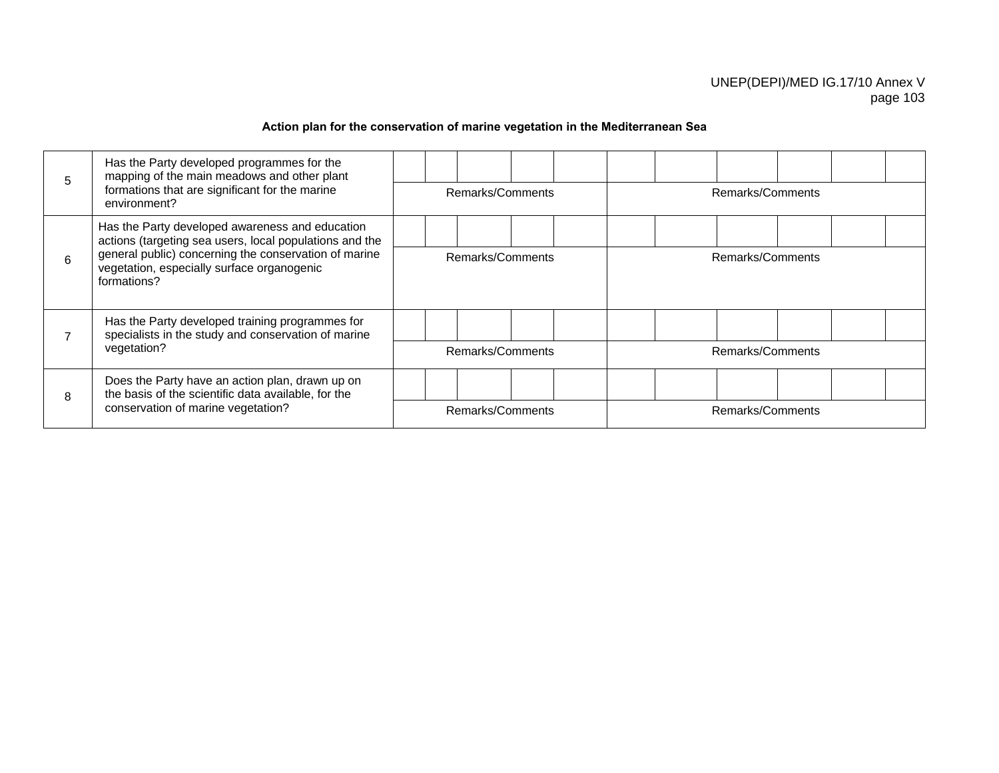# **Action plan for the conservation of marine vegetation in the Mediterranean Sea**

| 5 | Has the Party developed programmes for the<br>mapping of the main meadows and other plant<br>formations that are significant for the marine<br>environment?                                                                      | Remarks/Comments |  |  | Remarks/Comments |  |  |
|---|----------------------------------------------------------------------------------------------------------------------------------------------------------------------------------------------------------------------------------|------------------|--|--|------------------|--|--|
| 6 | Has the Party developed awareness and education<br>actions (targeting sea users, local populations and the<br>general public) concerning the conservation of marine<br>vegetation, especially surface organogenic<br>formations? | Remarks/Comments |  |  | Remarks/Comments |  |  |
|   | Has the Party developed training programmes for<br>specialists in the study and conservation of marine<br>vegetation?                                                                                                            | Remarks/Comments |  |  | Remarks/Comments |  |  |
| 8 | Does the Party have an action plan, drawn up on<br>the basis of the scientific data available, for the<br>conservation of marine vegetation?                                                                                     | Remarks/Comments |  |  | Remarks/Comments |  |  |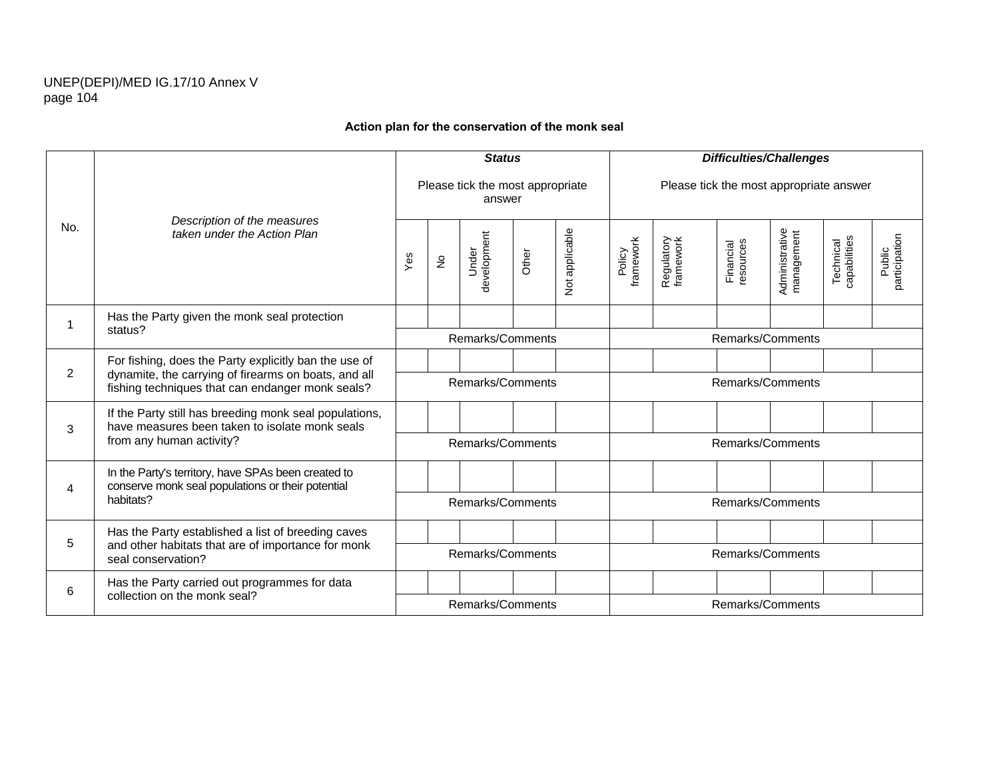# **Action plan for the conservation of the monk seal**

|     |                                                                                                          |                  |            | <b>Status</b>                              |       |                |                     |                         |                        | <b>Difficulties/Challenges</b>          |                           |                         |
|-----|----------------------------------------------------------------------------------------------------------|------------------|------------|--------------------------------------------|-------|----------------|---------------------|-------------------------|------------------------|-----------------------------------------|---------------------------|-------------------------|
|     |                                                                                                          |                  |            | Please tick the most appropriate<br>answer |       |                |                     |                         |                        | Please tick the most appropriate answer |                           |                         |
| No. | Description of the measures<br>taken under the Action Plan                                               | Yes              | $\epsilon$ | development<br>Under                       | Other | Not applicable | framework<br>Policy | Regulatory<br>framework | Financial<br>resources | Administrative<br>management            | Technical<br>capabilities | participation<br>Public |
|     | Has the Party given the monk seal protection                                                             |                  |            |                                            |       |                |                     |                         |                        |                                         |                           |                         |
|     | status?                                                                                                  |                  |            | Remarks/Comments                           |       |                |                     |                         |                        | Remarks/Comments                        |                           |                         |
| 2   | For fishing, does the Party explicitly ban the use of                                                    |                  |            |                                            |       |                |                     |                         |                        |                                         |                           |                         |
|     | dynamite, the carrying of firearms on boats, and all<br>fishing techniques that can endanger monk seals? |                  |            | Remarks/Comments                           |       |                |                     |                         |                        | Remarks/Comments                        |                           |                         |
| 3   | If the Party still has breeding monk seal populations,<br>have measures been taken to isolate monk seals |                  |            |                                            |       |                |                     |                         |                        |                                         |                           |                         |
|     | from any human activity?                                                                                 |                  |            | Remarks/Comments                           |       |                |                     |                         |                        | Remarks/Comments                        |                           |                         |
| 4   | In the Party's territory, have SPAs been created to<br>conserve monk seal populations or their potential |                  |            |                                            |       |                |                     |                         |                        |                                         |                           |                         |
|     | habitats?                                                                                                |                  |            | Remarks/Comments                           |       |                |                     |                         |                        | Remarks/Comments                        |                           |                         |
|     | Has the Party established a list of breeding caves                                                       |                  |            |                                            |       |                |                     |                         |                        |                                         |                           |                         |
| 5   | and other habitats that are of importance for monk<br>seal conservation?                                 | Remarks/Comments |            |                                            |       |                |                     | Remarks/Comments        |                        |                                         |                           |                         |
| 6   | Has the Party carried out programmes for data                                                            |                  |            |                                            |       |                |                     |                         |                        |                                         |                           |                         |
|     | collection on the monk seal?                                                                             |                  |            | Remarks/Comments                           |       |                |                     |                         |                        | Remarks/Comments                        |                           |                         |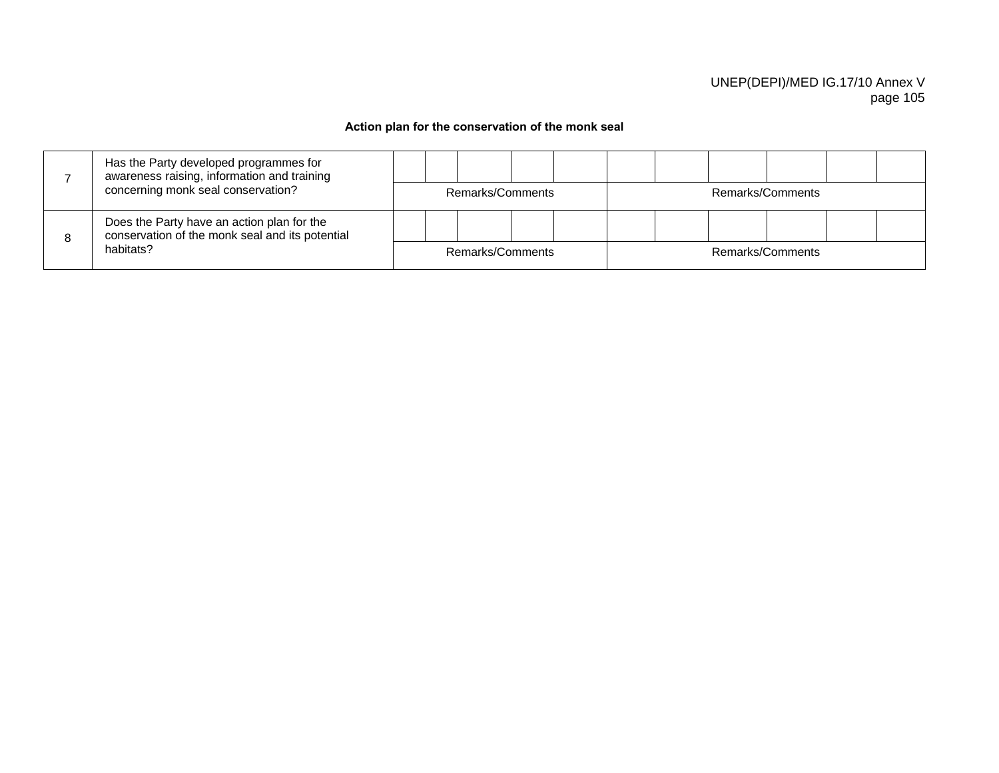# **Action plan for the conservation of the monk seal**

|   | Has the Party developed programmes for<br>awareness raising, information and training         |  |                  |  |  |                  |  |  |
|---|-----------------------------------------------------------------------------------------------|--|------------------|--|--|------------------|--|--|
|   | concerning monk seal conservation?                                                            |  | Remarks/Comments |  |  | Remarks/Comments |  |  |
| 8 | Does the Party have an action plan for the<br>conservation of the monk seal and its potential |  |                  |  |  |                  |  |  |
|   | habitats?                                                                                     |  | Remarks/Comments |  |  | Remarks/Comments |  |  |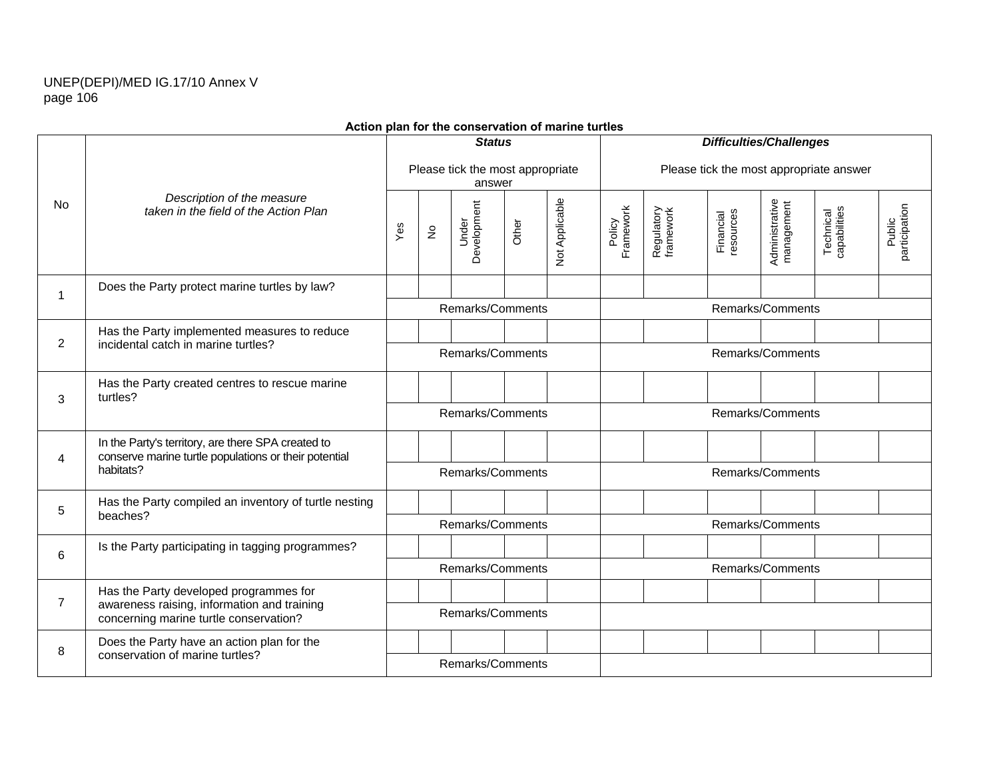|                |                                                                                                             | <b>Status</b><br>Please tick the most appropriate |                            |                      |       |                |                     |                         |                        | <b>Difficulties/Challenges</b> |                                         |                         |
|----------------|-------------------------------------------------------------------------------------------------------------|---------------------------------------------------|----------------------------|----------------------|-------|----------------|---------------------|-------------------------|------------------------|--------------------------------|-----------------------------------------|-------------------------|
|                |                                                                                                             |                                                   |                            | answer               |       |                |                     |                         |                        |                                | Please tick the most appropriate answer |                         |
| <b>No</b>      | Description of the measure<br>taken in the field of the Action Plan                                         | Yes                                               | $\stackrel{\mathtt{o}}{z}$ | Development<br>Under | Other | Not Applicable | Framework<br>Policy | Regulatory<br>framework | Financial<br>resources | Administrative<br>management   | Technical<br>capabilities               | Public<br>participation |
| 1              | Does the Party protect marine turtles by law?                                                               |                                                   |                            |                      |       |                |                     |                         |                        |                                |                                         |                         |
|                |                                                                                                             |                                                   |                            | Remarks/Comments     |       |                |                     |                         |                        | Remarks/Comments               |                                         |                         |
| $\overline{2}$ | Has the Party implemented measures to reduce<br>incidental catch in marine turtles?                         |                                                   |                            |                      |       |                |                     |                         |                        |                                |                                         |                         |
|                |                                                                                                             | Remarks/Comments                                  |                            |                      |       |                |                     |                         |                        | Remarks/Comments               |                                         |                         |
| 3              | Has the Party created centres to rescue marine<br>turtles?                                                  |                                                   |                            |                      |       |                |                     |                         |                        |                                |                                         |                         |
|                |                                                                                                             | Remarks/Comments                                  |                            |                      |       |                |                     |                         | Remarks/Comments       |                                |                                         |                         |
| 4              | In the Party's territory, are there SPA created to<br>conserve marine turtle populations or their potential |                                                   |                            |                      |       |                |                     |                         |                        |                                |                                         |                         |
|                | habitats?                                                                                                   |                                                   |                            | Remarks/Comments     |       |                |                     |                         |                        | Remarks/Comments               |                                         |                         |
| 5              | Has the Party compiled an inventory of turtle nesting                                                       |                                                   |                            |                      |       |                |                     |                         |                        |                                |                                         |                         |
|                | beaches?                                                                                                    |                                                   |                            | Remarks/Comments     |       |                |                     |                         |                        | Remarks/Comments               |                                         |                         |
| 6              | Is the Party participating in tagging programmes?                                                           |                                                   |                            |                      |       |                |                     |                         |                        |                                |                                         |                         |
|                |                                                                                                             | Remarks/Comments                                  |                            |                      |       |                |                     |                         |                        | Remarks/Comments               |                                         |                         |
| $\overline{7}$ | Has the Party developed programmes for<br>awareness raising, information and training                       |                                                   |                            |                      |       |                |                     |                         |                        |                                |                                         |                         |
|                | concerning marine turtle conservation?                                                                      | Remarks/Comments                                  |                            |                      |       |                |                     |                         |                        |                                |                                         |                         |
| 8              | Does the Party have an action plan for the<br>conservation of marine turtles?                               |                                                   |                            |                      |       |                |                     |                         |                        |                                |                                         |                         |
|                |                                                                                                             | Remarks/Comments                                  |                            |                      |       |                |                     |                         |                        |                                |                                         |                         |

#### **Action plan for the conservation of marine turtles**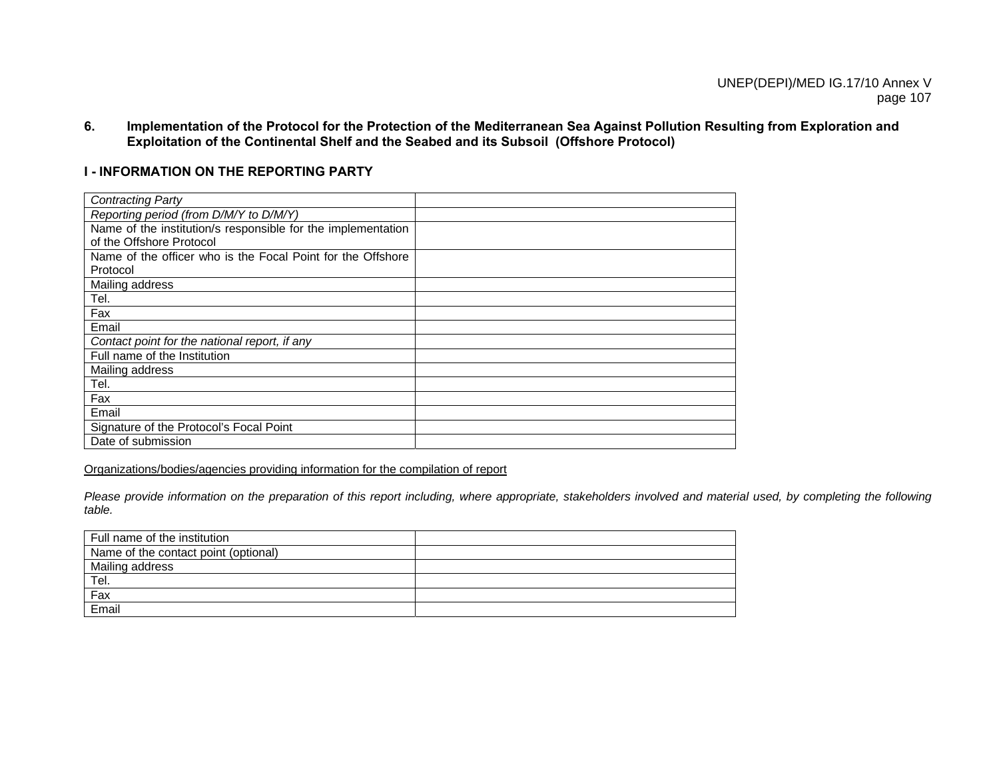**6. Implementation of the Protocol for the Protection of the Mediterranean Sea Against Pollution Resulting from Exploration and Exploitation of the Continental Shelf and the Seabed and its Subsoil (Offshore Protocol)** 

#### **I - INFORMATION ON THE REPORTING PARTY**

| <b>Contracting Party</b>                                     |  |
|--------------------------------------------------------------|--|
| Reporting period (from D/M/Y to D/M/Y)                       |  |
| Name of the institution/s responsible for the implementation |  |
| of the Offshore Protocol                                     |  |
| Name of the officer who is the Focal Point for the Offshore  |  |
| Protocol                                                     |  |
| Mailing address                                              |  |
| Tel.                                                         |  |
| Fax                                                          |  |
| Email                                                        |  |
| Contact point for the national report, if any                |  |
| Full name of the Institution                                 |  |
| Mailing address                                              |  |
| Tel.                                                         |  |
| Fax                                                          |  |
| Email                                                        |  |
| Signature of the Protocol's Focal Point                      |  |
| Date of submission                                           |  |

Organizations/bodies/agencies providing information for the compilation of report

*Please provide information on the preparation of this report including, where appropriate, stakeholders involved and material used, by completing the following table.*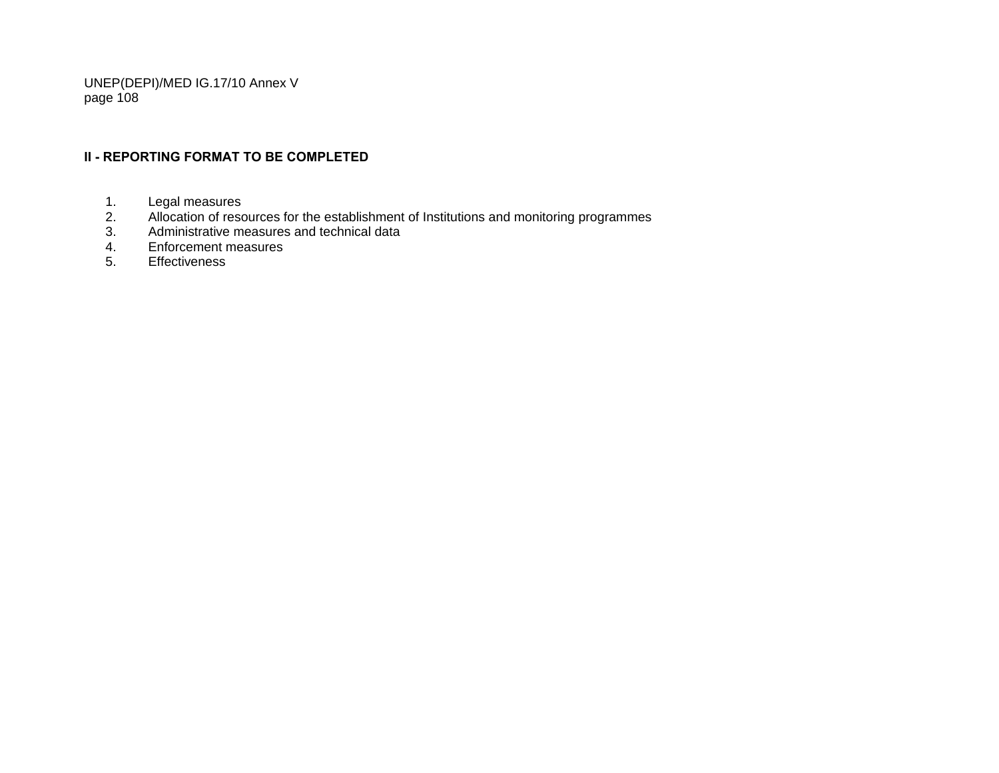# **II - REPORTING FORMAT TO BE COMPLETED**

- 1. Legal measures<br>2. Allocation of resc
- 2. Allocation of resources for the establishment of Institutions and monitoring programmes<br>3. Administrative measures and technical data
- 3. Administrative measures and technical data
- 4. Enforcement measures
- 5. Effectiveness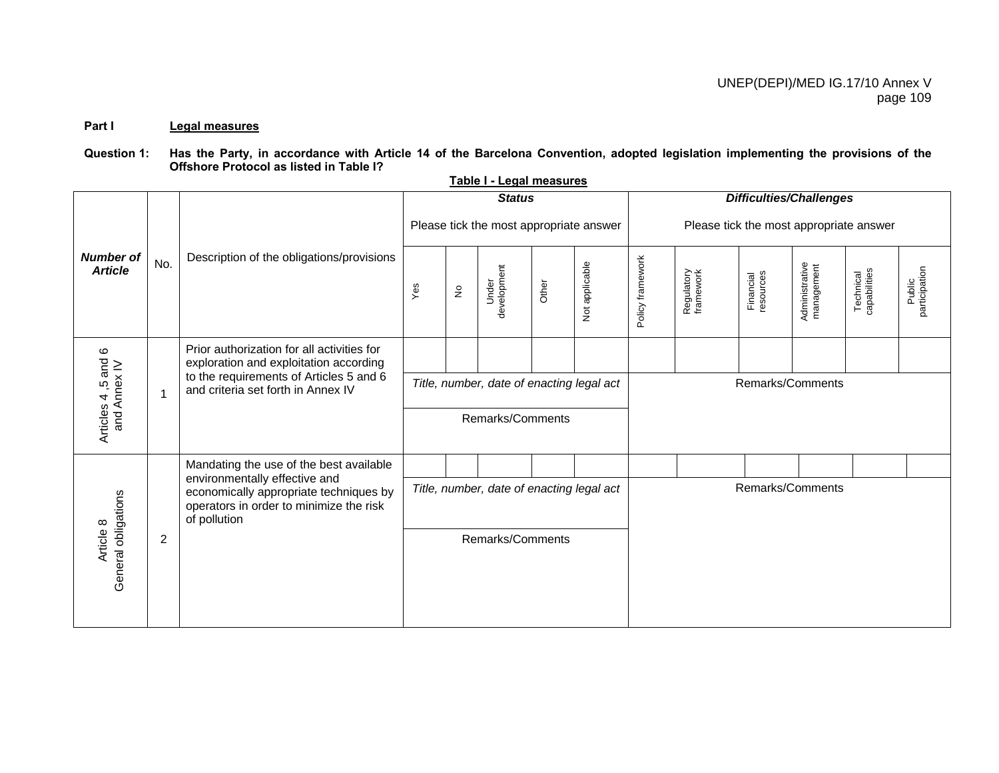### **Part I Legal measures**

### Question 1: Has the Party, in accordance with Article 14 of the Barcelona Convention, adopted legislation implementing the provisions of the **Offshore Protocol as listed in Table I?**

**Table I - Legal measures**

|                                    |                |                                                                                                                                    |                                           |                                 | <b>Status</b>                           |       |                |                  |                                         |                        | <b>Difficulties/Challenges</b> |                           |                         |
|------------------------------------|----------------|------------------------------------------------------------------------------------------------------------------------------------|-------------------------------------------|---------------------------------|-----------------------------------------|-------|----------------|------------------|-----------------------------------------|------------------------|--------------------------------|---------------------------|-------------------------|
|                                    |                |                                                                                                                                    |                                           |                                 | Please tick the most appropriate answer |       |                |                  | Please tick the most appropriate answer |                        |                                |                           |                         |
| <b>Number of</b><br><b>Article</b> | No.            | Description of the obligations/provisions                                                                                          | Yes                                       | $\frac{\mathsf{O}}{\mathsf{E}}$ | development<br>Under                    | Other | Not applicable | Policy framework | Regulatory<br>framework                 | Financial<br>resources | Administrative<br>management   | Technical<br>capabilities | Public<br>participation |
|                                    |                | Prior authorization for all activities for<br>exploration and exploitation according                                               |                                           |                                 |                                         |       |                |                  |                                         |                        |                                |                           |                         |
|                                    | -1             | to the requirements of Articles 5 and 6<br>and criteria set forth in Annex IV                                                      | Title, number, date of enacting legal act |                                 |                                         |       |                |                  |                                         | Remarks/Comments       |                                |                           |                         |
| Articles 4,5 and 6<br>and Annex IV |                |                                                                                                                                    |                                           |                                 | Remarks/Comments                        |       |                |                  |                                         |                        |                                |                           |                         |
|                                    |                | Mandating the use of the best available                                                                                            |                                           |                                 |                                         |       |                |                  |                                         |                        |                                |                           |                         |
|                                    |                | environmentally effective and<br>economically appropriate techniques by<br>operators in order to minimize the risk<br>of pollution | Title, number, date of enacting legal act |                                 |                                         |       |                |                  |                                         | Remarks/Comments       |                                |                           |                         |
| General obligations<br>Article 8   | $\overline{2}$ |                                                                                                                                    | Remarks/Comments                          |                                 |                                         |       |                |                  |                                         |                        |                                |                           |                         |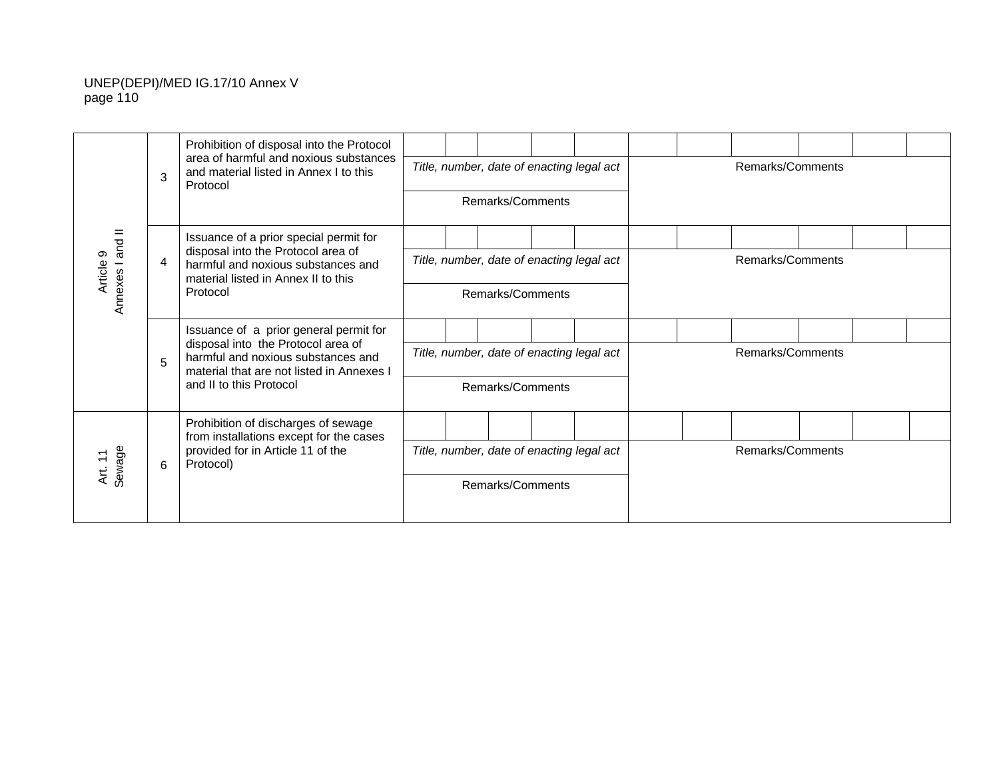|                   |   | Prohibition of disposal into the Protocol                                                                             |  |                                           |  |  |                  |  |  |
|-------------------|---|-----------------------------------------------------------------------------------------------------------------------|--|-------------------------------------------|--|--|------------------|--|--|
|                   | 3 | area of harmful and noxious substances<br>and material listed in Annex I to this<br>Protocol                          |  | Title, number, date of enacting legal act |  |  | Remarks/Comments |  |  |
|                   |   |                                                                                                                       |  | Remarks/Comments                          |  |  |                  |  |  |
| and II            |   | Issuance of a prior special permit for                                                                                |  |                                           |  |  |                  |  |  |
| တ<br>Article      | 4 | disposal into the Protocol area of<br>harmful and noxious substances and<br>material listed in Annex II to this       |  | Title, number, date of enacting legal act |  |  | Remarks/Comments |  |  |
| Annexes           |   | Protocol                                                                                                              |  | Remarks/Comments                          |  |  |                  |  |  |
|                   |   | Issuance of a prior general permit for                                                                                |  |                                           |  |  |                  |  |  |
|                   | 5 | disposal into the Protocol area of<br>harmful and noxious substances and<br>material that are not listed in Annexes I |  | Title, number, date of enacting legal act |  |  | Remarks/Comments |  |  |
|                   |   | and II to this Protocol                                                                                               |  | Remarks/Comments                          |  |  |                  |  |  |
|                   |   | Prohibition of discharges of sewage<br>from installations except for the cases                                        |  |                                           |  |  |                  |  |  |
| Art. 11<br>Sewage | 6 | provided for in Article 11 of the<br>Protocol)                                                                        |  | Title, number, date of enacting legal act |  |  | Remarks/Comments |  |  |
|                   |   |                                                                                                                       |  | Remarks/Comments                          |  |  |                  |  |  |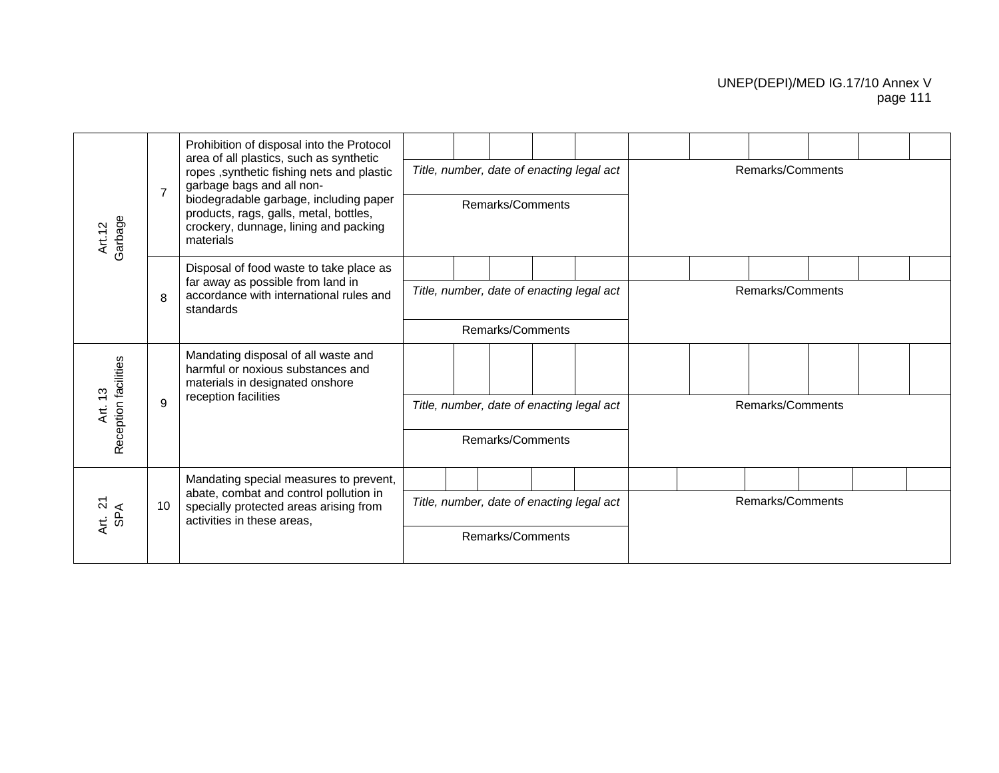|                      |                | Prohibition of disposal into the Protocol                                                                                              |                                                               |  |  |                  |                                           |  |                  |  |  |
|----------------------|----------------|----------------------------------------------------------------------------------------------------------------------------------------|---------------------------------------------------------------|--|--|------------------|-------------------------------------------|--|------------------|--|--|
|                      | $\overline{7}$ | area of all plastics, such as synthetic<br>ropes , synthetic fishing nets and plastic<br>garbage bags and all non-                     |                                                               |  |  |                  | Title, number, date of enacting legal act |  | Remarks/Comments |  |  |
| Art.12<br>Garbage    |                | biodegradable garbage, including paper<br>products, rags, galls, metal, bottles,<br>crockery, dunnage, lining and packing<br>materials |                                                               |  |  | Remarks/Comments |                                           |  |                  |  |  |
|                      |                | Disposal of food waste to take place as                                                                                                |                                                               |  |  |                  |                                           |  |                  |  |  |
|                      | 8              | far away as possible from land in<br>accordance with international rules and<br>standards                                              | Title, number, date of enacting legal act<br>Remarks/Comments |  |  |                  |                                           |  | Remarks/Comments |  |  |
|                      |                |                                                                                                                                        |                                                               |  |  |                  |                                           |  |                  |  |  |
| Reception facilities |                | Mandating disposal of all waste and<br>harmful or noxious substances and<br>materials in designated onshore                            |                                                               |  |  |                  |                                           |  |                  |  |  |
| ဗု<br>بر<br>ج        | 9              | reception facilities                                                                                                                   |                                                               |  |  |                  | Title, number, date of enacting legal act |  | Remarks/Comments |  |  |
|                      |                |                                                                                                                                        |                                                               |  |  | Remarks/Comments |                                           |  |                  |  |  |
|                      |                | Mandating special measures to prevent,                                                                                                 |                                                               |  |  |                  |                                           |  |                  |  |  |
| Art. 21<br>SPA       | 10             | abate, combat and control pollution in<br>specially protected areas arising from<br>activities in these areas.                         | Title, number, date of enacting legal act                     |  |  |                  |                                           |  | Remarks/Comments |  |  |
|                      |                |                                                                                                                                        |                                                               |  |  | Remarks/Comments |                                           |  |                  |  |  |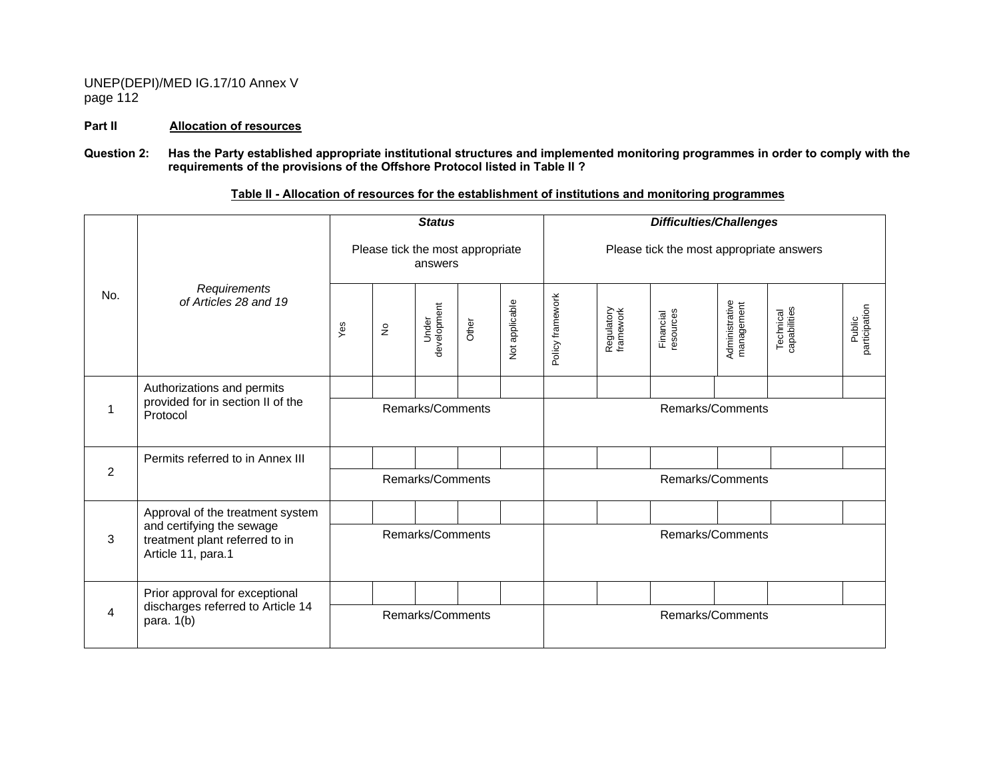#### **Part II Allocation of resources**

#### **Question 2: Has the Party established appropriate institutional structures and implemented monitoring programmes in order to comply with the requirements of the provisions of the Offshore Protocol listed in Table II ?**

|                |                                                                                   |                  |                   | <b>Status</b>                               |       |                |                  |                         | <b>Difficulties/Challenges</b>           |                              |                           |                         |
|----------------|-----------------------------------------------------------------------------------|------------------|-------------------|---------------------------------------------|-------|----------------|------------------|-------------------------|------------------------------------------|------------------------------|---------------------------|-------------------------|
|                |                                                                                   |                  |                   | Please tick the most appropriate<br>answers |       |                |                  |                         | Please tick the most appropriate answers |                              |                           |                         |
| No.            | Requirements<br>of Articles 28 and 19                                             | Yes              | $\frac{\circ}{2}$ | development<br>Under                        | Other | Not applicable | Policy framework | Regulatory<br>framework | Financial<br>resources                   | Administrative<br>management | Technical<br>capabilities | participation<br>Public |
|                | Authorizations and permits                                                        |                  |                   |                                             |       |                |                  |                         |                                          |                              |                           |                         |
|                | provided for in section II of the<br>Protocol                                     |                  |                   | Remarks/Comments                            |       |                |                  |                         | Remarks/Comments                         |                              |                           |                         |
|                | Permits referred to in Annex III                                                  |                  |                   |                                             |       |                |                  |                         |                                          |                              |                           |                         |
| $\overline{2}$ |                                                                                   |                  |                   | Remarks/Comments                            |       |                |                  |                         | Remarks/Comments                         |                              |                           |                         |
|                | Approval of the treatment system                                                  |                  |                   |                                             |       |                |                  |                         |                                          |                              |                           |                         |
| 3              | and certifying the sewage<br>treatment plant referred to in<br>Article 11, para.1 | Remarks/Comments |                   |                                             |       |                |                  |                         | Remarks/Comments                         |                              |                           |                         |
|                | Prior approval for exceptional                                                    |                  |                   |                                             |       |                |                  |                         |                                          |                              |                           |                         |
| 4              | discharges referred to Article 14<br>para. $1(b)$                                 |                  |                   | Remarks/Comments                            |       |                |                  |                         | Remarks/Comments                         |                              |                           |                         |

**Table II - Allocation of resources for the establishment of institutions and monitoring programmes**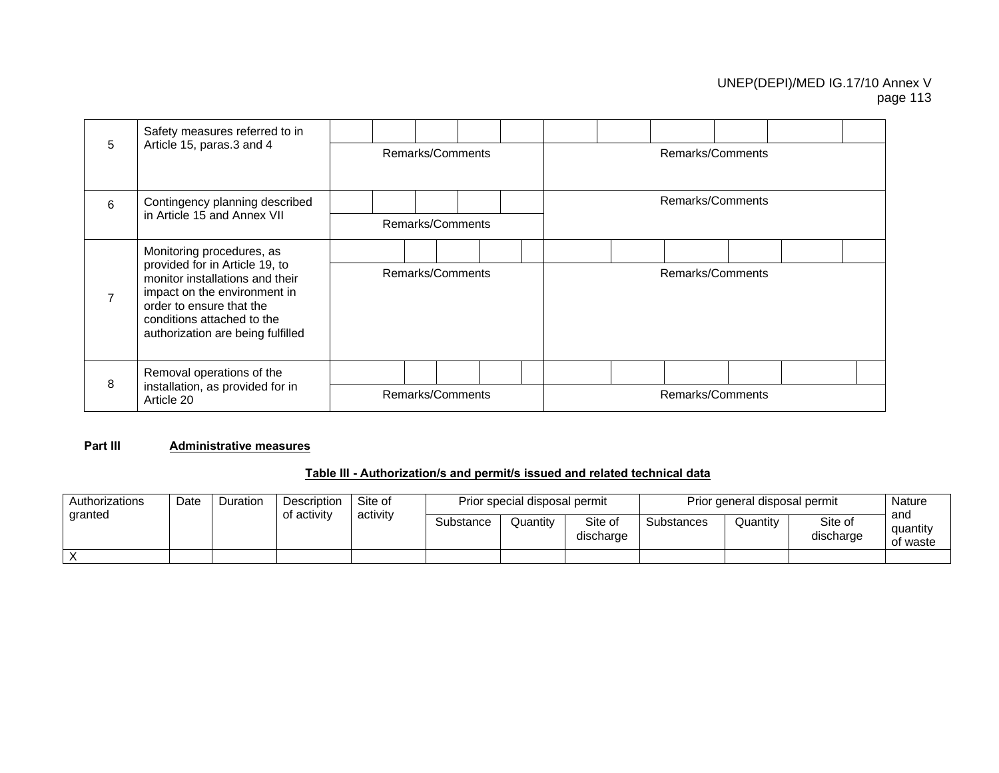|   | Safety measures referred to in                                                                                                                                                                   |                  |  |                  |  |  |                  |                  |  |  |  |  |
|---|--------------------------------------------------------------------------------------------------------------------------------------------------------------------------------------------------|------------------|--|------------------|--|--|------------------|------------------|--|--|--|--|
| 5 | Article 15, paras.3 and 4                                                                                                                                                                        |                  |  | Remarks/Comments |  |  |                  | Remarks/Comments |  |  |  |  |
| 6 | Contingency planning described                                                                                                                                                                   |                  |  |                  |  |  | Remarks/Comments |                  |  |  |  |  |
|   | in Article 15 and Annex VII                                                                                                                                                                      |                  |  | Remarks/Comments |  |  |                  |                  |  |  |  |  |
|   | Monitoring procedures, as                                                                                                                                                                        |                  |  |                  |  |  |                  |                  |  |  |  |  |
| 7 | provided for in Article 19, to<br>monitor installations and their<br>impact on the environment in<br>order to ensure that the<br>conditions attached to the<br>authorization are being fulfilled | Remarks/Comments |  |                  |  |  | Remarks/Comments |                  |  |  |  |  |
|   | Removal operations of the                                                                                                                                                                        |                  |  |                  |  |  |                  |                  |  |  |  |  |
| 8 | installation, as provided for in<br>Article 20                                                                                                                                                   | Remarks/Comments |  |                  |  |  |                  | Remarks/Comments |  |  |  |  |

#### **Part III Administrative measures**

## **Table III - Authorization/s and permit/s issued and related technical data**

| Authorizations | Date | Duration | Description | Site of<br>activity |                                  | Prior special disposal permit |           | Prior general disposal permit | Nature<br>and                    |  |  |
|----------------|------|----------|-------------|---------------------|----------------------------------|-------------------------------|-----------|-------------------------------|----------------------------------|--|--|
| granted        |      |          | of activity |                     | Site of<br>Substance<br>Quantity |                               | discharge | Substances                    | Site of<br>Quantity<br>discharge |  |  |
| X              |      |          |             |                     |                                  |                               |           |                               |                                  |  |  |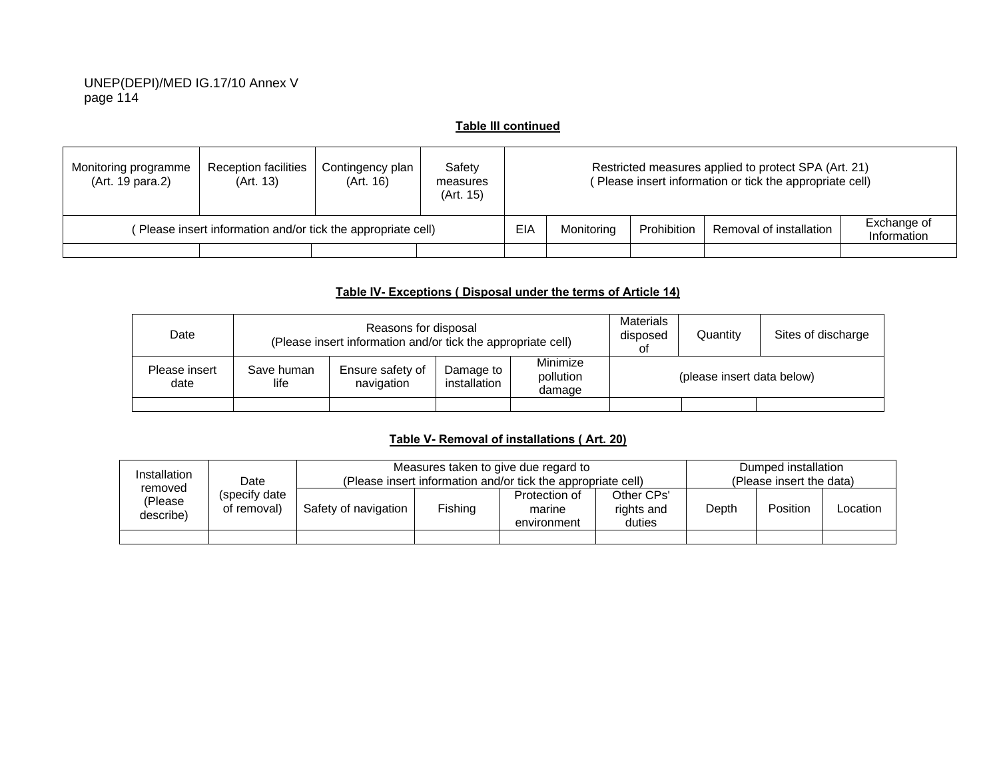#### **Table III continued**

| Monitoring programme<br>(Art. 19 para.2) | <b>Reception facilities</b><br>(Art. 13)                    | Contingency plan<br>(Art. 16) | Safety<br>measures<br>(Art. 15) |                                                                                           | Restricted measures applied to protect SPA (Art. 21)<br>Please insert information or tick the appropriate cell) |  |  |  |  |  |
|------------------------------------------|-------------------------------------------------------------|-------------------------------|---------------------------------|-------------------------------------------------------------------------------------------|-----------------------------------------------------------------------------------------------------------------|--|--|--|--|--|
|                                          | Please insert information and/or tick the appropriate cell) |                               |                                 | Exchange of<br>EIA<br>Prohibition<br>Removal of installation<br>Monitorina<br>Information |                                                                                                                 |  |  |  |  |  |
|                                          |                                                             |                               |                                 |                                                                                           |                                                                                                                 |  |  |  |  |  |

## **Table IV- Exceptions ( Disposal under the terms of Article 14)**

| Date                  |                    | Reasons for disposal<br>(Please insert information and/or tick the appropriate cell) |                           | <b>Materials</b><br>disposed<br>οt | Quantity | Sites of discharge         |  |
|-----------------------|--------------------|--------------------------------------------------------------------------------------|---------------------------|------------------------------------|----------|----------------------------|--|
| Please insert<br>date | Save human<br>life | Ensure safety of<br>navigation                                                       | Damage to<br>installation | Minimize<br>pollution<br>damage    |          | (please insert data below) |  |
|                       |                    |                                                                                      |                           |                                    |          |                            |  |

# **Table V- Removal of installations ( Art. 20)**

| Installation                    |                                       |                      |                                                              | Measures taken to give due regard to |       |          | Dumped installation |  |
|---------------------------------|---------------------------------------|----------------------|--------------------------------------------------------------|--------------------------------------|-------|----------|---------------------|--|
|                                 | Date<br>(specify date)<br>of removal) |                      | (Please insert information and/or tick the appropriate cell) | (Please insert the data)             |       |          |                     |  |
| removed<br>(Please<br>describe) |                                       | Safety of navigation | Fishing                                                      | Other CPs'<br>rights and<br>duties   | Depth | Position | Location            |  |
|                                 |                                       |                      |                                                              |                                      |       |          |                     |  |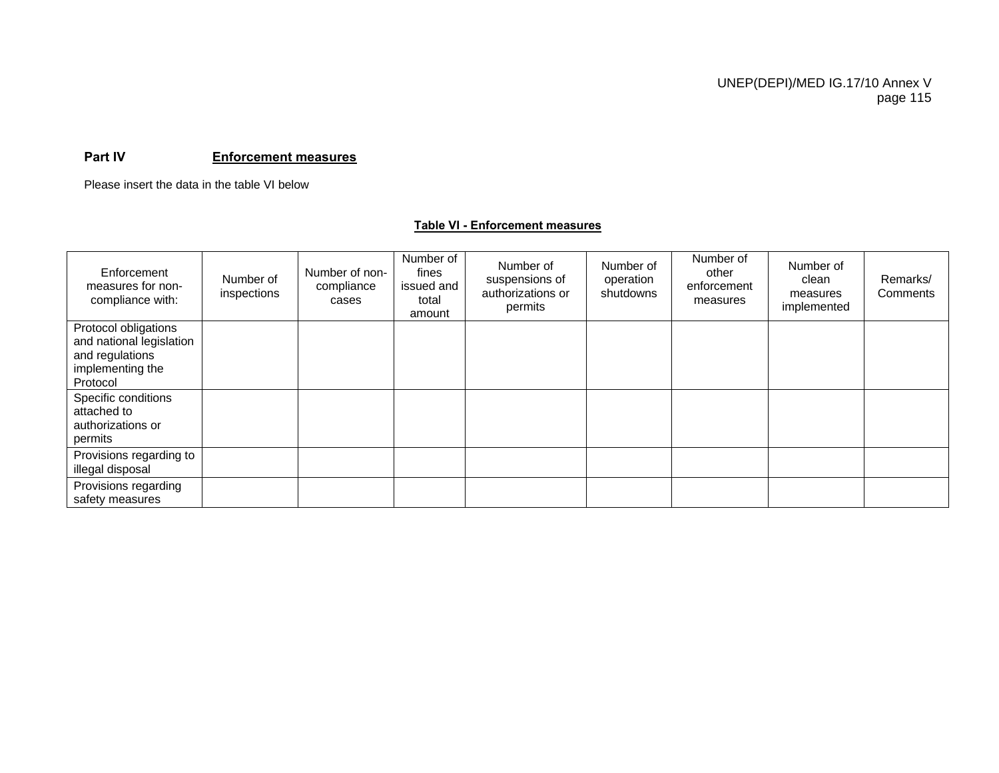#### **Part IV Enforcement measures**

Please insert the data in the table VI below

#### **Table VI - Enforcement measures**

| Enforcement<br>measures for non-<br>compliance with:                                                | Number of<br>inspections | Number of non-<br>compliance<br>cases | Number of<br>fines<br>issued and<br>total<br>amount | Number of<br>suspensions of<br>authorizations or<br>permits | Number of<br>operation<br>shutdowns | Number of<br>other<br>enforcement<br>measures | Number of<br>clean<br>measures<br>implemented | Remarks/<br>Comments |
|-----------------------------------------------------------------------------------------------------|--------------------------|---------------------------------------|-----------------------------------------------------|-------------------------------------------------------------|-------------------------------------|-----------------------------------------------|-----------------------------------------------|----------------------|
| Protocol obligations<br>and national legislation<br>and regulations<br>implementing the<br>Protocol |                          |                                       |                                                     |                                                             |                                     |                                               |                                               |                      |
| Specific conditions<br>attached to<br>authorizations or<br>permits                                  |                          |                                       |                                                     |                                                             |                                     |                                               |                                               |                      |
| Provisions regarding to<br>illegal disposal                                                         |                          |                                       |                                                     |                                                             |                                     |                                               |                                               |                      |
| Provisions regarding<br>safety measures                                                             |                          |                                       |                                                     |                                                             |                                     |                                               |                                               |                      |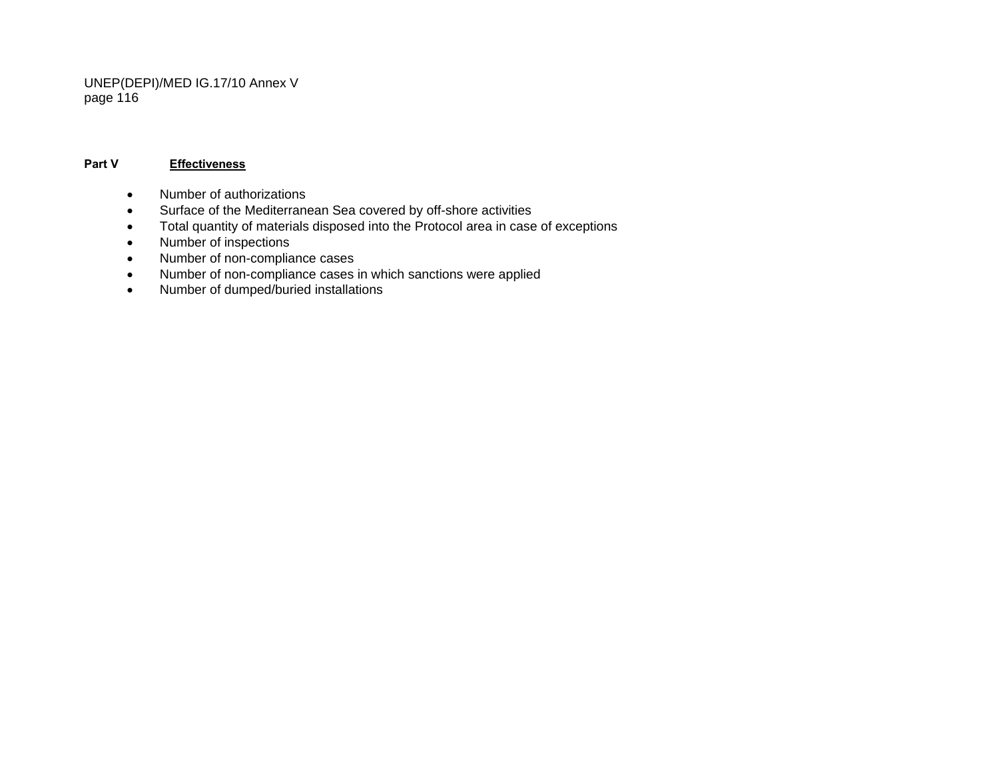#### **Part V Effectiveness**

- Number of authorizations
- Surface of the Mediterranean Sea covered by off-shore activities
- Total quantity of materials disposed into the Protocol area in case of exceptions
- Number of inspections
- Number of non-compliance cases
- Number of non-compliance cases in which sanctions were applied
- Number of dumped/buried installations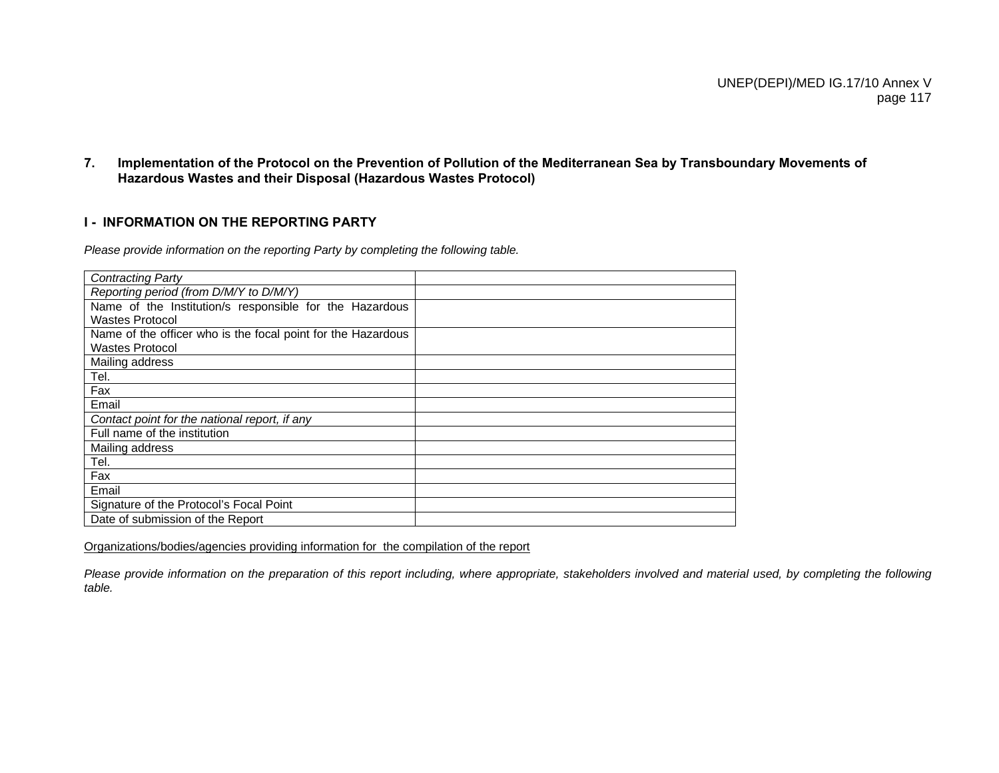**7. Implementation of the Protocol on the Prevention of Pollution of the Mediterranean Sea by Transboundary Movements of Hazardous Wastes and their Disposal (Hazardous Wastes Protocol)** 

#### **I - INFORMATION ON THE REPORTING PARTY**

*Please provide information on the reporting Party by completing the following table.* 

| <b>Contracting Party</b>                                     |  |
|--------------------------------------------------------------|--|
| Reporting period (from D/M/Y to D/M/Y)                       |  |
| Name of the Institution/s responsible for the Hazardous      |  |
| <b>Wastes Protocol</b>                                       |  |
| Name of the officer who is the focal point for the Hazardous |  |
| <b>Wastes Protocol</b>                                       |  |
| Mailing address                                              |  |
| Tel.                                                         |  |
| Fax                                                          |  |
| Email                                                        |  |
| Contact point for the national report, if any                |  |
| Full name of the institution                                 |  |
| Mailing address                                              |  |
| Tel.                                                         |  |
| Fax                                                          |  |
| Email                                                        |  |
| Signature of the Protocol's Focal Point                      |  |
| Date of submission of the Report                             |  |

Organizations/bodies/agencies providing information for the compilation of the report

*Please provide information on the preparation of this report including, where appropriate, stakeholders involved and material used, by completing the following table.*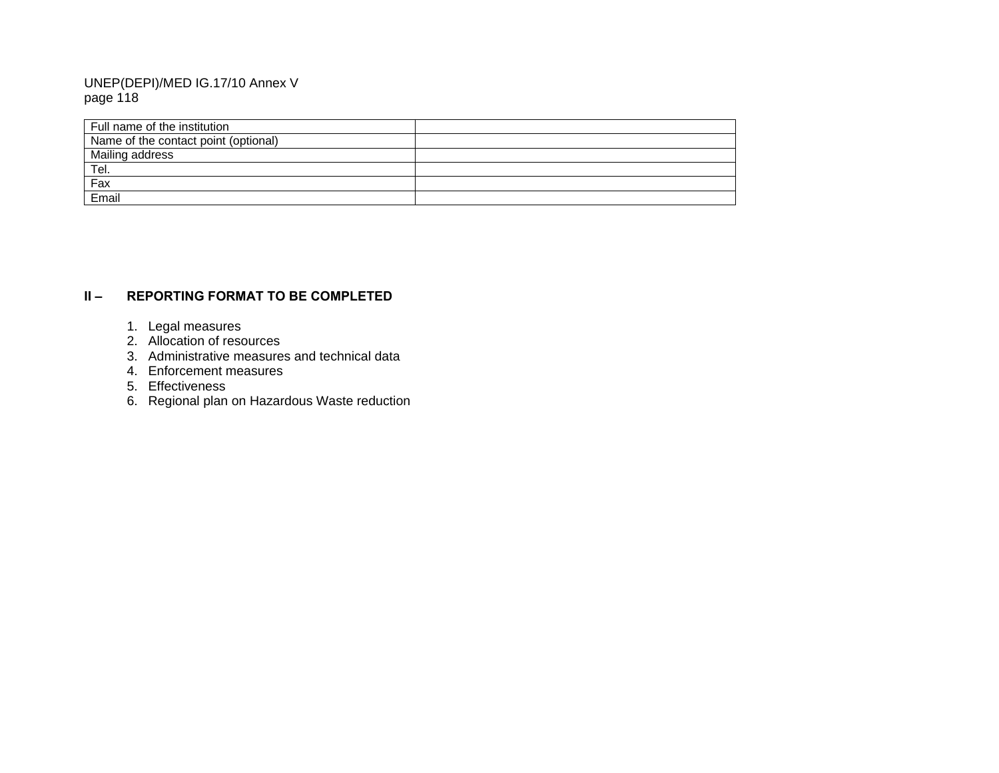| l Full name of the institution       |  |
|--------------------------------------|--|
| Name of the contact point (optional) |  |
| Mailing address                      |  |
| ' <u>Tel.</u>                        |  |
| Fax                                  |  |
| Email                                |  |

## **II – REPORTING FORMAT TO BE COMPLETED**

- 1. Legal measures
- 2. Allocation of resources
- 3. Administrative measures and technical data
- 4. Enforcement measures
- 5. Effectiveness
- 6. Regional plan on Hazardous Waste reduction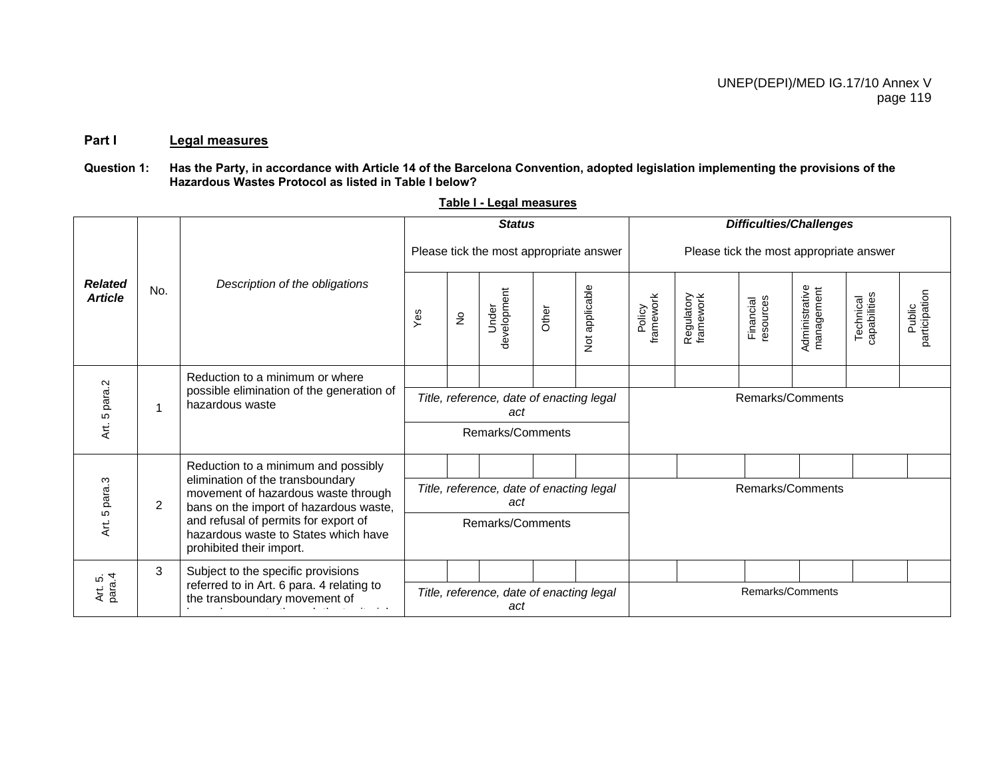# **Part I Legal measures**

## Question 1: Has the Party, in accordance with Article 14 of the Barcelona Convention, adopted legislation implementing the provisions of the **Hazardous Wastes Protocol as listed in Table I below?**

|                                  |                |                                                                                                                   |                                                 |                            | <b>Status</b>                                   |       |                |                                         |                         |                        | <b>Difficulties/Challenges</b> |                           |                         |
|----------------------------------|----------------|-------------------------------------------------------------------------------------------------------------------|-------------------------------------------------|----------------------------|-------------------------------------------------|-------|----------------|-----------------------------------------|-------------------------|------------------------|--------------------------------|---------------------------|-------------------------|
|                                  |                |                                                                                                                   |                                                 |                            | Please tick the most appropriate answer         |       |                | Please tick the most appropriate answer |                         |                        |                                |                           |                         |
| <b>Related</b><br><b>Article</b> | No.            | Description of the obligations                                                                                    | Yes                                             | $\stackrel{\circ}{\simeq}$ | development<br>Under                            | Other | Not applicable | framework<br>Policy                     | Regulatory<br>framework | resources<br>Financial | Administrative<br>management   | Technical<br>capabilities | participation<br>Public |
|                                  |                | Reduction to a minimum or where                                                                                   |                                                 |                            |                                                 |       |                |                                         |                         |                        |                                |                           |                         |
| Art. 5 para.2                    |                | possible elimination of the generation of<br>hazardous waste                                                      |                                                 |                            | Title, reference, date of enacting legal<br>act |       |                | Remarks/Comments                        |                         |                        |                                |                           |                         |
|                                  |                |                                                                                                                   |                                                 |                            | Remarks/Comments                                |       |                |                                         |                         |                        |                                |                           |                         |
|                                  |                | Reduction to a minimum and possibly                                                                               |                                                 |                            |                                                 |       |                |                                         |                         |                        |                                |                           |                         |
| 5 para.3                         | $\overline{2}$ | elimination of the transboundary<br>movement of hazardous waste through<br>bans on the import of hazardous waste, | Title, reference, date of enacting legal<br>act |                            |                                                 |       |                | Remarks/Comments                        |                         |                        |                                |                           |                         |
| t.<br>K                          |                | and refusal of permits for export of<br>hazardous waste to States which have<br>prohibited their import.          |                                                 | Remarks/Comments           |                                                 |       |                |                                         |                         |                        |                                |                           |                         |
|                                  | 3              | Subject to the specific provisions                                                                                |                                                 |                            |                                                 |       |                |                                         |                         |                        |                                |                           |                         |
| Art. 5.<br>para.4                |                | referred to in Art. 6 para. 4 relating to<br>the transboundary movement of                                        | Title, reference, date of enacting legal<br>act |                            |                                                 |       |                |                                         |                         | Remarks/Comments       |                                |                           |                         |

**Table I - Legal measures**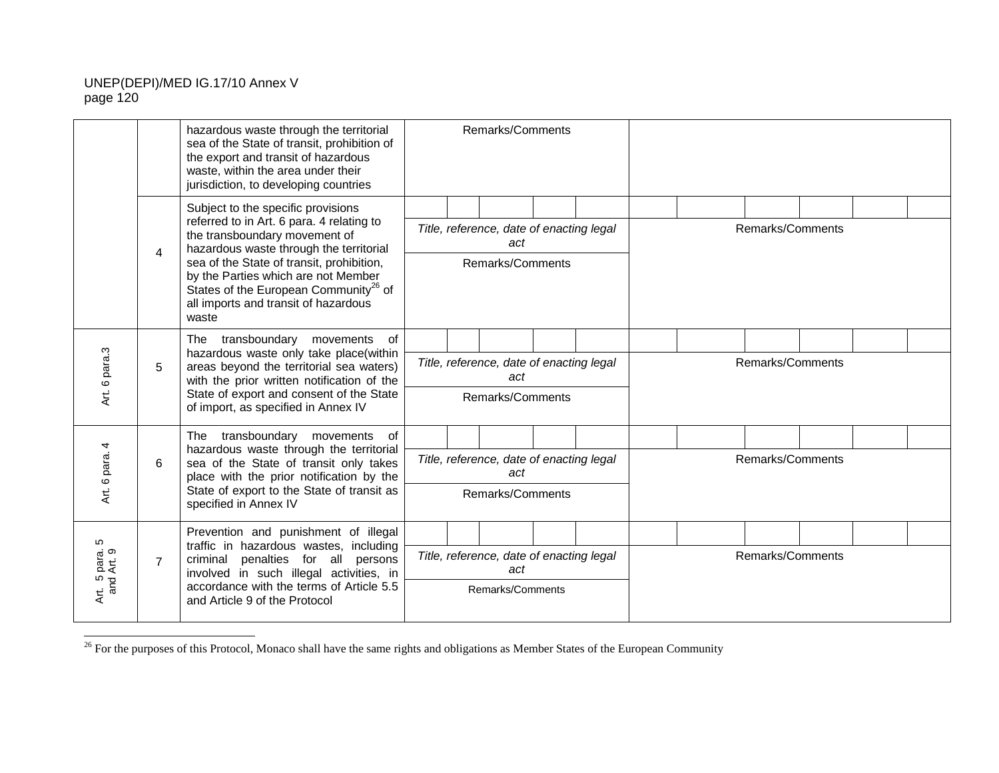|                                        |                | hazardous waste through the territorial<br>sea of the State of transit, prohibition of<br>the export and transit of hazardous<br>waste, within the area under their<br>jurisdiction, to developing countries                                                                                                                                          |                                                                     |  | Remarks/Comments                                                    |  |  |  |                  |  |  |
|----------------------------------------|----------------|-------------------------------------------------------------------------------------------------------------------------------------------------------------------------------------------------------------------------------------------------------------------------------------------------------------------------------------------------------|---------------------------------------------------------------------|--|---------------------------------------------------------------------|--|--|--|------------------|--|--|
|                                        | 4              | Subject to the specific provisions<br>referred to in Art. 6 para. 4 relating to<br>the transboundary movement of<br>hazardous waste through the territorial<br>sea of the State of transit, prohibition,<br>by the Parties which are not Member<br>States of the European Community <sup>26</sup> of<br>all imports and transit of hazardous<br>waste |                                                                     |  | Title, reference, date of enacting legal<br>act<br>Remarks/Comments |  |  |  | Remarks/Comments |  |  |
| Art. 6 para.3                          | 5              | The transboundary movements of<br>hazardous waste only take place(within<br>areas beyond the territorial sea waters)<br>with the prior written notification of the<br>State of export and consent of the State<br>of import, as specified in Annex IV                                                                                                 | Title, reference, date of enacting legal<br>act<br>Remarks/Comments |  |                                                                     |  |  |  | Remarks/Comments |  |  |
| Art. 6 para. 4                         | 6              | The transboundary movements of<br>hazardous waste through the territorial<br>sea of the State of transit only takes<br>place with the prior notification by the<br>State of export to the State of transit as<br>specified in Annex IV                                                                                                                | Title, reference, date of enacting legal<br>act<br>Remarks/Comments |  |                                                                     |  |  |  | Remarks/Comments |  |  |
| 5<br>rt. 5 para.<br>and Art. 9<br>Αrt. | $\overline{7}$ | Prevention and punishment of illegal<br>traffic in hazardous wastes, including<br>criminal<br>penalties for all persons<br>involved in such illegal activities, in<br>accordance with the terms of Article 5.5<br>and Article 9 of the Protocol                                                                                                       |                                                                     |  | Title, reference, date of enacting legal<br>act<br>Remarks/Comments |  |  |  | Remarks/Comments |  |  |

<sup>&</sup>lt;sup>26</sup> For the purposes of this Protocol, Monaco shall have the same rights and obligations as Member States of the European Community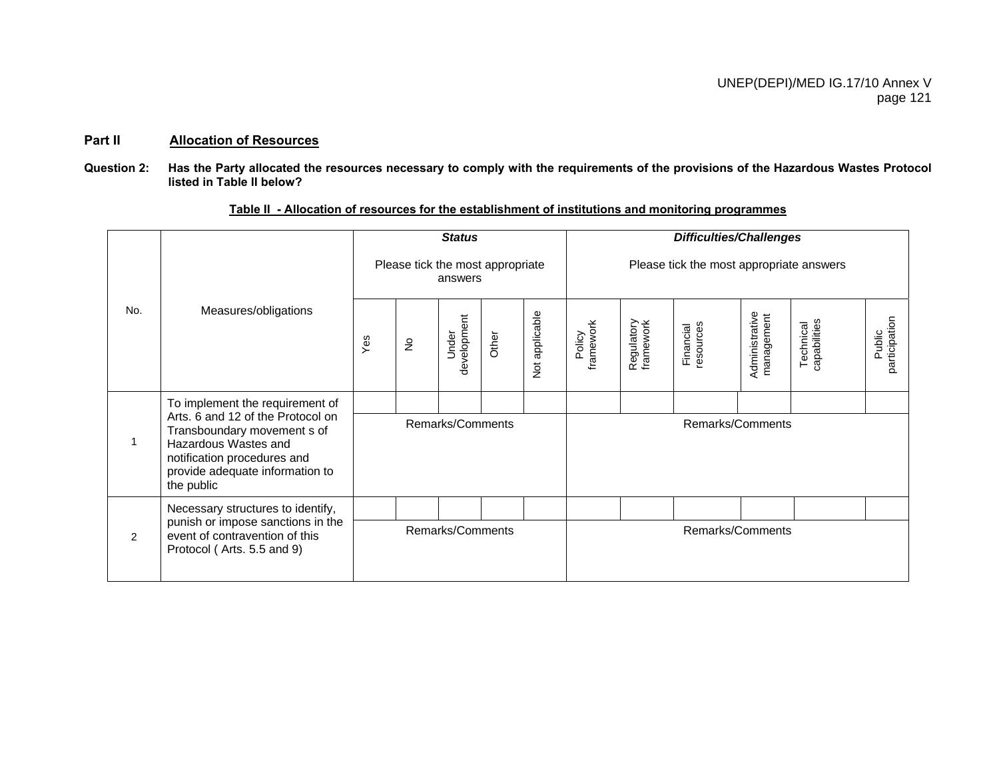#### **Part II Allocation of Resources**

**Question 2: Has the Party allocated the resources necessary to comply with the requirements of the provisions of the Hazardous Wastes Protocol listed in Table II below?** 

|     |                                                                                                                                                                          |                  |               | <b>Status</b>                               |       |                |                     |                                          | <b>Difficulties/Challenges</b> |                              |                           |                         |  |  |  |  |
|-----|--------------------------------------------------------------------------------------------------------------------------------------------------------------------------|------------------|---------------|---------------------------------------------|-------|----------------|---------------------|------------------------------------------|--------------------------------|------------------------------|---------------------------|-------------------------|--|--|--|--|
|     |                                                                                                                                                                          |                  |               | Please tick the most appropriate<br>answers |       |                |                     | Please tick the most appropriate answers |                                |                              |                           |                         |  |  |  |  |
| No. | Measures/obligations                                                                                                                                                     | Yes              | $\frac{1}{2}$ | development<br>Under                        | Other | Not applicable | framework<br>Policy | Regulatory<br>framework                  | esources<br>Financial          | Administrative<br>management | Technical<br>capabilities | participation<br>Public |  |  |  |  |
|     | To implement the requirement of                                                                                                                                          |                  |               |                                             |       |                |                     |                                          |                                |                              |                           |                         |  |  |  |  |
|     | Arts. 6 and 12 of the Protocol on<br>Transboundary movement s of<br>Hazardous Wastes and<br>notification procedures and<br>provide adequate information to<br>the public | Remarks/Comments |               |                                             |       |                |                     |                                          | Remarks/Comments               |                              |                           |                         |  |  |  |  |
|     | Necessary structures to identify,                                                                                                                                        |                  |               |                                             |       |                |                     |                                          |                                |                              |                           |                         |  |  |  |  |
| 2   | punish or impose sanctions in the<br>event of contravention of this<br>Protocol (Arts. 5.5 and 9)                                                                        |                  |               | Remarks/Comments                            |       |                | Remarks/Comments    |                                          |                                |                              |                           |                         |  |  |  |  |

#### **Table II - Allocation of resources for the establishment of institutions and monitoring programmes**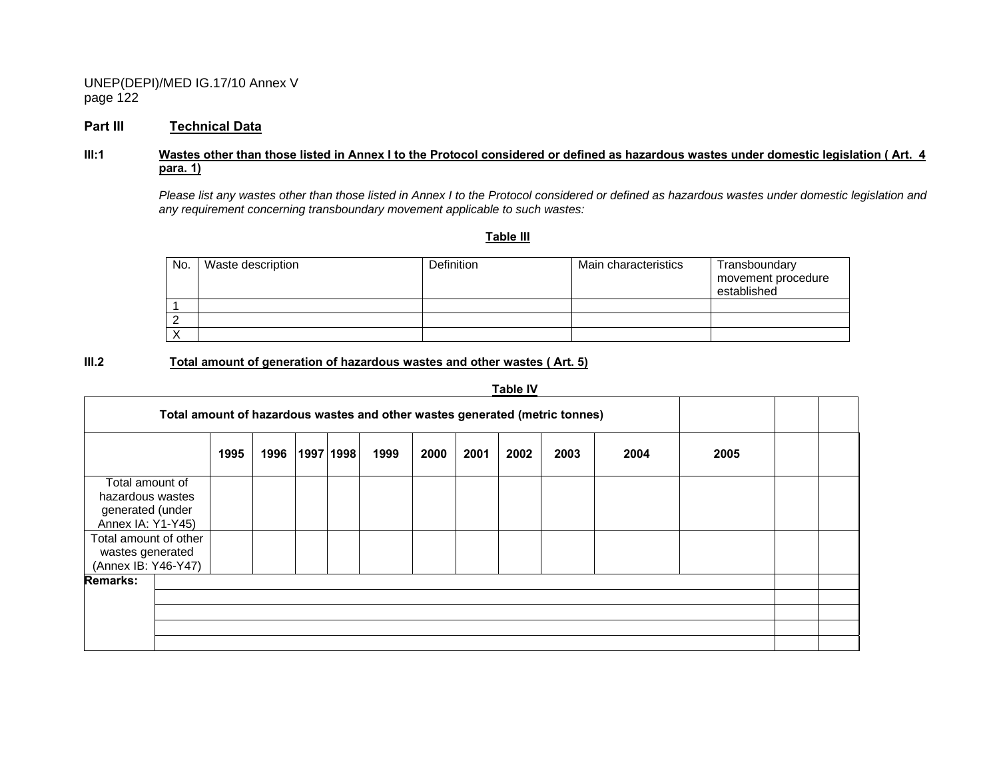#### **Part III Technical Data**

#### **III:1 Wastes other than those listed in Annex I to the Protocol considered or defined as hazardous wastes under domestic legislation ( Art. 4 para. 1)**

 *Please list any wastes other than those listed in Annex I to the Protocol considered or defined as hazardous wastes under domestic legislation and any requirement concerning transboundary movement applicable to such wastes:* 

**Table III**

| No. | Waste description | <b>Definition</b> | Main characteristics | Transboundary<br>movement procedure<br>established |
|-----|-------------------|-------------------|----------------------|----------------------------------------------------|
|     |                   |                   |                      |                                                    |
|     |                   |                   |                      |                                                    |
|     |                   |                   |                      |                                                    |

#### **III.2 Total amount of generation of hazardous wastes and other wastes ( Art. 5)**

|                                                                                                       |      |      |           |      |      |      | Table IV |                                                                             |      |      |  |
|-------------------------------------------------------------------------------------------------------|------|------|-----------|------|------|------|----------|-----------------------------------------------------------------------------|------|------|--|
|                                                                                                       |      |      |           |      |      |      |          | Total amount of hazardous wastes and other wastes generated (metric tonnes) |      |      |  |
|                                                                                                       | 1995 | 1996 | 1997 1998 | 1999 | 2000 | 2001 | 2002     | 2003                                                                        | 2004 | 2005 |  |
| Total amount of<br>hazardous wastes<br>generated (under<br>Annex IA: Y1-Y45)<br>Total amount of other |      |      |           |      |      |      |          |                                                                             |      |      |  |
| wastes generated<br>(Annex IB: Y46-Y47)                                                               |      |      |           |      |      |      |          |                                                                             |      |      |  |
| <b>Remarks:</b>                                                                                       |      |      |           |      |      |      |          |                                                                             |      |      |  |
|                                                                                                       |      |      |           |      |      |      |          |                                                                             |      |      |  |
|                                                                                                       |      |      |           |      |      |      |          |                                                                             |      |      |  |
|                                                                                                       |      |      |           |      |      |      |          |                                                                             |      |      |  |
|                                                                                                       |      |      |           |      |      |      |          |                                                                             |      |      |  |

# **Table IV**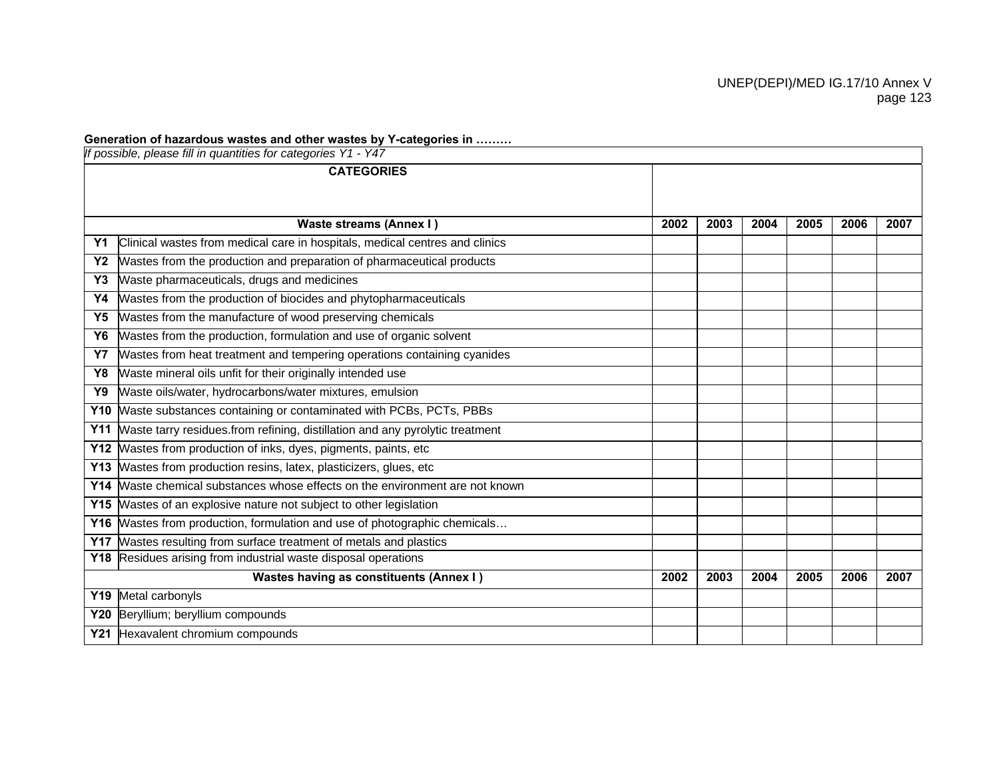### **Generation of hazardous wastes and other wastes by Y-categories in ………**

|            | If possible, please fill in quantities for categories Y1 - Y47               |      |      |      |      |      |      |
|------------|------------------------------------------------------------------------------|------|------|------|------|------|------|
|            | <b>CATEGORIES</b>                                                            |      |      |      |      |      |      |
|            |                                                                              |      |      |      |      |      |      |
|            | Waste streams (Annex I)                                                      | 2002 | 2003 | 2004 | 2005 | 2006 | 2007 |
| <b>Y1</b>  | Clinical wastes from medical care in hospitals, medical centres and clinics  |      |      |      |      |      |      |
| <b>Y2</b>  | Wastes from the production and preparation of pharmaceutical products        |      |      |      |      |      |      |
| Y3         | Waste pharmaceuticals, drugs and medicines                                   |      |      |      |      |      |      |
| Y4         | Wastes from the production of biocides and phytopharmaceuticals              |      |      |      |      |      |      |
| Y5         | Wastes from the manufacture of wood preserving chemicals                     |      |      |      |      |      |      |
| Y6         | Wastes from the production, formulation and use of organic solvent           |      |      |      |      |      |      |
| <b>Y7</b>  | Wastes from heat treatment and tempering operations containing cyanides      |      |      |      |      |      |      |
| Y8         | Waste mineral oils unfit for their originally intended use                   |      |      |      |      |      |      |
| Y9         | Waste oils/water, hydrocarbons/water mixtures, emulsion                      |      |      |      |      |      |      |
| <b>Y10</b> | Waste substances containing or contaminated with PCBs, PCTs, PBBs            |      |      |      |      |      |      |
| <b>Y11</b> | Waste tarry residues.from refining, distillation and any pyrolytic treatment |      |      |      |      |      |      |
| <b>Y12</b> | Wastes from production of inks, dyes, pigments, paints, etc                  |      |      |      |      |      |      |
| <b>Y13</b> | Wastes from production resins, latex, plasticizers, glues, etc               |      |      |      |      |      |      |
| Y14        | Waste chemical substances whose effects on the environment are not known     |      |      |      |      |      |      |
| <b>Y15</b> | Wastes of an explosive nature not subject to other legislation               |      |      |      |      |      |      |
| <b>Y16</b> | Wastes from production, formulation and use of photographic chemicals        |      |      |      |      |      |      |
| <b>Y17</b> | Wastes resulting from surface treatment of metals and plastics               |      |      |      |      |      |      |
|            | Y18 Residues arising from industrial waste disposal operations               |      |      |      |      |      |      |
|            | Wastes having as constituents (Annex I)                                      | 2002 | 2003 | 2004 | 2005 | 2006 | 2007 |
|            | Y19 Metal carbonyls                                                          |      |      |      |      |      |      |
|            | Y20 Beryllium; beryllium compounds                                           |      |      |      |      |      |      |
|            | Y21 Hexavalent chromium compounds                                            |      |      |      |      |      |      |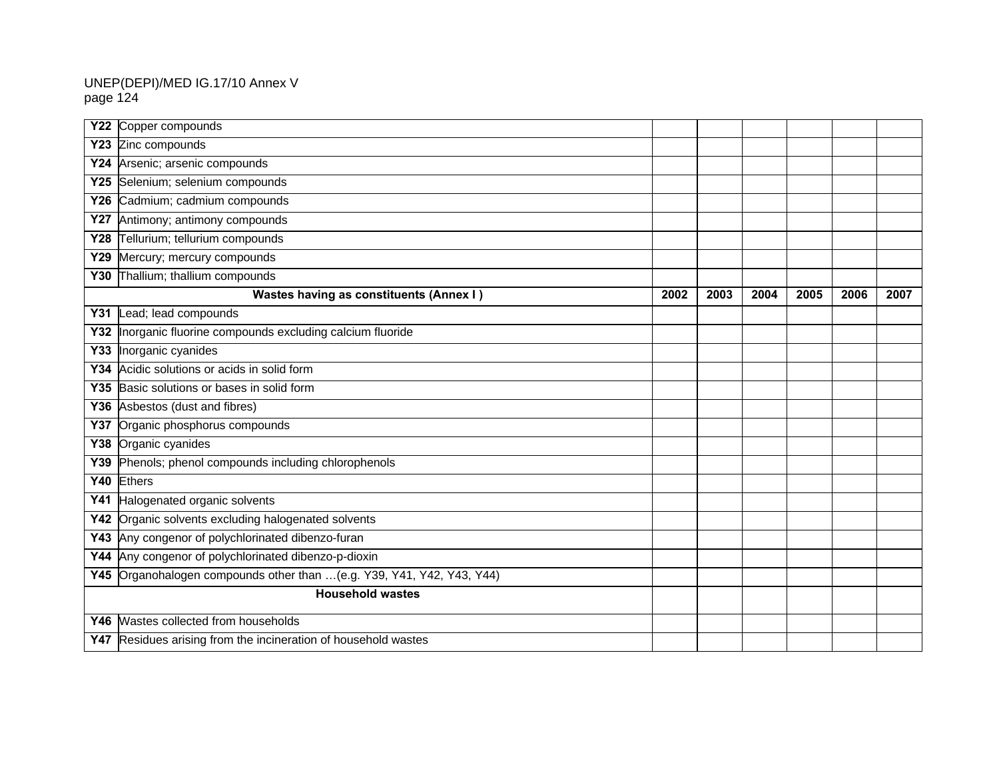| <b>Y22</b> | Copper compounds                                                   |      |      |      |      |      |      |
|------------|--------------------------------------------------------------------|------|------|------|------|------|------|
| <b>Y23</b> | Zinc compounds                                                     |      |      |      |      |      |      |
| Y24        | Arsenic; arsenic compounds                                         |      |      |      |      |      |      |
| Y25        | Selenium; selenium compounds                                       |      |      |      |      |      |      |
| Y26        | Cadmium; cadmium compounds                                         |      |      |      |      |      |      |
| <b>Y27</b> | Antimony; antimony compounds                                       |      |      |      |      |      |      |
|            | Y28 Tellurium; tellurium compounds                                 |      |      |      |      |      |      |
|            | Y29 Mercury; mercury compounds                                     |      |      |      |      |      |      |
| <b>Y30</b> | Thallium; thallium compounds                                       |      |      |      |      |      |      |
|            | <b>Wastes having as constituents (Annex I)</b>                     | 2002 | 2003 | 2004 | 2005 | 2006 | 2007 |
|            | Y31 Lead; lead compounds                                           |      |      |      |      |      |      |
| Y32        | Inorganic fluorine compounds excluding calcium fluoride            |      |      |      |      |      |      |
| Y33        | Inorganic cyanides                                                 |      |      |      |      |      |      |
| Y34        | Acidic solutions or acids in solid form                            |      |      |      |      |      |      |
|            | Y35 Basic solutions or bases in solid form                         |      |      |      |      |      |      |
|            | Y36 Asbestos (dust and fibres)                                     |      |      |      |      |      |      |
|            | Y37 Organic phosphorus compounds                                   |      |      |      |      |      |      |
| Y38        | Organic cyanides                                                   |      |      |      |      |      |      |
| Y39        | Phenols; phenol compounds including chlorophenols                  |      |      |      |      |      |      |
|            | Y40 Ethers                                                         |      |      |      |      |      |      |
| <b>Y41</b> | Halogenated organic solvents                                       |      |      |      |      |      |      |
| Y42        | Organic solvents excluding halogenated solvents                    |      |      |      |      |      |      |
| Y43        | Any congenor of polychlorinated dibenzo-furan                      |      |      |      |      |      |      |
| Y44        | Any congenor of polychlorinated dibenzo-p-dioxin                   |      |      |      |      |      |      |
| <b>Y45</b> | Organohalogen compounds other than  (e.g. Y39, Y41, Y42, Y43, Y44) |      |      |      |      |      |      |
|            | <b>Household wastes</b>                                            |      |      |      |      |      |      |
| Y46        | Wastes collected from households                                   |      |      |      |      |      |      |
|            | Y47 Residues arising from the incineration of household wastes     |      |      |      |      |      |      |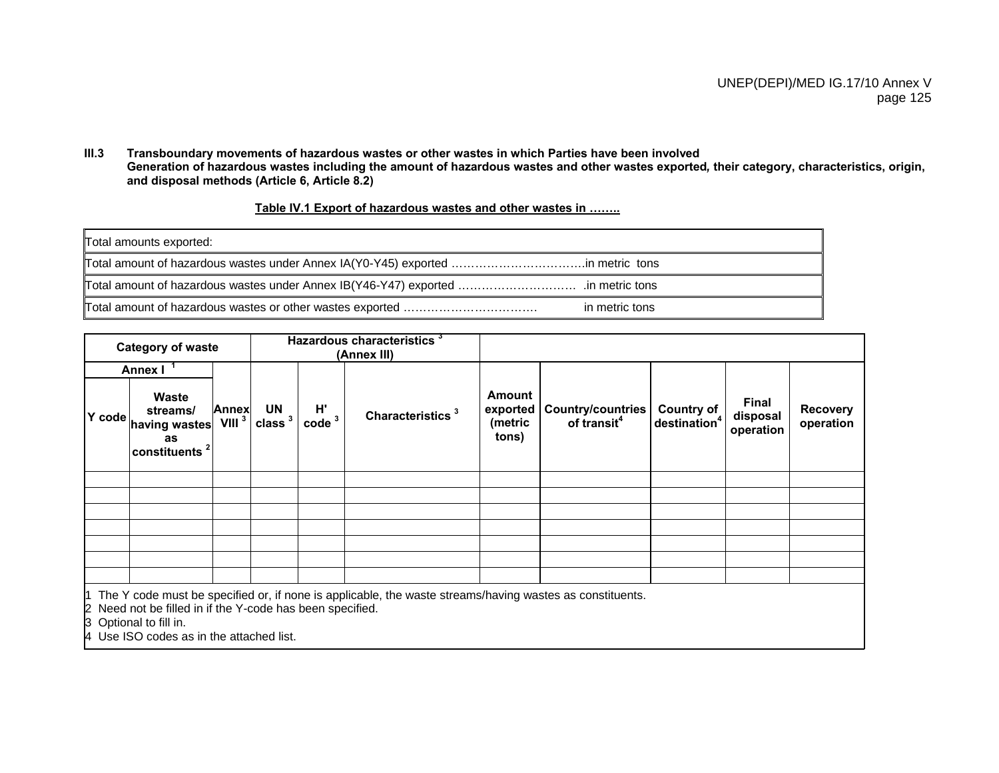#### **III.3 Transboundary movements of hazardous wastes or other wastes in which Parties have been involved Generation of hazardous wastes including the amount of hazardous wastes and other wastes exported***,* **their category, characteristics, origin, and disposal methods (Article 6, Article 8.2)**

|--|

| Total amounts exported: |                |
|-------------------------|----------------|
|                         |                |
|                         |                |
|                         | in metric tons |

|        | <b>Category of waste</b>                                                     |                            |                          |                                                 | Hazardous characteristics <sup>3</sup><br>(Annex III)                                                              |                                               |                                                     |                                        |                                |                              |
|--------|------------------------------------------------------------------------------|----------------------------|--------------------------|-------------------------------------------------|--------------------------------------------------------------------------------------------------------------------|-----------------------------------------------|-----------------------------------------------------|----------------------------------------|--------------------------------|------------------------------|
|        | <b>Annex I</b>                                                               |                            |                          |                                                 |                                                                                                                    |                                               |                                                     |                                        |                                |                              |
| Y code | <b>Waste</b><br>streams/<br>having wastes<br>as<br>constituents <sup>2</sup> | Annex<br>VIII <sup>3</sup> | UN<br>class <sup>3</sup> | $H^{\prime}$<br>$\frac{1}{2}$ code <sup>3</sup> | Characteristics <sup>3</sup>                                                                                       | <b>Amount</b><br>exported<br>(metric<br>tons) | <b>Country/countries</b><br>of transit <sup>4</sup> | Country of<br>destination <sup>4</sup> | Final<br>disposal<br>operation | <b>Recovery</b><br>operation |
|        |                                                                              |                            |                          |                                                 |                                                                                                                    |                                               |                                                     |                                        |                                |                              |
|        |                                                                              |                            |                          |                                                 |                                                                                                                    |                                               |                                                     |                                        |                                |                              |
|        |                                                                              |                            |                          |                                                 |                                                                                                                    |                                               |                                                     |                                        |                                |                              |
|        |                                                                              |                            |                          |                                                 |                                                                                                                    |                                               |                                                     |                                        |                                |                              |
|        |                                                                              |                            |                          |                                                 |                                                                                                                    |                                               |                                                     |                                        |                                |                              |
|        |                                                                              |                            |                          |                                                 |                                                                                                                    |                                               |                                                     |                                        |                                |                              |
|        |                                                                              |                            |                          |                                                 |                                                                                                                    |                                               |                                                     |                                        |                                |                              |
|        |                                                                              |                            |                          |                                                 | $\vert$ 1 The Y code must be specified or, if none is applicable, the waste streams/having wastes as constituents. |                                               |                                                     |                                        |                                |                              |

2 Need not be filled in if the Y-code has been specified.

3 Optional to fill in.

4 Use ISO codes as in the attached list.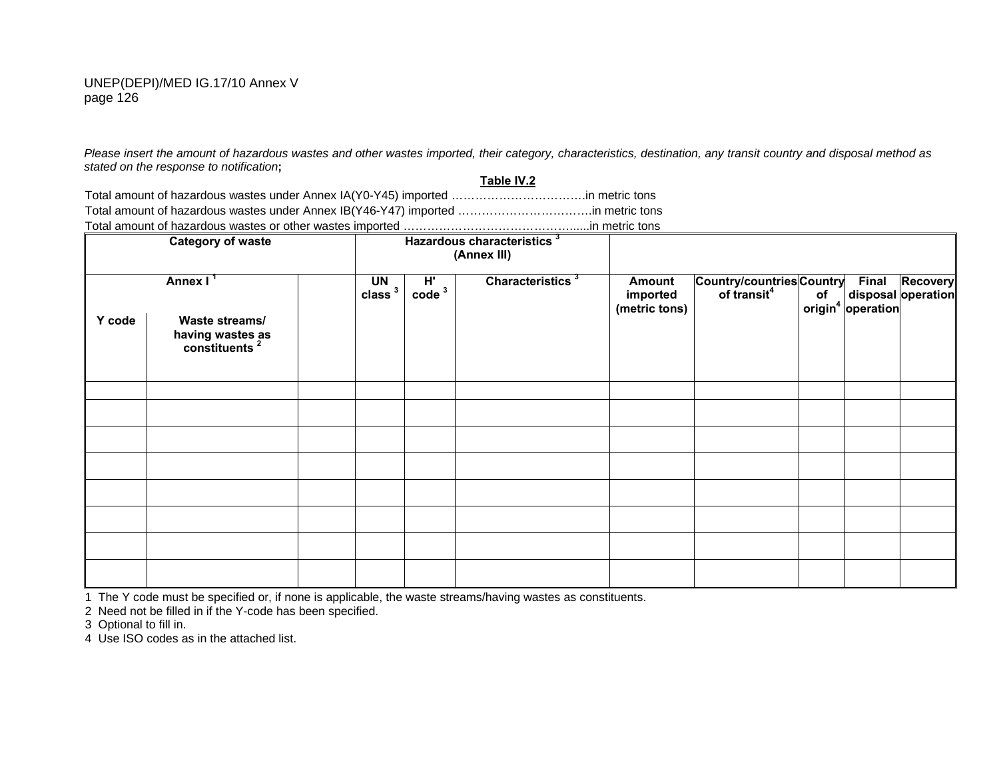*Please insert the amount of hazardous wastes and other wastes imported, their category, characteristics, destination, any transit country and disposal method as stated on the response to notification***;** 

**Table IV.2** Total amount of hazardous wastes under Annex IA(Y0-Y45) imported …………………………….in metric tons Total amount of hazardous wastes under Annex IB(Y46-Y47) imported …………………………….in metric tons Total amount of hazardous wastes or other wastes imported ……………………………………......in metric tons

| <b>Category of waste</b> |                                                                                         |  |                                 |                                                 | Hazardous characteristics <sup>3</sup><br>(Annex III) |                                     |                                                         |              |                                   |
|--------------------------|-----------------------------------------------------------------------------------------|--|---------------------------------|-------------------------------------------------|-------------------------------------------------------|-------------------------------------|---------------------------------------------------------|--------------|-----------------------------------|
| Y code                   | Annex I <sup>1</sup><br>Waste streams/<br>having wastes as<br>constituents <sup>2</sup> |  | <b>UN</b><br>class <sup>3</sup> | $H^{\prime}$<br>$\frac{1}{2}$ code <sup>3</sup> | Characteristics <sup>3</sup>                          | Amount<br>imported<br>(metric tons) | Country/countries Country<br>of transit <sup>4</sup> of | <b>Final</b> | Recovery<br>of disposal operation |
|                          |                                                                                         |  |                                 |                                                 |                                                       |                                     |                                                         |              |                                   |
|                          |                                                                                         |  |                                 |                                                 |                                                       |                                     |                                                         |              |                                   |
|                          |                                                                                         |  |                                 |                                                 |                                                       |                                     |                                                         |              |                                   |
|                          |                                                                                         |  |                                 |                                                 |                                                       |                                     |                                                         |              |                                   |
|                          |                                                                                         |  |                                 |                                                 |                                                       |                                     |                                                         |              |                                   |
|                          |                                                                                         |  |                                 |                                                 |                                                       |                                     |                                                         |              |                                   |
|                          |                                                                                         |  |                                 |                                                 |                                                       |                                     |                                                         |              |                                   |
|                          |                                                                                         |  |                                 |                                                 |                                                       |                                     |                                                         |              |                                   |
|                          |                                                                                         |  |                                 |                                                 |                                                       |                                     |                                                         |              |                                   |

1 The Y code must be specified or, if none is applicable, the waste streams/having wastes as constituents.

2 Need not be filled in if the Y-code has been specified.

3 Optional to fill in.

4 Use ISO codes as in the attached list.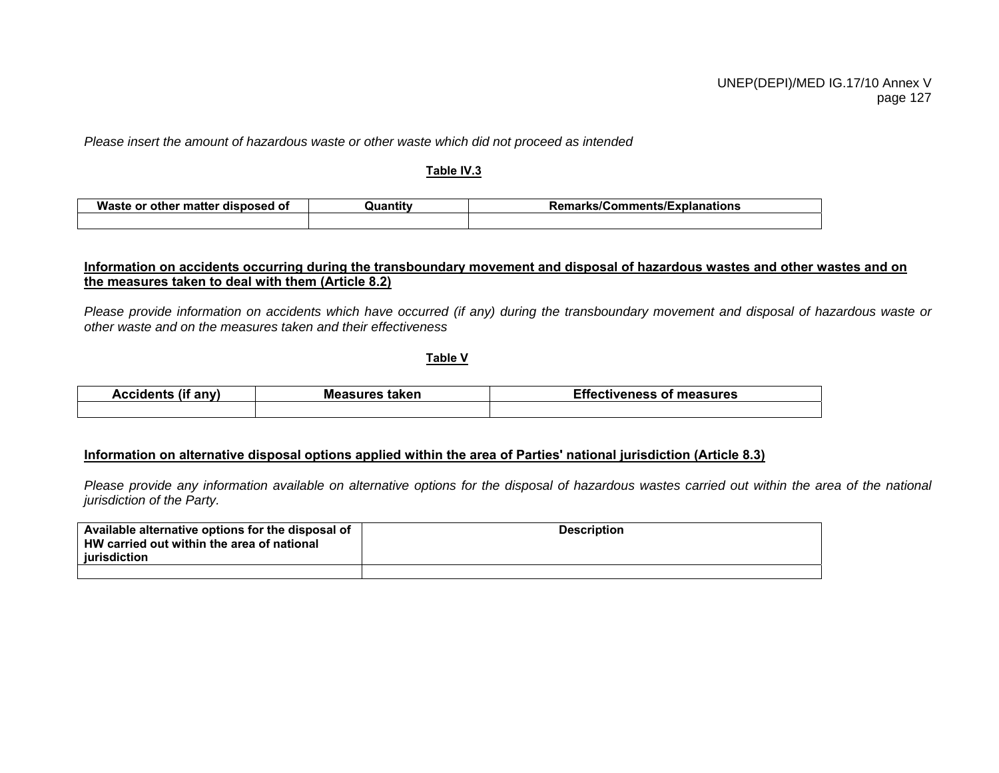*Please insert the amount of hazardous waste or other waste which did not proceed as intended* 

#### **Table IV.3**

| Waste<br>, other matter<br>disposed of<br>or | <b>Quantit</b> | <b>Remarks/Comments/Explanations</b> |
|----------------------------------------------|----------------|--------------------------------------|
|                                              |                |                                      |

#### **Information on accidents occurring during the transboundary movement and disposal of hazardous wastes and other wastes and on the measures taken to deal with them (Article 8.2)**

*Please provide information on accidents which have occurred (if any) during the transboundary movement and disposal of hazardous waste or other waste and on the measures taken and their effectiveness* 

**Table V**

Accidents (if any) **Measures taken Effectiveness of measures Accidents** (if any)

### **Information on alternative disposal options applied within the area of Parties' national jurisdiction (Article 8.3)**

*Please provide any information available on alternative options for the disposal of hazardous wastes carried out within the area of the national jurisdiction of the Party.* 

| Available alternative options for the disposal of<br>HW carried out within the area of national<br>iurisdiction | <b>Description</b> |
|-----------------------------------------------------------------------------------------------------------------|--------------------|
|                                                                                                                 |                    |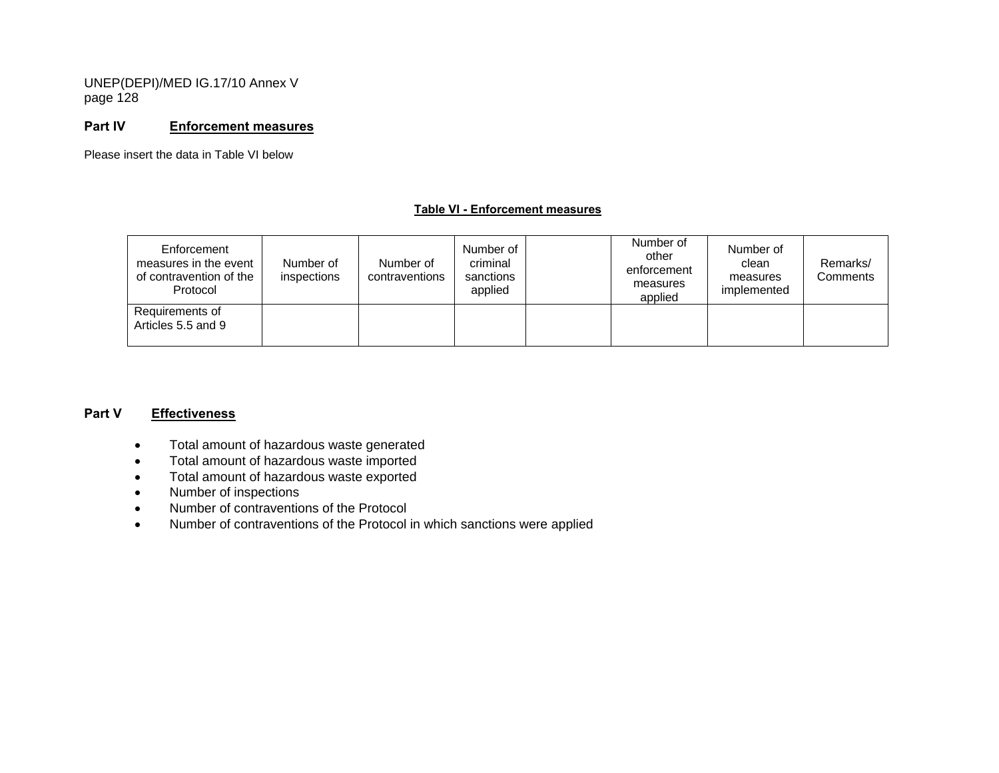#### **Part IV Enforcement measures**

Please insert the data in Table VI below

#### **Table VI - Enforcement measures**

| Enforcement<br>measures in the event<br>of contravention of the<br>Protocol | Number of<br>inspections | Number of<br>contraventions | Number of<br>criminal<br>sanctions<br>applied | Number of<br>other<br>enforcement<br>measures<br>applied | Number of<br>clean<br>measures<br>implemented | Remarks/<br>Comments |
|-----------------------------------------------------------------------------|--------------------------|-----------------------------|-----------------------------------------------|----------------------------------------------------------|-----------------------------------------------|----------------------|
| Requirements of<br>Articles 5.5 and 9                                       |                          |                             |                                               |                                                          |                                               |                      |

#### **Part V Effectiveness**

- Total amount of hazardous waste generated
- Total amount of hazardous waste imported
- Total amount of hazardous waste exported
- Number of inspections
- Number of contraventions of the Protocol
- Number of contraventions of the Protocol in which sanctions were applied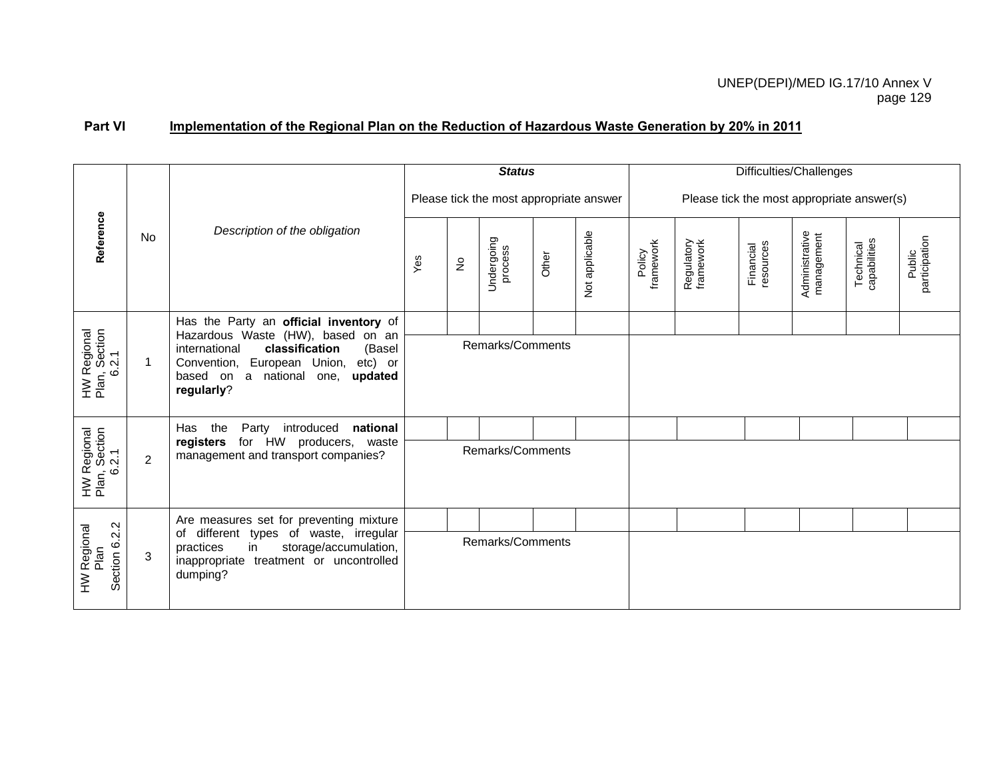# Part VI Implementation of the Regional Plan on the Reduction of Hazardous Waste Generation by 20% in 2011

|                                             |                                                                                               |                                                                                                                                           |  |             | <b>Status</b>                           |       |                | Difficulties/Challenges                    |                         |                        |                              |                           |                         |  |
|---------------------------------------------|-----------------------------------------------------------------------------------------------|-------------------------------------------------------------------------------------------------------------------------------------------|--|-------------|-----------------------------------------|-------|----------------|--------------------------------------------|-------------------------|------------------------|------------------------------|---------------------------|-------------------------|--|
|                                             |                                                                                               |                                                                                                                                           |  |             | Please tick the most appropriate answer |       |                | Please tick the most appropriate answer(s) |                         |                        |                              |                           |                         |  |
| Reference                                   | No                                                                                            | Description of the obligation                                                                                                             |  | $\tilde{z}$ | Undergoing<br>process                   | Other | Not applicable | framework<br>Policy                        | Regulatory<br>framework | resources<br>Financial | Administrative<br>management | Technical<br>capabilities | participation<br>Public |  |
|                                             |                                                                                               | Has the Party an official inventory of<br>Hazardous Waste (HW), based on an                                                               |  |             |                                         |       |                |                                            |                         |                        |                              |                           |                         |  |
| HW Regional<br>Plan, Section<br>6.2.1       | $\mathbf{1}$                                                                                  | international<br>classification<br>(Basel<br>Convention, European Union, etc) or<br>based on a<br>national one,<br>updated<br>regularly?  |  |             | Remarks/Comments                        |       |                |                                            |                         |                        |                              |                           |                         |  |
|                                             |                                                                                               | Party<br>introduced<br>national<br>Has<br>the                                                                                             |  |             |                                         |       |                |                                            |                         |                        |                              |                           |                         |  |
| HW Regional<br>Plan, Section<br>6.2.1       | for HW producers, waste<br>registers<br>management and transport companies?<br>$\overline{2}$ |                                                                                                                                           |  |             | Remarks/Comments                        |       |                |                                            |                         |                        |                              |                           |                         |  |
|                                             |                                                                                               | Are measures set for preventing mixture                                                                                                   |  |             |                                         |       |                |                                            |                         |                        |                              |                           |                         |  |
| Section 6.2.2<br><b>HW Regional</b><br>Plan | 3                                                                                             | of different types of waste, irregular<br>in<br>storage/accumulation,<br>practices<br>inappropriate treatment or uncontrolled<br>dumping? |  |             | Remarks/Comments                        |       |                |                                            |                         |                        |                              |                           |                         |  |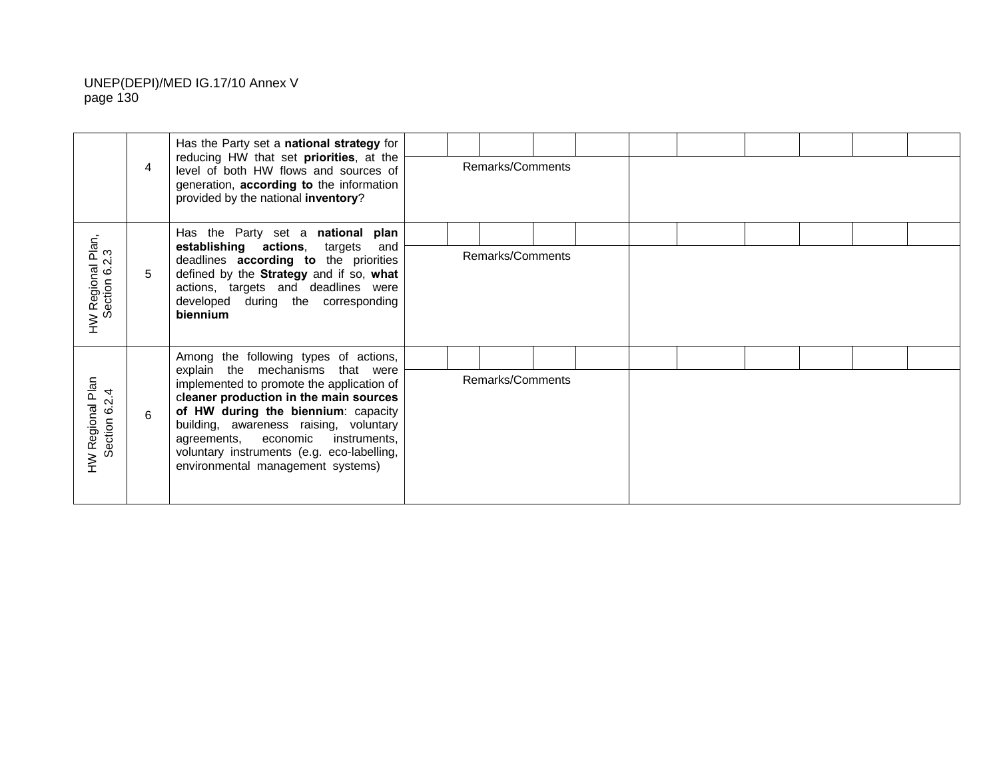|                                    |   | Has the Party set a national strategy for<br>reducing HW that set priorities, at the                                                                                                                                                                                                                                             |  |                  |  |  |  |  |
|------------------------------------|---|----------------------------------------------------------------------------------------------------------------------------------------------------------------------------------------------------------------------------------------------------------------------------------------------------------------------------------|--|------------------|--|--|--|--|
|                                    | 4 | level of both HW flows and sources of<br>generation, according to the information<br>provided by the national inventory?                                                                                                                                                                                                         |  | Remarks/Comments |  |  |  |  |
|                                    |   | Has the Party set a national plan                                                                                                                                                                                                                                                                                                |  |                  |  |  |  |  |
| HW Regional Plan,<br>Section 6.2.3 | 5 | establishing actions, targets<br>and<br>deadlines according to the priorities<br>defined by the Strategy and if so, what<br>actions, targets and deadlines were<br>developed during the corresponding<br>biennium                                                                                                                |  | Remarks/Comments |  |  |  |  |
|                                    |   | Among the following types of actions,                                                                                                                                                                                                                                                                                            |  |                  |  |  |  |  |
| HW Regional Plan<br>Section 6.2.4  | 6 | explain the mechanisms that were<br>implemented to promote the application of<br>cleaner production in the main sources<br>of HW during the biennium: capacity<br>building, awareness raising, voluntary<br>agreements, economic instruments,<br>voluntary instruments (e.g. eco-labelling,<br>environmental management systems) |  | Remarks/Comments |  |  |  |  |